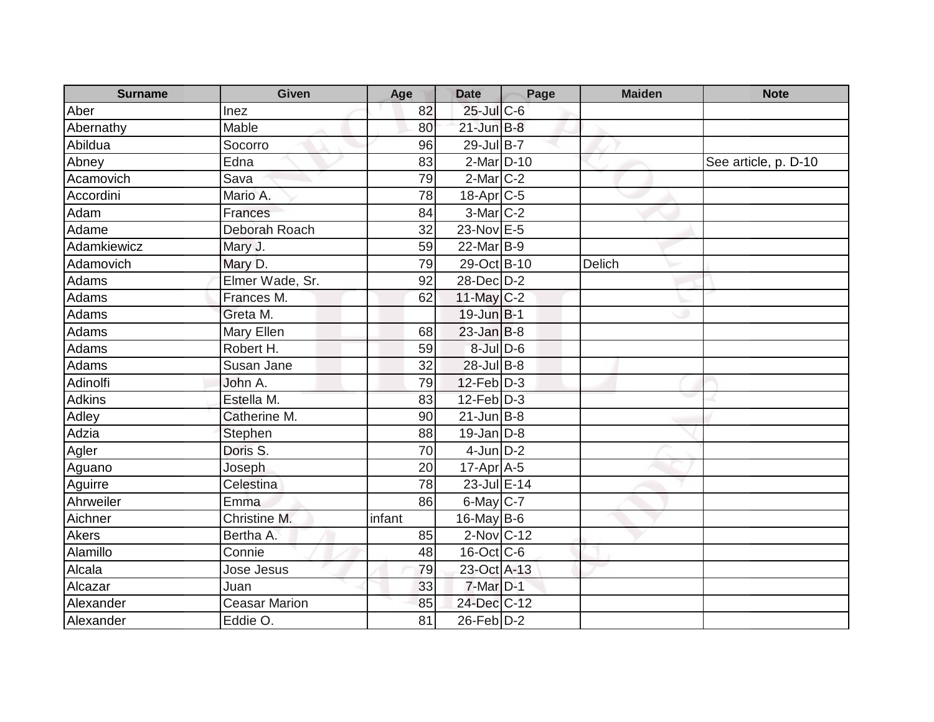| <b>Surname</b> | <b>Given</b>         | Age    | <b>Date</b>           | Page | <b>Maiden</b> | <b>Note</b>          |
|----------------|----------------------|--------|-----------------------|------|---------------|----------------------|
| Aber           | Inez                 | 82     | $25$ -Jul $C$ -6      |      |               |                      |
| Abernathy      | <b>Mable</b>         | 80     | $21$ -Jun $B-8$       |      |               |                      |
| Abildua        | Socorro              | 96     | $29$ -Jul B-7         |      |               |                      |
| Abney          | Edna                 | 83     | 2-Mar D-10            |      |               | See article, p. D-10 |
| Acamovich      | Sava                 | 79     | $2$ -Mar $C-2$        |      |               |                      |
| Accordini      | Mario A.             | 78     | 18-Apr <sub>C-5</sub> |      |               |                      |
| Adam           | <b>Frances</b>       | 84     | $3-Mar$ $C-2$         |      |               |                      |
| Adame          | Deborah Roach        | 32     | 23-Nov E-5            |      |               |                      |
| Adamkiewicz    | Mary J.              | 59     | 22-Mar B-9            |      |               |                      |
| Adamovich      | Mary D.              | 79     | 29-Oct B-10           |      | Delich        |                      |
| Adams          | Elmer Wade, Sr.      | 92     | $28$ -Dec $D-2$       |      |               |                      |
| Adams          | Frances M.           | 62     | 11-May $C-2$          |      |               |                      |
| Adams          | Greta M.             |        | 19-Jun B-1            |      |               |                      |
| Adams          | Mary Ellen           | 68     | $23$ -Jan B-8         |      |               |                      |
| Adams          | Robert H.            | 59     | $8$ -Jul $D$ -6       |      |               |                      |
| Adams          | Susan Jane           | 32     | $28$ -Jul B-8         |      |               |                      |
| Adinolfi       | John A.              | 79     | $12$ -Feb $D-3$       |      |               |                      |
| <b>Adkins</b>  | Estella M.           | 83     | $12$ -Feb $D-3$       |      |               |                      |
| Adley          | Catherine M.         | 90     | $21$ -Jun B-8         |      |               |                      |
| Adzia          | Stephen              | 88     | $19$ -Jan D-8         |      |               |                      |
| Agler          | Doris S.             | 70     | $4-Jun$ $D-2$         |      |               |                      |
| Aguano         | Joseph               | 20     | $17$ -Apr $A$ -5      |      |               |                      |
| Aguirre        | Celestina            | 78     | 23-Jul E-14           |      |               |                      |
| Ahrweiler      | Emma                 | 86     | 6-May C-7             |      |               |                      |
| Aichner        | Christine M.         | infant | $16$ -May B-6         |      |               |                      |
| Akers          | Bertha A.            | 85     | $2$ -Nov $C$ -12      |      |               |                      |
| Alamillo       | Connie               | 48     | 16-Oct C-6            |      |               |                      |
| Alcala         | Jose Jesus           | 79     | 23-Oct A-13           |      |               |                      |
| Alcazar        | Juan                 | 33     | $7$ -Mar $D-1$        |      |               |                      |
| Alexander      | <b>Ceasar Marion</b> | 85     | 24-Dec C-12           |      |               |                      |
| Alexander      | Eddie O.             | 81     | $26$ -Feb $D-2$       |      |               |                      |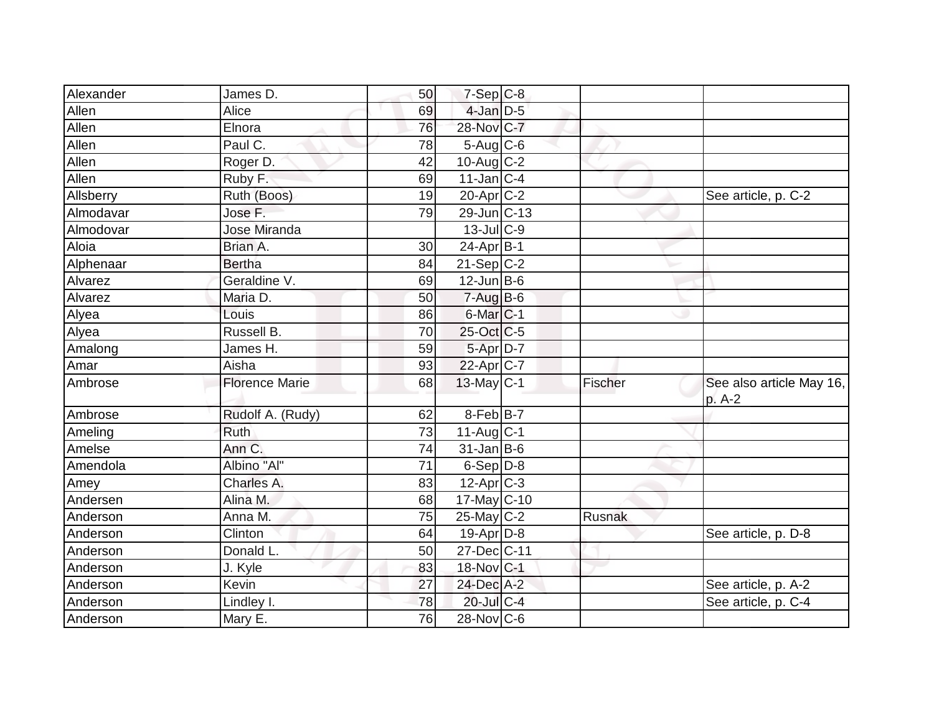| Alexander | James D.              | 50              | $7-Sep$ C-8            |         |                                    |
|-----------|-----------------------|-----------------|------------------------|---------|------------------------------------|
| Allen     | Alice                 | 69              | 4-Jan D-5              |         |                                    |
| Allen     | Elnora                | 76              | 28-Nov C-7             |         |                                    |
| Allen     | Paul C.               | 78              | $5-Aug$ <sub>C-6</sub> |         |                                    |
| Allen     | Roger D.              | 42              | 10-Aug C-2             |         |                                    |
| Allen     | Ruby F.               | 69              | $11$ -Jan C-4          |         |                                    |
| Allsberry | Ruth (Boos)           | 19              | $20$ -Apr $ C-2 $      |         | See article, p. C-2                |
| Almodavar | Jose F.               | $\overline{79}$ | 29-Jun C-13            |         |                                    |
| Almodovar | <b>Jose Miranda</b>   |                 | $13$ -JulC-9           |         |                                    |
| Aloia     | Brian A.              | 30              | $24-Apr$ B-1           |         |                                    |
| Alphenaar | <b>Bertha</b>         | 84              | $21-Sep C-2$           |         |                                    |
| Alvarez   | Geraldine V.          | 69              | $12$ -Jun B-6          |         |                                    |
| Alvarez   | Maria D.              | 50              | $7-Aug$ B-6            |         |                                    |
|           | Louis                 | 86              | $6$ -Mar $ C-1$        |         |                                    |
| Alyea     | Russell B.            | 70              | 25-Oct C-5             |         |                                    |
| Alyea     |                       |                 |                        |         |                                    |
| Amalong   | James H.              | 59              | 5-Apr D-7              |         |                                    |
| Amar      | Aisha                 | 93              | 22-Apr <sub>C-7</sub>  |         |                                    |
| Ambrose   | <b>Florence Marie</b> | 68              | $13$ -May C-1          | Fischer | See also article May 16,<br>p. A-2 |
| Ambrose   | Rudolf A. (Rudy)      | 62              | 8-Feb B-7              |         |                                    |
| Ameling   | <b>Ruth</b>           | 73              | $11$ -Aug $C-1$        |         |                                    |
| Amelse    | Ann C.                | 74              | $31$ -Jan B-6          |         |                                    |
| Amendola  | Albino "Al"           | 71              | $6-Sep D-8$            |         |                                    |
| Amey      | Charles A.            | 83              | $12$ -Apr $ C-3 $      |         |                                    |
| Andersen  | Alina M.              | 68              | 17-May C-10            |         |                                    |
| Anderson  | Anna M.               | 75              | $25$ -May C-2          | Rusnak  |                                    |
| Anderson  | Clinton               | 64              | $19$ -Apr $ D-8$       |         | See article, p. D-8                |
| Anderson  | Donald L.             | 50              | 27-Dec C-11            |         |                                    |
| Anderson  | J. Kyle               | 83              | 18-Nov C-1             |         |                                    |
| Anderson  | Kevin                 | 27              | 24-Dec A-2             |         | See article, p. A-2                |
| Anderson  | Lindley I.            | 78              | 20-Jul C-4             |         | See article, p. C-4                |
| Anderson  | Mary E.               | 76              | $28$ -Nov C-6          |         |                                    |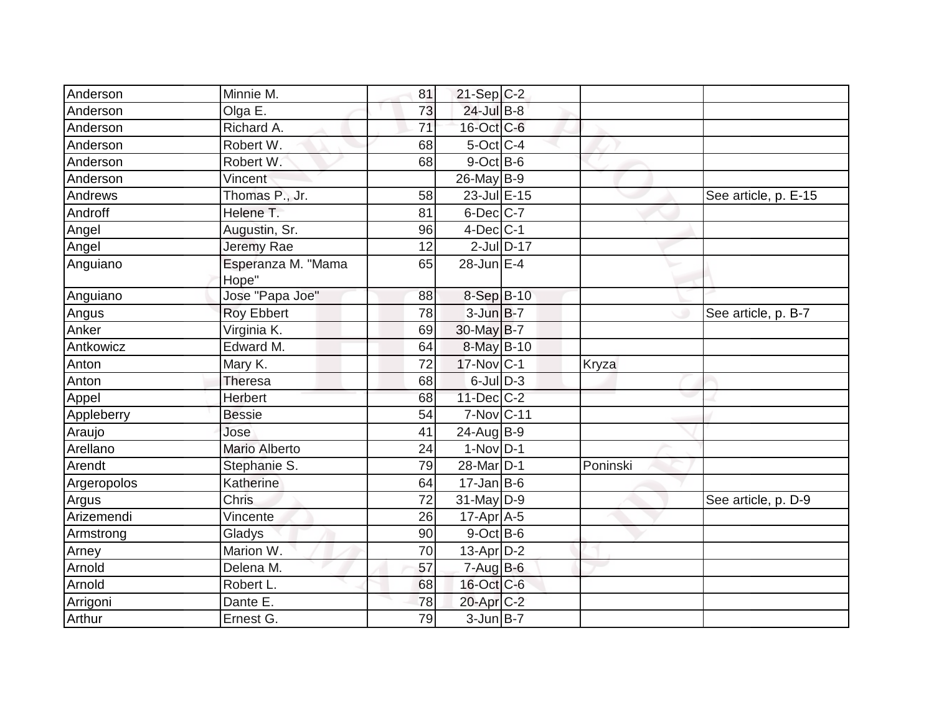| Anderson    | Minnie M.                   | 81 | $21-Sep$ C-2          |              |                      |
|-------------|-----------------------------|----|-----------------------|--------------|----------------------|
| Anderson    | Olga E.                     | 73 | 24-Jul B-8            |              |                      |
| Anderson    | Richard A.                  | 71 | 16-Oct C-6            |              |                      |
| Anderson    | Robert W.                   | 68 | $5$ -Oct $ C-4 $      |              |                      |
| Anderson    | Robert W.                   | 68 | $9$ -Oct $B$ -6       |              |                      |
| Anderson    | Vincent                     |    | 26-May B-9            |              |                      |
| Andrews     | Thomas P., Jr.              | 58 | 23-Jul E-15           |              | See article, p. E-15 |
| Androff     | Helene T.                   | 81 | $6$ -Dec C-7          |              |                      |
| Angel       | Augustin, Sr.               | 96 | $4$ -Dec $ C-1 $      |              |                      |
| Angel       | Jeremy Rae                  | 12 | $2$ -Jul $D-17$       |              |                      |
| Anguiano    | Esperanza M. "Mama<br>Hope" | 65 | 28-Jun E-4            |              |                      |
| Anguiano    | Jose "Papa Joe"             | 88 | 8-Sep B-10            |              |                      |
| Angus       | <b>Roy Ebbert</b>           | 78 | $3$ -Jun $B$ -7       |              | See article, p. B-7  |
| Anker       | Virginia K.                 | 69 | 30-May B-7            |              |                      |
| Antkowicz   | Edward M.                   | 64 | 8-May B-10            |              |                      |
| Anton       | Mary K.                     | 72 | $17$ -Nov $ C-1$      | <b>Kryza</b> |                      |
| Anton       | <b>Theresa</b>              | 68 | $6$ -Jul $D-3$        |              |                      |
| Appel       | <b>Herbert</b>              | 68 | 11-Dec C-2            |              |                      |
| Appleberry  | <b>Bessie</b>               | 54 | 7-Nov C-11            |              |                      |
| Araujo      | Jose                        | 41 | $24$ -Aug $B-9$       |              |                      |
| Arellano    | <b>Mario Alberto</b>        | 24 | $1-Nov D-1$           |              |                      |
| Arendt      | Stephanie S.                | 79 | 28-Mar <sub>D-1</sub> | Poninski     |                      |
| Argeropolos | Katherine                   | 64 | $17$ -Jan B-6         |              |                      |
| Argus       | Chris                       | 72 | $31$ -May D-9         |              | See article, p. D-9  |
| Arizemendi  | Vincente                    | 26 | $17$ -Apr $A$ -5      |              |                      |
| Armstrong   | Gladys                      | 90 | $9$ -Oct B-6          |              |                      |
| Arney       | Marion W.                   | 70 | $13$ -Apr $D-2$       |              |                      |
| Arnold      | Delena M.                   | 57 | $7 - Aug$ B-6         |              |                      |
| Arnold      | Robert L.                   | 68 | 16-Oct C-6            |              |                      |
| Arrigoni    | Dante E.                    | 78 | 20-Apr <sub>C-2</sub> |              |                      |
| Arthur      | Ernest G.                   | 79 | $3$ -Jun $B$ -7       |              |                      |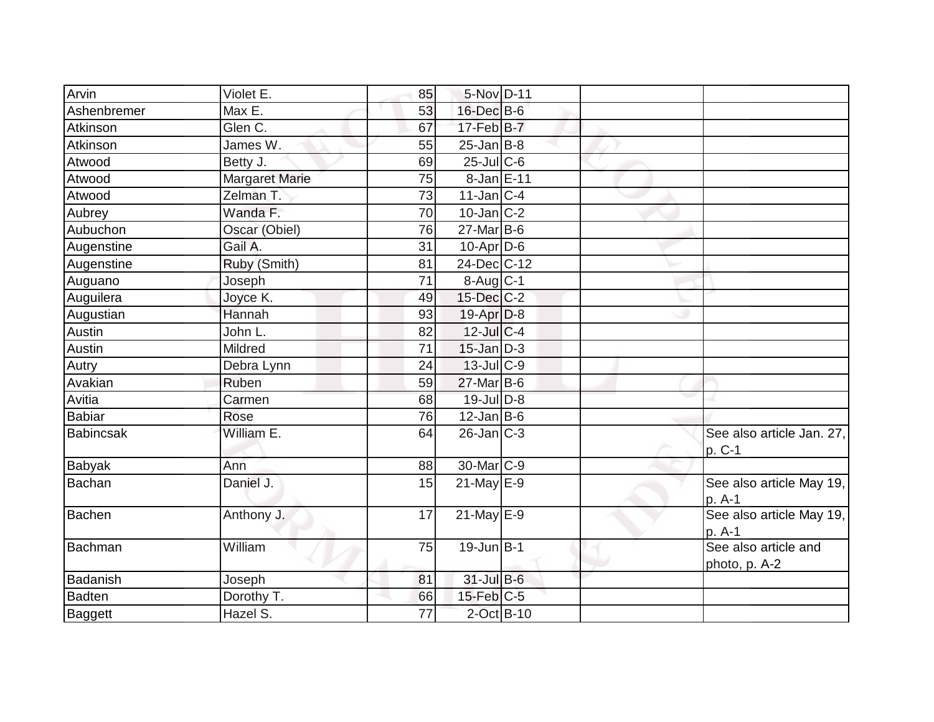| Arvin            | Violet E.      | 85 | 5-Nov D-11        |  |                                       |
|------------------|----------------|----|-------------------|--|---------------------------------------|
| Ashenbremer      | Max E.         | 53 | 16-Dec B-6        |  |                                       |
| Atkinson         | Glen C.        | 67 | $17$ -Feb $B$ -7  |  |                                       |
| Atkinson         | James W.       | 55 | $25$ -Jan B-8     |  |                                       |
| Atwood           | Betty J.       | 69 | $25$ -Jul C-6     |  |                                       |
| Atwood           | Margaret Marie | 75 | 8-Jan E-11        |  |                                       |
| Atwood           | Zelman T.      | 73 | $11$ -Jan $ C-4 $ |  |                                       |
| Aubrey           | Wanda F.       | 70 | $10$ -Jan $ C-2 $ |  |                                       |
| Aubuchon         | Oscar (Obiel)  | 76 | $27$ -Mar $B$ -6  |  |                                       |
| Augenstine       | Gail A.        | 31 | $10$ -Apr $D-6$   |  |                                       |
| Augenstine       | Ruby (Smith)   | 81 | 24-Dec C-12       |  |                                       |
| Auguano          | Joseph         | 71 | $8-Aug C-1$       |  |                                       |
| Auguilera        | Joyce K.       | 49 | 15-Dec C-2        |  |                                       |
| Augustian        | Hannah         | 93 | 19-Apr D-8        |  |                                       |
| Austin           | John L.        | 82 | $12$ -Jul C-4     |  |                                       |
| Austin           | Mildred        | 71 | $15$ -Jan $D-3$   |  |                                       |
| Autry            | Debra Lynn     | 24 | 13-Jul C-9        |  |                                       |
| Avakian          | Ruben          | 59 | $27$ -Mar $B$ -6  |  |                                       |
| Avitia           | Carmen         | 68 | 19-Jul D-8        |  |                                       |
| <b>Babiar</b>    | Rose           | 76 | $12$ -Jan B-6     |  |                                       |
| <b>Babincsak</b> | William E.     | 64 | $26$ -Jan $ C-3 $ |  | See also article Jan. 27,<br>p. C-1   |
| <b>Babyak</b>    | Ann            | 88 | 30-Mar C-9        |  |                                       |
| Bachan           | Daniel J.      | 15 | $21$ -May E-9     |  | See also article May 19,<br>p. A-1    |
| Bachen           | Anthony J.     | 17 | $21$ -May E-9     |  | See also article May 19,<br>p. A-1    |
| Bachman          | William        | 75 | $19$ -Jun $B$ -1  |  | See also article and<br>photo, p. A-2 |
| Badanish         | Joseph         | 81 | 31-Jul B-6        |  |                                       |
| <b>Badten</b>    | Dorothy T.     | 66 | 15-Feb C-5        |  |                                       |
| <b>Baggett</b>   | Hazel S.       | 77 | 2-Oct B-10        |  |                                       |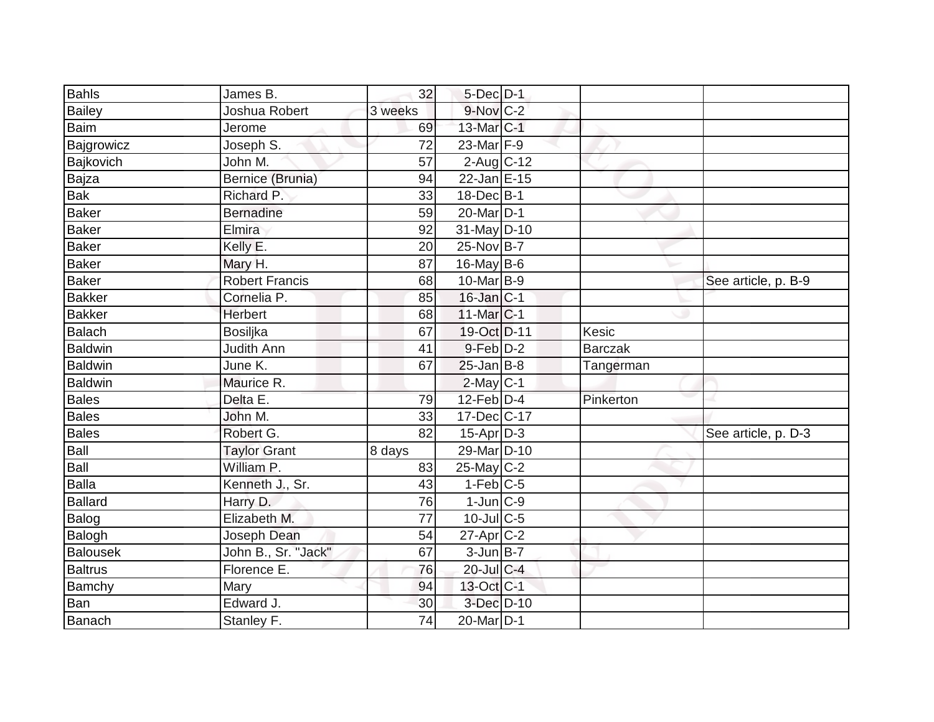| <b>Bahls</b>   | James B.              | 32              | $5$ -Dec $D-1$        |                |                     |
|----------------|-----------------------|-----------------|-----------------------|----------------|---------------------|
| <b>Bailey</b>  | Joshua Robert         | 3 weeks         | $9-Nov$ C-2           |                |                     |
| <b>Baim</b>    | Jerome                | 69              | 13-Mar C-1            |                |                     |
| Bajgrowicz     | Joseph S.             | 72              | $23$ -Mar $F-9$       |                |                     |
| Bajkovich      | John M.               | 57              | $2$ -Aug $C$ -12      |                |                     |
| Bajza          | Bernice (Brunia)      | 94              | 22-Jan E-15           |                |                     |
| <b>Bak</b>     | Richard P.            | 33              | $18$ -Dec $B$ -1      |                |                     |
| Baker          | <b>Bernadine</b>      | 59              | 20-Mar <sub>D-1</sub> |                |                     |
| <b>Baker</b>   | Elmira                | 92              | 31-May D-10           |                |                     |
| Baker          | Kelly E.              | 20              | 25-Nov B-7            |                |                     |
| <b>Baker</b>   | Mary H.               | 87              | 16-May $B-6$          |                |                     |
| Baker          | <b>Robert Francis</b> | 68              | $10$ -Mar $B-9$       |                | See article, p. B-9 |
| <b>Bakker</b>  | Cornelia P.           | 85              | $16$ -Jan $ C-1$      |                |                     |
| Bakker         | Herbert               | 68              | $11$ -Mar $ C-1$      |                |                     |
| Balach         | <b>Bosiljka</b>       | 67              | 19-Oct D-11           | Kesic          |                     |
| Baldwin        | Judith Ann            | 41              | $9$ -Feb $D-2$        | <b>Barczak</b> |                     |
| <b>Baldwin</b> | June K.               | 67              | $25$ -Jan B-8         | Tangerman      |                     |
| Baldwin        | Maurice R.            |                 | $2$ -May C-1          |                |                     |
| <b>Bales</b>   | Delta E.              | 79              | $12$ -Feb $D-4$       | Pinkerton      |                     |
| Bales          | John M.               | 33              | 17-Dec C-17           |                |                     |
| <b>Bales</b>   | Robert G.             | 82              | $15$ -Apr $ D-3 $     |                | See article, p. D-3 |
| Ball           | <b>Taylor Grant</b>   | 8 days          | 29-Mar D-10           |                |                     |
| Ball           | William P.            | 83              | $25$ -May C-2         |                |                     |
| Balla          | Kenneth J., Sr.       | 43              | $1-Feb$ C-5           |                |                     |
| Ballard        | Harry D.              | 76              | $1$ -Jun $ C-9 $      |                |                     |
| Balog          | Elizabeth M.          | $\overline{77}$ | $10$ -Jul C-5         |                |                     |
| Balogh         | Joseph Dean           | 54              | $27$ -Apr $ C-2 $     |                |                     |
| Balousek       | John B., Sr. "Jack"   | 67              | $3$ -Jun $B$ -7       |                |                     |
| Baltrus        | Florence E.           | 76              | 20-Jul C-4            |                |                     |
| Bamchy         | Mary                  | 94              | 13-Oct C-1            |                |                     |
| Ban            | Edward J.             | 30              | 3-Dec D-10            |                |                     |
| Banach         | Stanley F.            | 74              | $20$ -Mar $D-1$       |                |                     |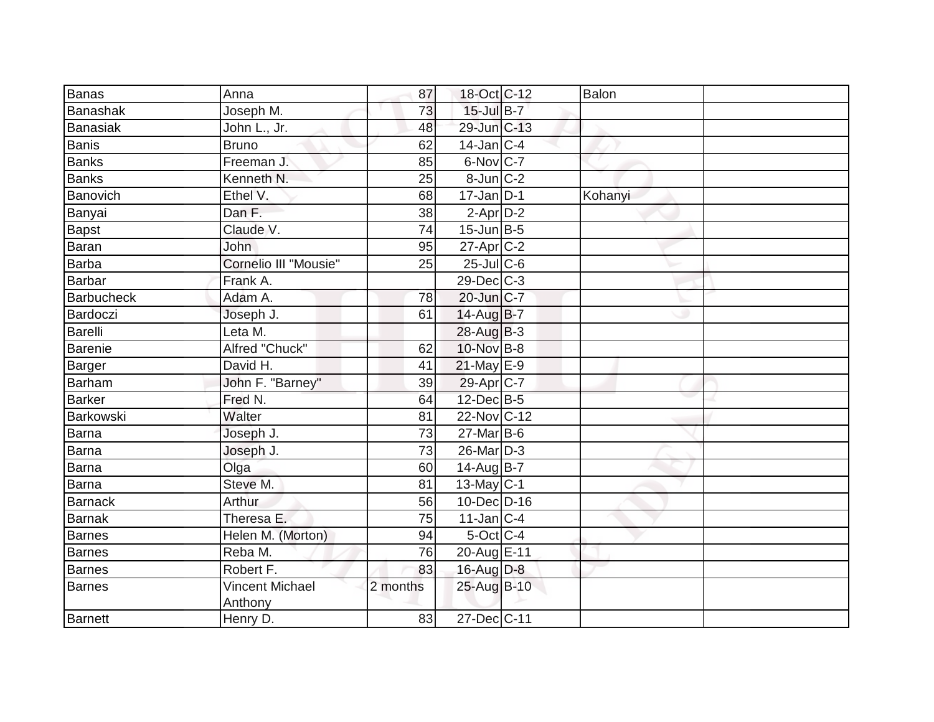| Banas             | Anna                              | 87              | 18-Oct C-12           | Balon   |  |
|-------------------|-----------------------------------|-----------------|-----------------------|---------|--|
| Banashak          | Joseph M.                         | $\overline{73}$ | $15$ -Jul B-7         |         |  |
| Banasiak          | John L., Jr.                      | 48              | 29-Jun C-13           |         |  |
| Banis             | <b>Bruno</b>                      | 62              | $14$ -Jan C-4         |         |  |
| <b>Banks</b>      | Freeman J.                        | 85              | 6-Nov C-7             |         |  |
| Banks             | Kenneth N.                        | 25              | 8-Jun C-2             |         |  |
| Banovich          | Ethel V.                          | 68              | $17$ -Jan D-1         | Kohanyi |  |
| Banyai            | Dan F.                            | 38              | $2-Apr2$              |         |  |
| Bapst             | Claude V.                         | 74              | $15$ -Jun $B$ -5      |         |  |
| <b>Baran</b>      | John                              | 95              | $27$ -Apr $ C-2 $     |         |  |
| Barba             | Cornelio III "Mousie"             | 25              | $25$ -Jul C-6         |         |  |
| Barbar            | Frank A.                          |                 | $29$ -Dec $C-3$       |         |  |
| <b>Barbucheck</b> | Adam A.                           | 78              | 20-Jun C-7            |         |  |
| Bardoczi          | Joseph J.                         | 61              | 14-Aug B-7            |         |  |
| Barelli           | Leta $M$ .                        |                 | $28$ -Aug $B-3$       |         |  |
| Barenie           | Alfred "Chuck"                    | 62              | 10-Nov B-8            |         |  |
| Barger            | David H.                          | 41              | 21-May E-9            |         |  |
| <b>Barham</b>     | John F. "Barney"                  | 39              | 29-Apr <sub>C-7</sub> |         |  |
| Barker            | Fred N.                           | 64              | 12-Dec B-5            |         |  |
| Barkowski         | Walter                            | 81              | 22-Nov C-12           |         |  |
| Barna             | Joseph J.                         | 73              | $27$ -Mar $B$ -6      |         |  |
| Barna             | Joseph J.                         | $\overline{73}$ | 26-Mar D-3            |         |  |
| Barna             | Olga                              | 60              | $14$ -Aug B-7         |         |  |
| Barna             | Steve M.                          | 81              | $13$ -May C-1         |         |  |
| Barnack           | Arthur                            | 56              | 10-Dec D-16           |         |  |
| Barnak            | Theresa E.                        | 75              | $11$ -Jan C-4         |         |  |
| Barnes            | Helen M. (Morton)                 | 94              | $5$ -Oct $ C-4 $      |         |  |
| <b>Barnes</b>     | Reba M.                           | 76              | 20-Aug E-11           |         |  |
| Barnes            | Robert F.                         | 83              | 16-Aug D-8            |         |  |
| <b>Barnes</b>     | <b>Vincent Michael</b><br>Anthony | 2 months        | 25-Aug B-10           |         |  |
| <b>Barnett</b>    | Henry D.                          | 83              | 27-Dec C-11           |         |  |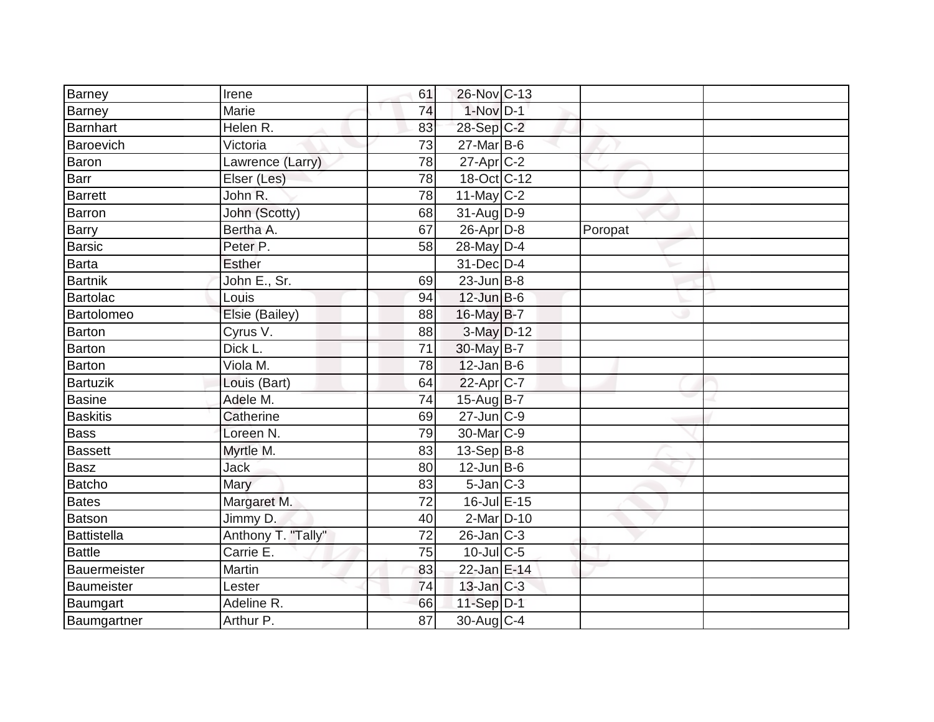| Barney          | Irene                | 61 | 26-Nov C-13            |         |  |
|-----------------|----------------------|----|------------------------|---------|--|
| Barney          | Marie                | 74 | $1-Nov$ D-1            |         |  |
| Barnhart        | Helen R.             | 83 | 28-Sep C-2             |         |  |
| Baroevich       | Victoria             | 73 | $27$ -Mar $B$ -6       |         |  |
| Baron           | Lawrence (Larry)     | 78 | $27$ -Apr $C-2$        |         |  |
| Barr            | Elser (Les)          | 78 | 18-Oct C-12            |         |  |
| <b>Barrett</b>  | John R.              | 78 | 11-May $C-2$           |         |  |
| Barron          | John (Scotty)        | 68 | $31$ -AugD-9           |         |  |
| <b>Barry</b>    | Bertha A.            | 67 | $26$ -Apr $D-8$        | Poropat |  |
| Barsic          | Peter P.             | 58 | 28-May D-4             |         |  |
| Barta           | <b>Esther</b>        |    | 31-Dec D-4             |         |  |
| Bartnik         | John E., Sr.         | 69 | $23$ -Jun $B-8$        |         |  |
| Bartolac        | Louis                | 94 | $12$ -Jun B-6          |         |  |
| Bartolomeo      | Elsie (Bailey)       | 88 | $16$ -May B-7          |         |  |
| Barton          | Cyrus V.             | 88 | $3-May$ D-12           |         |  |
| Barton          | Dick L.              | 71 | 30-May B-7             |         |  |
| <b>Barton</b>   | Viola M.             | 78 | $12$ -Jan B-6          |         |  |
| Bartuzik        | Louis (Bart)         | 64 | $22$ -Apr $ C-7 $      |         |  |
| Basine          | Adele M.             | 74 | $15$ -Aug $B$ -7       |         |  |
| <b>Baskitis</b> | Catherine            | 69 | $27$ -Jun $ C-9 $      |         |  |
| <b>Bass</b>     | Loreen <sub>N.</sub> | 79 | 30-Mar <sub>IC-9</sub> |         |  |
| <b>Bassett</b>  | Myrtle M.            | 83 | $13-Sep$ B-8           |         |  |
| <b>Basz</b>     | <b>Jack</b>          | 80 | $12$ -Jun B-6          |         |  |
| Batcho          | Mary                 | 83 | $5$ -Jan $ C-3 $       |         |  |
| Bates           | Margaret M.          | 72 | 16-Jul E-15            |         |  |
| Batson          | Jimmy D.             | 40 | 2-Mar D-10             |         |  |
| Battistella     | Anthony T. "Tally"   | 72 | $26$ -Jan $ C-3 $      |         |  |
| <b>Battle</b>   | Carrie E.            | 75 | $10$ -Jul $C$ -5       |         |  |
| Bauermeister    | Martin               | 83 | 22-Jan E-14            |         |  |
| Baumeister      | Lester               | 74 | $13$ -Jan $C-3$        |         |  |
| Baumgart        | Adeline R.           | 66 | $11-Sep$ D-1           |         |  |
| Baumgartner     | Arthur P.            | 87 | 30-Aug $C-4$           |         |  |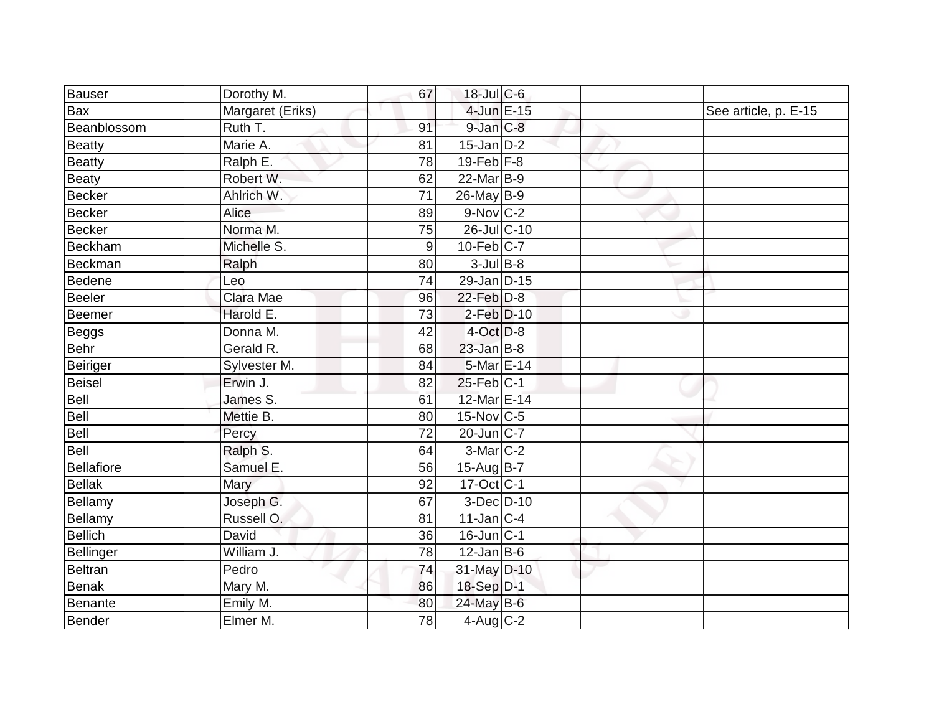| Bauser            | Dorothy M.             | 67              | $18$ -JulC-6            |  |                      |
|-------------------|------------------------|-----------------|-------------------------|--|----------------------|
| <b>Bax</b>        | Margaret (Eriks)       |                 | 4-Jun E-15              |  | See article, p. E-15 |
| Beanblossom       | Ruth T.                | 91              | 9-Jan C-8               |  |                      |
| Beatty            | Marie A.               | 81              | $15$ -Jan D-2           |  |                      |
| Beatty            | Ralph E.               | 78              | $19$ -Feb $F-8$         |  |                      |
| <b>Beaty</b>      | Robert W.              | 62              | 22-Mar B-9              |  |                      |
| Becker            | Ahlrich W.             | $\overline{71}$ | 26-May B-9              |  |                      |
| Becker            | Alice                  | 89              | 9-Nov C-2               |  |                      |
| Becker            | Norma M.               | 75              | 26-Jul C-10             |  |                      |
| Beckham           | Michelle S.            | 9               | $10$ -Feb $ C-7$        |  |                      |
| Beckman           | Ralph                  | 80              | $3$ -Jul B-8            |  |                      |
| Bedene            | Leo                    | 74              | 29-Jan D-15             |  |                      |
| Beeler            | Clara Mae              | 96              | 22-Feb D-8              |  |                      |
| Beemer            | Harold E.              | 73              | $2-Feb$ $D-10$          |  |                      |
| <b>Beggs</b>      | Donna M.               | 42              | $4$ -Oct $D-8$          |  |                      |
| Behr              | Gerald R.              | 68              | $23$ -Jan B-8           |  |                      |
| Beiriger          | Sylvester M.           | 84              | 5-Mar E-14              |  |                      |
| Beisel            | Erwin J.               | 82              | $25$ -Feb $C-1$         |  |                      |
| Bell              | James $\overline{S}$ . | 61              | 12-Mar E-14             |  |                      |
| Bell              | Mettie B.              | 80              | 15-Nov C-5              |  |                      |
| Bell              | Percy                  | 72              | $20$ -Jun $ C-7 $       |  |                      |
| Bell              | Ralph S.               | 64              | $3-Mar$ C-2             |  |                      |
| <b>Bellafiore</b> | Samuel E.              | 56              | $15-AugB-7$             |  |                      |
| Bellak            | Mary                   | 92              | $17-Oct$ <sub>C-1</sub> |  |                      |
| Bellamy           | Joseph G.              | 67              | $3-Dec$ D-10            |  |                      |
| <b>Bellamy</b>    | Russell O.             | 81              | $11$ -Jan $ C-4 $       |  |                      |
| Bellich           | David                  | 36              | $16$ -Jun $ C-1 $       |  |                      |
| Bellinger         | William J.             | 78              | $12$ -Jan B-6           |  |                      |
| Beltran           | Pedro                  | 74              | 31-May D-10             |  |                      |
| <b>Benak</b>      | Mary M.                | 86              | 18-Sep D-1              |  |                      |
| Benante           | Emily M.               | 80              | 24-May B-6              |  |                      |
| Bender            | Elmer M.               | 78              | $4$ -Aug $C-2$          |  |                      |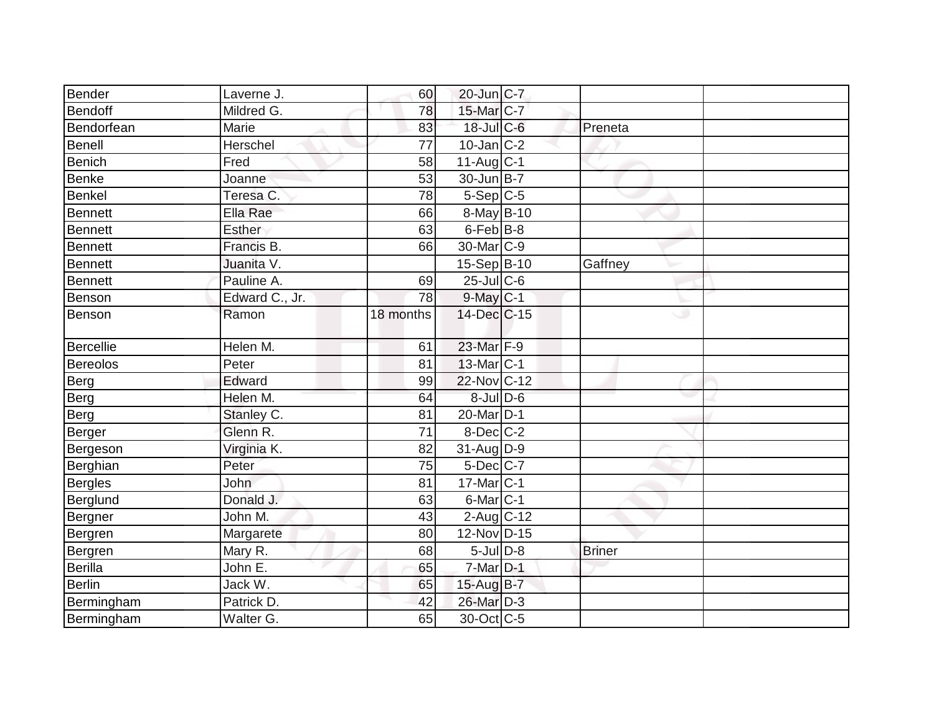| Bender           | Laverne J.     | 60        | 20-Jun C-7              |               |  |
|------------------|----------------|-----------|-------------------------|---------------|--|
| <b>Bendoff</b>   | Mildred G.     | 78        | 15-Mar C-7              |               |  |
| Bendorfean       | Marie          | 83        | 18-Jul C-6              | Preneta       |  |
| <b>Benell</b>    | Herschel       | 77        | $10$ -Jan $ C-2 $       |               |  |
| Benich           | Fred           | 58        | $11-Aug$ <sub>C-1</sub> |               |  |
| <b>Benke</b>     | Joanne         | 53        | 30-Jun B-7              |               |  |
| <b>Benkel</b>    | Teresa C.      | 78        | $5-Sep C-5$             |               |  |
| <b>Bennett</b>   | Ella Rae       | 66        | 8-May B-10              |               |  |
| Bennett          | <b>Esther</b>  | 63        | $6$ -Feb $B$ -8         |               |  |
| Bennett          | Francis B.     | 66        | $30$ -Mar $ C-9 $       |               |  |
| <b>Bennett</b>   | Juanita V.     |           | 15-Sep B-10             | Gaffney       |  |
| <b>Bennett</b>   | Pauline A.     | 69        | $25$ -Jul C-6           |               |  |
| Benson           | Edward C., Jr. | 78        | $9$ -May $C-1$          |               |  |
| Benson           | Ramon          | 18 months | 14-Dec C-15             | ت             |  |
| <b>Bercellie</b> | Helen M.       | 61        | 23-Mar F-9              |               |  |
| <b>Bereolos</b>  | Peter          | 81        | 13-Mar <sub>C</sub> -1  |               |  |
| Berg             | Edward         | 99        | 22-Nov C-12             |               |  |
| Berg             | Helen M.       | 64        | $8$ -Jul $D$ -6         |               |  |
| Berg             | Stanley C.     | 81        | 20-Mar <sub>D-1</sub>   |               |  |
| Berger           | Glenn R.       | 71        | $8$ -Dec $C$ -2         |               |  |
| Bergeson         | Virginia K.    | 82        | $31$ -Aug D-9           |               |  |
| Berghian         | Peter          | 75        | $5$ -Dec $ C-7 $        |               |  |
| <b>Bergles</b>   | John           | 81        | $17$ -Mar $ C-1$        |               |  |
| Berglund         | Donald J.      | 63        | $6$ -Mar $C-1$          |               |  |
| Bergner          | John M.        | 43        | $2$ -Aug C-12           |               |  |
| Bergren          | Margarete      | 80        | 12-Nov D-15             |               |  |
| Bergren          | Mary R.        | 68        | $5$ -Jul $D-8$          | <b>Briner</b> |  |
| Berilla          | John E.        | 65        | 7-Mar D-1               |               |  |
| Berlin           | Jack W.        | 65        | $15$ -Aug $B$ -7        |               |  |
| Bermingham       | Patrick D.     | 42        | 26-Mar D-3              |               |  |
| Bermingham       | Walter G.      | 65        | 30-Oct C-5              |               |  |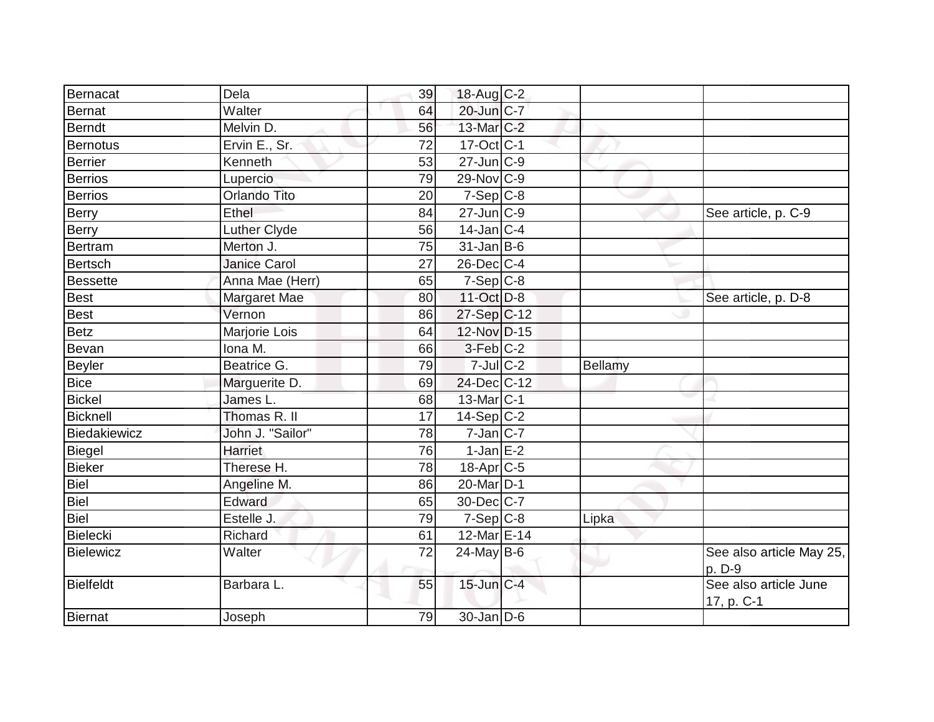|                    | Dela                |          |                          |         |                                     |
|--------------------|---------------------|----------|--------------------------|---------|-------------------------------------|
| Bernacat<br>Bernat | Walter              | 39<br>64 | 18-Aug C-2<br>20-Jun C-7 |         |                                     |
| <b>Berndt</b>      | Melvin D.           | 56       | 13-Mar <sub>C-2</sub>    |         |                                     |
| Bernotus           | Ervin E., Sr.       | 72       | $17-Oct$ <sub>C-1</sub>  |         |                                     |
|                    |                     |          | $27$ -Jun $C-9$          |         |                                     |
| Berrier            | Kenneth             | 53       |                          |         |                                     |
| Berrios            | Lupercio            | 79       | 29-Nov C-9               |         |                                     |
| Berrios            | Orlando Tito        | 20       | $7-Sep C-8$              |         |                                     |
| Berry              | Ethel               | 84       | 27-Jun C-9               |         | See article, p. C-9                 |
| Berry              | Luther Clyde        | 56       | $14$ -Jan C-4            |         |                                     |
| Bertram            | Merton J.           | 75       | $31$ -Jan B-6            |         |                                     |
| Bertsch            | <b>Janice Carol</b> | 27       | 26-Dec C-4               |         |                                     |
| Bessette           | Anna Mae (Herr)     | 65       | $7-Sep$ C-8              |         |                                     |
| Best               | Margaret Mae        | 80       | 11-Oct D-8               |         | See article, p. D-8                 |
| Best               | Vernon              | 86       | 27-Sep C-12              |         |                                     |
| <b>Betz</b>        | Marjorie Lois       | 64       | 12-Nov D-15              |         |                                     |
| Bevan              | Iona M.             | 66       | 3-Feb C-2                |         |                                     |
| Beyler             | Beatrice G.         | 79       | $7$ -Jul $C$ -2          | Bellamy |                                     |
| <b>Bice</b>        | Marguerite D.       | 69       | 24-Dec C-12              |         |                                     |
| <b>Bickel</b>      | James L.            | 68       | 13-Mar C-1               |         |                                     |
| Bicknell           | Thomas R. II        | 17       | $14-Sep C-2$             |         |                                     |
| Biedakiewicz       | John J. "Sailor"    | 78       | $7$ -Jan $ C-7 $         |         |                                     |
| Biegel             | Harriet             | 76       | $1$ -Jan E-2             |         |                                     |
| Bieker             | Therese H.          | 78       | 18-Apr <sub>C-5</sub>    |         |                                     |
| Biel               | Angeline M.         | 86       | 20-Mar D-1               |         |                                     |
| Biel               | Edward              | 65       | 30-Dec C-7               |         |                                     |
| Biel               | Estelle J.          | 79       | $7-Sep$ $C-8$            | Lipka   |                                     |
| Bielecki           | Richard             | 61       | 12-Mar E-14              |         |                                     |
| Bielewicz          | Walter              | 72       | $24$ -May B-6            |         | See also article May 25,<br>p. D-9  |
| <b>Bielfeldt</b>   | Barbara L.          | 55       | 15-Jun C-4               |         | See also article June<br>17, p. C-1 |
| <b>Biernat</b>     | Joseph              | 79       | $30 - Jan$ $D-6$         |         |                                     |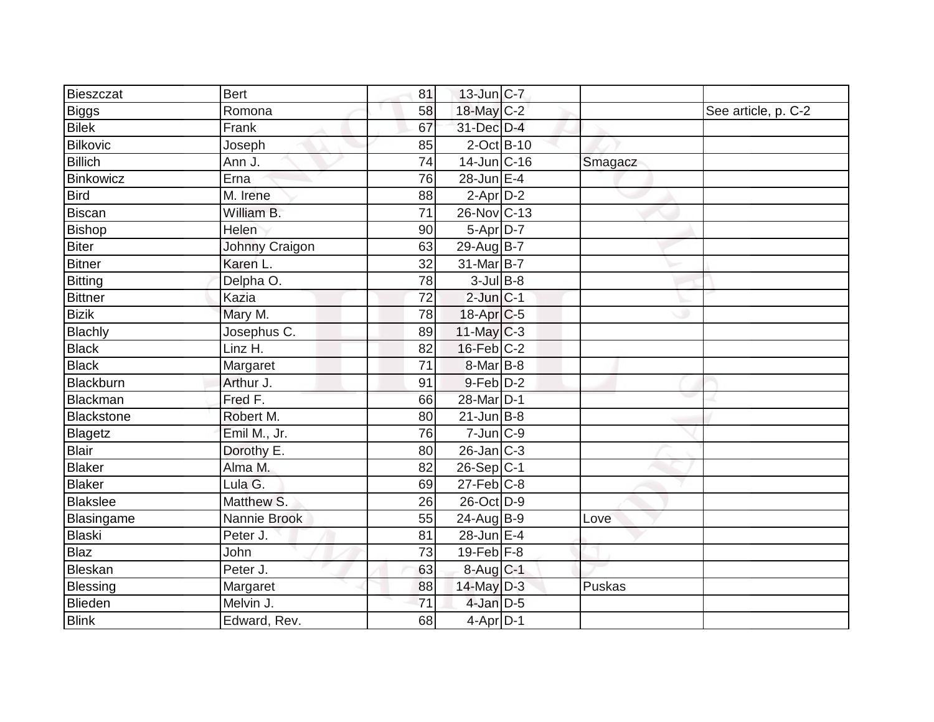| Bieszczat       | <b>Bert</b>    | 81              | $13$ -Jun $ C-7 $     |         |                     |
|-----------------|----------------|-----------------|-----------------------|---------|---------------------|
| Biggs           | Romona         | 58              | $18$ -May C-2         |         | See article, p. C-2 |
| <b>Bilek</b>    | Frank          | 67              | 31-Dec D-4            |         |                     |
| <b>Bilkovic</b> | Joseph         | 85              | $2$ -Oct B-10         |         |                     |
| <b>Billich</b>  | Ann J.         | $\overline{74}$ | 14-Jun C-16           | Smagacz |                     |
| Binkowicz       | Erna           | 76              | $28$ -Jun $E-4$       |         |                     |
| <b>Bird</b>     | M. Irene       | 88              | $2$ -Apr $D-2$        |         |                     |
| Biscan          | William B.     | 71              | 26-Nov C-13           |         |                     |
| Bishop          | Helen          | 90              | $5-Apr\overline{D-7}$ |         |                     |
| <b>Biter</b>    | Johnny Craigon | 63              | 29-Aug B-7            |         |                     |
| <b>Bitner</b>   | Karen L.       | 32              | $31$ -Mar $ B-7 $     |         |                     |
| <b>Bitting</b>  | Delpha O.      | 78              | $3$ -Jul B-8          |         |                     |
| <b>Bittner</b>  | Kazia          | 72              | $2$ -Jun $ C-1 $      |         |                     |
| <b>Bizik</b>    | Mary M.        | 78              | $18-Apr$ C-5          |         |                     |
| Blachly         | Josephus C.    | 89              | $11$ -May C-3         |         |                     |
| <b>Black</b>    | Linz H.        | 82              | $16$ -Feb $ C-2$      |         |                     |
| <b>Black</b>    | Margaret       | 71              | 8-Mar <sub>B</sub> -8 |         |                     |
| Blackburn       | Arthur J.      | 91              | 9-Feb D-2             |         |                     |
| Blackman        | Fred F.        | 66              | 28-Mar <sub>D-1</sub> |         |                     |
| Blackstone      | Robert M.      | 80              | $21$ -Jun $B-8$       |         |                     |
| Blagetz         | Emil M., Jr.   | 76              | $7$ -Jun $C-9$        |         |                     |
| <b>Blair</b>    | Dorothy E.     | 80              | $26$ -Jan $C-3$       |         |                     |
| Blaker          | Alma M.        | 82              | $26-Sep C-1$          |         |                     |
| Blaker          | Lula G.        | 69              | $27$ -Feb $ C-8$      |         |                     |
| <b>Blakslee</b> | Matthew S.     | 26              | 26-Oct D-9            |         |                     |
| Blasingame      | Nannie Brook   | 55              | 24-Aug B-9            | Love    |                     |
| Blaski          | Peter J.       | 81              | 28-Jun E-4            |         |                     |
| <b>Blaz</b>     | John           | 73              | 19-Feb $F-8$          |         |                     |
| Bleskan         | Peter J.       | 63              | 8-Aug C-1             |         |                     |
| Blessing        | Margaret       | 88              | $14$ -May $D-3$       | Puskas  |                     |
| Blieden         | Melvin J.      | 71              | $4$ -Jan $D-5$        |         |                     |
| <b>Blink</b>    | Edward, Rev.   | 68              | $4$ -Apr $D-1$        |         |                     |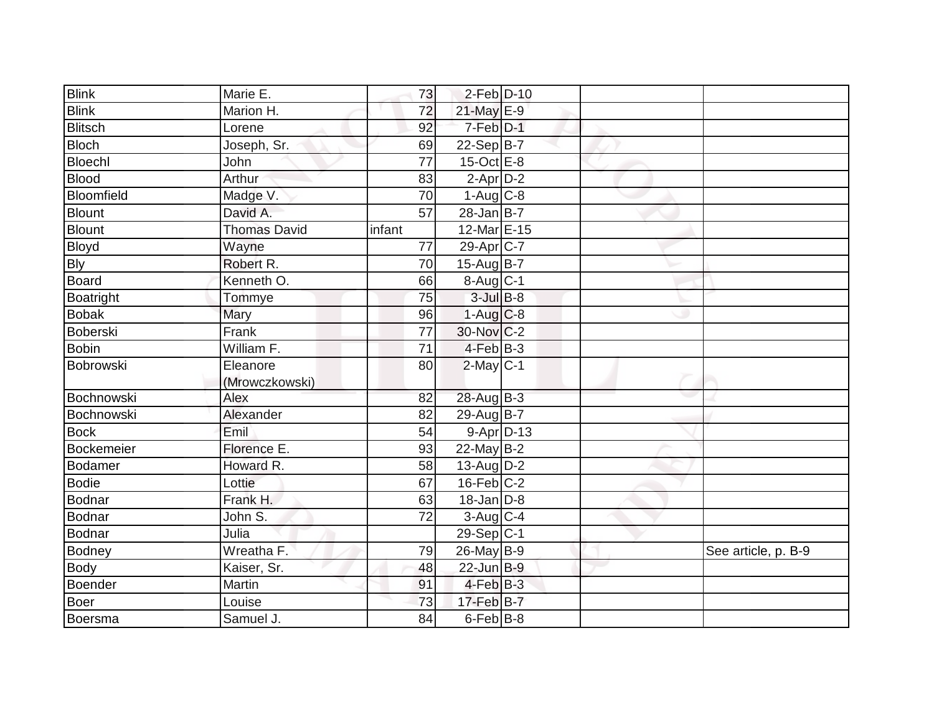| <b>Blink</b>   | Marie E.            | 73              | $2$ -Feb $D-10$        |  |                     |
|----------------|---------------------|-----------------|------------------------|--|---------------------|
| <b>Blink</b>   | Marion H.           | $\overline{72}$ | 21-May E-9             |  |                     |
| <b>Blitsch</b> | Lorene              | 92              | 7-Feb D-1              |  |                     |
| <b>Bloch</b>   | Joseph, Sr.         | 69              | $22-Sep B-7$           |  |                     |
| Bloechl        | John                | $\overline{77}$ | $15$ -Oct $E - 8$      |  |                     |
| <b>Blood</b>   | Arthur              | 83              | $2$ -Apr $D-2$         |  |                     |
| Bloomfield     | Madge V.            | 70              | $1-Aug$ <sub>C-8</sub> |  |                     |
| <b>Blount</b>  | David A.            | 57              | $28$ -Jan B-7          |  |                     |
| Blount         | <b>Thomas David</b> | infant          | 12-Mar E-15            |  |                     |
| Bloyd          | Wayne               | 77              | $29-Apr$ C-7           |  |                     |
| <b>Bly</b>     | Robert R.           | 70              | $15-AugB-7$            |  |                     |
| Board          | Kenneth O.          | 66              | $8-Aug$ <sub>C-1</sub> |  |                     |
| Boatright      | Tommye              | 75              | $3$ -Jul $B$ -8        |  |                     |
| <b>Bobak</b>   | Mary                | 96              | $1-Aug$ <sub>C-8</sub> |  |                     |
| Boberski       | Frank               | $\overline{77}$ | 30-Nov C-2             |  |                     |
| <b>Bobin</b>   | William F.          | 71              | $4-Feb$ B-3            |  |                     |
| Bobrowski      | Eleanore            | 80              | $2$ -May C-1           |  |                     |
|                | (Mrowczkowski)      |                 |                        |  |                     |
| Bochnowski     | Alex                | 82              | 28-Aug B-3             |  |                     |
| Bochnowski     | Alexander           | 82              | $29-Au\overline{g}B-7$ |  |                     |
| <b>Bock</b>    | Emil                | 54              | $9 - Apr$ $D-13$       |  |                     |
| Bockemeier     | Florence E.         | 93              | $22$ -May B-2          |  |                     |
| Bodamer        | Howard R.           | 58              | $13$ -AugD-2           |  |                     |
| <b>Bodie</b>   | Lottie              | 67              | $16$ -Feb $ C-2$       |  |                     |
| Bodnar         | Frank H.            | 63              | $18$ -Jan D-8          |  |                     |
| Bodnar         | John S.             | 72              | 3-Aug C-4              |  |                     |
| Bodnar         | Julia               |                 | $29-Sep C-1$           |  |                     |
| Bodney         | Wreatha F.          | 79              | 26-May B-9             |  | See article, p. B-9 |
| Body           | Kaiser, Sr.         | 48              | $22$ -Jun $B-9$        |  |                     |
| Boender        | Martin              | 91              | $4$ -Feb $ B-3 $       |  |                     |
| <b>Boer</b>    | Louise              | 73              | 17-Feb B-7             |  |                     |
| Boersma        | Samuel J.           | 84              | 6-Feb B-8              |  |                     |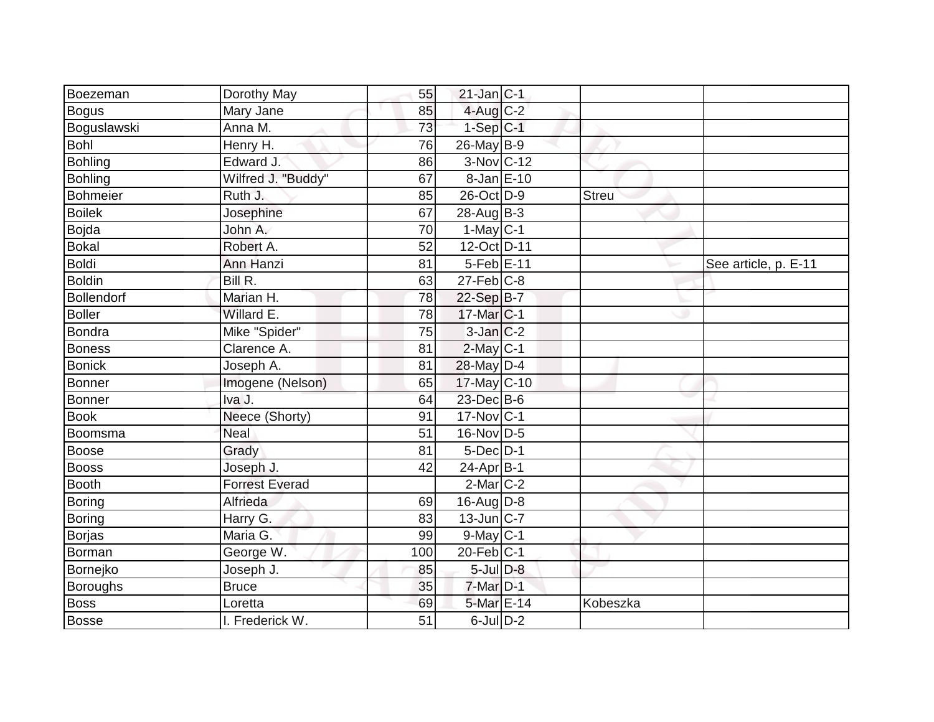|                       | 86                                                           |                      |                                                                                                                                                                                                                                                                                                                                                                                                                                                                                                                                    |                      |
|-----------------------|--------------------------------------------------------------|----------------------|------------------------------------------------------------------------------------------------------------------------------------------------------------------------------------------------------------------------------------------------------------------------------------------------------------------------------------------------------------------------------------------------------------------------------------------------------------------------------------------------------------------------------------|----------------------|
| Wilfred J. "Buddy"    | 67                                                           |                      |                                                                                                                                                                                                                                                                                                                                                                                                                                                                                                                                    |                      |
| Ruth J.               | 85                                                           |                      | <b>Streu</b>                                                                                                                                                                                                                                                                                                                                                                                                                                                                                                                       |                      |
| Josephine             | 67                                                           |                      |                                                                                                                                                                                                                                                                                                                                                                                                                                                                                                                                    |                      |
| John A.               | 70                                                           |                      |                                                                                                                                                                                                                                                                                                                                                                                                                                                                                                                                    |                      |
| Robert A.             | 52                                                           |                      |                                                                                                                                                                                                                                                                                                                                                                                                                                                                                                                                    |                      |
| Ann Hanzi             | 81                                                           |                      |                                                                                                                                                                                                                                                                                                                                                                                                                                                                                                                                    | See article, p. E-11 |
| Bill R.               | 63                                                           |                      |                                                                                                                                                                                                                                                                                                                                                                                                                                                                                                                                    |                      |
| Marian H.             | 78                                                           |                      |                                                                                                                                                                                                                                                                                                                                                                                                                                                                                                                                    |                      |
| Willard E.            | 78                                                           |                      |                                                                                                                                                                                                                                                                                                                                                                                                                                                                                                                                    |                      |
| Mike "Spider"         | 75                                                           |                      |                                                                                                                                                                                                                                                                                                                                                                                                                                                                                                                                    |                      |
| Clarence A.           | 81                                                           |                      |                                                                                                                                                                                                                                                                                                                                                                                                                                                                                                                                    |                      |
| Joseph A.             | 81                                                           |                      |                                                                                                                                                                                                                                                                                                                                                                                                                                                                                                                                    |                      |
| Imogene (Nelson)      | 65                                                           |                      |                                                                                                                                                                                                                                                                                                                                                                                                                                                                                                                                    |                      |
| Iva J.                | 64                                                           |                      |                                                                                                                                                                                                                                                                                                                                                                                                                                                                                                                                    |                      |
| Neece (Shorty)        | 91                                                           |                      |                                                                                                                                                                                                                                                                                                                                                                                                                                                                                                                                    |                      |
| Neal                  | 51                                                           |                      |                                                                                                                                                                                                                                                                                                                                                                                                                                                                                                                                    |                      |
| Grady                 | 81                                                           |                      |                                                                                                                                                                                                                                                                                                                                                                                                                                                                                                                                    |                      |
| Joseph J.             | 42                                                           |                      |                                                                                                                                                                                                                                                                                                                                                                                                                                                                                                                                    |                      |
| <b>Forrest Everad</b> |                                                              |                      |                                                                                                                                                                                                                                                                                                                                                                                                                                                                                                                                    |                      |
| Alfrieda              | 69                                                           |                      |                                                                                                                                                                                                                                                                                                                                                                                                                                                                                                                                    |                      |
| Harry G.              | 83                                                           |                      |                                                                                                                                                                                                                                                                                                                                                                                                                                                                                                                                    |                      |
| Maria G.              | 99                                                           |                      |                                                                                                                                                                                                                                                                                                                                                                                                                                                                                                                                    |                      |
| George W.             | 100                                                          |                      |                                                                                                                                                                                                                                                                                                                                                                                                                                                                                                                                    |                      |
| Joseph J.             | 85                                                           |                      |                                                                                                                                                                                                                                                                                                                                                                                                                                                                                                                                    |                      |
| <b>Bruce</b>          | 35                                                           |                      |                                                                                                                                                                                                                                                                                                                                                                                                                                                                                                                                    |                      |
| Loretta               | 69                                                           |                      | Kobeszka                                                                                                                                                                                                                                                                                                                                                                                                                                                                                                                           |                      |
| I. Frederick W.       | 51                                                           |                      |                                                                                                                                                                                                                                                                                                                                                                                                                                                                                                                                    |                      |
|                       | Dorothy May<br>Mary Jane<br>Anna M.<br>Henry H.<br>Edward J. | 55<br>85<br>73<br>76 | $21$ -Jan C-1<br>$4$ -Aug $C-2$<br>$1-Sep$ $C-1$<br>$26$ -May B-9<br>3-Nov C-12<br>8-Jan E-10<br>26-Oct D-9<br>$28$ -Aug $B-3$<br>$1-May$ C-1<br>12-Oct D-11<br>5-Feb E-11<br>$27$ -Feb $C-8$<br>22-Sep B-7<br>17-Mar C-1<br>$3$ -Jan $C-2$<br>$2$ -May $C-1$<br>28-May D-4<br>17-May C-10<br>23-Dec B-6<br>17-Nov C-1<br>16-Nov D-5<br>$5$ -Dec $D-1$<br>$24-Apr$ B-1<br>$2$ -Mar $ C-2 $<br>16-Aug $D-8$<br>$13$ -Jun $C-7$<br>$9$ -May $C-1$<br>$20$ -Feb $ C-1$<br>$5$ -Jul $D-8$<br>7-Mar D-1<br>5-Mar E-14<br>$6$ -Jul $D-2$ |                      |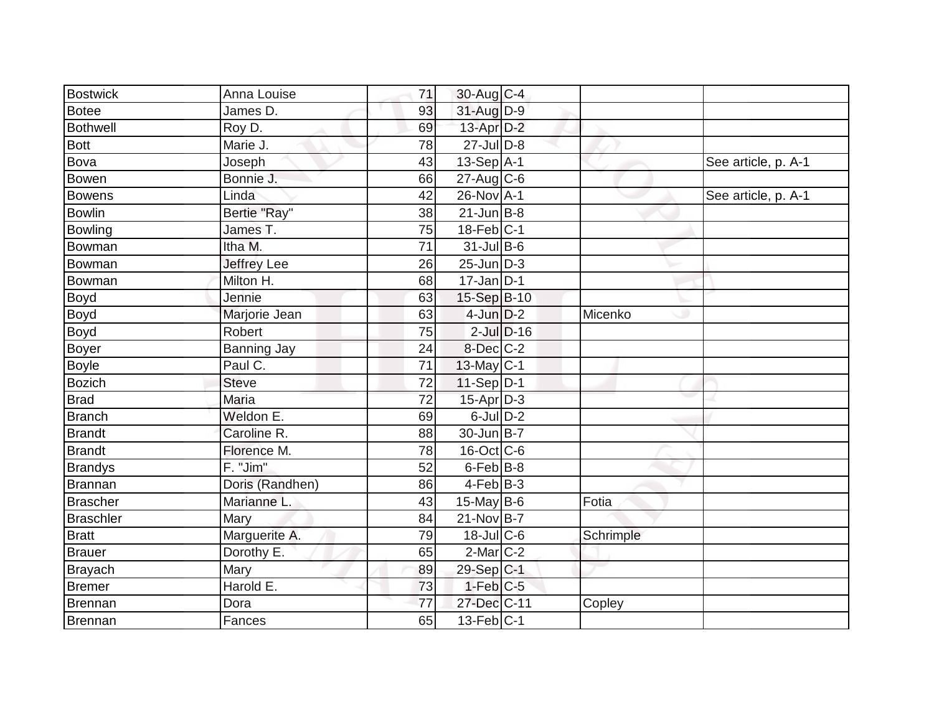| <b>Bostwick</b>  | Anna Louise        | 71 | 30-Aug C-4        |                 |           |                     |
|------------------|--------------------|----|-------------------|-----------------|-----------|---------------------|
| Botee            | James D.           | 93 | 31-Aug D-9        |                 |           |                     |
| <b>Bothwell</b>  | Roy D.             | 69 | $13$ -Apr $D-2$   |                 |           |                     |
| <b>Bott</b>      | Marie J.           | 78 | $27$ -Jul $D-8$   |                 |           |                     |
| <b>Bova</b>      | Joseph             | 43 | $13-Sep$ A-1      |                 |           | See article, p. A-1 |
| Bowen            | Bonnie J.          | 66 | $27$ -Aug C-6     |                 |           |                     |
| <b>Bowens</b>    | Linda              | 42 | 26-Nov A-1        |                 |           | See article, p. A-1 |
| <b>Bowlin</b>    | Bertie "Ray"       | 38 | $21$ -Jun $B-8$   |                 |           |                     |
| Bowling          | James T.           | 75 | $18$ -Feb $ C-1 $ |                 |           |                     |
| Bowman           | Itha M.            | 71 | $31$ -Jul B-6     |                 |           |                     |
| Bowman           | Jeffrey Lee        | 26 | $25$ -Jun $D-3$   |                 |           |                     |
| Bowman           | Milton H.          | 68 | $17$ -Jan D-1     |                 |           |                     |
| <b>Boyd</b>      | Jennie             | 63 | 15-Sep B-10       |                 |           |                     |
| <b>Boyd</b>      | Marjorie Jean      | 63 | $4$ -Jun $D-2$    |                 | Micenko   |                     |
| Boyd             | Robert             | 75 |                   | $2$ -Jul $D-16$ |           |                     |
| Boyer            | <b>Banning Jay</b> | 24 | 8-Dec C-2         |                 |           |                     |
| <b>Boyle</b>     | Paul C.            | 71 | $13$ -May C-1     |                 |           |                     |
| Bozich           | Steve              | 72 | $11-Sep$ D-1      |                 |           |                     |
| <b>Brad</b>      | Maria              | 72 | $15-Apr$ D-3      |                 |           |                     |
| <b>Branch</b>    | Weldon E.          | 69 | $6$ -Jul $D-2$    |                 |           |                     |
| <b>Brandt</b>    | Caroline R.        | 88 | 30-Jun B-7        |                 |           |                     |
| <b>Brandt</b>    | Florence M.        | 78 | 16-Oct C-6        |                 |           |                     |
| <b>Brandys</b>   | F. "Jim"           | 52 | 6-Feb B-8         |                 |           |                     |
| Brannan          | Doris (Randhen)    | 86 | $4$ -Feb $ B-3 $  |                 |           |                     |
| Brascher         | Marianne L.        | 43 | 15-May $B-6$      |                 | Fotia     |                     |
| <b>Braschler</b> | Mary               | 84 | 21-Nov B-7        |                 |           |                     |
| <b>Bratt</b>     | Marguerite A.      | 79 | $18$ -JulC-6      |                 | Schrimple |                     |
| Brauer           | Dorothy E.         | 65 | $2$ -Mar $ C-2 $  |                 |           |                     |
| <b>Brayach</b>   | Mary               | 89 | 29-Sep C-1        |                 |           |                     |
| Bremer           | Harold E.          | 73 | $1-Feb$ $C-5$     |                 |           |                     |
| Brennan          | Dora               | 77 | 27-Dec C-11       |                 | Copley    |                     |
| Brennan          | Fances             | 65 | $13$ -Feb $ C-1 $ |                 |           |                     |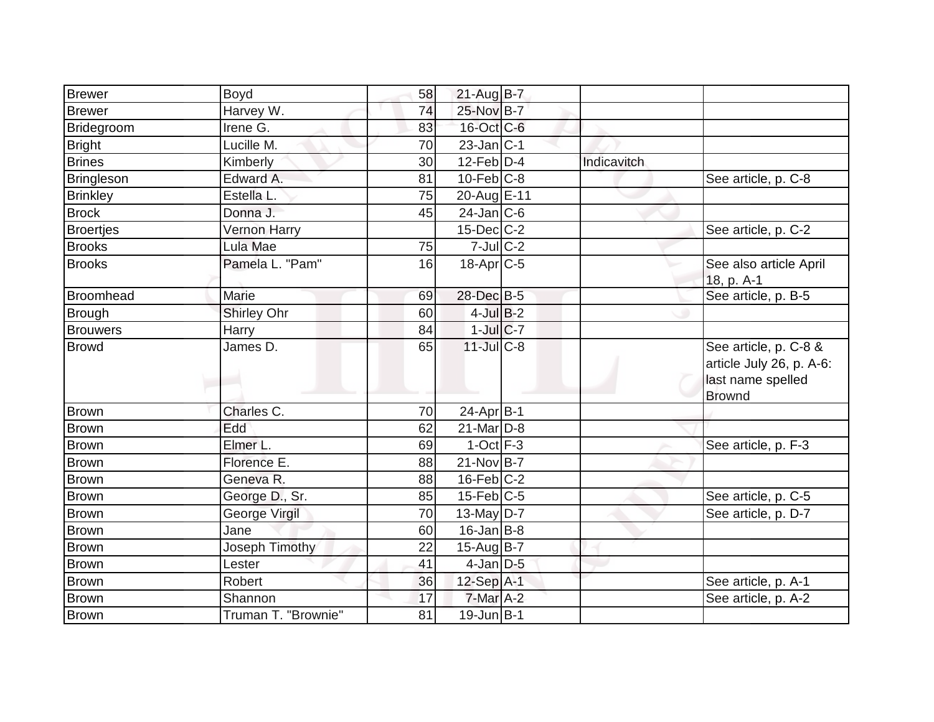| <b>Brewer</b>     | Boyd                | 58 | $21$ -Aug $B-7$   |             |                                                                                         |
|-------------------|---------------------|----|-------------------|-------------|-----------------------------------------------------------------------------------------|
| <b>Brewer</b>     | Harvey W.           | 74 | 25-Nov B-7        |             |                                                                                         |
| Bridegroom        | Irene G.            | 83 | 16-Oct C-6        |             |                                                                                         |
| Bright            | Lucille M.          | 70 | $23$ -Jan $C-1$   |             |                                                                                         |
| <b>Brines</b>     | Kimberly            | 30 | $12$ -Feb $D-4$   | Indicavitch |                                                                                         |
| <b>Bringleson</b> | Edward A.           | 81 | $10$ -Feb $ C-8$  |             | See article, p. C-8                                                                     |
| <b>Brinkley</b>   | Estella L.          | 75 | 20-Aug E-11       |             |                                                                                         |
| <b>Brock</b>      | Donna J.            | 45 | $24$ -Jan $ C-6$  |             |                                                                                         |
| <b>Broertjes</b>  | <b>Vernon Harry</b> |    | $15$ -Dec $C$ -2  |             | See article, p. C-2                                                                     |
| <b>Brooks</b>     | Lula Mae            | 75 | $7$ -Jul $C-2$    |             |                                                                                         |
| <b>Brooks</b>     | Pamela L. "Pam"     | 16 | $18$ -Apr $C$ -5  |             | See also article April<br>18, p. A-1                                                    |
| <b>Broomhead</b>  | Marie               | 69 | 28-Dec B-5        |             | See article, p. B-5                                                                     |
| <b>Brough</b>     | Shirley Ohr         | 60 | $4$ -Jul B-2      |             |                                                                                         |
| <b>Brouwers</b>   | Harry               | 84 | $1$ -Jul $C$ -7   |             |                                                                                         |
| <b>Browd</b>      | James D.            | 65 | $11$ -JulC-8      |             | See article, p. C-8 &<br>article July 26, p. A-6:<br>last name spelled<br><b>Brownd</b> |
| <b>Brown</b>      | Charles C.          | 70 | $24$ -Apr $B-1$   |             |                                                                                         |
| Brown             | Edd                 | 62 | $21$ -Mar $ D-8 $ |             |                                                                                         |
| Brown             | Elmer L.            | 69 | $1-Oct$ F-3       |             | See article, p. F-3                                                                     |
| <b>Brown</b>      | Florence E.         | 88 | $21-Nov B-7$      |             |                                                                                         |
| Brown             | Geneva R.           | 88 | $16$ -Feb $ C-2 $ |             |                                                                                         |
| <b>Brown</b>      | George D., Sr.      | 85 | $15$ -Feb $ C$ -5 |             | See article, p. C-5                                                                     |
| Brown             | George Virgil       | 70 | 13-May $D-7$      |             | See article, p. D-7                                                                     |
| Brown             | Jane                | 60 | $16$ -Jan B-8     |             |                                                                                         |
| <b>Brown</b>      | Joseph Timothy      | 22 | $15$ -Aug B-7     |             |                                                                                         |
| Brown             | Lester              | 41 | $4$ -Jan D-5      |             |                                                                                         |
| <b>Brown</b>      | Robert              | 36 | $12$ -Sep $A-1$   |             | See article, p. A-1                                                                     |
| <b>Brown</b>      | Shannon             | 17 | 7-Mar A-2         |             | See article, p. A-2                                                                     |
| <b>Brown</b>      | Truman T. "Brownie" | 81 | 19-Jun B-1        |             |                                                                                         |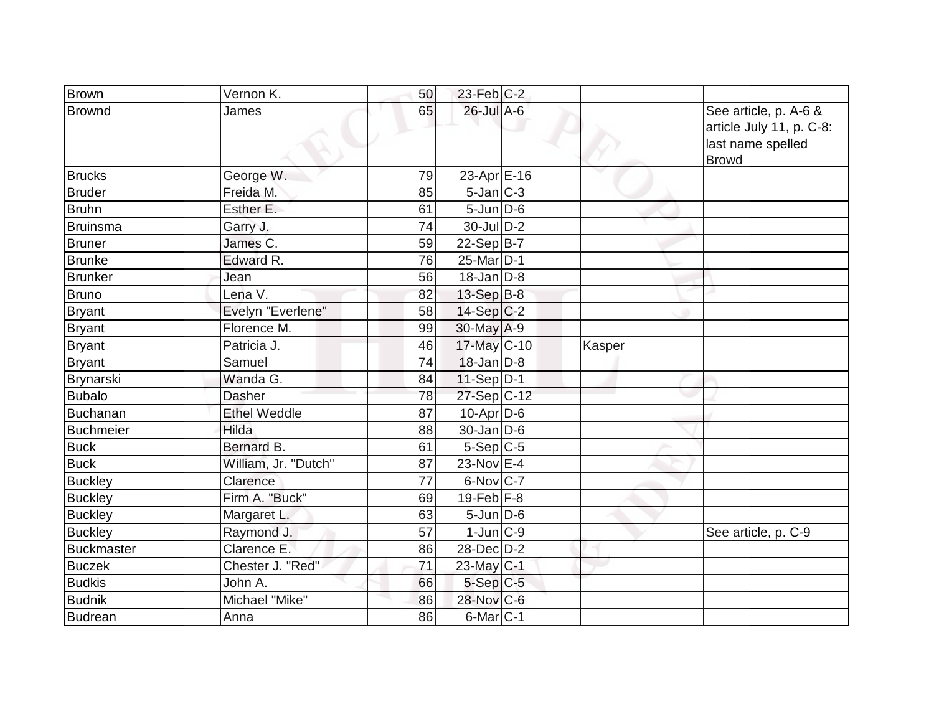| <b>Brown</b>      | Vernon K.            | 50 | $23$ -Feb $C-2$   |        |                                                                                        |
|-------------------|----------------------|----|-------------------|--------|----------------------------------------------------------------------------------------|
| <b>Brownd</b>     | James                | 65 | 26-Jul A-6        |        | See article, p. A-6 &<br>article July 11, p. C-8:<br>last name spelled<br><b>Browd</b> |
| <b>Brucks</b>     | George W.            | 79 | 23-Apr $E-16$     |        |                                                                                        |
| <b>Bruder</b>     | Freida M.            | 85 | $5$ -Jan $C-3$    |        |                                                                                        |
| <b>Bruhn</b>      | Esther E.            | 61 | $5$ -Jun $D$ -6   |        |                                                                                        |
| <b>Bruinsma</b>   | Garry J.             | 74 | $30$ -JulD-2      |        |                                                                                        |
| <b>Bruner</b>     | James C.             | 59 | $22-Sep B-7$      |        |                                                                                        |
| <b>Brunke</b>     | Edward R.            | 76 | 25-Mar D-1        |        |                                                                                        |
| <b>Brunker</b>    | Jean                 | 56 | $18$ -Jan $D-8$   |        |                                                                                        |
| <b>Bruno</b>      | Lena V.              | 82 | 13-Sep $B-8$      |        |                                                                                        |
| <b>Bryant</b>     | Evelyn "Everlene"    | 58 | $14-Sep C-2$      |        |                                                                                        |
| <b>Bryant</b>     | Florence M.          | 99 | 30-May A-9        |        |                                                                                        |
| <b>Bryant</b>     | Patricia J.          | 46 | $17$ -May C-10    | Kasper |                                                                                        |
| <b>Bryant</b>     | Samuel               | 74 | $18$ -Jan D-8     |        |                                                                                        |
| Brynarski         | Wanda G.             | 84 | $11-Sep D-1$      |        |                                                                                        |
| <b>Bubalo</b>     | Dasher               | 78 | $27-Sep C-12$     |        |                                                                                        |
| Buchanan          | <b>Ethel Weddle</b>  | 87 | $10$ -Apr $ D-6$  |        |                                                                                        |
| <b>Buchmeier</b>  | Hilda                | 88 | $30$ -Jan D-6     |        |                                                                                        |
| <b>Buck</b>       | Bernard B.           | 61 | $5-Sep C-5$       |        |                                                                                        |
| <b>Buck</b>       | William, Jr. "Dutch" | 87 | 23-Nov $E-4$      |        |                                                                                        |
| <b>Buckley</b>    | Clarence             | 77 | 6-Nov C-7         |        |                                                                                        |
| <b>Buckley</b>    | Firm A. "Buck"       | 69 | $19$ -Feb $ F-8 $ |        |                                                                                        |
| <b>Buckley</b>    | Margaret L.          | 63 | $5 - Jun$ $D-6$   |        |                                                                                        |
| <b>Buckley</b>    | Raymond J.           | 57 | $1$ -Jun $ C-9 $  |        | See article, p. C-9                                                                    |
| <b>Buckmaster</b> | Clarence E.          | 86 | $28$ -Dec $D-2$   |        |                                                                                        |
| <b>Buczek</b>     | Chester J. "Red"     | 71 | 23-May C-1        |        |                                                                                        |
| <b>Budkis</b>     | John A.              | 66 | $5-Sep$ $C-5$     |        |                                                                                        |
| <b>Budnik</b>     | Michael "Mike"       | 86 | 28-Nov C-6        |        |                                                                                        |
| <b>Budrean</b>    | Anna                 | 86 | $6$ -Mar $ C-1$   |        |                                                                                        |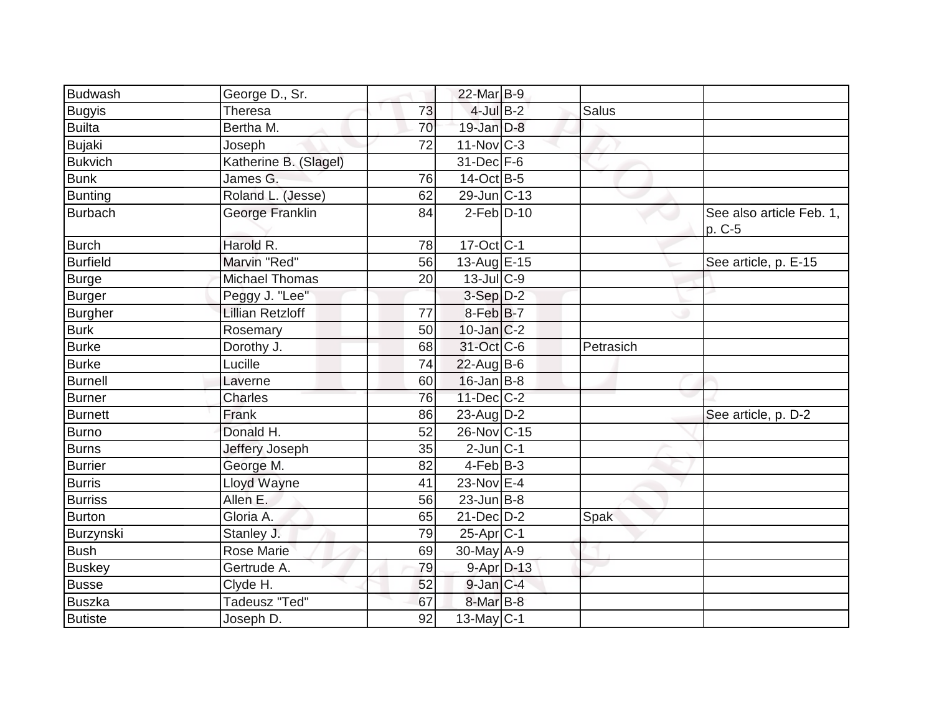| <b>Budwash</b>  | George D., Sr.          |    | 22-Mar B-9               |           |                                    |
|-----------------|-------------------------|----|--------------------------|-----------|------------------------------------|
| <b>Bugyis</b>   | <b>Theresa</b>          | 73 | $4$ -Jul $B-2$           | Salus     |                                    |
| <b>Builta</b>   | Bertha M.               | 70 | $19$ -Jan $D-8$          |           |                                    |
| <b>Bujaki</b>   | Joseph                  | 72 | $11-Nov$ C-3             |           |                                    |
| <b>Bukvich</b>  | Katherine B. (Slagel)   |    | 31-Dec F-6               |           |                                    |
| <b>Bunk</b>     | James G.                | 76 | 14-Oct B-5               |           |                                    |
| Bunting         | Roland L. (Jesse)       | 62 | $29$ -Jun $ C-13 $       |           |                                    |
| <b>Burbach</b>  | George Franklin         | 84 | $2$ -Feb $D-10$          |           | See also article Feb. 1,<br>p. C-5 |
| <b>Burch</b>    | Harold R.               | 78 | 17-Oct C-1               |           |                                    |
| <b>Burfield</b> | Marvin "Red"            | 56 | 13-Aug E-15              |           | See article, p. E-15               |
| <b>Burge</b>    | <b>Michael Thomas</b>   | 20 | 13-Jul C-9               |           |                                    |
| <b>Burger</b>   | Peggy J. "Lee"          |    | $3-Sep$ $D-2$            |           |                                    |
| <b>Burgher</b>  | <b>Lillian Retzloff</b> | 77 | 8-Feb B-7                |           |                                    |
| <b>Burk</b>     | Rosemary                | 50 | $10$ -Jan $ C-2$         |           |                                    |
| <b>Burke</b>    | Dorothy J.              | 68 | 31-Oct C-6               | Petrasich |                                    |
| <b>Burke</b>    | Lucille                 | 74 | $22$ -Aug B-6            |           |                                    |
| <b>Burnell</b>  | Laverne                 | 60 | $16$ -Jan B-8            |           |                                    |
| <b>Burner</b>   | <b>Charles</b>          | 76 | $11$ -Dec $ C-2 $        |           |                                    |
| <b>Burnett</b>  | Frank                   | 86 | 23-Aug $D-2$             |           | See article, p. D-2                |
| Burno           | Donald H.               | 52 | 26-Nov C-15              |           |                                    |
| <b>Burns</b>    | Jeffery Joseph          | 35 | $2$ -Jun $ C-1 $         |           |                                    |
| Burrier         | George M.               | 82 | $4-FebB-3$               |           |                                    |
| <b>Burris</b>   | Lloyd Wayne             | 41 | 23-Nov E-4               |           |                                    |
| <b>Burriss</b>  | Allen E.                | 56 | $23$ -Jun $B-8$          |           |                                    |
| <b>Burton</b>   | Gloria A.               | 65 | $21$ -Dec $D-2$          | Spak      |                                    |
| Burzynski       | Stanley J.              | 79 | $25-Apr$ C-1             |           |                                    |
| <b>Bush</b>     | <b>Rose Marie</b>       | 69 | $\overline{30}$ -May A-9 |           |                                    |
| <b>Buskey</b>   | Gertrude A.             | 79 | $9 - Apr$ $D-13$         |           |                                    |
| <b>Busse</b>    | Clyde H.                | 52 | $9$ -Jan $C-4$           |           |                                    |
| <b>Buszka</b>   | Tadeusz "Ted"           | 67 | $8$ -Mar $ B-8 $         |           |                                    |
| <b>Butiste</b>  | Joseph D.               | 92 | $13$ -May C-1            |           |                                    |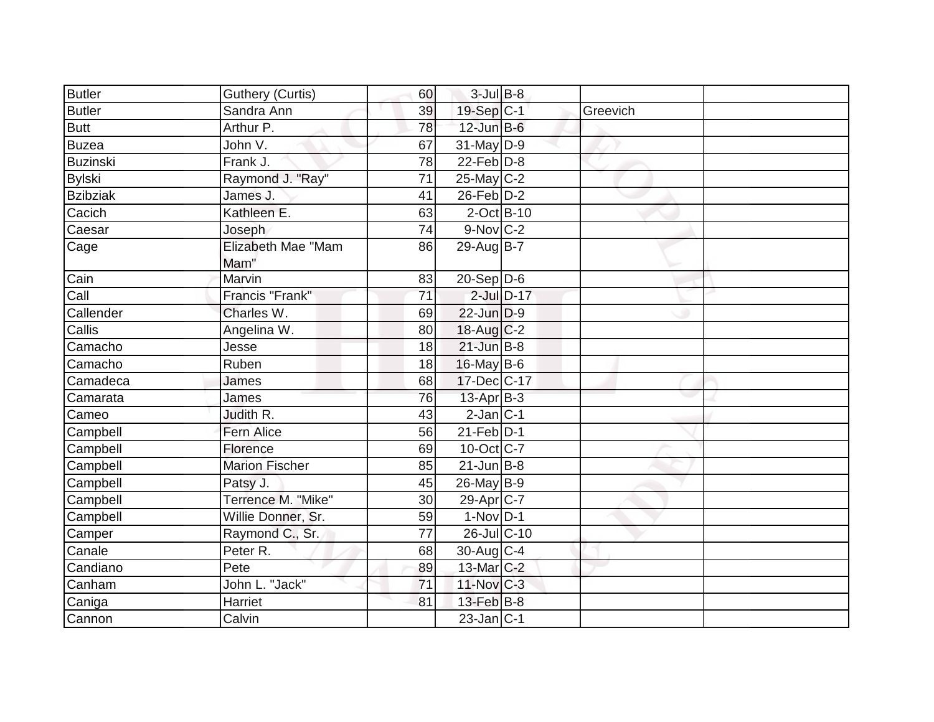| <b>Butler</b>   | <b>Guthery (Curtis)</b>    | 60              | $3$ -Jul B-8          |                 |          |  |
|-----------------|----------------------------|-----------------|-----------------------|-----------------|----------|--|
| <b>Butler</b>   | Sandra Ann                 | 39              | 19-Sep C-1            |                 | Greevich |  |
| <b>Butt</b>     | Arthur P.                  | 78              | $12$ -Jun $B$ -6      |                 |          |  |
| <b>Buzea</b>    | John V.                    | 67              | $31$ -May D-9         |                 |          |  |
| <b>Buzinski</b> | Frank J.                   | $\overline{78}$ | $22$ -Feb $D-8$       |                 |          |  |
| <b>Bylski</b>   | Raymond J. "Ray"           | 71              | $25$ -May C-2         |                 |          |  |
| <b>Bzibziak</b> | James J.                   | 41              | $26$ -Feb $D-2$       |                 |          |  |
| Cacich          | Kathleen E.                | 63              | 2-Oct B-10            |                 |          |  |
| Caesar          | Joseph                     | 74              | $9-Nov$ C-2           |                 |          |  |
| Cage            | Elizabeth Mae "Mam<br>Mam" | 86              | 29-Aug B-7            |                 |          |  |
| Cain            | Marvin                     | 83              | 20-Sep D-6            |                 |          |  |
| Call            | Francis "Frank"            | 71              |                       | $2$ -Jul $D-17$ |          |  |
| Callender       | Charles W.                 | 69              | $22$ -Jun $D-9$       |                 |          |  |
| Callis          | Angelina W.                | 80              | $18$ -Aug C-2         |                 |          |  |
| Camacho         | Jesse                      | 18              | $21$ -Jun B-8         |                 |          |  |
| Camacho         | Ruben                      | 18              | $16$ -May B-6         |                 |          |  |
| Camadeca        | James                      | 68              | $17 - Dec$ C-17       |                 |          |  |
| Camarata        | James                      | 76              | $13$ -Apr $B-3$       |                 |          |  |
| Cameo           | Judith R.                  | 43              | $2$ -Jan $ C-1 $      |                 |          |  |
| Campbell        | Fern Alice                 | 56              | $21$ -Feb $ D-1 $     |                 |          |  |
| Campbell        | Florence                   | 69              | $10$ -Oct C-7         |                 |          |  |
| Campbell        | <b>Marion Fischer</b>      | 85              | $21$ -Jun $B-8$       |                 |          |  |
| Campbell        | Patsy J.                   | 45              | 26-May B-9            |                 |          |  |
| Campbell        | Terrence M. "Mike"         | 30              | 29-Apr <sub>C-7</sub> |                 |          |  |
| Campbell        | Willie Donner, Sr.         | 59              | $1-Nov$ D-1           |                 |          |  |
| Camper          | Raymond C., Sr.            | 77              | $26$ -Jul C-10        |                 |          |  |
| Canale          | Peter R.                   | 68              | $30$ -Aug C-4         |                 |          |  |
| Candiano        | Pete                       | 89              | 13-Mar C-2            |                 |          |  |
| Canham          | John L. "Jack"             | 71              | $11$ -Nov $C-3$       |                 |          |  |
| Caniga          | Harriet                    | 81              | 13-Feb B-8            |                 |          |  |
| Cannon          | Calvin                     |                 | $23$ -Jan $C-1$       |                 |          |  |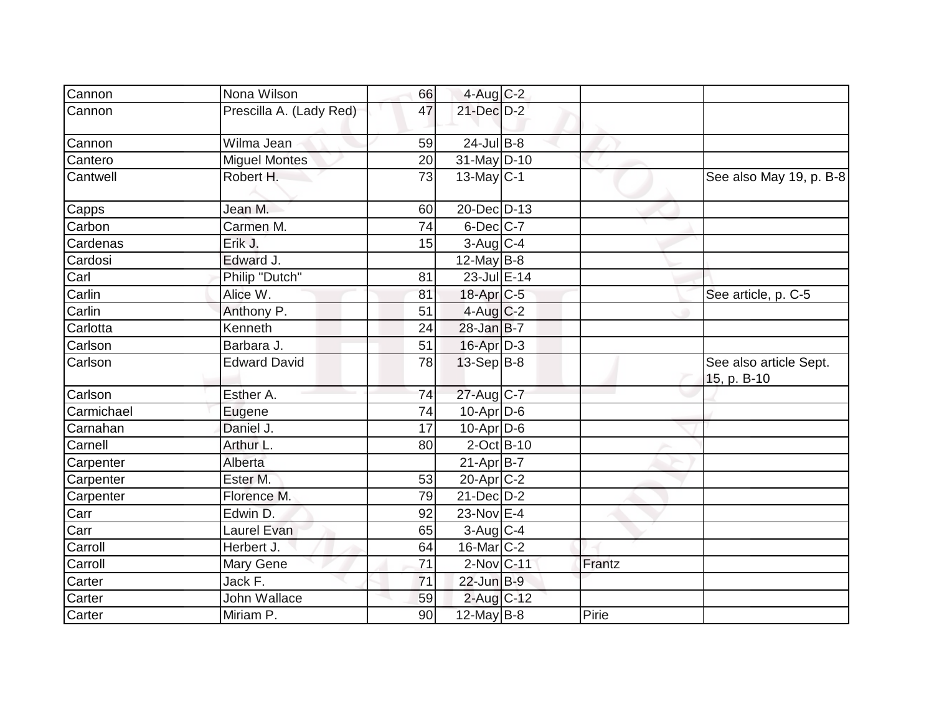| Cannon     | Nona Wilson             | 66              | $4$ -Aug $C-2$    |        |                                       |
|------------|-------------------------|-----------------|-------------------|--------|---------------------------------------|
| Cannon     | Prescilla A. (Lady Red) | 47              | 21-Dec D-2        |        |                                       |
| Cannon     | Wilma Jean              | 59              | $24$ -Jul B-8     |        |                                       |
| Cantero    | <b>Miguel Montes</b>    | 20              | $31$ -May D-10    |        |                                       |
| Cantwell   | Robert H.               | 73              | $13$ -May C-1     |        | See also May 19, p. B-8               |
| Capps      | Jean M.                 | 60              | 20-Dec D-13       |        |                                       |
| Carbon     | Carmen M.               | 74              | $6$ -Dec $ C$ -7  |        |                                       |
| Cardenas   | Erik J.                 | 15              | $3$ -Aug C-4      |        |                                       |
| Cardosi    | Edward J.               |                 | $12$ -May B-8     |        |                                       |
| Carl       | Philip "Dutch"          | 81              | 23-Jul E-14       |        |                                       |
| Carlin     | Alice W.                | 81              | $18$ -Apr $C$ -5  |        | See article, p. C-5                   |
| Carlin     | Anthony P.              | 51              | $4$ -Aug C-2      |        |                                       |
| Carlotta   | Kenneth                 | 24              | 28-Jan B-7        |        |                                       |
| Carlson    | Barbara J.              | 51              | $16$ -Apr $D-3$   |        |                                       |
| Carlson    | <b>Edward David</b>     | 78              | $13-Sep B-8$      |        | See also article Sept.<br>15, p. B-10 |
| Carlson    | Esther A.               | 74              | 27-Aug C-7        |        |                                       |
| Carmichael | Eugene                  | 74              | $10$ -Apr $D$ -6  |        |                                       |
| Carnahan   | Daniel J.               | 17              | $10$ -Apr $D$ -6  |        |                                       |
| Carnell    | Arthur L.               | 80              | $2$ -Oct B-10     |        |                                       |
| Carpenter  | Alberta                 |                 | $21-Apr B-7$      |        |                                       |
| Carpenter  | Ester M.                | 53              | 20-Apr C-2        |        |                                       |
| Carpenter  | Florence M.             | 79              | $21$ -Dec $D-2$   |        |                                       |
| Carr       | Edwin D.                | 92              | 23-Nov E-4        |        |                                       |
| Carr       | Laurel Evan             | 65              | $3$ -Aug C-4      |        |                                       |
| Carroll    | Herbert J.              | 64              | $16$ -Mar $ C-2 $ |        |                                       |
| Carroll    | Mary Gene               | 71              | 2-Nov C-11        | Frantz |                                       |
| Carter     | Jack F.                 | $\overline{71}$ | $22$ -Jun B-9     |        |                                       |
| Carter     | John Wallace            | 59              | $2$ -Aug $C$ -12  |        |                                       |
| Carter     | Miriam P.               | 90              | 12-May B-8        | Pirie  |                                       |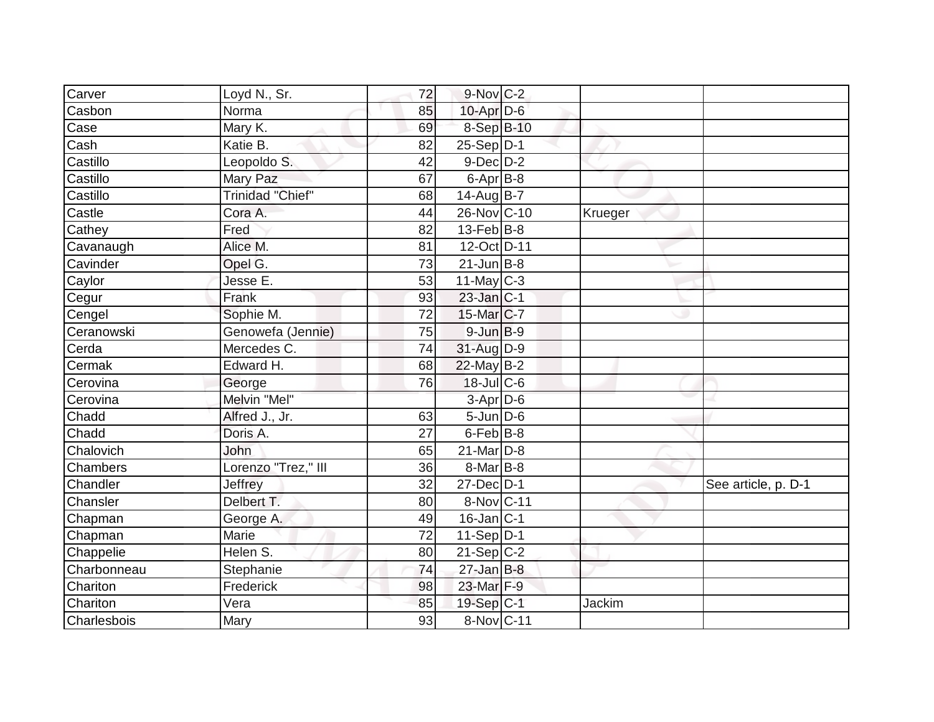| Carver      | Loyd N., Sr.            | 72 | $9-Nov$ C-2       |         |                     |
|-------------|-------------------------|----|-------------------|---------|---------------------|
| Casbon      | Norma                   | 85 | $10$ -Apr $D-6$   |         |                     |
| Case        | Mary K.                 | 69 | 8-Sep B-10        |         |                     |
| Cash        | Katie B.                | 82 | $25-Sep D-1$      |         |                     |
| Castillo    | Leopoldo S.             | 42 | $9$ -Dec $D$ -2   |         |                     |
| Castillo    | Mary Paz                | 67 | $6 - Apr$ $B-8$   |         |                     |
| Castillo    | <b>Trinidad "Chief"</b> | 68 | 14-Aug B-7        |         |                     |
| Castle      | Cora A.                 | 44 | 26-Nov C-10       | Krueger |                     |
| Cathey      | Fred                    | 82 | $13$ -Feb $ B-8 $ |         |                     |
| Cavanaugh   | Alice M.                | 81 | 12-Oct D-11       |         |                     |
| Cavinder    | Opel G.                 | 73 | $21$ -Jun $B-8$   |         |                     |
| Caylor      | Jesse E.                | 53 | $11$ -May C-3     |         |                     |
| Cegur       | Frank                   | 93 | $23$ -Jan $ C-1 $ |         |                     |
| Cengel      | Sophie M.               | 72 | 15-Mar C-7        |         |                     |
| Ceranowski  | Genowefa (Jennie)       | 75 | $9$ -Jun $B-9$    |         |                     |
| Cerda       | Mercedes C.             | 74 | 31-Aug D-9        |         |                     |
| Cermak      | Edward H.               | 68 | $22$ -May B-2     |         |                     |
| Cerovina    | George                  | 76 | 18-Jul C-6        |         |                     |
| Cerovina    | Melvin "Mel"            |    | 3-Apr D-6         |         |                     |
| Chadd       | Alfred J., Jr.          | 63 | $5 - Jun$ $D-6$   |         |                     |
| Chadd       | Doris A.                | 27 | $6$ -Feb $ B-8$   |         |                     |
| Chalovich   | John                    | 65 | 21-Mar D-8        |         |                     |
| Chambers    | Lorenzo "Trez," III     | 36 | $8$ -Mar $ B-8 $  |         |                     |
| Chandler    | Jeffrey                 | 32 | $27 - Dec$ $D-1$  |         | See article, p. D-1 |
| Chansler    | Delbert T.              | 80 | 8-Nov C-11        |         |                     |
| Chapman     | George A.               | 49 | 16-Jan C-1        |         |                     |
| Chapman     | Marie                   | 72 | $11-Sep D-1$      |         |                     |
| Chappelie   | Helen S.                | 80 | $21-Sep C-2$      |         |                     |
| Charbonneau | Stephanie               | 74 | $27$ -Jan B-8     |         |                     |
| Chariton    | Frederick               | 98 | 23-Mar F-9        |         |                     |
| Chariton    | $\bar{v}$ era           | 85 | 19-Sep C-1        | Jackim  |                     |
| Charlesbois | Mary                    | 93 | 8-Nov C-11        |         |                     |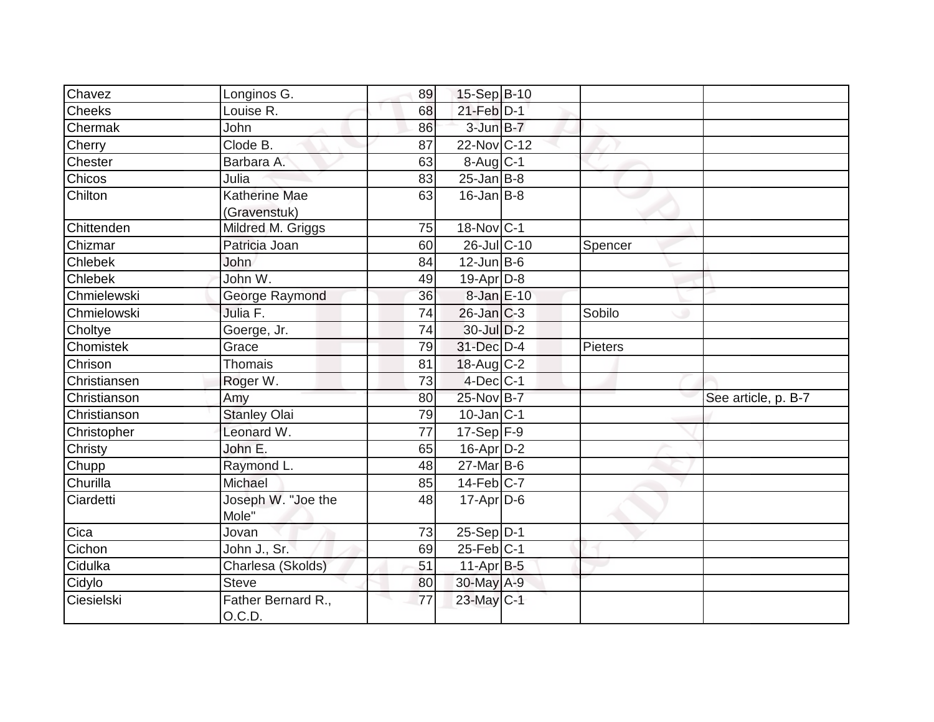| Chavez         | Longinos G.                          | 89 | 15-Sep B-10                 |         |                     |
|----------------|--------------------------------------|----|-----------------------------|---------|---------------------|
| <b>Cheeks</b>  | Louise R.                            | 68 | $21$ -Feb $\overline{D}$ -1 |         |                     |
| Chermak        | <b>John</b>                          | 86 | 3-Jun B-7                   |         |                     |
| Cherry         | Clode B.                             | 87 | 22-Nov C-12                 |         |                     |
| Chester        | Barbara A.                           | 63 | 8-Aug C-1                   |         |                     |
| Chicos         | Julia                                | 83 | $25$ -Jan B-8               |         |                     |
| Chilton        | <b>Katherine Mae</b><br>(Gravenstuk) | 63 | $16$ -Jan $ B-8 $           |         |                     |
| Chittenden     | Mildred M. Griggs                    | 75 | 18-Nov C-1                  |         |                     |
| Chizmar        | Patricia Joan                        | 60 | 26-Jul C-10                 | Spencer |                     |
| Chlebek        | John                                 | 84 | $12$ -Jun B-6               |         |                     |
| <b>Chlebek</b> | John W.                              | 49 | $19-Apr D-8$                |         |                     |
| Chmielewski    | George Raymond                       | 36 | 8-Jan E-10                  |         |                     |
| Chmielowski    | Julia F.                             | 74 | $26$ -Jan $ C-3 $           | Sobilo  |                     |
| Choltye        | Goerge, Jr.                          | 74 | 30-Jul D-2                  |         |                     |
| Chomistek      | Grace                                | 79 | 31-Dec D-4                  | Pieters |                     |
| Chrison        | <b>Thomais</b>                       | 81 | $18$ -Aug C-2               |         |                     |
| Christiansen   | Roger W.                             | 73 | $4$ -Dec $C-1$              |         |                     |
| Christianson   | Amy                                  | 80 | 25-Nov B-7                  |         | See article, p. B-7 |
| Christianson   | <b>Stanley Olai</b>                  | 79 | $10$ -Jan $ C-1 $           |         |                     |
| Christopher    | Leonard W.                           | 77 | $17-Sep$ F-9                |         |                     |
| Christy        | John E.                              | 65 | 16-Apr D-2                  |         |                     |
| Chupp          | Raymond L.                           | 48 | $27$ -Mar $ B-6$            |         |                     |
| Churilla       | Michael                              | 85 | 14-Feb C-7                  |         |                     |
| Ciardetti      | Joseph W. "Joe the<br>Mole"          | 48 | $17$ -Apr $D$ -6            |         |                     |
| Cica           | Jovan                                | 73 | $25-Sep D-1$                |         |                     |
| Cichon         | John J., Sr.                         | 69 | $25$ -Feb $ C-1$            |         |                     |
| Cidulka        | Charlesa (Skolds)                    | 51 | $11-AprB-5$                 |         |                     |
| Cidylo         | <b>Steve</b>                         | 80 | 30-May A-9                  |         |                     |
| Ciesielski     | Father Bernard R.,<br>O.C.D.         | 77 | 23-May C-1                  |         |                     |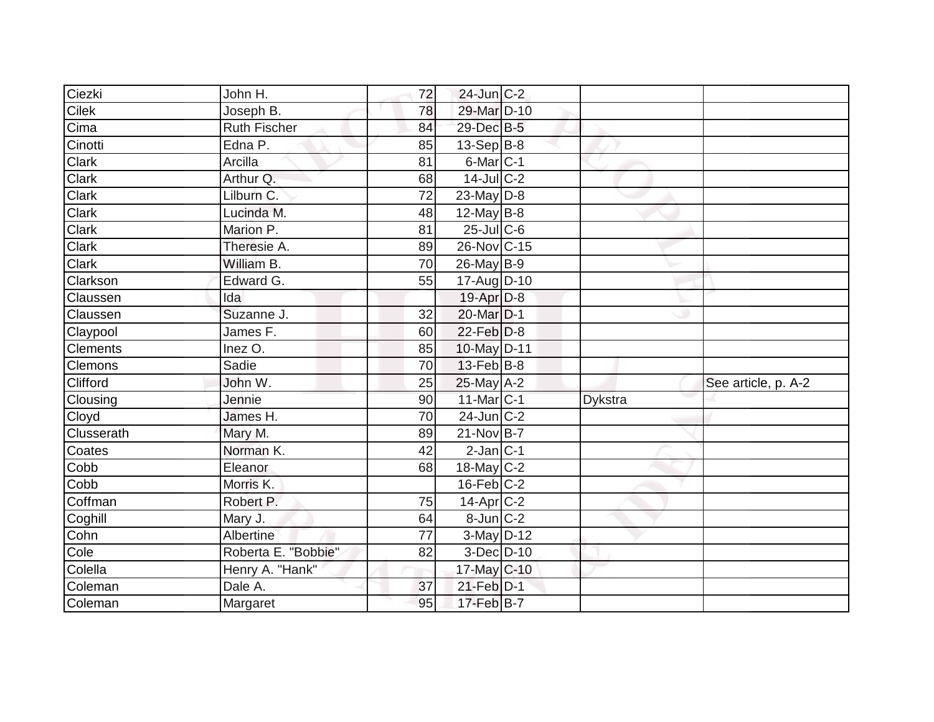| Ciezki             | John H.             | 72 | $24$ -Jun $C-2$   |                |                     |
|--------------------|---------------------|----|-------------------|----------------|---------------------|
| Cilek              | Joseph B.           | 78 | 29-Mar D-10       |                |                     |
| Cima               | <b>Ruth Fischer</b> | 84 | 29-Dec B-5        |                |                     |
| Cinotti            | Edna P.             | 85 | $13-Sep$ B-8      |                |                     |
| Clark              | Arcilla             | 81 | 6-Mar C-1         |                |                     |
| Clark              | Arthur Q.           | 68 | $14$ -JulC-2      |                |                     |
| Clark              | Lilburn C.          | 72 | 23-May $D-8$      |                |                     |
| Clark              | Lucinda M.          | 48 | $12$ -May B-8     |                |                     |
| Clark              | Marion P.           | 81 | $25$ -Jul C-6     |                |                     |
| Clark              | Theresie A.         | 89 | 26-Nov C-15       |                |                     |
| Clark              | William B.          | 70 | $26$ -May B-9     |                |                     |
| Clarkson           | Edward G.           | 55 | $17$ -Aug $D-10$  |                |                     |
| Claussen           | Ida                 |    | $19-Apr$ D-8      |                |                     |
| Claussen           | Suzanne J.          | 32 | 20-Mar D-1        |                |                     |
| Claypool           | James F.            | 60 | $22$ -Feb $D-8$   |                |                     |
| <b>Clements</b>    | Inez O.             | 85 | 10-May D-11       |                |                     |
| Clemons            | Sadie               | 70 | $13$ -Feb $ B-8 $ |                |                     |
| Clifford           | John W.             | 25 | $25$ -May $A-2$   |                | See article, p. A-2 |
| Clousing           | Jennie              | 90 | $11$ -Mar $ C-1 $ | <b>Dykstra</b> |                     |
| Cloyd              | James H.            | 70 | $24$ -Jun $ C-2 $ |                |                     |
| Clusserath         | Mary M.             | 89 | $21-Nov$ B-7      |                |                     |
| Coates             | Norman K.           | 42 | $2$ -Jan $C-1$    |                |                     |
| Cobb               | Eleanor             | 68 | 18-May $C-2$      |                |                     |
| Cobb               | Morris K.           |    | $16$ -Feb $C-2$   |                |                     |
| Coffman            | Robert P.           | 75 | $14$ -Apr $ C-2 $ |                |                     |
| Coghill            | Mary J.             | 64 | $8$ -Jun $C-2$    |                |                     |
| Cohn               | Albertine           | 77 | $3-May$ D-12      |                |                     |
| $\overline{C}$ ole | Roberta E. "Bobbie" | 82 | 3-Dec D-10        |                |                     |
| Colella            | Henry A. "Hank"     |    | 17-May C-10       |                |                     |
| Coleman            | Dale A.             | 37 | $21$ -Feb $D-1$   |                |                     |
| Coleman            |                     |    | $17$ -Feb $B$ -7  |                |                     |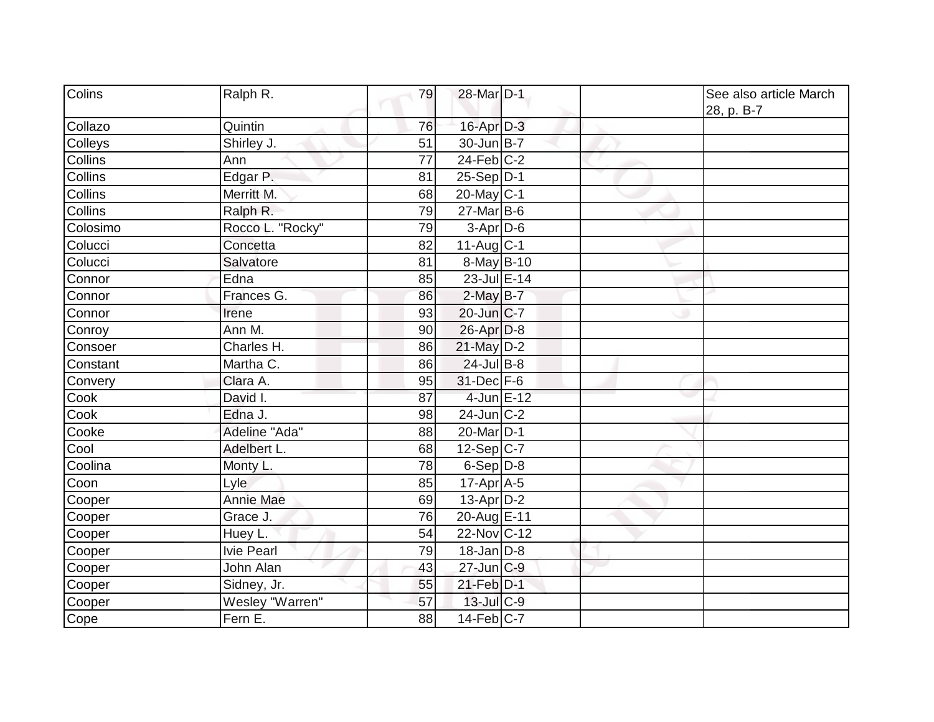| Colins         | Ralph R.         | 79 | 28-Mar D-1            |  | See also article March<br>28, p. B-7 |
|----------------|------------------|----|-----------------------|--|--------------------------------------|
| Collazo        | Quintin          | 76 | 16-Apr D-3            |  |                                      |
| Colleys        | Shirley J.       | 51 | $30$ -Jun $B-7$       |  |                                      |
| <b>Collins</b> | Ann              | 77 | $24$ -Feb $C-2$       |  |                                      |
| Collins        | Edgar P.         | 81 | $25-Sep D-1$          |  |                                      |
| Collins        | Merritt M.       | 68 | 20-May $C-1$          |  |                                      |
| Collins        | Ralph R.         | 79 | 27-Mar B-6            |  |                                      |
| Colosimo       | Rocco L. "Rocky" | 79 | $3-Apr$ D-6           |  |                                      |
| Colucci        | Concetta         | 82 | 11-Aug $ C-1 $        |  |                                      |
| Colucci        | Salvatore        | 81 | 8-May B-10            |  |                                      |
| Connor         | Edna             | 85 | 23-Jul E-14           |  |                                      |
| Connor         | Frances G.       | 86 | $2$ -May $B-7$        |  |                                      |
| Connor         | Irene            | 93 | $20$ -Jun $ C-7$      |  |                                      |
| Conroy         | Ann M.           | 90 | 26-Apr D-8            |  |                                      |
| Consoer        | Charles H.       | 86 | 21-May D-2            |  |                                      |
| Constant       | Martha C.        | 86 | $24$ -Jul B-8         |  |                                      |
| Convery        | Clara A.         | 95 | $31$ -Dec $F-6$       |  |                                      |
| Cook           | David I.         | 87 | 4-Jun E-12            |  |                                      |
| Cook           | Edna J.          | 98 | $24$ -Jun $ C-2$      |  |                                      |
| Cooke          | Adeline "Ada"    | 88 | 20-Mar <sub>D-1</sub> |  |                                      |
| Cool           | Adelbert L.      | 68 | $12-Sep C-7$          |  |                                      |
| Coolina        | Monty L.         | 78 | $6-Sep D-8$           |  |                                      |
| Coon           | Lyle             | 85 | $17$ -Apr $ A-5$      |  |                                      |
| Cooper         | <b>Annie Mae</b> | 69 | $13$ -Apr $D-2$       |  |                                      |
| Cooper         | Grace J.         | 76 | 20-Aug E-11           |  |                                      |
| Cooper         | Huey L.          | 54 | 22-Nov C-12           |  |                                      |
| Cooper         | Ivie Pearl       | 79 | $18$ -Jan $D-8$       |  |                                      |
| Cooper         | John Alan        | 43 | $27$ -Jun $ C-9$      |  |                                      |
| Cooper         | Sidney, Jr.      | 55 | 21-Feb D-1            |  |                                      |
| Cooper         | Wesley "Warren"  | 57 | 13-Jul C-9            |  |                                      |
| Cope           | Fern E.          | 88 | $14$ -Feb $ C-7$      |  |                                      |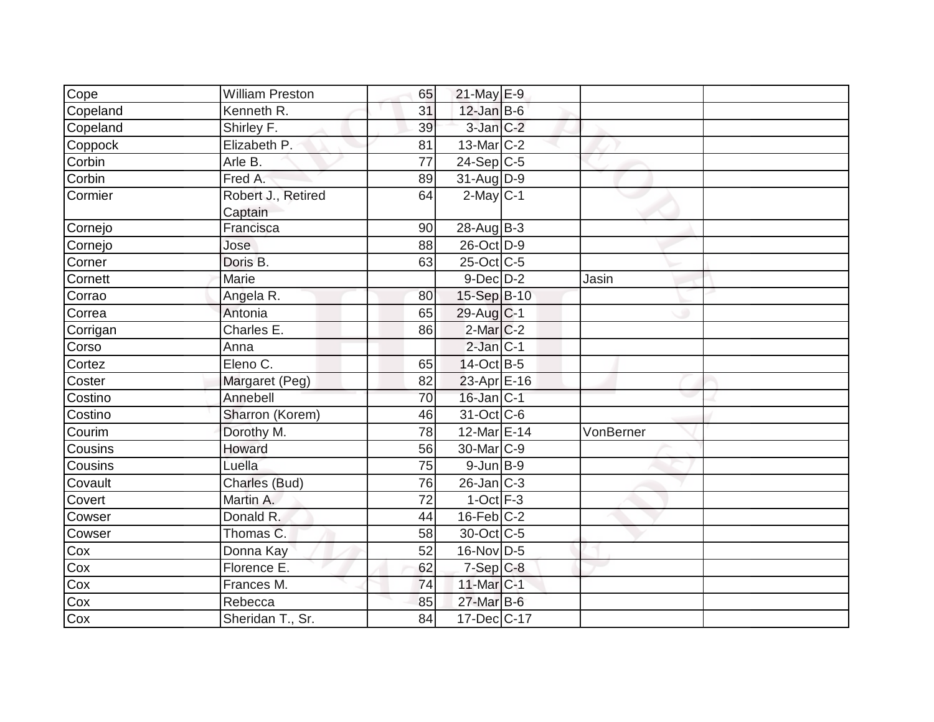| Cope     | <b>William Preston</b> | 65              | 21-May E-9            |           |  |
|----------|------------------------|-----------------|-----------------------|-----------|--|
| Copeland | Kenneth R.             | 31              | $12$ -Jan B-6         |           |  |
| Copeland | Shirley F.             | 39              | $3$ -Jan $C-2$        |           |  |
| Coppock  | Elizabeth P.           | 81              | $13$ -Mar $C-2$       |           |  |
| Corbin   | Arle B.                | $\overline{77}$ | $24-Sep C-5$          |           |  |
| Corbin   | Fred A.                | 89              | $31$ -Aug D-9         |           |  |
| Cormier  | Robert J., Retired     | 64              | $2$ -May $C-1$        |           |  |
|          | Captain                |                 |                       |           |  |
| Cornejo  | Francisca              | 90              | $28$ -Aug $B-3$       |           |  |
| Cornejo  | Jose                   | 88              | 26-Oct D-9            |           |  |
| Corner   | Doris B.               | 63              | $25$ -Oct C-5         |           |  |
| Cornett  | Marie                  |                 | $9$ -Dec $D$ -2       | Jasin     |  |
| Corrao   | Angela R.              | 80              | 15-Sep B-10           |           |  |
| Correa   | Antonia                | 65              | $29$ -Aug C-1         |           |  |
| Corrigan | Charles E.             | 86              | $2$ -Mar $ C-2 $      |           |  |
| Corso    | Anna                   |                 | $2$ -Jan $C-1$        |           |  |
| Cortez   | Eleno C.               | 65              | 14-Oct B-5            |           |  |
| Coster   | Margaret (Peg)         | 82              | 23-Apr E-16           |           |  |
| Costino  | Annebell               | 70              | $16$ -Jan $ C-1 $     |           |  |
| Costino  | Sharron (Korem)        | 46              | 31-Oct C-6            |           |  |
| Courim   | Dorothy M.             | 78              | 12-Mar E-14           | VonBerner |  |
| Cousins  | Howard                 | 56              | 30-Mar <sub>C-9</sub> |           |  |
| Cousins  | Luella                 | 75              | $9$ -Jun B-9          |           |  |
| Covault  | Charles (Bud)          | 76              | $26$ -Jan $C-3$       |           |  |
| Covert   | Martin A.              | 72              | $1-Oct$ F-3           |           |  |
| Cowser   | Donald R.              | 44              | $16$ -Feb $C-2$       |           |  |
| Cowser   | Thomas C.              | 58              | 30-Oct C-5            |           |  |
| Cox      | Donna Kay              | 52              | $16$ -Nov D-5         |           |  |
| Cox      | Florence E.            | 62              | $7-Sep$ C-8           |           |  |
| Cox      | Frances M.             | 74              | 11-Mar C-1            |           |  |
| Cox      | Rebecca                | 85              | 27-Mar B-6            |           |  |
| Cox      | Sheridan T., Sr.       | 84              | 17-Dec C-17           |           |  |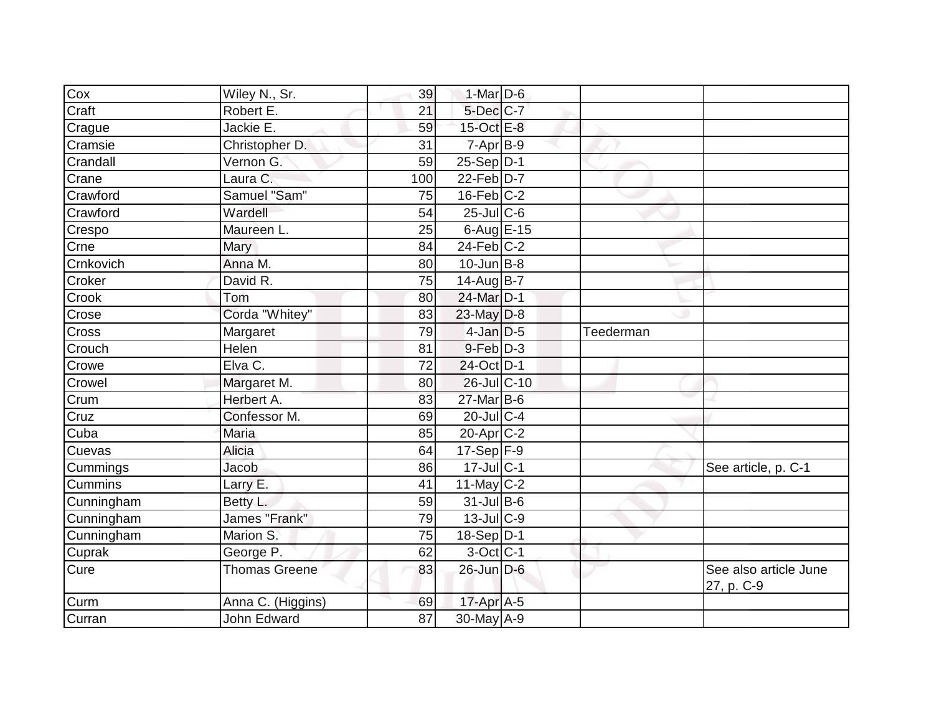| Cox                         | Wiley N., Sr.        | 39  | 1-Mar $D-6$       |           |                                     |
|-----------------------------|----------------------|-----|-------------------|-----------|-------------------------------------|
| Craft                       | Robert E.            | 21  | 5-Dec C-7         |           |                                     |
| Crague                      | Jackie E.            | 59  | 15-Oct E-8        |           |                                     |
| Cramsie                     | Christopher D.       | 31  | $7-Apr$ B-9       |           |                                     |
| Crandall                    | Vernon G.            | 59  | $25-Sep D-1$      |           |                                     |
| Crane                       | Laura C.             | 100 | $22$ -Feb $D-7$   |           |                                     |
| Crawford                    | Samuel "Sam"         | 75  | $16$ -Feb $ C-2$  |           |                                     |
| Crawford                    | Wardell              | 54  | $25$ -Jul C-6     |           |                                     |
| Crespo                      | Maureen L.           | 25  | 6-Aug $E-15$      |           |                                     |
| $\overline{C}$ rne          | Mary                 | 84  | $24$ -Feb $ C-2$  |           |                                     |
| Crnkovich                   | Anna M.              | 80  | $10$ -Jun $B - 8$ |           |                                     |
| Croker                      | David R.             | 75  | $14$ -Aug $B$ -7  |           |                                     |
| Crook                       | Tom                  | 80  | 24-Mar D-1        |           |                                     |
| Crose                       | Corda "Whitey"       | 83  | 23-May D-8        |           |                                     |
| Cross                       | Margaret             | 79  | $4$ -Jan $D-5$    | Teederman |                                     |
| Crouch                      | Helen                | 81  | $9-Feb$ $D-3$     |           |                                     |
| Crowe                       | Elva C.              | 72  | 24-Oct D-1        |           |                                     |
| Crowel                      | Margaret M.          | 80  | 26-Jul C-10       |           |                                     |
| Crum                        | Herbert A.           | 83  | $27$ -Mar $B$ -6  |           |                                     |
| $\overline{\text{Cruz}}$    | Confessor M.         | 69  | $20$ -JulC-4      |           |                                     |
| $\overline{\mathrm{C}}$ uba | Maria                | 85  | $20$ -Apr $C-2$   |           |                                     |
| Cuevas                      | Alicia               | 64  | $17-Sep$ F-9      |           |                                     |
| Cummings                    | Jacob                | 86  | 17-Jul C-1        |           | See article, p. C-1                 |
| <b>Cummins</b>              | Larry E.             | 41  | 11-May $C-2$      |           |                                     |
| Cunningham                  | Betty L.             | 59  | 31-Jul B-6        |           |                                     |
| Cunningham                  | James "Frank"        | 79  | $13$ -Jul $C-9$   |           |                                     |
| Cunningham                  | Marion S.            | 75  | $18-Sep D-1$      |           |                                     |
| Cuprak                      | George P.            | 62  | $3$ -Oct C-1      |           |                                     |
| Cure                        | <b>Thomas Greene</b> | 83  | 26-Jun D-6        |           | See also article June<br>27, p. C-9 |
| $\overline{\text{C}}$ urm   | Anna C. (Higgins)    | 69  | $17$ -Apr $A$ -5  |           |                                     |
| Curran                      | John Edward          | 87  | 30-May A-9        |           |                                     |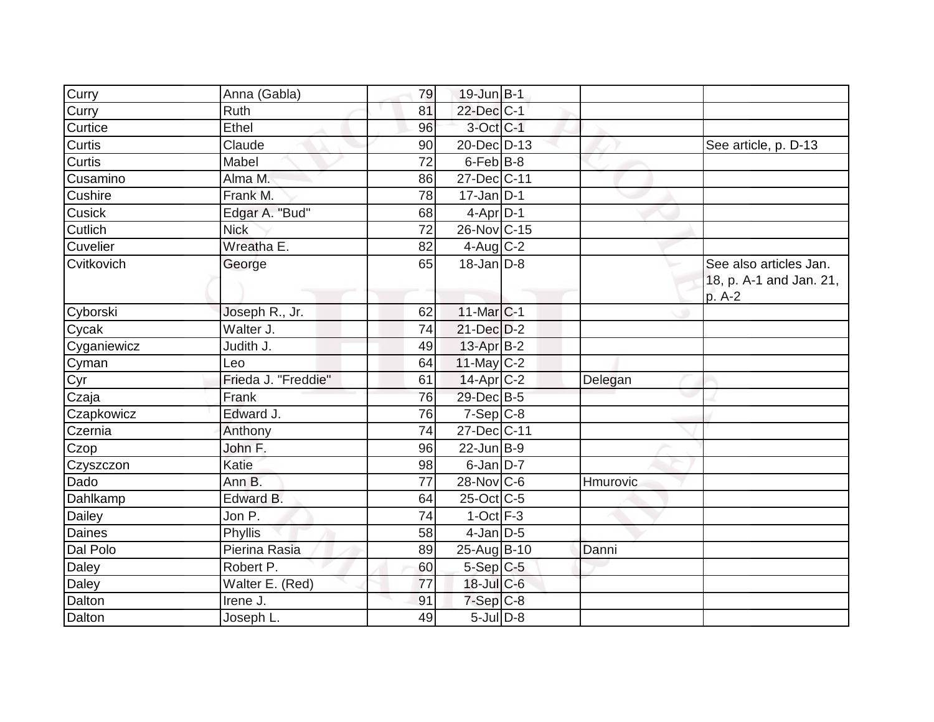| Curry         | Anna (Gabla)        | 79 | 19-Jun B-1             |          |                                                             |
|---------------|---------------------|----|------------------------|----------|-------------------------------------------------------------|
| Curry         | Ruth                | 81 | 22-Dec C-1             |          |                                                             |
| Curtice       | Ethel               | 96 | $3$ -Oct $ C-1 $       |          |                                                             |
| Curtis        | Claude              | 90 | 20-Dec D-13            |          | See article, p. D-13                                        |
| Curtis        | Mabel               | 72 | 6-Feb B-8              |          |                                                             |
| Cusamino      | Alma M.             | 86 | 27-Dec C-11            |          |                                                             |
| Cushire       | Frank M.            | 78 | $17$ -Jan D-1          |          |                                                             |
| <b>Cusick</b> | Edgar A. "Bud"      | 68 | $4-Apr D-1$            |          |                                                             |
| Cutlich       | <b>Nick</b>         | 72 | 26-Nov C-15            |          |                                                             |
| Cuvelier      | Wreatha E.          | 82 | $4$ -Aug C-2           |          |                                                             |
| Cvitkovich    | George              | 65 | $18$ -Jan D-8          |          | See also articles Jan.<br>18, p. A-1 and Jan. 21,<br>p. A-2 |
| Cyborski      | Joseph R., Jr.      | 62 | $11$ -Mar $ C-1 $      |          |                                                             |
| Cycak         | Walter J.           | 74 | 21-Dec D-2             |          |                                                             |
| Cyganiewicz   | Judith J.           | 49 | $13$ -Apr $B-2$        |          |                                                             |
| Cyman         | Leo                 | 64 | $11$ -May C-2          |          |                                                             |
| Cyr           | Frieda J. "Freddie" | 61 | 14-Apr <sub>IC-2</sub> | Delegan  |                                                             |
| Czaja         | Frank               | 76 | 29-Dec B-5             |          |                                                             |
| Czapkowicz    | Edward J.           | 76 | $7-Sep C-8$            |          |                                                             |
| Czernia       | Anthony             | 74 | 27-Dec C-11            |          |                                                             |
| Czop          | John F.             | 96 | $22$ -Jun $B-9$        |          |                                                             |
| Czyszczon     | Katie               | 98 | $6$ -Jan $D-7$         |          |                                                             |
| Dado          | Ann B.              | 77 | $28-Nov$ C-6           | Hmurovic |                                                             |
| Dahlkamp      | Edward B.           | 64 | $25$ -Oct C-5          |          |                                                             |
| Dailey        | Jon P.              | 74 | $1$ -Oct $F-3$         |          |                                                             |
| <b>Daines</b> | Phyllis             | 58 | $4$ -Jan $D$ -5        |          |                                                             |
| Dal Polo      | Pierina Rasia       | 89 | 25-Aug B-10            | Danni    |                                                             |
| Daley         | Robert P.           | 60 | $5-Sep$ C-5            |          |                                                             |
| Daley         | Walter E. (Red)     | 77 | 18-Jul C-6             |          |                                                             |
| Dalton        | Irene J.            | 91 | $7-Sep$ $C-8$          |          |                                                             |
| Dalton        | Joseph L.           | 49 | $5$ -Jul $D-8$         |          |                                                             |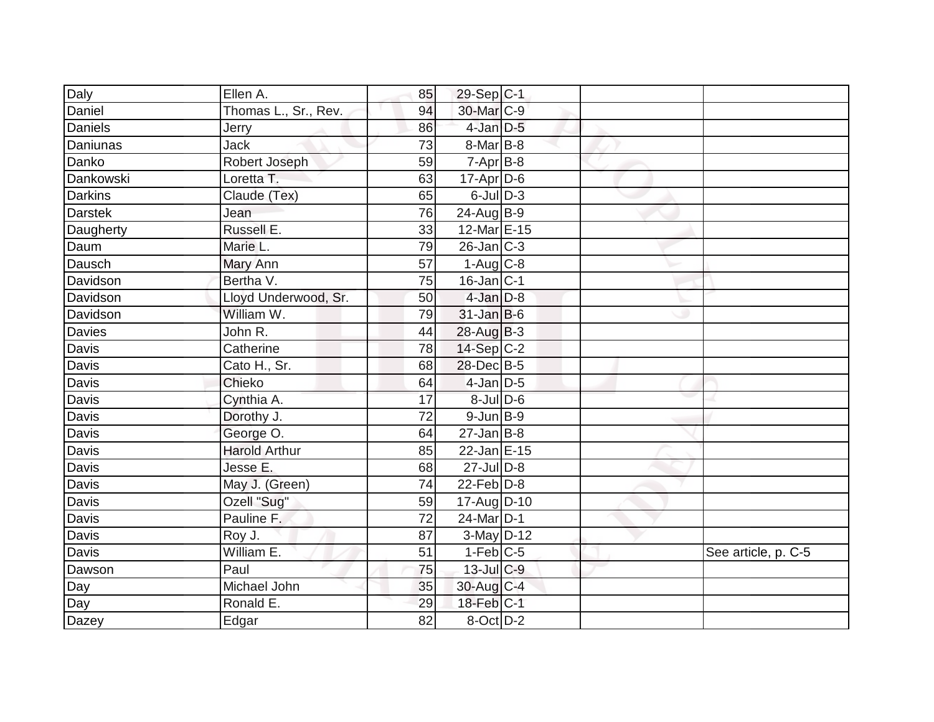| Daly             | Ellen A.             | 85 | 29-Sep C-1                 |  |                     |
|------------------|----------------------|----|----------------------------|--|---------------------|
| Daniel           | Thomas L., Sr., Rev. | 94 | 30-Mar C-9                 |  |                     |
| Daniels          | Jerry                | 86 | $4$ -Jan $D-5$             |  |                     |
| Daniunas         | <b>Jack</b>          | 73 | $8$ -Mar $ B-8 $           |  |                     |
| Danko            | Robert Joseph        | 59 | $7-Apr$ B-8                |  |                     |
| <b>Dankowski</b> | Loretta T.           | 63 | $17$ -Apr $D$ -6           |  |                     |
| <b>Darkins</b>   | Claude (Tex)         | 65 | $6$ -JulD-3                |  |                     |
| <b>Darstek</b>   | Jean                 | 76 | $24$ -Aug $B-9$            |  |                     |
| Daugherty        | Russell E.           | 33 | 12-Mar E-15                |  |                     |
| Daum             | Marie L.             | 79 | $26$ -Jan $C-3$            |  |                     |
| Dausch           | Mary Ann             | 57 | $1-Aug$ $C-8$              |  |                     |
| Davidson         | Bertha V.            | 75 | $16$ -Jan $ C-1 $          |  |                     |
| Davidson         | Lloyd Underwood, Sr. | 50 | $4$ -Jan $D-8$             |  |                     |
| Davidson         | William W.           | 79 | $31$ -Jan B-6              |  |                     |
| Davies           | John R.              | 44 | $28$ -Aug $B-3$            |  |                     |
| Davis            | Catherine            | 78 | $14-Sep$ C-2               |  |                     |
| Davis            | Cato H., Sr.         | 68 | 28-Dec B-5                 |  |                     |
| Davis            | Chieko               | 64 | $4$ -Jan $D$ -5            |  |                     |
| <b>Davis</b>     | Cynthia A.           | 17 | 8-Jul D-6                  |  |                     |
| Davis            | Dorothy J.           | 72 | $9$ -Jun $B-9$             |  |                     |
| Davis            | George O.            | 64 | $27$ -Jan B-8              |  |                     |
| Davis            | <b>Harold Arthur</b> | 85 | 22-Jan E-15                |  |                     |
| Davis            | Jesse E.             | 68 | $27$ -Jul $D-8$            |  |                     |
| Davis            | May J. (Green)       | 74 | $22$ -Feb $ D-8 $          |  |                     |
| Davis            | Ozell "Sug"          | 59 | 17-Aug D-10                |  |                     |
| Davis            | Pauline F.           | 72 | 24-Mar D-1                 |  |                     |
| Davis            | Roy J.               | 87 | $3-May$ D-12               |  |                     |
| Davis            | William E.           | 51 | $1-Feb$ C-5                |  | See article, p. C-5 |
| Dawson           | Paul                 | 75 | $13$ -Jul C-9              |  |                     |
| Day              | Michael John         | 35 | 30-Aug C-4                 |  |                     |
| Day              | Ronald E.            | 29 | $18$ -Feb $ C-1 $          |  |                     |
| Dazey            | Edgar                | 82 | $8$ -Oct $\overline{D}$ -2 |  |                     |
|                  |                      |    |                            |  |                     |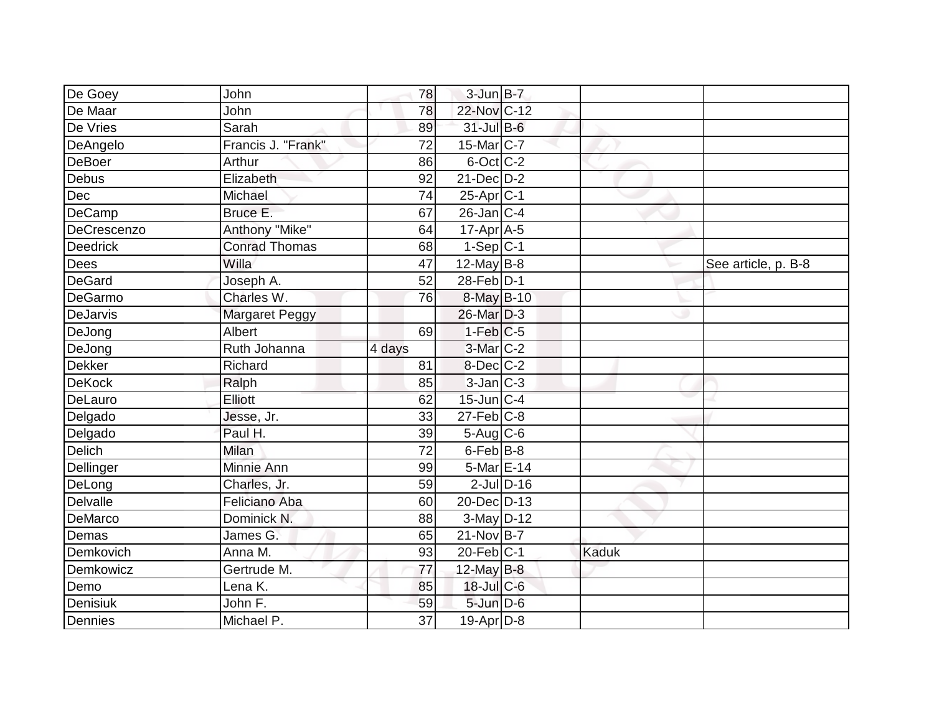| De Goey         | John                  | 78              | $3$ -Jun $B - 7$  |       |                     |
|-----------------|-----------------------|-----------------|-------------------|-------|---------------------|
| De Maar         | John                  | 78              | 22-Nov C-12       |       |                     |
| De Vries        | Sarah                 | 89              | $31$ -Jul B-6     |       |                     |
| DeAngelo        | Francis J. "Frank"    | 72              | $15$ -Mar $ C-7 $ |       |                     |
| DeBoer          | Arthur                | 86              | 6-Oct C-2         |       |                     |
| Debus           | Elizabeth             | 92              | $21$ -Dec $D-2$   |       |                     |
| Dec             | Michael               | 74              | $25-Apr$ $C-1$    |       |                     |
| <b>DeCamp</b>   | Bruce E.              | 67              | $26$ -Jan $C-4$   |       |                     |
| DeCrescenzo     | Anthony "Mike"        | 64              | $17$ -Apr $A$ -5  |       |                     |
| <b>Deedrick</b> | <b>Conrad Thomas</b>  | 68              | $1-Sep C-1$       |       |                     |
| Dees            | Willa                 | 47              | $12$ -May B-8     |       | See article, p. B-8 |
| DeGard          | Joseph A.             | 52              | 28-Feb D-1        |       |                     |
| DeGarmo         | Charles W.            | 76              | 8-May B-10        |       |                     |
| DeJarvis        | <b>Margaret Peggy</b> |                 | $26$ -Mar $D-3$   |       |                     |
| DeJong          | Albert                | 69              | $1-Feb$ $C-5$     |       |                     |
| DeJong          | Ruth Johanna          | 4 days          | $3-Mar$ $C-2$     |       |                     |
| Dekker          | Richard               | 81              | 8-Dec C-2         |       |                     |
| <b>DeKock</b>   | Ralph                 | 85              | $3$ -Jan $C-3$    |       |                     |
| DeLauro         | Elliott               | 62              | $15$ -Jun $ C-4 $ |       |                     |
| Delgado         | Jesse, Jr.            | 33              | $27$ -Feb $C-8$   |       |                     |
| Delgado         | Paul H.               | 39              | $5-Aug$ $C-6$     |       |                     |
| Delich          | <b>Milan</b>          | $\overline{72}$ | 6-Feb B-8         |       |                     |
| Dellinger       | Minnie Ann            | 99              | 5-Mar E-14        |       |                     |
| DeLong          | Charles, Jr.          | 59              | $2$ -Jul $D-16$   |       |                     |
| Delvalle        | <b>Feliciano Aba</b>  | 60              | 20-Dec D-13       |       |                     |
| DeMarco         | Dominick N.           | 88              | 3-May D-12        |       |                     |
| Demas           | James G.              | 65              | 21-Nov B-7        |       |                     |
| Demkovich       | Anna M.               | 93              | $20$ -Feb $ C-1 $ | Kaduk |                     |
| Demkowicz       | Gertrude M.           | 77              | 12-May $B-8$      |       |                     |
| Demo            | Lena K.               | 85              | 18-Jul C-6        |       |                     |
| Denisiuk        | John F.               | 59              | 5-Jun D-6         |       |                     |
| Dennies         | Michael P.            | 37              | $19-Apr$ D-8      |       |                     |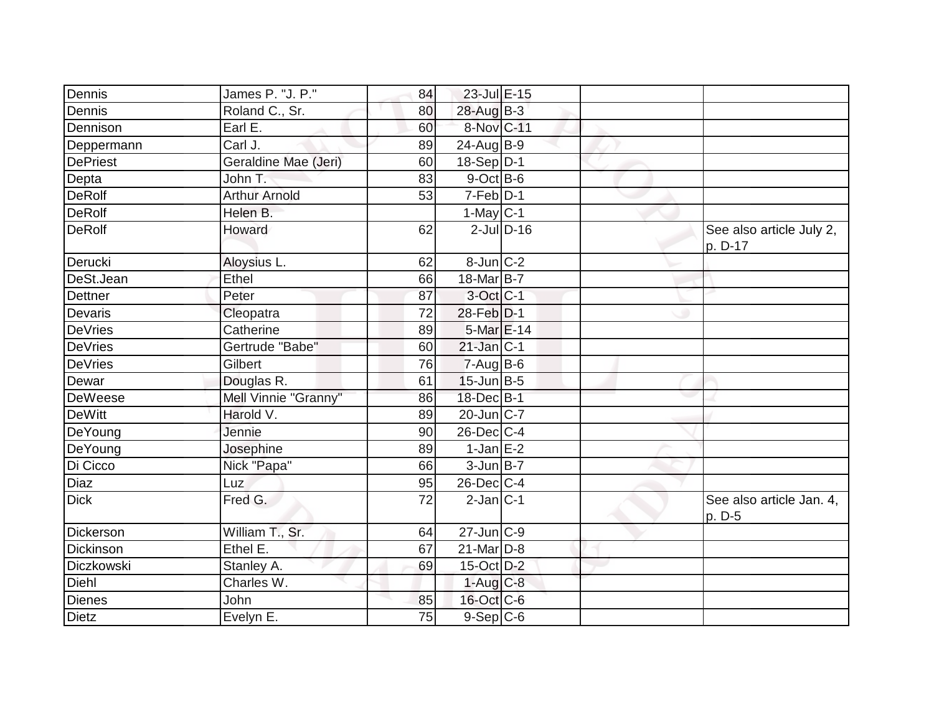| Dennis          | James P. "J. P."     | 84              | 23-Jul E-15       |              |                                     |
|-----------------|----------------------|-----------------|-------------------|--------------|-------------------------------------|
| Dennis          | Roland C., Sr.       | 80              | $28$ -AugB-3      |              |                                     |
| Dennison        | Earl E.              | 60              | 8-Nov C-11        |              |                                     |
| Deppermann      | Carl J.              | 89              | $24$ -AugB-9      |              |                                     |
| <b>DePriest</b> | Geraldine Mae (Jeri) | 60              | 18-Sep D-1        |              |                                     |
| Depta           | John T.              | 83              | $9$ -Oct B-6      |              |                                     |
| <b>DeRolf</b>   | <b>Arthur Arnold</b> | 53              | $7-Feb D-1$       |              |                                     |
| <b>DeRolf</b>   | Helen B.             |                 | $1$ -May C-1      |              |                                     |
| <b>DeRolf</b>   | Howard               | 62              |                   | $2$ -JulD-16 | See also article July 2,<br>p. D-17 |
| Derucki         | Aloysius L.          | 62              | $8$ -Jun $ C-2 $  |              |                                     |
| DeSt.Jean       | Ethel                | 66              | 18-Mar B-7        |              |                                     |
| Dettner         | Peter                | 87              | $3$ -Oct C-1      |              |                                     |
| Devaris         | Cleopatra            | 72              | 28-Feb D-1        |              |                                     |
| <b>DeVries</b>  | Catherine            | 89              | 5-Mar E-14        |              |                                     |
| <b>DeVries</b>  | Gertrude "Babe"      | 60              | $21$ -Jan $ C-1 $ |              |                                     |
| <b>DeVries</b>  | Gilbert              | 76              | $7-Aug$ B-6       |              |                                     |
| Dewar           | Douglas R.           | 61              | $15$ -Jun $B$ -5  |              |                                     |
| <b>DeWeese</b>  | Mell Vinnie "Granny" | 86              | 18-Dec B-1        |              |                                     |
| <b>DeWitt</b>   | Harold V.            | 89              | $20$ -Jun $ C-7$  |              |                                     |
| DeYoung         | Jennie               | 90              | 26-Dec C-4        |              |                                     |
| DeYoung         | Josephine            | 89              | $1$ -Jan E-2      |              |                                     |
| Di Cicco        | Nick "Papa"          | 66              | $3$ -Jun $B$ -7   |              |                                     |
| Diaz            | Luz                  | 95              | $26$ -Dec $ C-4 $ |              |                                     |
| <b>Dick</b>     | Fred G.              | 72              | $2$ -Jan $ C-1 $  |              | See also article Jan. 4,<br>p. D-5  |
| Dickerson       | William T., Sr.      | 64              | $27$ -Jun $ C-9 $ |              |                                     |
| Dickinson       | Ethel E.             | 67              | $21$ -Mar $ D-8$  |              |                                     |
| Diczkowski      | Stanley A.           | 69              | 15-Oct D-2        |              |                                     |
| Diehl           | Charles W.           |                 | $1-Aug$ $C-8$     |              |                                     |
| <b>Dienes</b>   | John                 | 85              | 16-Oct C-6        |              |                                     |
| <b>Dietz</b>    | Evelyn E.            | $\overline{75}$ | 9-Sep C-6         |              |                                     |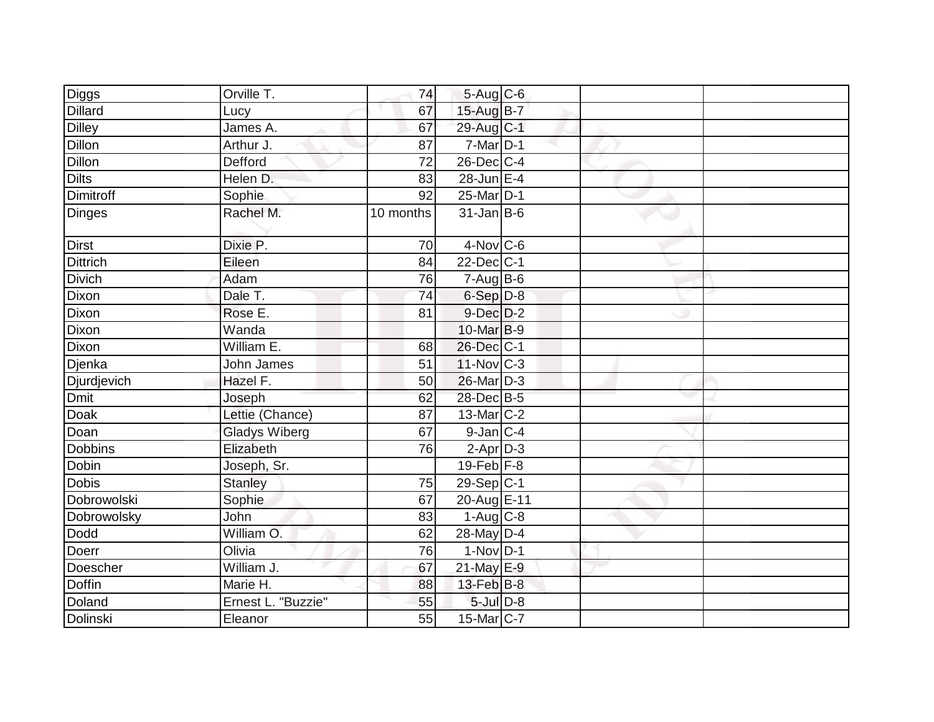| <b>Diggs</b>     | Orville T.           | 74              | 5-Aug C-6              |  |  |
|------------------|----------------------|-----------------|------------------------|--|--|
| <b>Dillard</b>   | Lucy                 | 67              | 15-Aug B-7             |  |  |
| <b>Dilley</b>    | James A.             | 67              | $29$ -Aug C-1          |  |  |
| <b>Dillon</b>    | Arthur J.            | 87              | $7$ -Mar $ D-1 $       |  |  |
| <b>Dillon</b>    | Defford              | $\overline{72}$ | 26-Dec C-4             |  |  |
| <b>Dilts</b>     | Helen D.             | 83              | $28$ -Jun $E-4$        |  |  |
| <b>Dimitroff</b> | Sophie               | 92              | $25$ -Mar $ D-1$       |  |  |
| <b>Dinges</b>    | Rachel M.            | 10 months       | $31$ -Jan B-6          |  |  |
| <b>Dirst</b>     | Dixie P.             | 70              | $4$ -Nov $ C$ -6       |  |  |
| <b>Dittrich</b>  | Eileen               | 84              | $22$ -Dec $ C-1 $      |  |  |
| <b>Divich</b>    | Adam                 | 76              | $7 - Aug$ B-6          |  |  |
| Dixon            | Dale T.              | 74              | $6-Sep D-8$            |  |  |
| Dixon            | Rose E.              | 81              | $9$ -Dec $D$ -2        |  |  |
| Dixon            | Wanda                |                 | $10$ -Mar $B-9$        |  |  |
| Dixon            | William $E$ .        | 68              | 26-Dec C-1             |  |  |
| Djenka           | John James           | 51              | $11-Nov$ C-3           |  |  |
| Djurdjevich      | Hazel F.             | 50              | 26-Mar D-3             |  |  |
| <b>Dmit</b>      | Joseph               | 62              | 28-Dec B-5             |  |  |
| Doak             | Lettie (Chance)      | 87              | $13$ -Mar $ C-2 $      |  |  |
| Doan             | <b>Gladys Wiberg</b> | 67              | 9-Jan C-4              |  |  |
| <b>Dobbins</b>   | Elizabeth            | 76              | $2-Apr D-3$            |  |  |
| Dobin            | Joseph, Sr.          |                 | $19$ -Feb $F-8$        |  |  |
| <b>Dobis</b>     | <b>Stanley</b>       | 75              | $29-Sep C-1$           |  |  |
| Dobrowolski      | Sophie               | 67              | 20-Aug E-11            |  |  |
| Dobrowolsky      | John                 | 83              | $1-Aug$ <sub>C-8</sub> |  |  |
| Dodd             | William O.           | 62              | 28-May D-4             |  |  |
| Doerr            | Olivia               | 76              | $1-Nov$ D-1            |  |  |
| Doescher         | William J.           | 67              | $21$ -May E-9          |  |  |
| Doffin           | Marie H.             | 88              | $13$ -Feb $ B-8 $      |  |  |
| Doland           | Ernest L. "Buzzie"   | 55              | $5$ -Jul $D-8$         |  |  |
| Dolinski         | Eleanor              | 55              | $15$ -Mar $ C-7 $      |  |  |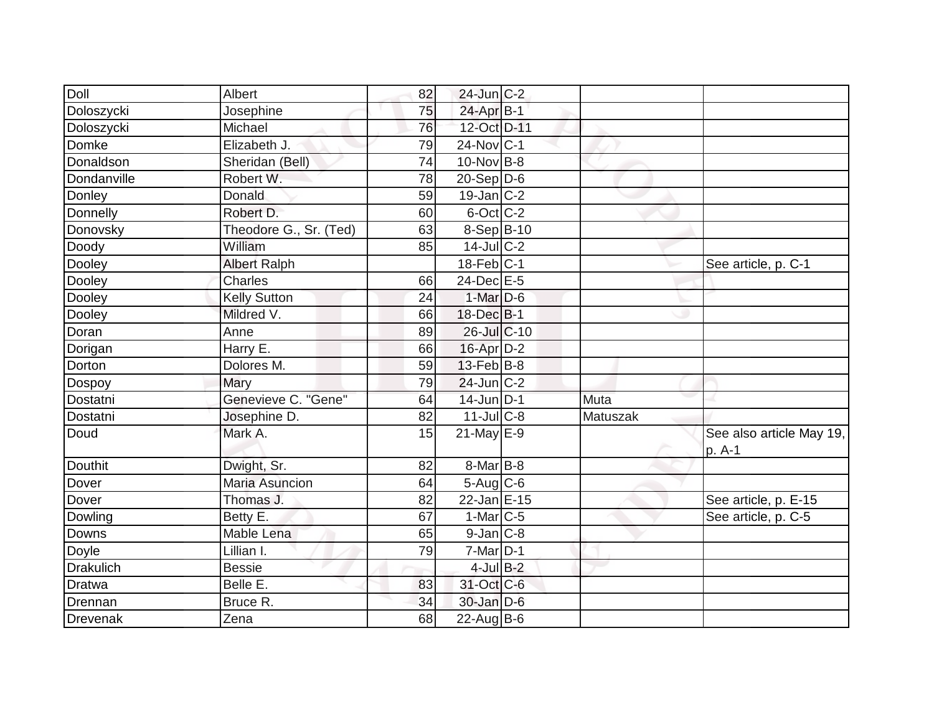| Doll             | Albert                 | 82 | $24$ -Jun $ C-2 $ |          |                                    |
|------------------|------------------------|----|-------------------|----------|------------------------------------|
| Doloszycki       | Josephine              | 75 | 24-Apr B-1        |          |                                    |
| Doloszycki       | Michael                | 76 | 12-Oct D-11       |          |                                    |
| Domke            | Elizabeth J.           | 79 | $24$ -Nov $ C-1 $ |          |                                    |
| Donaldson        | Sheridan (Bell)        | 74 | 10-Nov B-8        |          |                                    |
| Dondanville      | Robert W.              | 78 | $20-Sep D-6$      |          |                                    |
| Donley           | Donald                 | 59 | $19$ -Jan $ C-2 $ |          |                                    |
| Donnelly         | Robert D.              | 60 | 6-Oct C-2         |          |                                    |
| Donovsky         | Theodore G., Sr. (Ted) | 63 | $8-Sep$ B-10      |          |                                    |
| Doody            | William                | 85 | $14$ -JulC-2      |          |                                    |
| Dooley           | <b>Albert Ralph</b>    |    | $18$ -Feb $ C-1 $ |          | See article, p. C-1                |
| Dooley           | Charles                | 66 | $24$ -Dec $E-5$   |          |                                    |
| Dooley           | <b>Kelly Sutton</b>    | 24 | $1-Mar$ D-6       |          |                                    |
| Dooley           | Mildred V.             | 66 | $18$ -Dec $B-1$   |          |                                    |
| Doran            | Anne                   | 89 | $26$ -Jul $C$ -10 |          |                                    |
| Dorigan          | Harry E.               | 66 | $16$ -Apr $D-2$   |          |                                    |
| Dorton           | Dolores M.             | 59 | $13$ -Feb $B$ -8  |          |                                    |
| Dospoy           | Mary                   | 79 | $24$ -Jun $ C-2$  |          |                                    |
| Dostatni         | Genevieve C. "Gene"    | 64 | $14$ -Jun D-1     | Muta     |                                    |
| Dostatni         | Josephine D.           | 82 | $11$ -Jul $C-8$   | Matuszak |                                    |
| Doud             | Mark A.                | 15 | $21$ -May E-9     |          | See also article May 19,<br>p. A-1 |
| <b>Douthit</b>   | Dwight, Sr.            | 82 | $8$ -Mar $ B-8 $  |          |                                    |
| Dover            | <b>Maria Asuncion</b>  | 64 | $5-Aug$ $C-6$     |          |                                    |
| Dover            | Thomas J.              | 82 | 22-Jan E-15       |          | See article, p. E-15               |
| Dowling          | Betty E.               | 67 | $1-Mar$ $C-5$     |          | See article, p. C-5                |
| Downs            | Mable Lena             | 65 | $9$ -Jan $C$ -8   |          |                                    |
| Doyle            | Lillian I.             | 79 | $7$ -Mar $ D-1 $  |          |                                    |
| <b>Drakulich</b> | <b>Bessie</b>          |    | $4$ -Jul B-2      |          |                                    |
| Dratwa           | Belle E.               | 83 | 31-Oct C-6        |          |                                    |
| Drennan          | Bruce R.               | 34 | $30$ -Jan D-6     |          |                                    |
| Drevenak         | Zena                   | 68 | $22$ -Aug $B$ -6  |          |                                    |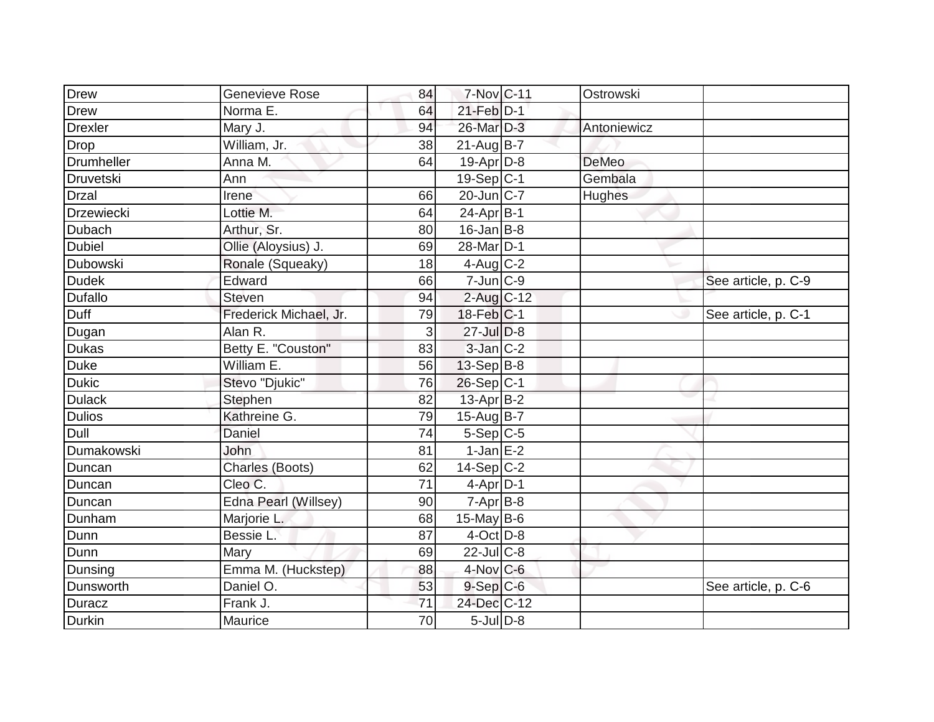| <b>Drew</b>   | <b>Genevieve Rose</b>  | 84 | 7-Nov C-11            | Ostrowski    |                     |
|---------------|------------------------|----|-----------------------|--------------|---------------------|
| Drew          | Norma E.               | 64 | $21$ -Feb $D-1$       |              |                     |
| Drexler       | Mary J.                | 94 | 26-Mar D-3            | Antoniewicz  |                     |
| <b>Drop</b>   | William, Jr.           | 38 | $21$ -Aug B-7         |              |                     |
| Drumheller    | Anna M.                | 64 | $19-Apr$ D-8          | <b>DeMeo</b> |                     |
| Druvetski     | Ann                    |    | 19-Sep C-1            | Gembala      |                     |
| <b>Drzal</b>  | Irene                  | 66 | $20$ -Jun $ C-7$      | Hughes       |                     |
| Drzewiecki    | Lottie M.              | 64 | 24-Apr B-1            |              |                     |
| Dubach        | Arthur, Sr.            | 80 | $16$ -Jan B-8         |              |                     |
| <b>Dubiel</b> | Ollie (Aloysius) J.    | 69 | 28-Mar <sub>D-1</sub> |              |                     |
| Dubowski      | Ronale (Squeaky)       | 18 | $4$ -Aug C-2          |              |                     |
| <b>Dudek</b>  | Edward                 | 66 | $7$ -Jun $C-9$        |              | See article, p. C-9 |
| Dufallo       | Steven                 | 94 | $2$ -Aug C-12         |              |                     |
| Duff          | Frederick Michael, Jr. | 79 | $18$ -Feb $ C-1$      |              | See article, p. C-1 |
| Dugan         | Alan R.                | 3  | 27-Jul D-8            |              |                     |
| <b>Dukas</b>  | Betty E. "Couston"     | 83 | 3-Jan C-2             |              |                     |
| Duke          | William E.             | 56 | $13-Sep$ B-8          |              |                     |
| <b>Dukic</b>  | Stevo "Djukic"         | 76 | $26-Sep C-1$          |              |                     |
| <b>Dulack</b> | Stephen                | 82 | $13$ -Apr $B-2$       |              |                     |
| <b>Dulios</b> | Kathreine G.           | 79 | 15-Aug B-7            |              |                     |
| Dull          | Daniel                 | 74 | $5-Sep C-5$           |              |                     |
| Dumakowski    | John                   | 81 | $1$ -Jan E-2          |              |                     |
| Duncan        | Charles (Boots)        | 62 | $14-Sep C-2$          |              |                     |
| Duncan        | Cleo C.                | 71 | $4-Apr D-1$           |              |                     |
| Duncan        | Edna Pearl (Willsey)   | 90 | $7-Apr$ B-8           |              |                     |
| Dunham        | Marjorie L.            | 68 | 15-May $B-6$          |              |                     |
| Dunn          | Bessie L.              | 87 | $4$ -Oct $D-8$        |              |                     |
| Dunn          | Mary                   | 69 | $22$ -JulC-8          |              |                     |
| Dunsing       | Emma M. (Huckstep)     | 88 | 4-Nov C-6             |              |                     |
| Dunsworth     | Daniel O.              | 53 | $9-$ Sep $C-6$        |              | See article, p. C-6 |
| Duracz        | Frank J.               | 71 | 24-Dec C-12           |              |                     |
| Durkin        | Maurice                | 70 | $5$ -Jul $D-8$        |              |                     |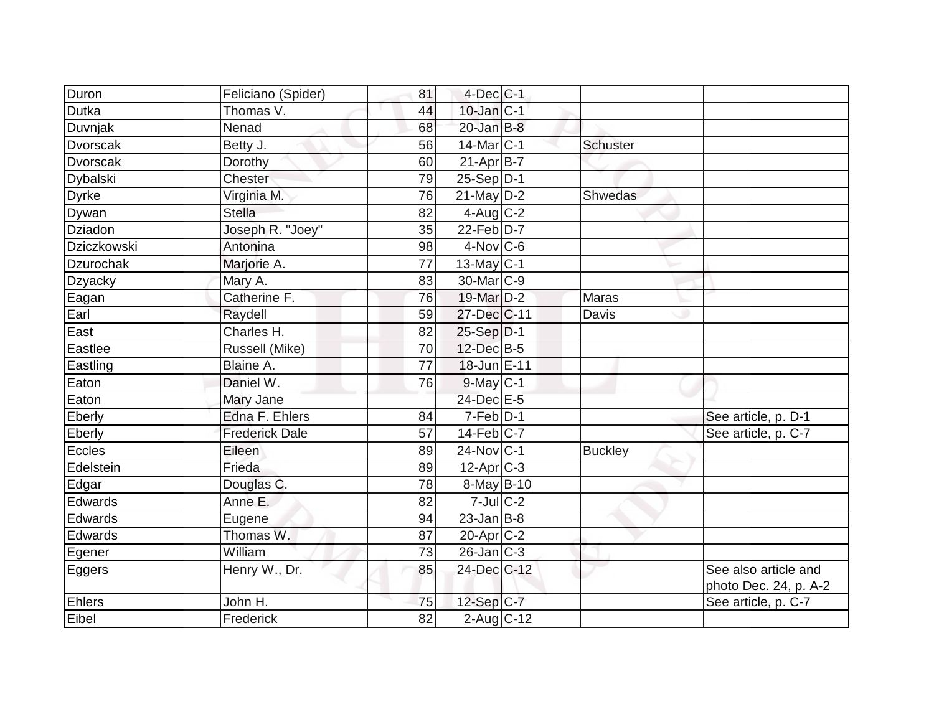| Duron                    | Feliciano (Spider)    | 81 | $4$ -Dec $ C-1$        |                 |                                              |
|--------------------------|-----------------------|----|------------------------|-----------------|----------------------------------------------|
| Dutka                    | Thomas V.             | 44 | $10$ -Jan $ C-1 $      |                 |                                              |
| Duvnjak                  | Nenad                 | 68 | $20$ -Jan $B-8$        |                 |                                              |
| Dvorscak                 | Betty J.              | 56 | $14$ -Mar $ C-1 $      | <b>Schuster</b> |                                              |
| Dvorscak                 | Dorothy               | 60 | $21 - Apr$ B-7         |                 |                                              |
| <b>Dybalski</b>          | Chester               | 79 | 25-Sep D-1             |                 |                                              |
| <b>Dyrke</b>             | Virginia M.           | 76 | $21$ -May D-2          | Shwedas         |                                              |
| Dywan                    | <b>Stella</b>         | 82 | $4$ -Aug C-2           |                 |                                              |
| <b>Dziadon</b>           | Joseph R. "Joey"      | 35 | $22$ -Feb $D-7$        |                 |                                              |
| Dziczkowski              | Antonina              | 98 | $4$ -Nov $ C$ -6       |                 |                                              |
| Dzurochak                | Marjorie A.           | 77 | $13$ -May C-1          |                 |                                              |
| <b>Dzyacky</b>           | Mary A.               | 83 | 30-Mar <sub>IC-9</sub> |                 |                                              |
| Eagan                    | Catherine F.          | 76 | 19-Mar D-2             | <b>Maras</b>    |                                              |
| Earl                     | Raydell               | 59 | 27-Dec C-11            | Davis           |                                              |
| $\overline{\text{East}}$ | Charles H.            | 82 | $25-Sep D-1$           |                 |                                              |
| Eastlee                  | Russell (Mike)        | 70 | 12-Dec B-5             |                 |                                              |
| Eastling                 | Blaine A.             | 77 | 18-Jun E-11            |                 |                                              |
| Eaton                    | Daniel W.             | 76 | $9$ -May $C-1$         |                 |                                              |
| Eaton                    | Mary Jane             |    | 24-Dec E-5             |                 |                                              |
| Eberly                   | Edna F. Ehlers        | 84 | $7-Feb D-1$            |                 | See article, p. D-1                          |
| Eberly                   | <b>Frederick Dale</b> | 57 | $14$ -Feb $ C-7$       |                 | See article, p. C-7                          |
| Eccles                   | Eileen                | 89 | 24-Nov C-1             | <b>Buckley</b>  |                                              |
| Edelstein                | Frieda                | 89 | $12-Apr$ $C-3$         |                 |                                              |
| Edgar                    | Douglas C.            | 78 | 8-May B-10             |                 |                                              |
| Edwards                  | Anne E.               | 82 | $7$ -Jul $C-2$         |                 |                                              |
| Edwards                  | Eugene                | 94 | $23$ -Jan B-8          |                 |                                              |
| Edwards                  | Thomas W.             | 87 | $20$ -Apr $ C-2 $      |                 |                                              |
| Egener                   | William               | 73 | $26$ -Jan $ C-3 $      |                 |                                              |
| Eggers                   | Henry W., Dr.         | 85 | 24-Dec C-12            |                 | See also article and                         |
| <b>Ehlers</b>            | John H.               | 75 | $12-Sep C-7$           |                 | photo Dec. 24, p. A-2<br>See article, p. C-7 |
| Eibel                    | Frederick             | 82 | $2$ -Aug C-12          |                 |                                              |
|                          |                       |    |                        |                 |                                              |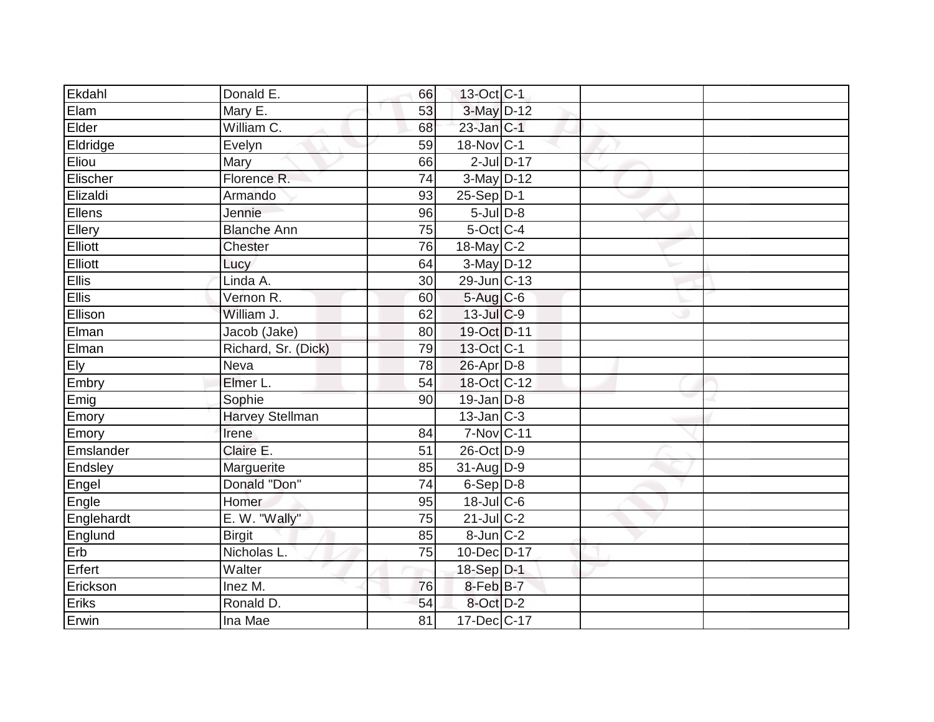| Donald E.              | 66         |  |                                                                                                                                                                                                                                                                                                                                                                                                                                                                                                                 |  |
|------------------------|------------|--|-----------------------------------------------------------------------------------------------------------------------------------------------------------------------------------------------------------------------------------------------------------------------------------------------------------------------------------------------------------------------------------------------------------------------------------------------------------------------------------------------------------------|--|
| Mary E.                | 53         |  |                                                                                                                                                                                                                                                                                                                                                                                                                                                                                                                 |  |
|                        | 68         |  |                                                                                                                                                                                                                                                                                                                                                                                                                                                                                                                 |  |
| Evelyn                 | 59         |  |                                                                                                                                                                                                                                                                                                                                                                                                                                                                                                                 |  |
| Mary                   | 66         |  |                                                                                                                                                                                                                                                                                                                                                                                                                                                                                                                 |  |
| Florence R.            | 74         |  |                                                                                                                                                                                                                                                                                                                                                                                                                                                                                                                 |  |
| Armando                | 93         |  |                                                                                                                                                                                                                                                                                                                                                                                                                                                                                                                 |  |
| Jennie                 | 96         |  |                                                                                                                                                                                                                                                                                                                                                                                                                                                                                                                 |  |
| <b>Blanche Ann</b>     | 75         |  |                                                                                                                                                                                                                                                                                                                                                                                                                                                                                                                 |  |
| <b>Chester</b>         | 76         |  |                                                                                                                                                                                                                                                                                                                                                                                                                                                                                                                 |  |
| Lucy                   | 64         |  |                                                                                                                                                                                                                                                                                                                                                                                                                                                                                                                 |  |
| Linda A.               | 30         |  |                                                                                                                                                                                                                                                                                                                                                                                                                                                                                                                 |  |
| Vernon R.              | 60         |  |                                                                                                                                                                                                                                                                                                                                                                                                                                                                                                                 |  |
| William J.             | 62         |  |                                                                                                                                                                                                                                                                                                                                                                                                                                                                                                                 |  |
| Jacob (Jake)           | 80         |  |                                                                                                                                                                                                                                                                                                                                                                                                                                                                                                                 |  |
| Richard, Sr. (Dick)    | 79         |  |                                                                                                                                                                                                                                                                                                                                                                                                                                                                                                                 |  |
| Neva                   | 78         |  |                                                                                                                                                                                                                                                                                                                                                                                                                                                                                                                 |  |
| Elmer L.               | 54         |  |                                                                                                                                                                                                                                                                                                                                                                                                                                                                                                                 |  |
| Sophie                 | 90         |  |                                                                                                                                                                                                                                                                                                                                                                                                                                                                                                                 |  |
| <b>Harvey Stellman</b> |            |  |                                                                                                                                                                                                                                                                                                                                                                                                                                                                                                                 |  |
| Irene                  | 84         |  |                                                                                                                                                                                                                                                                                                                                                                                                                                                                                                                 |  |
| Claire E.              | 51         |  |                                                                                                                                                                                                                                                                                                                                                                                                                                                                                                                 |  |
| Marguerite             | 85         |  |                                                                                                                                                                                                                                                                                                                                                                                                                                                                                                                 |  |
| Donald "Don"           | 74         |  |                                                                                                                                                                                                                                                                                                                                                                                                                                                                                                                 |  |
| Homer                  | 95         |  |                                                                                                                                                                                                                                                                                                                                                                                                                                                                                                                 |  |
| E. W. "Wally"          | 75         |  |                                                                                                                                                                                                                                                                                                                                                                                                                                                                                                                 |  |
| <b>Birgit</b>          | 85         |  |                                                                                                                                                                                                                                                                                                                                                                                                                                                                                                                 |  |
| Nicholas L.            | 75         |  |                                                                                                                                                                                                                                                                                                                                                                                                                                                                                                                 |  |
| Walter                 |            |  |                                                                                                                                                                                                                                                                                                                                                                                                                                                                                                                 |  |
| Inez M.                | 76         |  |                                                                                                                                                                                                                                                                                                                                                                                                                                                                                                                 |  |
| Ronald D.              | 54         |  |                                                                                                                                                                                                                                                                                                                                                                                                                                                                                                                 |  |
| Ina Mae                | 81         |  |                                                                                                                                                                                                                                                                                                                                                                                                                                                                                                                 |  |
|                        | William C. |  | 13-Oct C-1<br>3-May D-12<br>$23$ -Jan $ C-1 $<br>18-Nov C-1<br>$2$ -Jul $D-17$<br>3-May D-12<br>$25-Sep D-1$<br>$5$ -Jul $D-8$<br>5-Oct C-4<br>18-May $C-2$<br>$3-May$ D-12<br>29-Jun C-13<br>5-Aug C-6<br>$13$ -Jul $C$ -9<br>19-Oct D-11<br>13-Oct C-1<br>$26$ -Apr $D-8$<br>18-Oct C-12<br>$19$ -Jan $D-8$<br>$13$ -Jan C-3<br>7-Nov C-11<br>26-Oct D-9<br>31-Aug D-9<br>$6-Sep D-8$<br>$18$ -Jul $C$ -6<br>$21$ -Jul C-2<br>8-Jun C-2<br>10-Dec D-17<br>18-Sep D-1<br>8-Feb B-7<br>8-Oct D-2<br>17-Dec C-17 |  |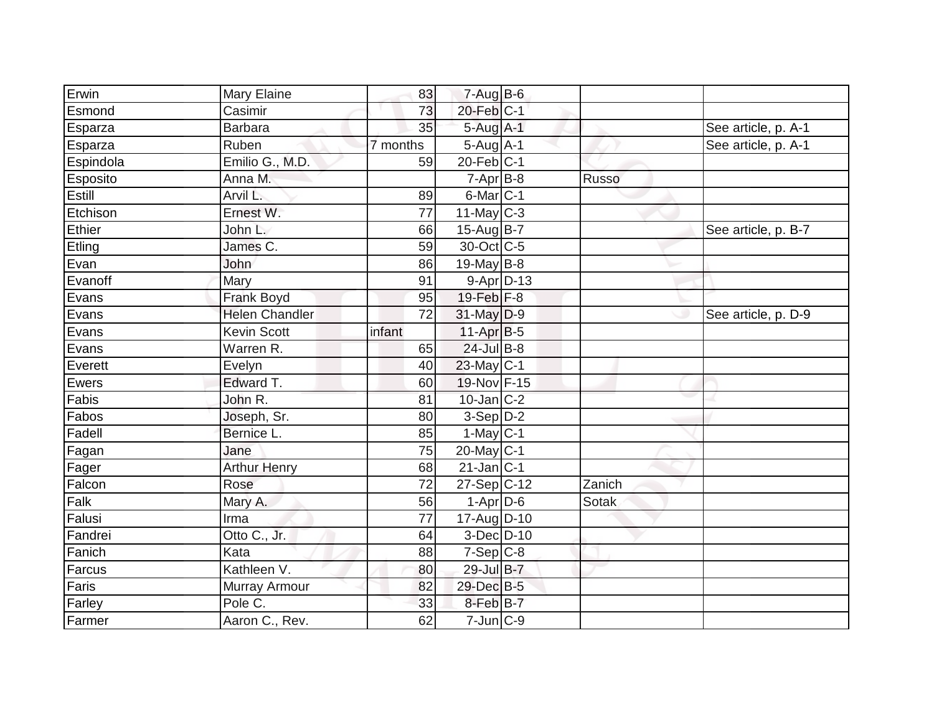| Erwin     | <b>Mary Elaine</b>    | 83              | $7-Aug$ B-6       |              |                     |
|-----------|-----------------------|-----------------|-------------------|--------------|---------------------|
| Esmond    | Casimir               | 73              | $20$ -Feb $ C-1 $ |              |                     |
| Esparza   | <b>Barbara</b>        | 35              | $5-Aug$ A-1       |              | See article, p. A-1 |
| Esparza   | Ruben                 | 7 months        | $5-Aug$ A-1       |              | See article, p. A-1 |
| Espindola | Emilio G., M.D.       | 59              | $20$ -Feb $ C-1 $ |              |                     |
| Esposito  | Anna M.               |                 | $7-Apr$ B-8       | <b>Russo</b> |                     |
| Estill    | Arvil L.              | 89              | $6$ -Mar $ C-1$   |              |                     |
| Etchison  | Ernest W.             | 77              | $11$ -May C-3     |              |                     |
| Ethier    | John L.               | 66              | 15-Aug B-7        |              | See article, p. B-7 |
| Etling    | James C.              | 59              | 30-Oct C-5        |              |                     |
| Evan      | John                  | 86              | $19$ -May B-8     |              |                     |
| Evanoff   | Mary                  | 91              | $9 - Apr$ $D-13$  |              |                     |
| Evans     | Frank Boyd            | 95              | $19$ -Feb $ F-8$  |              |                     |
| Evans     | <b>Helen Chandler</b> | $\overline{72}$ | 31-May D-9        |              | See article, p. D-9 |
| Evans     | <b>Kevin Scott</b>    | infant          | $11-Apr B-5$      |              |                     |
| Evans     | Warren R.             | 65              | $24$ -Jul B-8     |              |                     |
| Everett   | Evelyn                | 40              | $23$ -May C-1     |              |                     |
| Ewers     | Edward T.             | 60              | 19-Nov F-15       |              |                     |
| Fabis     | John R.               | 81              | $10$ -Jan $ C-2 $ |              |                     |
| Fabos     | Joseph, Sr.           | 80              | $3-Sep$ D-2       |              |                     |
| Fadell    | Bernice L.            | 85              | $1$ -May $C-1$    |              |                     |
| Fagan     | Jane                  | $\overline{75}$ | $20$ -May C-1     |              |                     |
| Fager     | <b>Arthur Henry</b>   | 68              | $21$ -Jan $ C-1 $ |              |                     |
| Falcon    | Rose                  | 72              | $27-Sep C-12$     | Zanich       |                     |
| Falk      | Mary A.               | 56              | $1-Apr$ D-6       | Sotak        |                     |
| Falusi    | Irma                  | $\overline{77}$ | 17-Aug D-10       |              |                     |
| Fandrei   | Otto C., Jr.          | 64              | $3-Dec$ D-10      |              |                     |
| Fanich    | Kata                  | 88              | $7-Sep C-8$       |              |                     |
| Farcus    | Kathleen V.           | 80              | 29-Jul B-7        |              |                     |
| Faris     | Murray Armour         | 82              | 29-Dec B-5        |              |                     |
| Farley    | Pole C.               | 33              | 8-Feb B-7         |              |                     |
| Farmer    | Aaron C., Rev.        | 62              | $7$ -Jun $ C$ -9  |              |                     |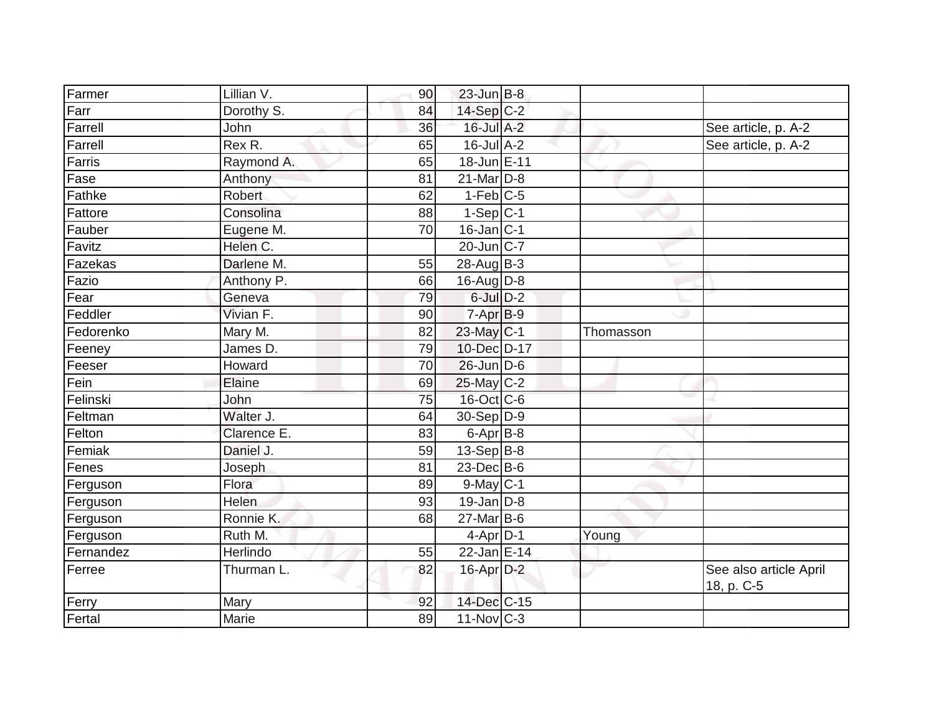| Farmer    | Lillian V.  | 90 | $23$ -Jun B-8             |           |                                      |
|-----------|-------------|----|---------------------------|-----------|--------------------------------------|
| Farr      | Dorothy S.  | 84 | $14-Sep C-2$              |           |                                      |
| Farrell   | John        | 36 | $16$ -Jul A-2             |           | See article, p. A-2                  |
| Farrell   | Rex R.      | 65 | $16$ -Jul $A-2$           |           | See article, p. A-2                  |
| Farris    | Raymond A.  | 65 | 18-Jun E-11               |           |                                      |
| Fase      | Anthony     | 81 | $21$ -Mar $ D-8 $         |           |                                      |
| Fathke    | Robert      | 62 | $1-Feb$ C-5               |           |                                      |
| Fattore   | Consolina   | 88 | $1-Sep$ C-1               |           |                                      |
| Fauber    | Eugene M.   | 70 | $16$ -Jan $ C-1 $         |           |                                      |
| Favitz    | Helen C.    |    | $20$ -Jun $ C-7 $         |           |                                      |
| Fazekas   | Darlene M.  | 55 | $28$ -Aug $B-3$           |           |                                      |
| Fazio     | Anthony P.  | 66 | $16$ -Aug $D-8$           |           |                                      |
| Fear      | Geneva      | 79 | $6$ -Jul $D-2$            |           |                                      |
| Feddler   | Vivian F.   | 90 | $7-AprB-9$                |           |                                      |
| Fedorenko | Mary M.     | 82 | $23$ -May $C-1$           | Thomasson |                                      |
| Feeney    | James D.    | 79 | 10-Dec D-17               |           |                                      |
| Feeser    | Howard      | 70 | $26$ -Jun D-6             |           |                                      |
| Fein      | Elaine      | 69 | $25$ -May C-2             |           |                                      |
| Felinski  | John        | 75 | 16-Oct C-6                |           |                                      |
| Feltman   | Walter J.   | 64 | $30 - Sep$ $D-9$          |           |                                      |
| Felton    | Clarence E. | 83 | $6$ -Apr $B$ -8           |           |                                      |
| Femiak    | Daniel J.   | 59 | $13-Sep B-8$              |           |                                      |
| Fenes     | Joseph      | 81 | $23$ -Dec $B$ -6          |           |                                      |
| Ferguson  | Flora       | 89 | $9$ -May $C-1$            |           |                                      |
| Ferguson  | Helen       | 93 | $19$ -Jan D-8             |           |                                      |
| Ferguson  | Ronnie K.   | 68 | $27$ -Mar $B$ -6          |           |                                      |
| Ferguson  | Ruth M.     |    | $4-Apr$ D-1               | Young     |                                      |
| Fernandez | Herlindo    | 55 | $\overline{22}$ -Jan E-14 |           |                                      |
| Ferree    | Thurman L.  | 82 | $16$ -Apr $D-2$           |           | See also article April<br>18, p. C-5 |
| Ferry     | Mary        | 92 | 14-Dec C-15               |           |                                      |
| Fertal    | Marie       | 89 | $11$ -Nov $ C-3 $         |           |                                      |
|           |             |    |                           |           |                                      |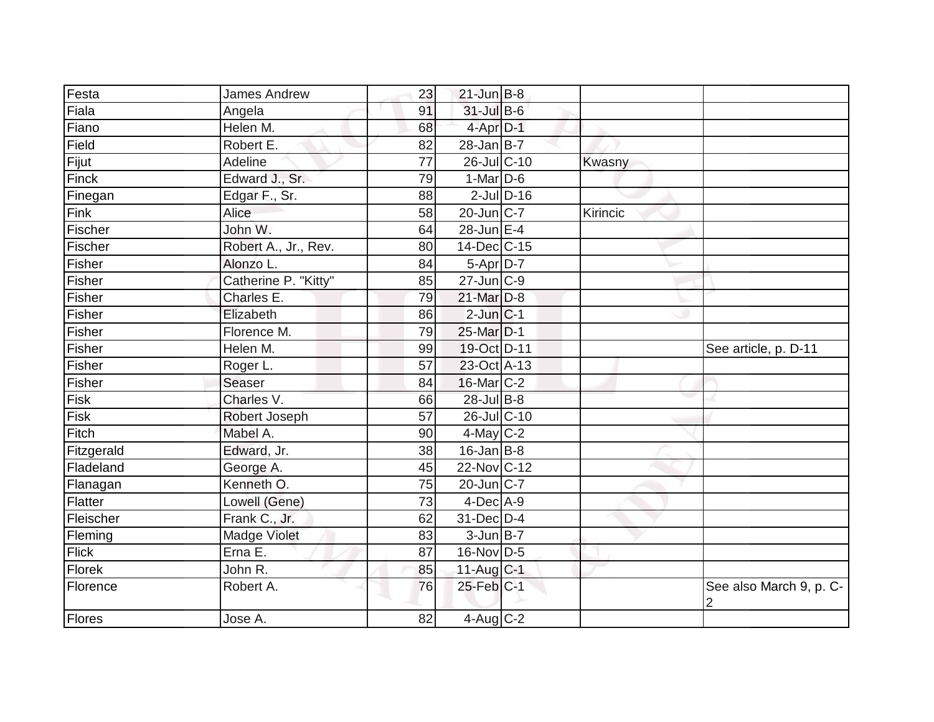| Festa        | <b>James Andrew</b>  | 23              | $21$ -Jun $B-8$          |              |          |                              |
|--------------|----------------------|-----------------|--------------------------|--------------|----------|------------------------------|
| Fiala        | Angela               | 91              | 31-Jul B-6               |              |          |                              |
| Fiano        | Helen M.             | 68              | 4-Apr D-1                |              |          |                              |
| Field        | Robert E.            | 82              | $\overline{28}$ -Jan B-7 |              |          |                              |
| Fijut        | Adeline              | $\overline{77}$ | 26-Jul C-10              |              | Kwasny   |                              |
| <b>Finck</b> | Edward J., Sr.       | 79              | $1-Mar$ D-6              |              |          |                              |
| Finegan      | Edgar F., Sr.        | 88              |                          | $2$ -JulD-16 |          |                              |
| Fink         | Alice                | 58              | 20-Jun C-7               |              | Kirincic |                              |
| Fischer      | John W.              | 64              | $28$ -Jun $E-4$          |              |          |                              |
| Fischer      | Robert A., Jr., Rev. | 80              | 14-Dec C-15              |              |          |                              |
| Fisher       | Alonzo L.            | 84              | $5-Apr\overline{D-7}$    |              |          |                              |
| Fisher       | Catherine P. "Kitty" | 85              | $27$ -Jun $C-9$          |              |          |                              |
| Fisher       | Charles E.           | 79              | 21-Mar D-8               |              |          |                              |
| Fisher       | Elizabeth            | 86              | $2$ -Jun $ C-1$          |              |          |                              |
| Fisher       | Florence M.          | 79              | 25-Mar D-1               |              |          |                              |
| Fisher       | Helen M.             | 99              | 19-Oct D-11              |              |          | See article, p. D-11         |
| Fisher       | Roger L.             | 57              | 23-Oct A-13              |              |          |                              |
| Fisher       | Seaser               | 84              | 16-Mar C-2               |              |          |                              |
| Fisk         | Charles V.           | 66              | $28$ -Jul $B-8$          |              |          |                              |
| Fisk         | Robert Joseph        | 57              | 26-Jul C-10              |              |          |                              |
| Fitch        | Mabel A.             | 90              | $4$ -May C-2             |              |          |                              |
| Fitzgerald   | Edward, Jr.          | 38              | $16$ -Jan B-8            |              |          |                              |
| Fladeland    | George A.            | 45              | 22-Nov C-12              |              |          |                              |
| Flanagan     | Kenneth O.           | 75              | $20$ -Jun $ C-7 $        |              |          |                              |
| Flatter      | Lowell (Gene)        | 73              | $4-Dec$ A-9              |              |          |                              |
| Fleischer    | Frank C., Jr.        | 62              | 31-Dec D-4               |              |          |                              |
| Fleming      | Madge Violet         | 83              | $3$ -Jun $B$ -7          |              |          |                              |
| <b>Flick</b> | Erna E.              | 87              | 16-Nov D-5               |              |          |                              |
| Florek       | John R.              | 85              | 11-Aug $C-1$             |              |          |                              |
| Florence     | Robert A.            | 76              | 25-Feb C-1               |              |          | See also March 9, p. C-<br>2 |
| Flores       | Jose A.              | 82              | $4$ -Aug C-2             |              |          |                              |
|              |                      |                 |                          |              |          |                              |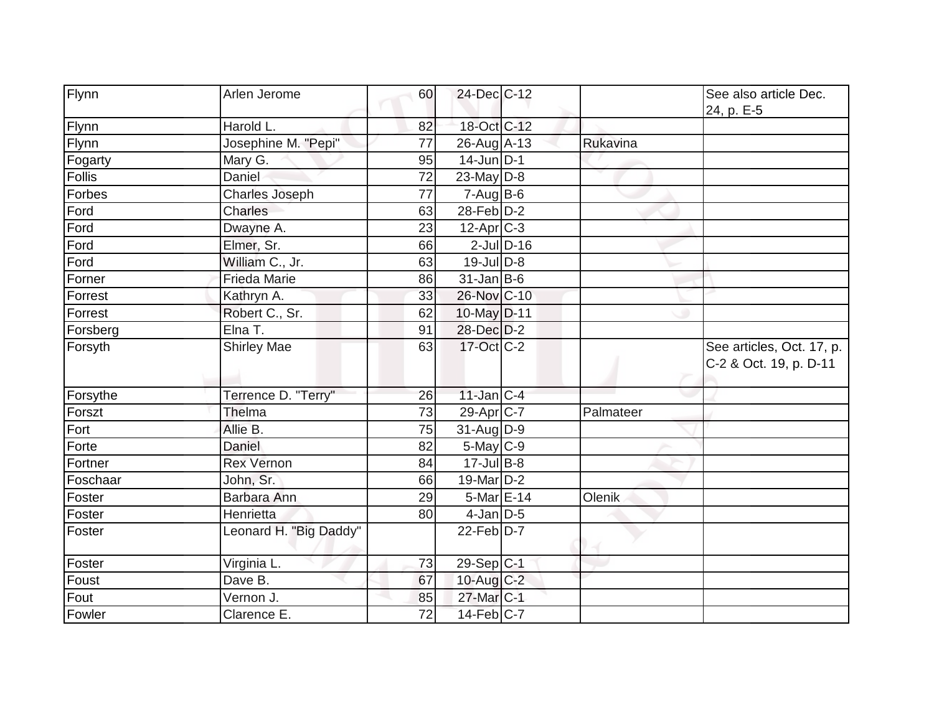| Flynn    | Arlen Jerome           | 60 | 24-Dec C-12           |           | See also article Dec.<br>24, p. E-5                 |
|----------|------------------------|----|-----------------------|-----------|-----------------------------------------------------|
| Flynn    | Harold L.              | 82 | 18-Oct C-12           |           |                                                     |
| Flynn    | Josephine M. "Pepi"    | 77 | 26-Aug A-13           | Rukavina  |                                                     |
| Fogarty  | Mary G.                | 95 | $14$ -Jun D-1         |           |                                                     |
| Follis   | Daniel                 | 72 | 23-May $D-8$          |           |                                                     |
| Forbes   | <b>Charles Joseph</b>  | 77 | $7 - Aug$ B-6         |           |                                                     |
| Ford     | Charles                | 63 | 28-Feb D-2            |           |                                                     |
| Ford     | Dwayne A.              | 23 | $12-Apr$ $C-3$        |           |                                                     |
| Ford     | Elmer, Sr.             | 66 | $2$ -Jul $D-16$       |           |                                                     |
| Ford     | William C., Jr.        | 63 | $19$ -Jul $D-8$       |           |                                                     |
| Forner   | <b>Frieda Marie</b>    | 86 | $31$ -Jan B-6         |           |                                                     |
| Forrest  | Kathryn A.             | 33 | 26-Nov C-10           |           |                                                     |
| Forrest  | Robert C., Sr.         | 62 | 10-May D-11           |           |                                                     |
| Forsberg | $E$ Ina T.             | 91 | 28-Dec D-2            |           |                                                     |
| Forsyth  | <b>Shirley Mae</b>     | 63 | 17-Oct C-2            |           | See articles, Oct. 17, p.<br>C-2 & Oct. 19, p. D-11 |
| Forsythe | Terrence D. "Terry"    | 26 | $11$ -Jan C-4         |           |                                                     |
| Forszt   | Thelma                 | 73 | 29-Apr C-7            | Palmateer |                                                     |
| Fort     | Allie B.               | 75 | $31$ -AugD-9          |           |                                                     |
| Forte    | Daniel                 | 82 | $5$ -May $C$ -9       |           |                                                     |
| Fortner  | <b>Rex Vernon</b>      | 84 | $17 -$ Jul B-8        |           |                                                     |
| Foschaar | John, Sr.              | 66 | $19$ -Mar $ D-2 $     |           |                                                     |
| Foster   | Barbara Ann            | 29 | $5$ -Mar $E$ -14      | Olenik    |                                                     |
| Foster   | Henrietta              | 80 | $4$ -Jan $D$ -5       |           |                                                     |
| Foster   | Leonard H. "Big Daddy" |    | $22$ -Feb $D-7$       |           |                                                     |
| Foster   | Virginia L.            | 73 | 29-Sep C-1            |           |                                                     |
| Foust    | Dave B.                | 67 | 10-Aug C-2            |           |                                                     |
| Fout     | Vernon J.              | 85 | 27-Mar <sub>C-1</sub> |           |                                                     |
| Fowler   | Clarence E.            | 72 | $14$ -Feb $ C-7$      |           |                                                     |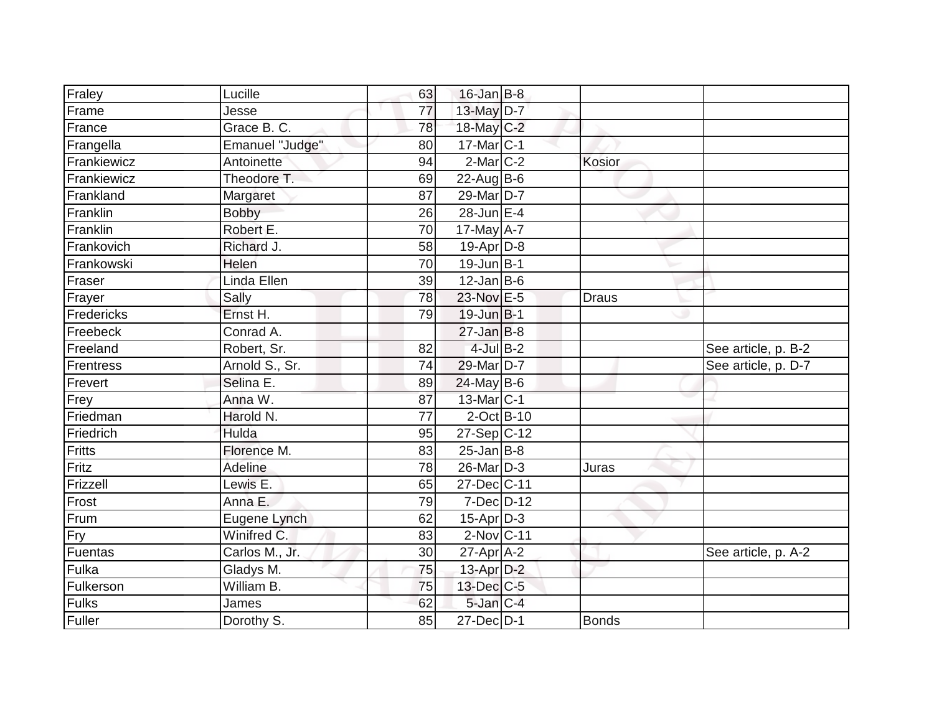| Fraley        | Lucille         | 63 | $16$ -Jan B-8         |              |                     |
|---------------|-----------------|----|-----------------------|--------------|---------------------|
| Frame         | Jesse           | 77 | 13-May $D-7$          |              |                     |
| France        | Grace B. C.     | 78 | 18-May C-2            |              |                     |
| Frangella     | Emanuel "Judge" | 80 | $17$ -Mar $ C-1 $     |              |                     |
| Frankiewicz   | Antoinette      | 94 | $2$ -Mar $C-2$        | Kosior       |                     |
| Frankiewicz   | Theodore T.     | 69 | $22$ -Aug B-6         |              |                     |
| Frankland     | Margaret        | 87 | 29-Mar D-7            |              |                     |
| Franklin      | Bobby           | 26 | $28$ -Jun E-4         |              |                     |
| Franklin      | Robert E.       | 70 | 17-May A-7            |              |                     |
| Frankovich    | Richard J.      | 58 | $19-Apr D-8$          |              |                     |
| Frankowski    | Helen           | 70 | $19$ -Jun $B-1$       |              |                     |
| Fraser        | Linda Ellen     | 39 | $12$ -Jan B-6         |              |                     |
| Frayer        | Sally           | 78 | 23-Nov E-5            | <b>Draus</b> |                     |
| Fredericks    | Ernst H.        | 79 | $19$ -Jun $B$ -1      |              |                     |
| Freebeck      | Conrad A.       |    | $27$ -Jan B-8         |              |                     |
| Freeland      | Robert, Sr.     | 82 | $4$ -Jul B-2          |              | See article, p. B-2 |
| Frentress     | Arnold S., Sr.  | 74 | 29-Mar D-7            |              | See article, p. D-7 |
| Frevert       | Selina E.       | 89 | $24$ -May B-6         |              |                     |
| Frey          | Anna W.         | 87 | 13-Mar <sub>C-1</sub> |              |                     |
| Friedman      | Harold N.       | 77 | $2$ -Oct B-10         |              |                     |
| Friedrich     | Hulda           | 95 | 27-Sep C-12           |              |                     |
| <b>Fritts</b> | Florence M.     | 83 | $25$ -Jan B-8         |              |                     |
| Fritz         | Adeline         | 78 | 26-Mar D-3            | Juras        |                     |
| Frizzell      | Lewis E.        | 65 | 27-Dec C-11           |              |                     |
| Frost         | Anna E.         | 79 | $7$ -Dec $D-12$       |              |                     |
| Frum          | Eugene Lynch    | 62 | $15$ -Apr $D-3$       |              |                     |
| Fry           | Winifred C.     | 83 | $2$ -Nov $ C-11$      |              |                     |
| Fuentas       | Carlos M., Jr.  | 30 | $27$ -Apr $A$ -2      |              | See article, p. A-2 |
| Fulka         | Gladys M.       | 75 | 13-Apr D-2            |              |                     |
| Fulkerson     | William B.      | 75 | $13$ -Dec $C$ -5      |              |                     |
| <b>Fulks</b>  | James           | 62 | $5$ -Jan $C-4$        |              |                     |
| Fuller        | Dorothy S.      | 85 | $27 - Dec$ $D-1$      | <b>Bonds</b> |                     |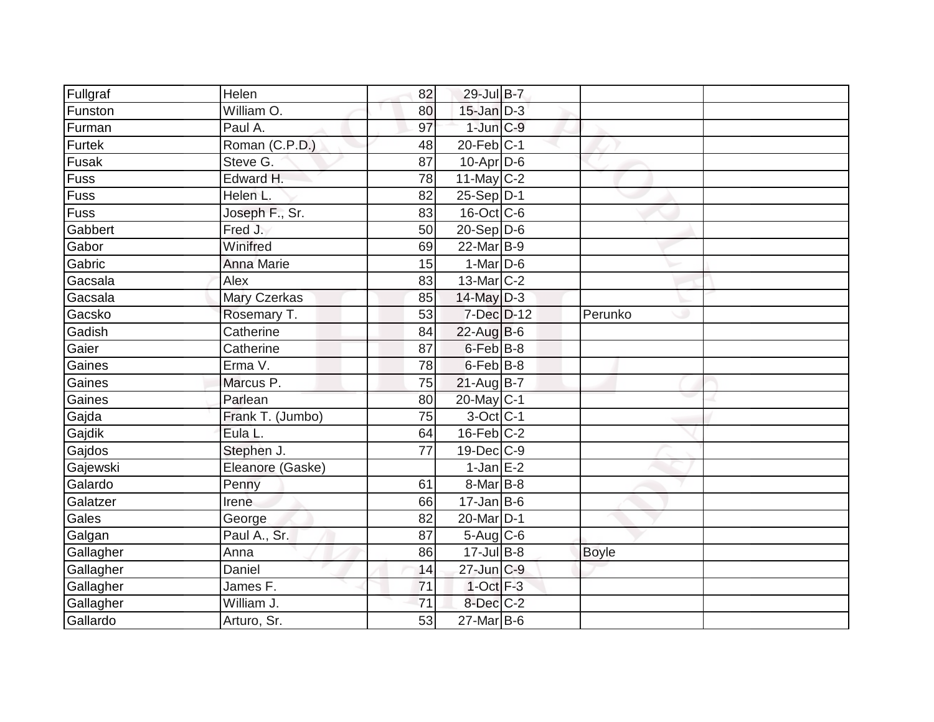| Fullgraf    | Helen               | 82 | 29-Jul B-7        |              |  |
|-------------|---------------------|----|-------------------|--------------|--|
| Funston     | William O.          | 80 | $15$ -Jan $D-3$   |              |  |
| Furman      | Paul A.             | 97 | $1$ -Jun $C-9$    |              |  |
| Furtek      | Roman (C.P.D.)      | 48 | $20$ -Feb $ C-1 $ |              |  |
| Fusak       | Steve G.            | 87 | $10$ -Apr $D-6$   |              |  |
| Fuss        | Edward H.           | 78 | $11$ -May C-2     |              |  |
| <b>Fuss</b> | Helen L.            | 82 | $25-Sep D-1$      |              |  |
| Fuss        | Joseph F., Sr.      | 83 | $16$ -Oct $ C$ -6 |              |  |
| Gabbert     | Fred J.             | 50 | $20-Sep D-6$      |              |  |
| Gabor       | Winifred            | 69 | 22-Mar B-9        |              |  |
| Gabric      | <b>Anna Marie</b>   | 15 | $1-MarD-6$        |              |  |
| Gacsala     | Alex                | 83 | $13$ -Mar $ C-2 $ |              |  |
| Gacsala     | <b>Mary Czerkas</b> | 85 | $14$ -May $D-3$   |              |  |
| Gacsko      | Rosemary T.         | 53 | $7$ -Dec $D-12$   | Perunko      |  |
| Gadish      | Catherine           | 84 | $22$ -Aug B-6     |              |  |
| Gaier       | Catherine           | 87 | $6$ -Feb $B$ -8   |              |  |
| Gaines      | Erma V.             | 78 | $6$ -Feb $B$ -8   |              |  |
| Gaines      | Marcus P.           | 75 | $21-Aug B-7$      |              |  |
| Gaines      | Parlean             | 80 | 20-May C-1        |              |  |
| Gajda       | Frank T. (Jumbo)    | 75 | $3$ -Oct C-1      |              |  |
| Gajdik      | Eula L.             | 64 | $16$ -Feb $ C-2$  |              |  |
| Gajdos      | Stephen J.          | 77 | 19-Dec C-9        |              |  |
| Gajewski    | Eleanore (Gaske)    |    | $1$ -Jan E-2      |              |  |
| Galardo     | Penny               | 61 | $8$ -Mar $ B-8$   |              |  |
| Galatzer    | Irene               | 66 | $17$ -Jan B-6     |              |  |
| Gales       | George              | 82 | 20-Mar D-1        |              |  |
| Galgan      | Paul A., Sr.        | 87 | $5-Aug$ $C-6$     |              |  |
| Gallagher   | Anna                | 86 | $17 -$ Jul B-8    | <b>Boyle</b> |  |
| Gallagher   | Daniel              | 14 | $27$ -Jun $ C-9$  |              |  |
| Gallagher   | James F.            | 71 | $1-Oct$ F-3       |              |  |
| Gallagher   | William J.          | 71 | $8$ -Dec $C$ -2   |              |  |
| Gallardo    | Arturo, Sr.         | 53 | 27-Mar B-6        |              |  |
|             |                     |    |                   |              |  |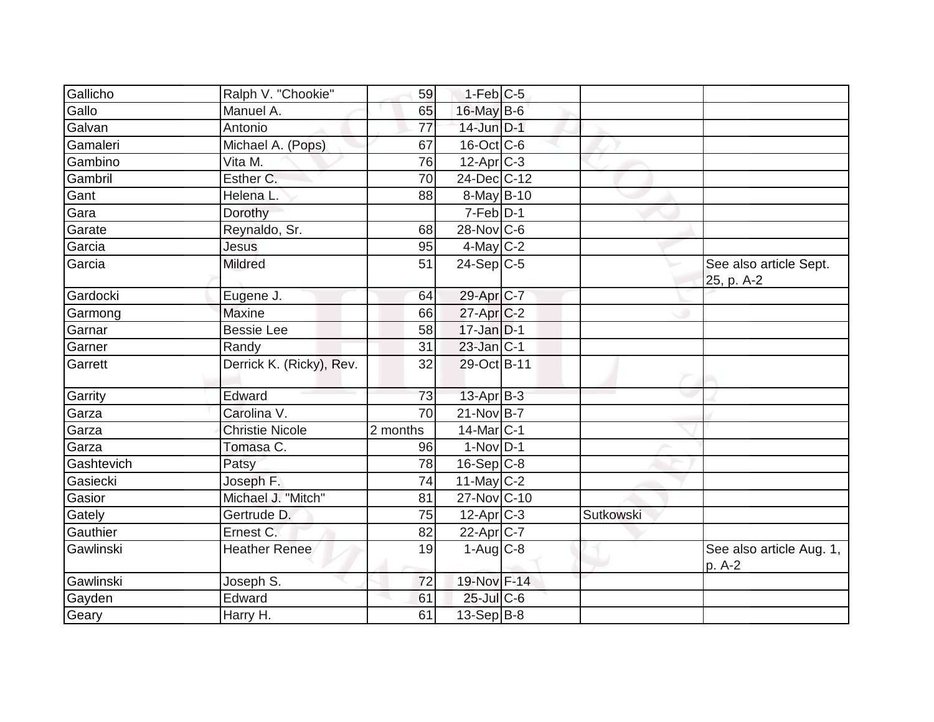| Gallicho   | Ralph V. "Chookie"       | 59       | $1-Feb$ C-5              |           |                                      |
|------------|--------------------------|----------|--------------------------|-----------|--------------------------------------|
| Gallo      | Manuel A.                | 65       | 16-May B-6               |           |                                      |
| Galvan     | Antonio                  | 77       | $14$ -Jun $D-1$          |           |                                      |
| Gamaleri   | Michael A. (Pops)        | 67       | $16$ -Oct $ C$ -6        |           |                                      |
| Gambino    | Vita M.                  | 76       | $12-Apr$ <sub>C-3</sub>  |           |                                      |
| Gambril    | Esther C.                | 70       | 24-Dec C-12              |           |                                      |
| Gant       | Helena L                 | 88       | 8-May B-10               |           |                                      |
| Gara       | Dorothy                  |          | $7-Feb D-1$              |           |                                      |
| Garate     | Reynaldo, Sr.            | 68       | $28-Nov$ $C-6$           |           |                                      |
| Garcia     | <b>Jesus</b>             | 95       | $4$ -May C-2             |           |                                      |
| Garcia     | <b>Mildred</b>           | 51       | $\overline{24}$ -Sep C-5 |           | See also article Sept.<br>25, p. A-2 |
| Gardocki   | Eugene J.                | 64       | 29-Apr <sub>IC-7</sub>   |           |                                      |
| Garmong    | <b>Maxine</b>            | 66       | $27$ -Apr $ C$ -2        |           |                                      |
| Garnar     | Bessie Lee               | 58       | $17$ -Jan $D-1$          |           |                                      |
| Garner     | Randy                    | 31       | $23$ -Jan C-1            |           |                                      |
| Garrett    | Derrick K. (Ricky), Rev. | 32       | 29-Oct B-11              |           |                                      |
| Garrity    | Edward                   | 73       | $13$ -Apr $B-3$          |           |                                      |
| Garza      | Carolina V.              | 70       | $21-NovB-7$              |           |                                      |
| Garza      | <b>Christie Nicole</b>   | 2 months | 14-Mar <sub>IC-1</sub>   |           |                                      |
| Garza      | Tomasa C.                | 96       | $1-Nov$ D-1              |           |                                      |
| Gashtevich | Patsy                    | 78       | $16-Sep C-8$             |           |                                      |
| Gasiecki   | Joseph F.                | 74       | 11-May $C-2$             |           |                                      |
| Gasior     | Michael J. "Mitch"       | 81       | 27-Nov C-10              |           |                                      |
| Gately     | Gertrude D.              | 75       | $12-Apr$ C-3             | Sutkowski |                                      |
| Gauthier   | Ernest C.                | 82       | $22-Apr$ C-7             |           |                                      |
| Gawlinski  | <b>Heather Renee</b>     | 19       | $1-Aug$ <sub>C-8</sub>   |           | See also article Aug. 1,<br>p. A-2   |
| Gawlinski  | Joseph S.                | 72       | 19-Nov F-14              |           |                                      |
| Gayden     | Edward                   | 61       | $25$ -Jul C-6            |           |                                      |
| Geary      | Harry H.                 | 61       | 13-Sep B-8               |           |                                      |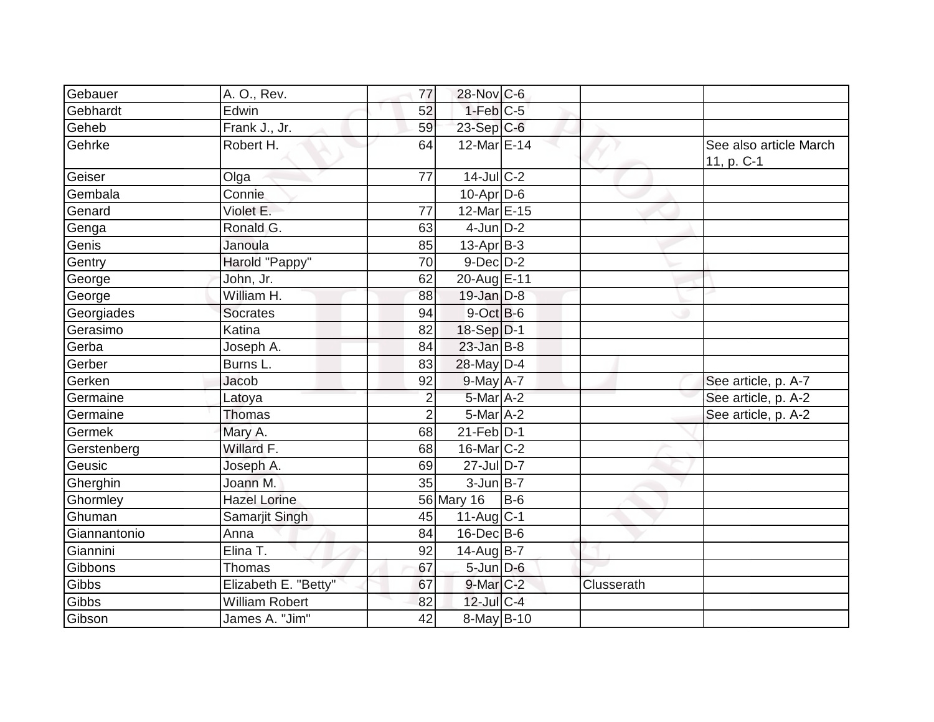| Gebauer<br>Gebhardt | A. O., Rev.<br>Edwin  | 77             | 28-Nov C-6<br>$1-Feb$ C-5 |            |                   |                        |
|---------------------|-----------------------|----------------|---------------------------|------------|-------------------|------------------------|
|                     |                       | 52             |                           |            |                   |                        |
| Geheb               | Frank J., Jr.         | 59             | $23-Sep C-6$              |            |                   |                        |
| Gehrke              | Robert H.             | 64             | 12-Mar E-14               |            |                   | See also article March |
|                     |                       | 77             | $14$ -Jul C-2             |            |                   | 11, p. C-1             |
| Geiser<br>Gembala   | Olga<br>Connie        |                | $10-Apr\overline{D-6}$    |            |                   |                        |
|                     |                       |                |                           |            |                   |                        |
| Genard              | Violet E.             | 77             | 12-Mar E-15               |            |                   |                        |
| Genga               | Ronald G.             | 63             | $4$ -Jun $D-2$            |            |                   |                        |
| Genis               | Janoula               | 85             | $13$ -Apr $ B-3 $         |            |                   |                        |
| Gentry              | Harold "Pappy"        | 70             | $9$ -Dec $D$ -2           |            |                   |                        |
| George              | John, Jr.             | 62             | 20-Aug E-11               |            |                   |                        |
| George              | William H.            | 88             | $19$ -Jan $D-8$           |            |                   |                        |
| Georgiades          | <b>Socrates</b>       | 94             | $9$ -Oct $B$ -6           |            |                   |                        |
| Gerasimo            | Katina                | 82             | $18-Sep D-1$              |            |                   |                        |
| Gerba               | Joseph A.             | 84             | $23$ -Jan B-8             |            |                   |                        |
| Gerber              | Burns L.              | 83             | 28-May D-4                |            |                   |                        |
| Gerken              | Jacob                 | 92             | $9$ -May $A$ -7           |            |                   | See article, p. A-7    |
| Germaine            | Latoya                | $\overline{2}$ | 5-Mar A-2                 |            |                   | See article, p. A-2    |
| Germaine            | Thomas                | $\overline{2}$ | $5-MarA-2$                |            |                   | See article, p. A-2    |
| Germek              | Mary A.               | 68             | $21$ -Feb $ D-1$          |            |                   |                        |
| Gerstenberg         | Willard F.            | 68             | $16$ -Mar $ C-2 $         |            |                   |                        |
| Geusic              | Joseph A.             | 69             | 27-Jul D-7                |            |                   |                        |
| Gherghin            | Joann M.              | 35             | $3$ -Jun $B-7$            |            |                   |                        |
| Ghormley            | <b>Hazel Lorine</b>   |                | 56 Mary 16                | <b>B-6</b> |                   |                        |
| Ghuman              | Samarjit Singh        | 45             | 11-Aug C-1                |            |                   |                        |
| Giannantonio        | Anna                  | 84             | $16$ -Dec $B$ -6          |            |                   |                        |
| Giannini            | Elina T.              | 92             | 14-Aug B-7                |            |                   |                        |
| Gibbons             | Thomas                | 67             | $5$ -Jun $D$ -6           |            |                   |                        |
| Gibbs               | Elizabeth E. "Betty"  | 67             | $9$ -Mar $C-2$            |            | <b>Clusserath</b> |                        |
| Gibbs               | <b>William Robert</b> | 82             | 12-Jul C-4                |            |                   |                        |
| Gibson              | James A. "Jim"        | 42             | $\overline{8}$ -May B-10  |            |                   |                        |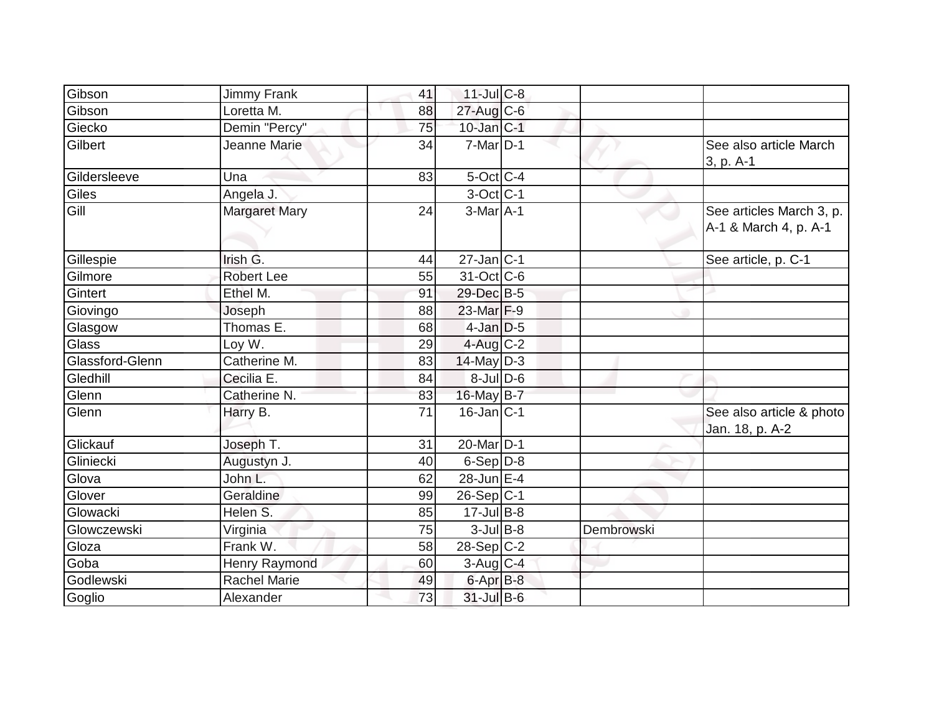| Gibson          | <b>Jimmy Frank</b>   | 41 | 11-Jul C-8             |            |                                                   |
|-----------------|----------------------|----|------------------------|------------|---------------------------------------------------|
| Gibson          | Loretta M.           | 88 | 27-Aug C-6             |            |                                                   |
| Giecko          | Demin "Percy"        | 75 | $10$ -Jan $ C-1 $      |            |                                                   |
| Gilbert         | Jeanne Marie         | 34 | $7$ -Mar $ D-1 $       |            | See also article March<br>3, p. A-1               |
| Gildersleeve    | Una                  | 83 | $5$ -Oct $C$ -4        |            |                                                   |
| Giles           | Angela J.            |    | 3-Oct C-1              |            |                                                   |
| Gill            | <b>Margaret Mary</b> | 24 | $3-Mar$ A-1            |            | See articles March 3, p.<br>A-1 & March 4, p. A-1 |
| Gillespie       | Irish G.             | 44 | $27$ -Jan $ C-1 $      |            | See article, p. C-1                               |
| Gilmore         | <b>Robert Lee</b>    | 55 | 31-Oct C-6             |            |                                                   |
| Gintert         | Ethel M.             | 91 | 29-Dec B-5             |            |                                                   |
| Giovingo        | Joseph               | 88 | 23-Mar F-9             |            |                                                   |
| Glasgow         | Thomas E.            | 68 | $4$ -Jan $D-5$         |            |                                                   |
| Glass           | Loy W.               | 29 | 4-Aug C-2              |            |                                                   |
| Glassford-Glenn | Catherine M.         | 83 | $14$ -May D-3          |            |                                                   |
| Gledhill        | Cecilia E.           | 84 | $8$ -JulD-6            |            |                                                   |
| Glenn           | Catherine N.         | 83 | 16-May B-7             |            |                                                   |
| Glenn           | Harry B.             | 71 | $16$ -Jan $ C-1 $      |            | See also article & photo<br>Jan. 18, p. A-2       |
| Glickauf        | Joseph T.            | 31 | 20-Mar D-1             |            |                                                   |
| Gliniecki       | Augustyn J.          | 40 | $6-Sep D-8$            |            |                                                   |
| Glova           | John L.              | 62 | $28$ -Jun $E-4$        |            |                                                   |
| Glover          | Geraldine            | 99 | $26-Sep C-1$           |            |                                                   |
| Glowacki        | Helen S.             | 85 | $17 -$ Jul B-8         |            |                                                   |
| Glowczewski     | Virginia             | 75 | $3$ -Jul B-8           | Dembrowski |                                                   |
| Gloza           | Frank W.             | 58 | $28-Sep C-2$           |            |                                                   |
| Goba            | <b>Henry Raymond</b> | 60 | $3-Aug$ <sub>C-4</sub> |            |                                                   |
| Godlewski       | <b>Rachel Marie</b>  | 49 | 6-Apr <sub>B-8</sub>   |            |                                                   |
| Goglio          | Alexander            | 73 | 31-Jul B-6             |            |                                                   |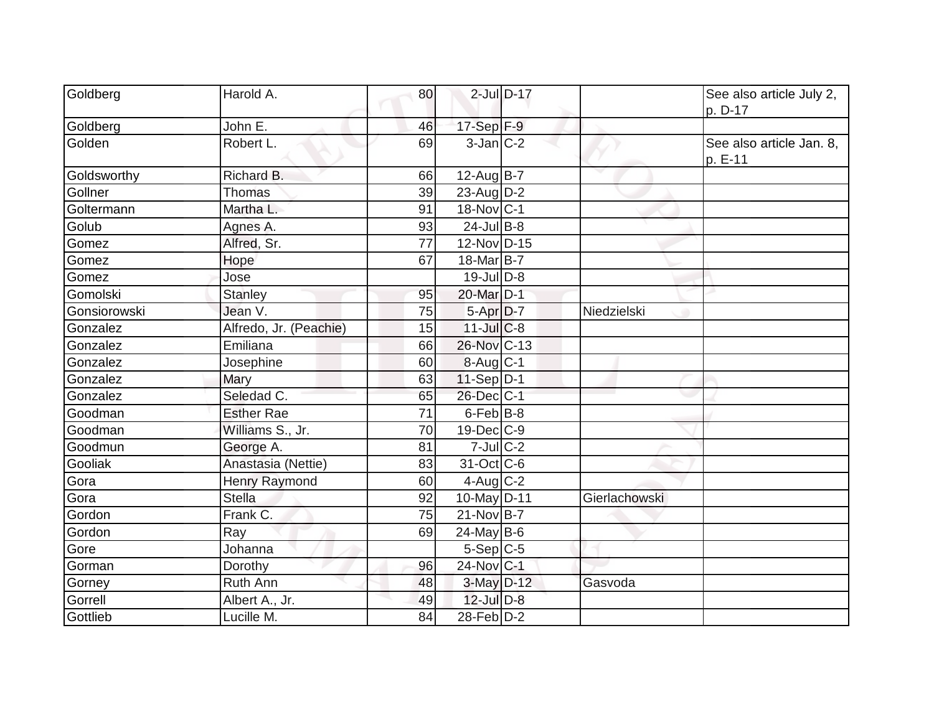| Goldberg     | Harold A.              | 80 |                        | $2$ -Jul $D-17$ |               | See also article July 2,<br>p. D-17 |
|--------------|------------------------|----|------------------------|-----------------|---------------|-------------------------------------|
| Goldberg     | John $E$ .             | 46 | 17-Sep F-9             |                 |               |                                     |
| Golden       | Robert L.              | 69 | $3$ -Jan $ C-2 $       |                 |               | See also article Jan. 8,<br>p. E-11 |
| Goldsworthy  | Richard B.             | 66 | $12-Aug$ B-7           |                 |               |                                     |
| Gollner      | <b>Thomas</b>          | 39 | 23-Aug $D-2$           |                 |               |                                     |
| Goltermann   | Martha L.              | 91 | 18-Nov C-1             |                 |               |                                     |
| Golub        | Agnes A.               | 93 | $24$ -Jul B-8          |                 |               |                                     |
| Gomez        | Alfred, Sr.            | 77 | 12-Nov D-15            |                 |               |                                     |
| Gomez        | Hope                   | 67 | $18$ -Mar $ B-7 $      |                 |               |                                     |
| Gomez        | Jose                   |    | 19-Jul D-8             |                 |               |                                     |
| Gomolski     | <b>Stanley</b>         | 95 | 20-Mar D-1             |                 |               |                                     |
| Gonsiorowski | Jean V.                | 75 | 5-Apr D-7              |                 | Niedzielski   |                                     |
| Gonzalez     | Alfredo, Jr. (Peachie) | 15 | $11$ -Jul $C$ -8       |                 |               |                                     |
| Gonzalez     | Emiliana               | 66 | 26-Nov C-13            |                 |               |                                     |
| Gonzalez     | Josephine              | 60 | $8-Aug$ <sub>C-1</sub> |                 |               |                                     |
| Gonzalez     | Mary                   | 63 | $11-Sep D-1$           |                 |               |                                     |
| Gonzalez     | Seledad C.             | 65 | 26-Dec C-1             |                 |               |                                     |
| Goodman      | <b>Esther Rae</b>      | 71 | $6$ -Feb $ B-8$        |                 |               |                                     |
| Goodman      | Williams S., Jr.       | 70 | $19$ -Dec $ C$ -9      |                 |               |                                     |
| Goodmun      | George A.              | 81 | $7$ -Jul $C-2$         |                 |               |                                     |
| Gooliak      | Anastasia (Nettie)     | 83 | 31-Oct C-6             |                 |               |                                     |
| Gora         | <b>Henry Raymond</b>   | 60 | $4$ -Aug $C-2$         |                 |               |                                     |
| Gora         | <b>Stella</b>          | 92 | $10$ -May D-11         |                 | Gierlachowski |                                     |
| Gordon       | Frank C.               | 75 | $21-Nov B-7$           |                 |               |                                     |
| Gordon       | Ray                    | 69 | $24$ -May B-6          |                 |               |                                     |
| Gore         | Johanna                |    | $5-Sep C-5$            |                 |               |                                     |
| Gorman       | Dorothy                | 96 | 24-Nov C-1             |                 |               |                                     |
| Gorney       | <b>Ruth Ann</b>        | 48 | 3-May D-12             |                 | Gasvoda       |                                     |
| Gorrell      | Albert A., Jr.         | 49 | $12$ -Jul $D-8$        |                 |               |                                     |
| Gottlieb     | Lucille M.             | 84 | 28-Feb D-2             |                 |               |                                     |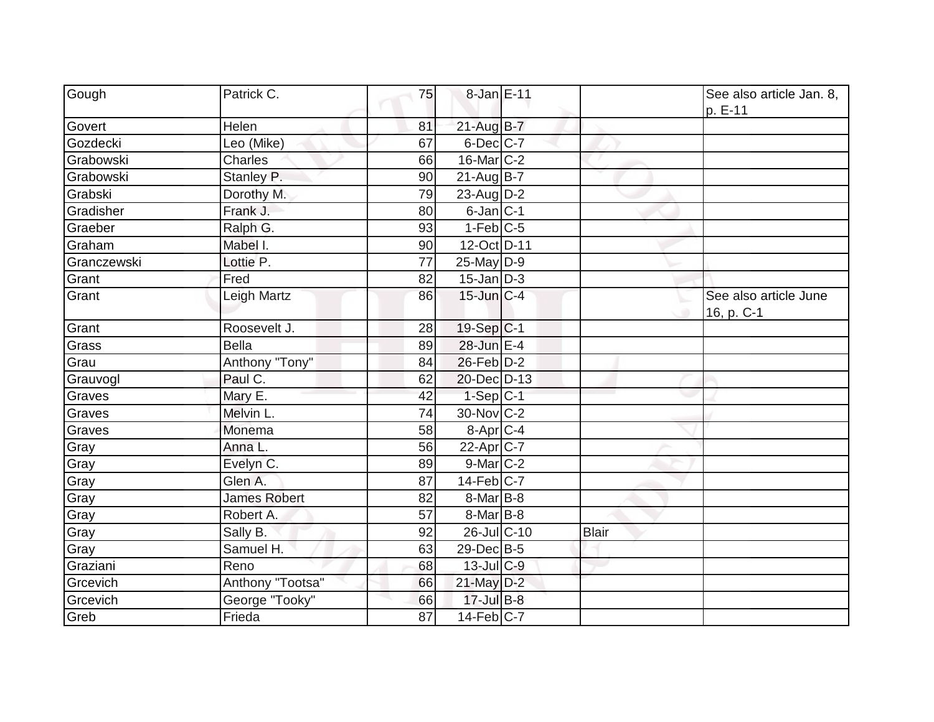| Gough       | Patrick C.          | 75              | 8-Jan E-11             |              | See also article Jan. 8,<br>p. E-11 |
|-------------|---------------------|-----------------|------------------------|--------------|-------------------------------------|
| Govert      | Helen               | 81              | $21-AugB-7$            |              |                                     |
| Gozdecki    | Leo (Mike)          | 67              | $6$ -Dec $C$ -7        |              |                                     |
| Grabowski   | Charles             | 66              | 16-Mar C-2             |              |                                     |
| Grabowski   | Stanley P.          | 90              | $21-Aug\overline{B-7}$ |              |                                     |
| Grabski     | Dorothy M.          | 79              | $23$ -Aug $D-2$        |              |                                     |
| Gradisher   | Frank J.            | 80              | $6$ -Jan $ C-1 $       |              |                                     |
| Graeber     | Ralph G.            | 93              | $1-Feb$ C-5            |              |                                     |
| Graham      | Mabel I.            | 90              | 12-Oct D-11            |              |                                     |
| Granczewski | Lottie P.           | $\overline{77}$ | 25-May D-9             |              |                                     |
| Grant       | Fred                | 82              | $15$ -Jan $D-3$        |              |                                     |
| Grant       | Leigh Martz         | 86              | $15$ -Jun $ C-4 $      |              | See also article June<br>16, p. C-1 |
| Grant       | Roosevelt J.        | 28              | 19-Sep C-1             |              |                                     |
| Grass       | <b>Bella</b>        | 89              | 28-Jun E-4             |              |                                     |
| Grau        | Anthony "Tony"      | 84              | $26$ -Feb $D-2$        |              |                                     |
| Grauvogl    | Paul C.             | 62              | 20-Dec D-13            |              |                                     |
| Graves      | Mary E.             | 42              | $1-Sep C-1$            |              |                                     |
| Graves      | Melvin L.           | 74              | 30-Nov C-2             |              |                                     |
| Graves      | Monema              | 58              | $8-Apr$ $C-4$          |              |                                     |
| Gray        | Anna L.             | 56              | $22$ -Apr $C$ -7       |              |                                     |
| Gray        | Evelyn C.           | 89              | 9-Mar C-2              |              |                                     |
| Gray        | Glen A.             | 87              | $14$ -Feb $ C-7 $      |              |                                     |
| Gray        | <b>James Robert</b> | 82              | $8$ -Mar $ B-8 $       |              |                                     |
| Gray        | Robert A.           | 57              | 8-Mar B-8              |              |                                     |
| Gray        | Sally B.            | 92              | 26-Jul C-10            | <b>Blair</b> |                                     |
| Gray        | Samuel H.           | 63              | $29$ -Dec $B$ -5       |              |                                     |
| Graziani    | Reno                | 68              | $13$ -JulC-9           |              |                                     |
| Grcevich    | Anthony "Tootsa"    | 66              | 21-May D-2             |              |                                     |
| Grcevich    | George "Tooky"      | 66              | $17 -$ Jul $B - 8$     |              |                                     |
| Greb        | Frieda              | 87              | $14$ -Feb $ C-7$       |              |                                     |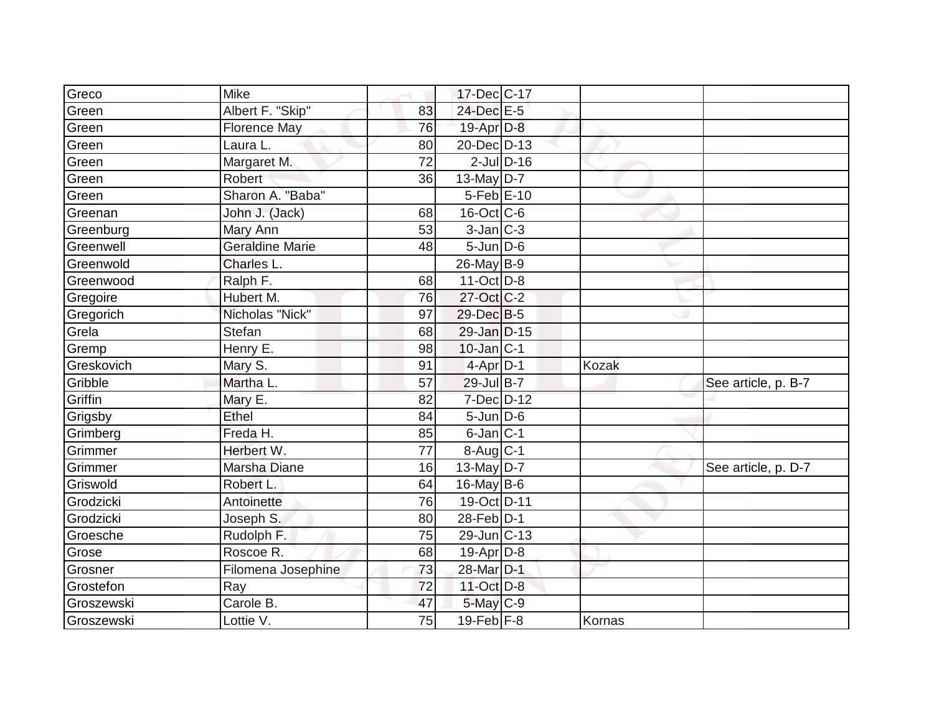| Greco      | <b>Mike</b>            |                 | 17-Dec C-17       |                 |              |                     |
|------------|------------------------|-----------------|-------------------|-----------------|--------------|---------------------|
| Green      | Albert F. "Skip"       | 83              | 24-Dec E-5        |                 |              |                     |
| Green      | Florence May           | 76              | $19$ -Apr $D-8$   |                 |              |                     |
| Green      | Laura L.               | 80              | 20-Dec D-13       |                 |              |                     |
| Green      | Margaret M.            | $\overline{72}$ |                   | $2$ -Jul $D-16$ |              |                     |
| Green      | <b>Robert</b>          | 36              | $13$ -May $D-7$   |                 |              |                     |
| Green      | Sharon A. "Baba"       |                 | 5-Feb E-10        |                 |              |                     |
| Greenan    | John J. (Jack)         | 68              | $16$ -Oct $ C$ -6 |                 |              |                     |
| Greenburg  | Mary Ann               | 53              | $3$ -Jan $ C-3 $  |                 |              |                     |
| Greenwell  | <b>Geraldine Marie</b> | 48              | $5$ -Jun $D$ -6   |                 |              |                     |
| Greenwold  | Charles L.             |                 | $26$ -May B-9     |                 |              |                     |
| Greenwood  | Ralph F.               | 68              | $11-Oct$ D-8      |                 |              |                     |
| Gregoire   | Hubert M.              | 76              | 27-Oct C-2        |                 |              |                     |
| Gregorich  | Nicholas "Nick"        | 97              | 29-Dec B-5        |                 |              |                     |
| Grela      | <b>Stefan</b>          | 68              | 29-Jan D-15       |                 |              |                     |
| Gremp      | Henry E.               | 98              | $10$ -Jan $ C-1 $ |                 |              |                     |
| Greskovich | Mary S.                | 91              | $4-Apr$ D-1       |                 | <b>Kozak</b> |                     |
| Gribble    | Martha L.              | 57              | 29-Jul B-7        |                 |              | See article, p. B-7 |
| Griffin    | Mary E.                | 82              | 7-Dec D-12        |                 |              |                     |
| Grigsby    | Ethel                  | 84              | $5$ -Jun $D$ -6   |                 |              |                     |
| Grimberg   | Freda H.               | 85              | $6$ -Jan $ C-1$   |                 |              |                     |
| Grimmer    | Herbert W.             | 77              | $8-Aug C-1$       |                 |              |                     |
| Grimmer    | Marsha Diane           | 16              | $13$ -May $D-7$   |                 |              | See article, p. D-7 |
| Griswold   | Robert L.              | 64              | $16$ -May B-6     |                 |              |                     |
| Grodzicki  | Antoinette             | 76              | 19-Oct D-11       |                 |              |                     |
| Grodzicki  | Joseph S.              | 80              | 28-Feb D-1        |                 |              |                     |
| Groesche   | Rudolph F.             | 75              | $29$ -Jun $ C-13$ |                 |              |                     |
| Grose      | Roscoe R.              | 68              | $19$ -Apr $ D-8$  |                 |              |                     |
| Grosner    | Filomena Josephine     | 73              | 28-Mar D-1        |                 |              |                     |
| Grostefon  | Ray                    | 72              | 11-Oct D-8        |                 |              |                     |
| Groszewski | Carole B.              | 47              | $5$ -May $C$ -9   |                 |              |                     |
| Groszewski | Lottie V.              | 75              | $19$ -Feb $F-8$   |                 | Kornas       |                     |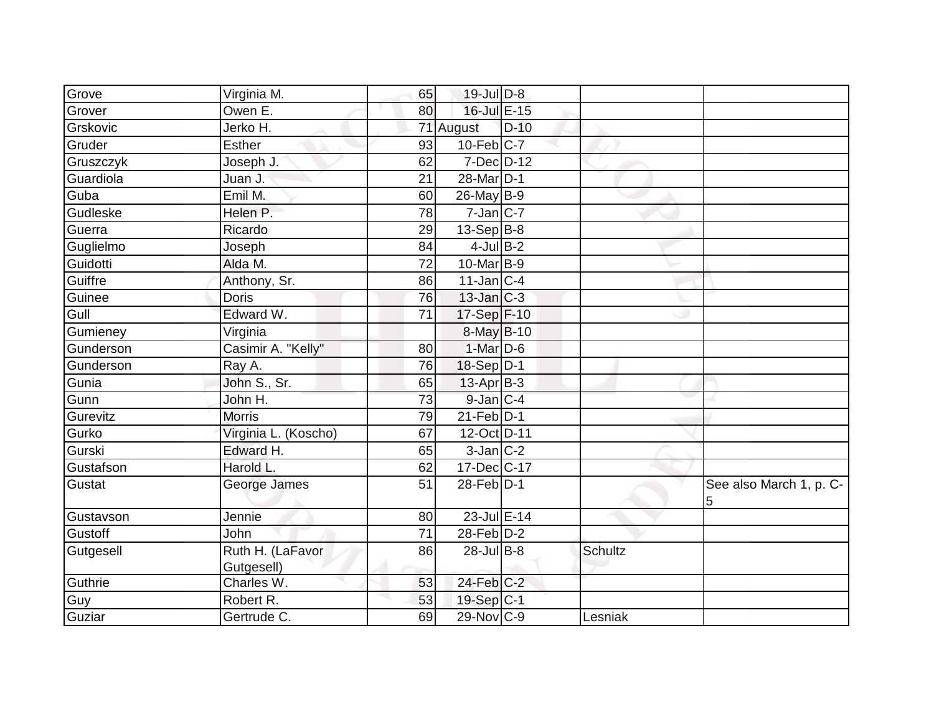| Grove     | Virginia M.                    | 65 | $19$ -Jul $D-8$   |        |         |                              |
|-----------|--------------------------------|----|-------------------|--------|---------|------------------------------|
| Grover    | Owen E.                        | 80 | 16-Jul E-15       |        |         |                              |
| Grskovic  | Jerko H.                       |    | 71 August         | $D-10$ |         |                              |
| Gruder    | <b>Esther</b>                  | 93 | $10$ -Feb $C$ -7  |        |         |                              |
| Gruszczyk | Joseph J.                      | 62 | 7-Dec D-12        |        |         |                              |
| Guardiola | Juan J.                        | 21 | 28-Mar D-1        |        |         |                              |
| Guba      | Emil M.                        | 60 | 26-May B-9        |        |         |                              |
| Gudleske  | Helen P.                       | 78 | $7$ -Jan C-7      |        |         |                              |
| Guerra    | Ricardo                        | 29 | $13-Sep B-8$      |        |         |                              |
| Guglielmo | Joseph                         | 84 | $4$ -Jul B-2      |        |         |                              |
| Guidotti  | Alda M.                        | 72 | $10$ -Mar $ B-9 $ |        |         |                              |
| Guiffre   | Anthony, Sr.                   | 86 | $11$ -Jan C-4     |        |         |                              |
| Guinee    | <b>Doris</b>                   | 76 | $13$ -Jan $C-3$   |        |         |                              |
| Gull      | Edward W.                      | 71 | 17-Sep F-10       |        |         |                              |
| Gumieney  | Virginia                       |    | $8$ -May $B$ -10  |        |         |                              |
| Gunderson | Casimir A. "Kelly"             | 80 | $1$ -Mar $D-6$    |        |         |                              |
| Gunderson | Ray A.                         | 76 | 18-Sep D-1        |        |         |                              |
| Gunia     | John S., Sr.                   | 65 | $13$ -Apr $ B-3 $ |        |         |                              |
| Gunn      | John H.                        | 73 | $9$ -Jan $ C-4 $  |        |         |                              |
| Gurevitz  | <b>Morris</b>                  | 79 | $21$ -Feb $D-1$   |        |         |                              |
| Gurko     | Virginia L. (Koscho)           | 67 | 12-Oct D-11       |        |         |                              |
| Gurski    | Edward H.                      | 65 | $3$ -Jan $C-2$    |        |         |                              |
| Gustafson | Harold L.                      | 62 | 17-Dec C-17       |        |         |                              |
| Gustat    | George James                   | 51 | $28$ -Feb $ D-1 $ |        |         | See also March 1, p. C-<br>5 |
| Gustavson | Jennie                         | 80 | 23-Jul E-14       |        |         |                              |
| Gustoff   | John                           | 71 | $28$ -Feb $D-2$   |        |         |                              |
| Gutgesell | Ruth H. (LaFavor<br>Gutgesell) | 86 | $28$ -Jul B-8     |        | Schultz |                              |
| Guthrie   | Charles W.                     | 53 | 24-Feb C-2        |        |         |                              |
| Guy       | Robert R.                      | 53 | 19-Sep C-1        |        |         |                              |
| Guziar    | Gertrude C.                    | 69 | 29-Nov C-9        |        | Lesniak |                              |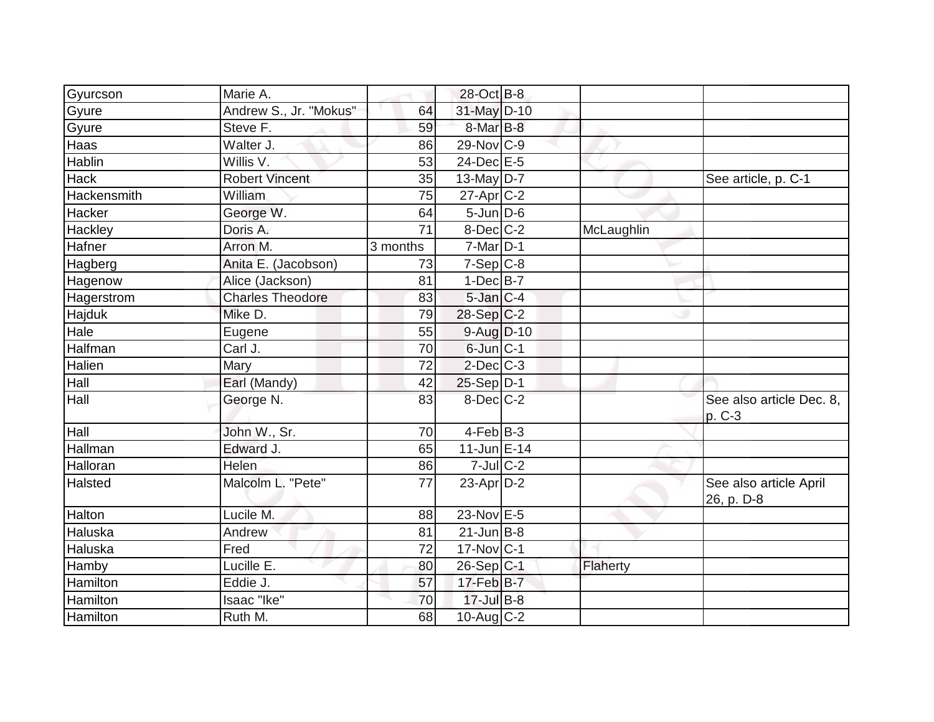| Gyurcson      | Marie A.                |          | 28-Oct B-8        |            |                                      |
|---------------|-------------------------|----------|-------------------|------------|--------------------------------------|
| Gyure         | Andrew S., Jr. "Mokus"  | 64       | 31-May D-10       |            |                                      |
| Gyure         | Steve F.                | 59       | $8$ -Mar $B$ -8   |            |                                      |
| Haas          | Walter J.               | 86       | 29-Nov C-9        |            |                                      |
| <b>Hablin</b> | Willis V.               | 53       | $24$ -Dec $E-5$   |            |                                      |
| <b>Hack</b>   | <b>Robert Vincent</b>   | 35       | 13-May $D-7$      |            | See article, p. C-1                  |
| Hackensmith   | William                 | 75       | $27$ -Apr $ C-2 $ |            |                                      |
| Hacker        | George W.               | 64       | $5 - Jun$ $D-6$   |            |                                      |
| Hackley       | Doris A.                | 71       | $8$ -Dec $C$ -2   | McLaughlin |                                      |
| Hafner        | Arron M.                | 3 months | $7$ -Mar $D-1$    |            |                                      |
| Hagberg       | Anita E. (Jacobson)     | 73       | $7-Sep C-8$       |            |                                      |
| Hagenow       | Alice (Jackson)         | 81       | $1-Dec$ B-7       |            |                                      |
| Hagerstrom    | <b>Charles Theodore</b> | 83       | $5$ -Jan $C-4$    |            |                                      |
| Hajduk        | Mike D.                 | 79       | $28-Sep C-2$      |            |                                      |
| Hale          | Eugene                  | 55       | $9$ -Aug $D$ -10  |            |                                      |
| Halfman       | $\overline{C}$ arl J.   | 70       | $6$ -Jun $ C-1 $  |            |                                      |
| Halien        | Mary                    | 72       | $2$ -Dec $C-3$    |            |                                      |
| Hall          | Earl (Mandy)            | 42       | $25-Sep D-1$      |            |                                      |
| Hall          | George N.               | 83       | $8$ -Dec $C$ -2   |            | See also article Dec. 8,<br>p. C-3   |
| Hall          | John W., Sr.            | 70       | $4-Feb$ B-3       |            |                                      |
| Hallman       | Edward J.               | 65       | $11$ -Jun $E-14$  |            |                                      |
| Halloran      | Helen                   | 86       | $7$ -Jul $C-2$    |            |                                      |
| Halsted       | Malcolm L. "Pete"       | 77       | $23$ -Apr $D-2$   |            | See also article April<br>26, p. D-8 |
| Halton        | Lucile M.               | 88       | 23-Nov E-5        |            |                                      |
| Haluska       | Andrew                  | 81       | $21$ -Jun $B$ -8  |            |                                      |
| Haluska       | Fred                    | 72       | $17$ -Nov $ C-1$  |            |                                      |
| Hamby         | Lucille E.              | 80       | $26-Sep C-1$      | Flaherty   |                                      |
| Hamilton      | Eddie J.                | 57       | $17$ -Feb $B$ -7  |            |                                      |
| Hamilton      | Isaac "Ike"             | 70       | $17 -$ Jul B-8    |            |                                      |
| Hamilton      | Ruth M.                 | 68       | $10$ -Aug $C-2$   |            |                                      |
|               |                         |          |                   |            |                                      |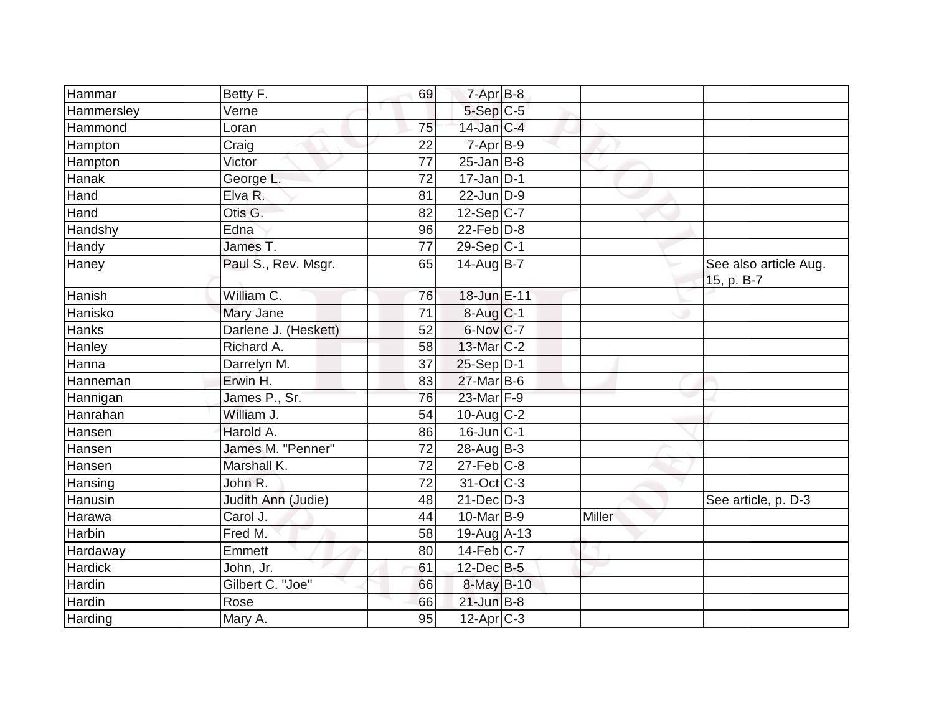| Hammar     | Betty F.             | 69              | $7 - Apr$ B-8    |        |                                     |
|------------|----------------------|-----------------|------------------|--------|-------------------------------------|
| Hammersley | Verne                |                 | $5-Sep$ $C-5$    |        |                                     |
| Hammond    | Loran                | 75              | 14-Jan C-4       |        |                                     |
| Hampton    | Craig                | 22              | $7-Apr$ B-9      |        |                                     |
| Hampton    | Victor               | $\overline{77}$ | $25$ -Jan B-8    |        |                                     |
| Hanak      | George L.            | 72              | $17$ -Jan D-1    |        |                                     |
| Hand       | Elva R.              | 81              | $22$ -Jun $D-9$  |        |                                     |
| Hand       | Otis G.              | 82              | $12-Sep C-7$     |        |                                     |
| Handshy    | Edna                 | 96              | $22$ -Feb $D-8$  |        |                                     |
| Handy      | James T.             | 77              | $29-Sep C-1$     |        |                                     |
| Haney      | Paul S., Rev. Msgr.  | 65              | $14$ -Aug B-7    |        | See also article Aug.<br>15, p. B-7 |
| Hanish     | William C.           | 76              | 18-Jun E-11      |        |                                     |
| Hanisko    | Mary Jane            | 71              | $8-Auq$ $C-1$    |        |                                     |
| Hanks      | Darlene J. (Heskett) | 52              | 6-Nov C-7        |        |                                     |
| Hanley     | Richard A.           | 58              | 13-Mar C-2       |        |                                     |
| Hanna      | Darrelyn M.          | 37              | $25-Sep D-1$     |        |                                     |
| Hanneman   | Erwin H.             | 83              | $27$ -Mar $B$ -6 |        |                                     |
| Hannigan   | James P., Sr.        | 76              | 23-Mar F-9       |        |                                     |
| Hanrahan   | William J.           | 54              | 10-Aug C-2       |        |                                     |
| Hansen     | Harold A.            | 86              | $16$ -Jun $ C-1$ |        |                                     |
| Hansen     | James M. "Penner"    | 72              | $28$ -Aug $B-3$  |        |                                     |
| Hansen     | Marshall K.          | 72              | $27$ -Feb $ C-8$ |        |                                     |
| Hansing    | John R.              | 72              | 31-Oct C-3       |        |                                     |
| Hanusin    | Judith Ann (Judie)   | 48              | $21 - Dec$ $D-3$ |        | See article, p. D-3                 |
| Harawa     | Carol J.             | 44              | 10-Mar B-9       | Miller |                                     |
| Harbin     | Fred M.              | 58              | $19-Auq$ A-13    |        |                                     |
| Hardaway   | Emmett               | 80              | $14$ -Feb $ C-7$ |        |                                     |
| Hardick    | John, Jr.            | 61              | 12-Dec B-5       |        |                                     |
| Hardin     | Gilbert C. "Joe"     | 66              | 8-May B-10       |        |                                     |
| Hardin     | Rose                 | 66              | $21$ -Jun $B-8$  |        |                                     |
| Harding    | Mary A.              | 95              | $12-Apr$ C-3     |        |                                     |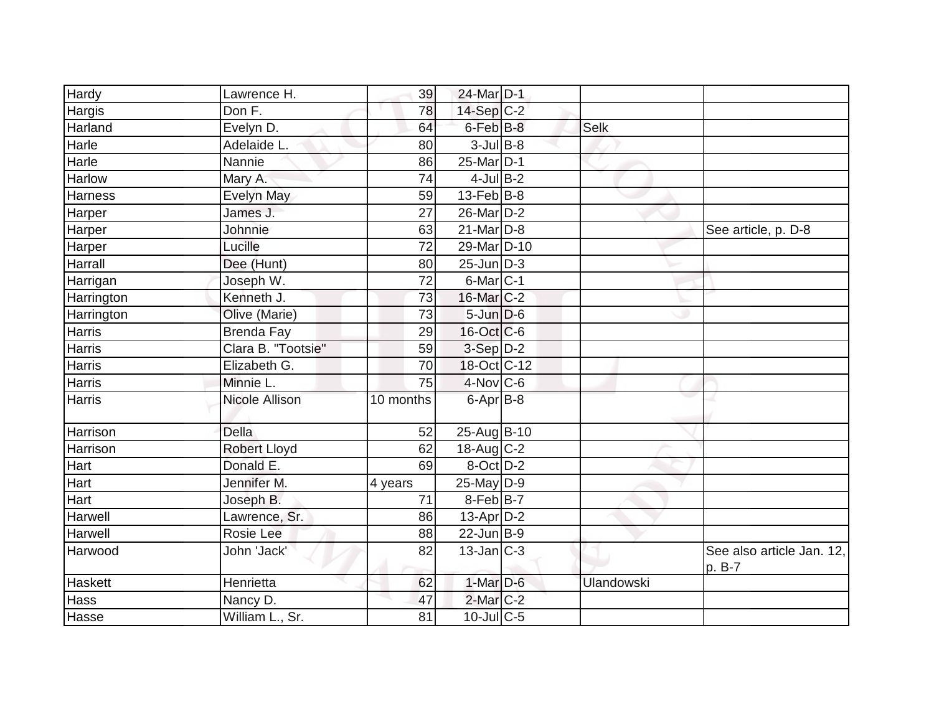| Hardy         | Lawrence H.         | 39        | 24-Mar D-1                    |                   |                                     |
|---------------|---------------------|-----------|-------------------------------|-------------------|-------------------------------------|
| Hargis        | Don F.              | 78        | $14-Sep$ C-2                  |                   |                                     |
| Harland       | Evelyn D.           | 64        | $6$ -Feb $B$ -8               | Selk              |                                     |
| Harle         | Adelaide L.         | 80        | $3$ -Jul B-8                  |                   |                                     |
| Harle         | Nannie              | 86        | 25-Mar D-1                    |                   |                                     |
| Harlow        | Mary A.             | 74        | $4$ -Jul B-2                  |                   |                                     |
| Harness       | <b>Evelyn May</b>   | 59        | $13$ -Feb $ B-8$              |                   |                                     |
| Harper        | James J.            | 27        | 26-Mar D-2                    |                   |                                     |
| Harper        | Johnnie             | 63        | $21$ -Mar $ D-8$              |                   | See article, p. D-8                 |
| Harper        | Lucille             | 72        | $29$ -Mar D-10                |                   |                                     |
| Harrall       | Dee (Hunt)          | 80        | $25$ -Jun $\overline{D}$ -3   |                   |                                     |
| Harrigan      | Joseph W.           | 72        | $6$ -Mar $ C-1 $              |                   |                                     |
| Harrington    | Kenneth J.          | 73        | $16$ -Mar $C-2$               |                   |                                     |
| Harrington    | Olive (Marie)       | 73        | $5 - Jun$ $D-6$               |                   |                                     |
| Harris        | <b>Brenda Fay</b>   | 29        | $16$ -Oct $C$ -6              |                   |                                     |
| Harris        | Clara B. "Tootsie"  | 59        | 3-Sep D-2                     |                   |                                     |
| Harris        | Elizabeth G.        | 70        | 18-Oct C-12                   |                   |                                     |
| Harris        | Minnie L.           | 75        | $4$ -Nov $ C$ -6              |                   |                                     |
| <b>Harris</b> | Nicole Allison      | 10 months | $6 - Apr$ B-8                 |                   |                                     |
| Harrison      | <b>Della</b>        | 52        | 25-Aug B-10                   |                   |                                     |
| Harrison      | <b>Robert Lloyd</b> | 62        | 18-Aug $C-2$                  |                   |                                     |
| Hart          | Donald E.           | 69        | $\overline{8\text{-}$ Oct D-2 |                   |                                     |
| Hart          | Jennifer M.         | 4 years   | $25$ -May D-9                 |                   |                                     |
| Hart          | Joseph B.           | 71        | $8$ -Feb $ B-7 $              |                   |                                     |
| Harwell       | Lawrence, Sr.       | 86        | $13$ -Apr $D-2$               |                   |                                     |
| Harwell       | Rosie Lee           | 88        | $22$ -Jun $B-9$               |                   |                                     |
| Harwood       | John 'Jack'         | 82        | $13$ -Jan $ C-3 $             |                   | See also article Jan. 12,<br>p. B-7 |
| Haskett       | Henrietta           | 62        | $1-Mar$ D-6                   | <b>Ulandowski</b> |                                     |
| Hass          | Nancy D.            | 47        | $2$ -Mar $C-2$                |                   |                                     |
| Hasse         | William L., Sr.     | 81        | $10$ -JulC-5                  |                   |                                     |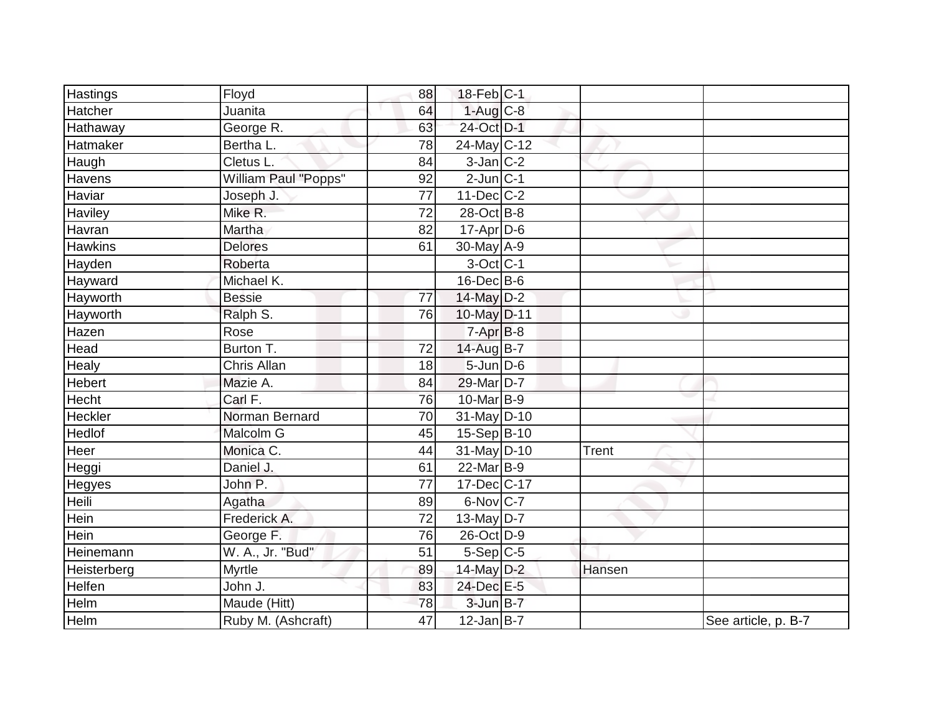| <b>Hastings</b> | Floyd                | 88 | 18-Feb C-1               |        |                     |
|-----------------|----------------------|----|--------------------------|--------|---------------------|
| Hatcher         | Juanita              | 64 | $1-Aug$ $C-8$            |        |                     |
| Hathaway        | George R.            | 63 | 24-Oct D-1               |        |                     |
| Hatmaker        | Bertha L.            | 78 | $24$ -May C-12           |        |                     |
| Haugh           | Cletus L.            | 84 | $3$ -Jan $C-2$           |        |                     |
| Havens          | William Paul "Popps" | 92 | $2$ -Jun $ C-1 $         |        |                     |
| Haviar          | Joseph J.            | 77 | $11$ -Dec $ C-2 $        |        |                     |
| Haviley         | Mike R.              | 72 | 28-Oct B-8               |        |                     |
| Havran          | Martha               | 82 | 17-Apr D-6               |        |                     |
| <b>Hawkins</b>  | <b>Delores</b>       | 61 | $30$ -May $A-9$          |        |                     |
| Hayden          | Roberta              |    | $3-Oct$ <sub>C-1</sub>   |        |                     |
| Hayward         | Michael K.           |    | $16$ -Dec $B$ -6         |        |                     |
| Hayworth        | <b>Bessie</b>        | 77 | 14-May D-2               |        |                     |
| Hayworth        | Ralph S.             | 76 | 10-May D-11              |        |                     |
| Hazen           | Rose                 |    | $7-Apr$ $B-8$            |        |                     |
| Head            | Burton T.            | 72 | 14-Aug B-7               |        |                     |
| Healy           | Chris Allan          | 18 | $5 - Jun$ $D-6$          |        |                     |
| Hebert          | Mazie A.             | 84 | 29-Mar D-7               |        |                     |
| Hecht           | Carl F.              | 76 | 10-Mar B-9               |        |                     |
| Heckler         | Norman Bernard       | 70 | 31-May D-10              |        |                     |
| Hedlof          | Malcolm G            | 45 | $15-Sep B-10$            |        |                     |
| Heer            | Monica C.            | 44 | $31$ -May D-10           | Trent  |                     |
| Heggi           | Daniel J.            | 61 | $\overline{22}$ -Mar B-9 |        |                     |
| Hegyes          | John P.              | 77 | 17-Dec C-17              |        |                     |
| Heili           | Agatha               | 89 | $6$ -Nov $ C-7 $         |        |                     |
| Hein            | Frederick A.         | 72 | 13-May $D-7$             |        |                     |
| Hein            | George F.            | 76 | 26-Oct D-9               |        |                     |
| Heinemann       | W. A., Jr. "Bud"     | 51 | $5-Sep C-5$              |        |                     |
| Heisterberg     | <b>Myrtle</b>        | 89 | 14-May D-2               | Hansen |                     |
| Helfen          | John J.              | 83 | 24-Dec E-5               |        |                     |
| Helm            | Maude (Hitt)         | 78 | $3$ -Jun $B-7$           |        |                     |
| Helm            | Ruby M. (Ashcraft)   | 47 | $12$ -Jan B-7            |        | See article, p. B-7 |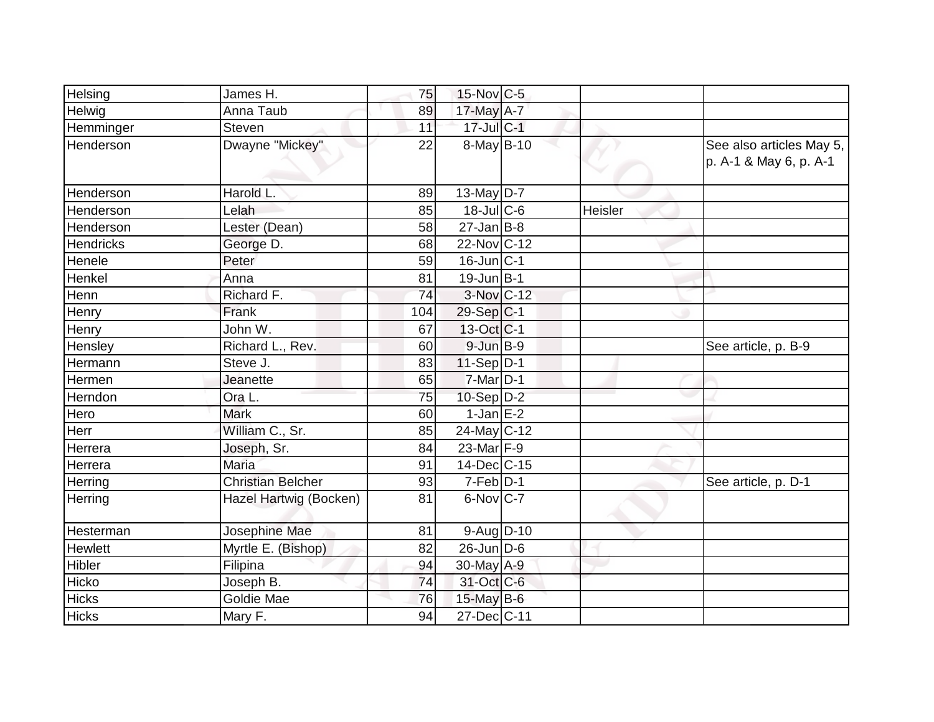| Helsing          | James H.                 | 75  | 15-Nov C-5              |         |                                                    |
|------------------|--------------------------|-----|-------------------------|---------|----------------------------------------------------|
| Helwig           | Anna Taub                | 89  | 17-May A-7              |         |                                                    |
| Hemminger        | Steven                   | 11  | 17-Jul C-1              |         |                                                    |
| Henderson        | Dwayne "Mickey"          | 22  | 8-May B-10              |         | See also articles May 5,<br>p. A-1 & May 6, p. A-1 |
| <b>Henderson</b> | Harold L.                | 89  | 13-May $D-7$            |         |                                                    |
| <b>Henderson</b> | Lelah                    | 85  | 18-Jul C-6              | Heisler |                                                    |
| Henderson        | Lester (Dean)            | 58  | $27$ -Jan B-8           |         |                                                    |
| <b>Hendricks</b> | George D.                | 68  | 22-Nov C-12             |         |                                                    |
| Henele           | Peter                    | 59  | $16$ -Jun $ C-1 $       |         |                                                    |
| Henkel           | Anna                     | 81  | $19$ -Jun $ B-1 $       |         |                                                    |
| Henn             | Richard F.               | 74  | 3-Nov C-12              |         |                                                    |
| Henry            | Frank                    | 104 | $29-Sep C-1$            |         |                                                    |
| Henry            | John W.                  | 67  | $13-Oct$ <sub>C-1</sub> |         |                                                    |
| Hensley          | Richard L., Rev.         | 60  | $9$ -Jun $B-9$          |         | See article, p. B-9                                |
| Hermann          | Steve J.                 | 83  | $11-Sep D-1$            |         |                                                    |
| Hermen           | Jeanette                 | 65  | $7$ -Mar $D-1$          |         |                                                    |
| Herndon          | Ora L.                   | 75  | $10-Sep D-2$            |         |                                                    |
| Hero             | <b>Mark</b>              | 60  | $1-Jan$ $E-2$           |         |                                                    |
| Herr             | William C., Sr.          | 85  | $24$ -May C-12          |         |                                                    |
| Herrera          | Joseph, Sr.              | 84  | $23$ -Mar $F-9$         |         |                                                    |
| Herrera          | <b>Maria</b>             | 91  | $14$ -Dec $ C-15$       |         |                                                    |
| Herring          | <b>Christian Belcher</b> | 93  | $7-Feb$ D-1             |         | See article, p. D-1                                |
| Herring          | Hazel Hartwig (Bocken)   | 81  | $6$ -Nov $ C-7 $        |         |                                                    |
| Hesterman        | Josephine Mae            | 81  | $9-Aug$ D-10            |         |                                                    |
| <b>Hewlett</b>   | Myrtle E. (Bishop)       | 82  | $26$ -Jun $ D-6 $       |         |                                                    |
| Hibler           | Filipina                 | 94  | 30-May A-9              |         |                                                    |
| Hicko            | Joseph B.                | 74  | 31-Oct C-6              |         |                                                    |
| <b>Hicks</b>     | Goldie Mae               | 76  | $15$ -May B-6           |         |                                                    |
| <b>Hicks</b>     | Mary F.                  | 94  | 27-Dec C-11             |         |                                                    |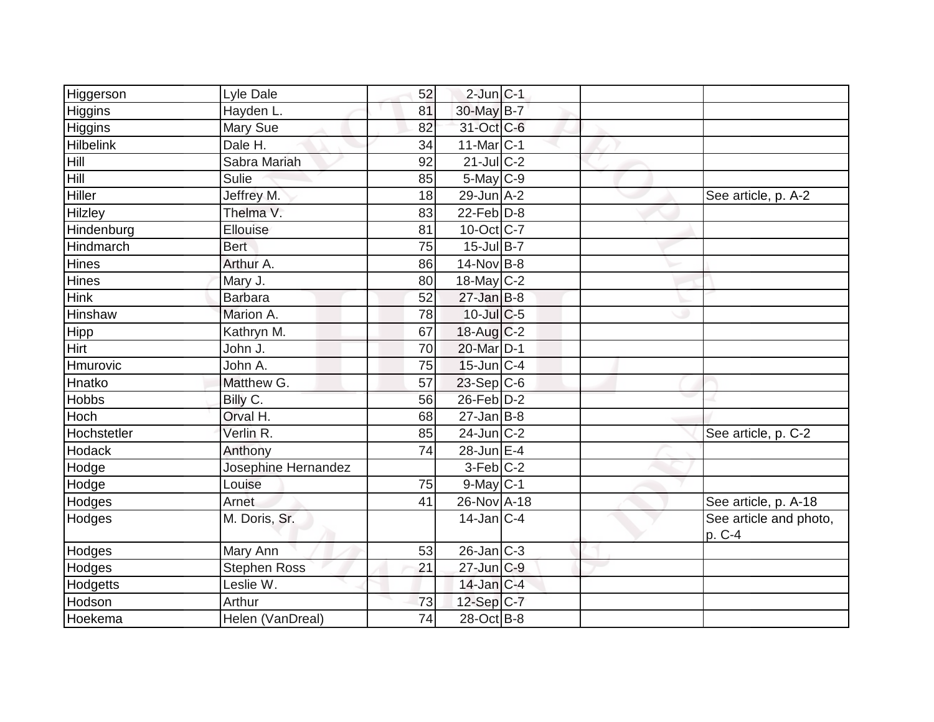| Higgerson        | Lyle Dale           | 52 | $2$ -Jun $ C-1 $  |  |                                  |
|------------------|---------------------|----|-------------------|--|----------------------------------|
| <b>Higgins</b>   | Hayden L.           | 81 | 30-May B-7        |  |                                  |
| Higgins          | Mary Sue            | 82 | 31-Oct C-6        |  |                                  |
| <b>Hilbelink</b> | Dale H.             | 34 | $11$ -Mar $ C-1$  |  |                                  |
| Hill             | Sabra Mariah        | 92 | $21$ -Jul C-2     |  |                                  |
| Hill             | Sulie               | 85 | $5$ -May $C$ -9   |  |                                  |
| Hiller           | Jeffrey M.          | 18 | $29$ -Jun $A-2$   |  | See article, p. A-2              |
| Hilzley          | Thelma V.           | 83 | $22$ -Feb $D-8$   |  |                                  |
| Hindenburg       | Ellouise            | 81 | $10$ -Oct $C-7$   |  |                                  |
| <b>Hindmarch</b> | <b>Bert</b>         | 75 | 15-Jul B-7        |  |                                  |
| Hines            | Arthur A.           | 86 | $14$ -Nov B-8     |  |                                  |
| Hines            | Mary J.             | 80 | 18-May C-2        |  |                                  |
| <b>Hink</b>      | <b>Barbara</b>      | 52 | $27$ -Jan B-8     |  |                                  |
| Hinshaw          | Marion A.           | 78 | $10$ -Jul $C$ -5  |  |                                  |
| Hipp             | Kathryn M.          | 67 | $18$ -Aug C-2     |  |                                  |
| <b>Hirt</b>      | John J.             | 70 | 20-Mar D-1        |  |                                  |
| Hmurovic         | John A.             | 75 | $15$ -Jun $ C-4$  |  |                                  |
| Hnatko           | Matthew G.          | 57 | $23-Sep C-6$      |  |                                  |
| Hobbs            | Billy C.            | 56 | 26-Feb D-2        |  |                                  |
| Hoch             | Orval H.            | 68 | $27$ -Jan B-8     |  |                                  |
| Hochstetler      | Verlin R.           | 85 | $24$ -Jun $ C-2$  |  | See article, p. C-2              |
| Hodack           | Anthony             | 74 | $28$ -Jun E-4     |  |                                  |
| Hodge            | Josephine Hernandez |    | $3-Feb$ C-2       |  |                                  |
| Hodge            | Louise              | 75 | $9$ -May $C-1$    |  |                                  |
| Hodges           | Arnet               | 41 | 26-Nov A-18       |  | See article, p. A-18             |
| Hodges           | M. Doris, Sr.       |    | $14$ -Jan $ C-4 $ |  | See article and photo,<br>p. C-4 |
| Hodges           | Mary Ann            | 53 | $26$ -Jan $ C-3 $ |  |                                  |
| Hodges           | <b>Stephen Ross</b> | 21 | 27-Jun C-9        |  |                                  |
| Hodgetts         | Leslie W.           |    | $14$ -Jan $C-4$   |  |                                  |
| Hodson           | Arthur              | 73 | 12-Sep C-7        |  |                                  |
| Hoekema          | Helen (VanDreal)    | 74 | 28-Oct B-8        |  |                                  |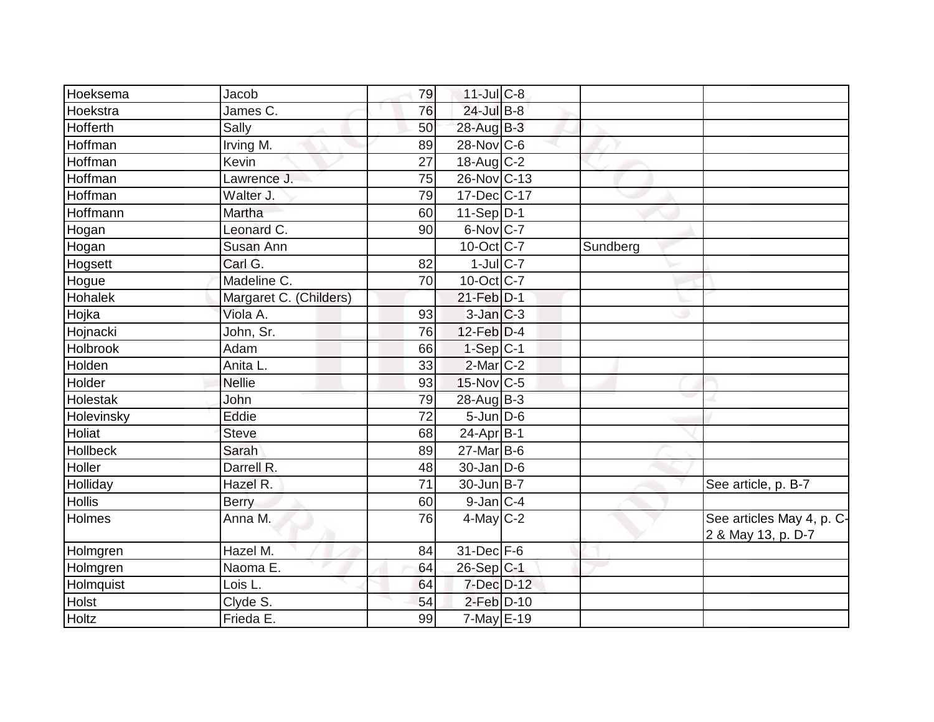| Hoeksema      | Jacob                         | 79              | $11$ -Jul $C-8$   |          |                                                 |
|---------------|-------------------------------|-----------------|-------------------|----------|-------------------------------------------------|
| Hoekstra      | James $\overline{\text{C}}$ . | 76              | 24-Jul B-8        |          |                                                 |
| Hofferth      | Sally                         | 50              | 28-Aug B-3        |          |                                                 |
| Hoffman       | Irving M.                     | 89              | $28$ -Nov $ C$ -6 |          |                                                 |
| Hoffman       | Kevin                         | $\overline{27}$ | 18-Aug C-2        |          |                                                 |
| Hoffman       | Lawrence J.                   | 75              | 26-Nov C-13       |          |                                                 |
| Hoffman       | Walter J.                     | 79              | $17 - Dec$ C-17   |          |                                                 |
| Hoffmann      | Martha                        | 60              | $11-Sep$ D-1      |          |                                                 |
| Hogan         | Leonard $\overline{C}$ .      | 90              | $6$ -Nov $ C-7 $  |          |                                                 |
| Hogan         | Susan Ann                     |                 | $10$ -Oct $ C-7 $ | Sundberg |                                                 |
| Hogsett       | Carl G.                       | 82              | $1$ -JulC-7       |          |                                                 |
| Hogue         | Madeline C.                   | 70              | $10$ -Oct $ C-7 $ |          |                                                 |
| Hohalek       | Margaret C. (Childers)        |                 | $21$ -Feb $D-1$   |          |                                                 |
| Hojka         | Viola A.                      | 93              | $3$ -Jan $ C-3 $  |          |                                                 |
| Hojnacki      | John, Sr.                     | 76              | 12-Feb D-4        |          |                                                 |
| Holbrook      | Adam                          | 66              | $1-Sep C-1$       |          |                                                 |
| Holden        | Anita L.                      | 33              | 2-Mar C-2         |          |                                                 |
| Holder        | <b>Nellie</b>                 | 93              | 15-Nov C-5        |          |                                                 |
| Holestak      | John                          | 79              | 28-Aug B-3        |          |                                                 |
| Holevinsky    | Eddie                         | $\overline{72}$ | $5$ -Jun $D$ -6   |          |                                                 |
| Holiat        | Steve                         | 68              | $24-Apr$ B-1      |          |                                                 |
| Hollbeck      | Sarah                         | 89              | $27$ -Mar $B$ -6  |          |                                                 |
| Holler        | Darrell R.                    | 48              | $30$ -Jan D-6     |          |                                                 |
| Holliday      | Hazel R.                      | 71              | $30$ -Jun $ B-7 $ |          | See article, p. B-7                             |
| <b>Hollis</b> | <b>Berry</b>                  | 60              | 9-Jan C-4         |          |                                                 |
| Holmes        | Anna M.                       | 76              | $4$ -May C-2      |          | See articles May 4, p. C-<br>2 & May 13, p. D-7 |
| Holmgren      | Hazel M.                      | 84              | $31$ -Dec $F-6$   |          |                                                 |
| Holmgren      | Naoma E.                      | 64              | $26$ -Sep C-1     |          |                                                 |
| Holmquist     | Lois L.                       | 64              | 7-Dec D-12        |          |                                                 |
| Holst         | Clyde S.                      | 54              | 2-Feb D-10        |          |                                                 |
| Holtz         | Frieda E.                     | 99              | $7$ -May $E-19$   |          |                                                 |
|               |                               |                 |                   |          |                                                 |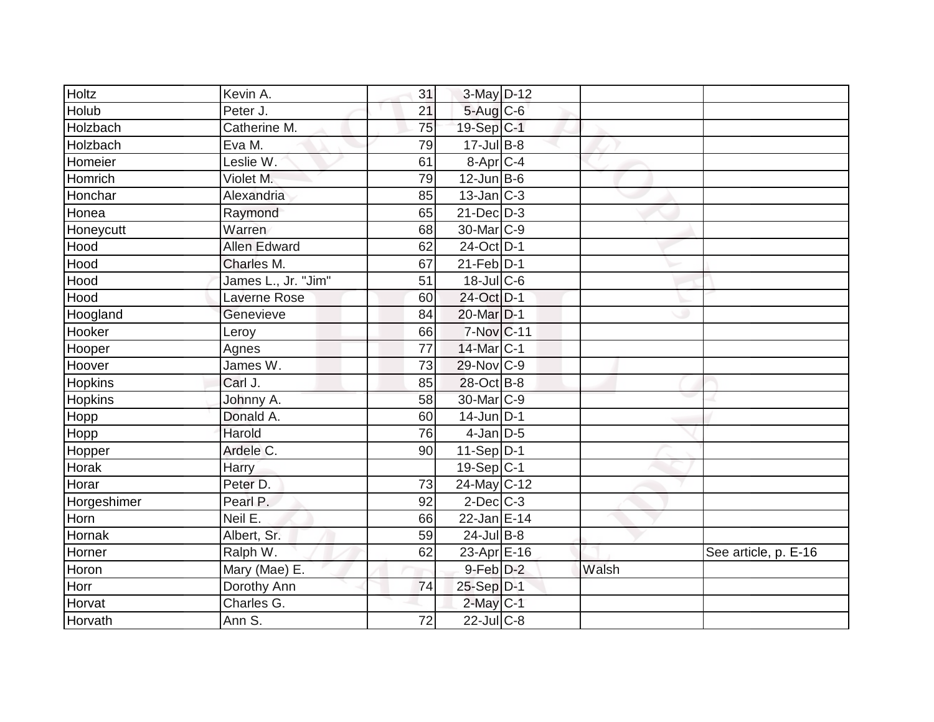| Holtz          | Kevin A.            | 31              | $3-May$ D-12      |       |                      |
|----------------|---------------------|-----------------|-------------------|-------|----------------------|
| Holub          | Peter J.            | 21              | 5-Aug C-6         |       |                      |
| Holzbach       | Catherine M.        | 75              | 19-Sep C-1        |       |                      |
| Holzbach       | Eva M.              | 79              | 17-Jul B-8        |       |                      |
| Homeier        | Leslie W.           | 61              | 8-Apr C-4         |       |                      |
| Homrich        | Violet M.           | 79              | $12$ -Jun $B$ -6  |       |                      |
| Honchar        | Alexandria          | 85              | $13$ -Jan $ C-3 $ |       |                      |
| Honea          | Raymond             | 65              | $21$ -Dec $D-3$   |       |                      |
| Honeycutt      | Warren              | 68              | 30-Mar C-9        |       |                      |
| Hood           | <b>Allen Edward</b> | 62              | 24-Oct D-1        |       |                      |
| Hood           | Charles M.          | 67              | $21$ -Feb $ D-1 $ |       |                      |
| Hood           | James L., Jr. "Jim" | 51              | $18$ -Jul C-6     |       |                      |
| Hood           | Laverne Rose        | 60              | 24-Oct D-1        |       |                      |
| Hoogland       | Genevieve           | 84              | 20-Mar D-1        |       |                      |
| Hooker         | Leroy               | 66              | 7-Nov C-11        |       |                      |
| Hooper         | Agnes               | 77              | 14-Mar C-1        |       |                      |
| Hoover         | James W.            | $\overline{73}$ | 29-Nov C-9        |       |                      |
| <b>Hopkins</b> | Carl J.             | 85              | 28-Oct B-8        |       |                      |
| <b>Hopkins</b> | Johnny A.           | 58              | 30-Mar C-9        |       |                      |
| Hopp           | Donald A.           | 60              | $14$ -Jun D-1     |       |                      |
| Hopp           | Harold              | 76              | $4$ -Jan D-5      |       |                      |
| Hopper         | Ardele C.           | 90              | $11-Sep$ D-1      |       |                      |
| Horak          | Harry               |                 | $19-Sep C-1$      |       |                      |
| Horar          | Peter D.            | 73              | $24$ -May C-12    |       |                      |
| Horgeshimer    | Pearl P.            | 92              | $2$ -Dec $C$ -3   |       |                      |
| Horn           | Neil E.             | 66              | $22$ -Jan E-14    |       |                      |
| Hornak         | Albert, Sr.         | 59              | $24$ -Jul B-8     |       |                      |
| Horner         | Ralph W.            | 62              | $23-Apr$ $E-16$   |       | See article, p. E-16 |
| Horon          | Mary (Mae) E.       |                 | $9$ -Feb $D-2$    | Walsh |                      |
| Horr           | Dorothy Ann         | 74              | 25-Sep D-1        |       |                      |
| Horvat         | Charles G.          |                 | $2$ -May $C-1$    |       |                      |
| Horvath        | Ann S.              | 72              | $22$ -Jul C-8     |       |                      |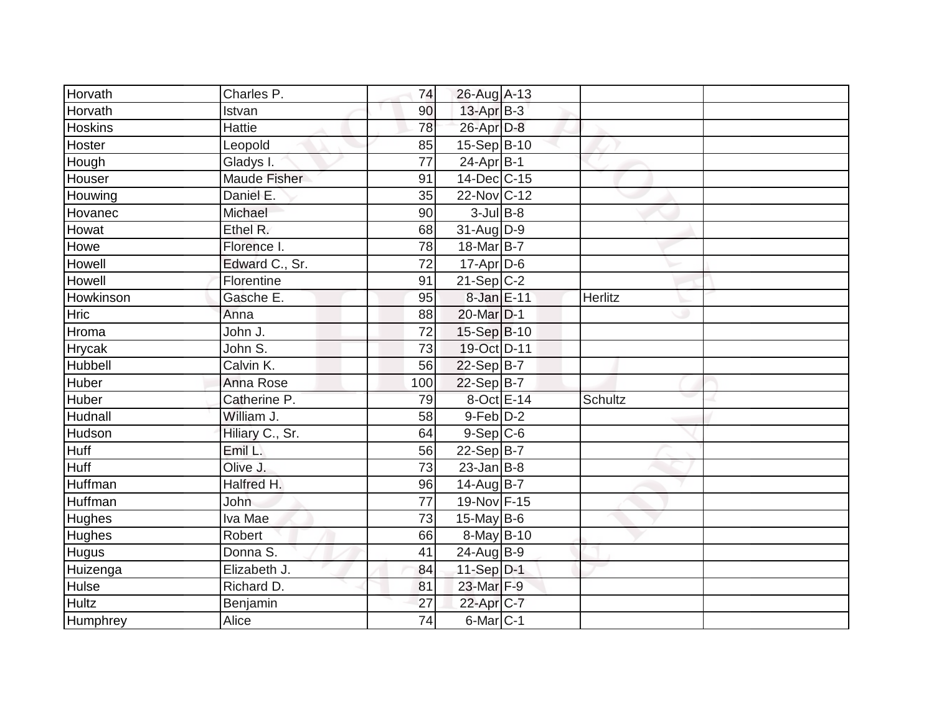| Horvath        | Charles P.          | 74              | 26-Aug A-13              |         |  |
|----------------|---------------------|-----------------|--------------------------|---------|--|
| Horvath        | Istvan              | 90              | $13$ -Apr $B-3$          |         |  |
| <b>Hoskins</b> | Hattie              | 78              | 26-Apr D-8               |         |  |
| Hoster         | Leopold             | 85              | $15-Sep$ B-10            |         |  |
| Hough          | Gladys I.           | $\overline{77}$ | $24-Apr$ B-1             |         |  |
| Houser         | <b>Maude Fisher</b> | 91              | 14-Dec C-15              |         |  |
| Houwing        | Daniel E.           | 35              | 22-Nov C-12              |         |  |
| Hovanec        | Michael             | 90              | $3$ -Jul B-8             |         |  |
| Howat          | Ethel R.            | 68              | 31-Aug D-9               |         |  |
| Howe           | Florence I.         | 78              | 18-Mar B-7               |         |  |
| Howell         | Edward C., Sr.      | 72              | $17$ -Apr $D$ -6         |         |  |
| Howell         | Florentine          | 91              | $21-Sep C-2$             |         |  |
| Howkinson      | Gasche E.           | 95              | 8-Jan E-11               | Herlitz |  |
| <b>Hric</b>    | Anna                | 88              | 20-Mar D-1               |         |  |
| Hroma          | John J.             | 72              | 15-Sep B-10              |         |  |
| Hrycak         | John S.             | 73              | 19-Oct D-11              |         |  |
| Hubbell        | Calvin K.           | 56              | 22-Sep B-7               |         |  |
| Huber          | Anna Rose           | 100             | $22-Sep B-7$             |         |  |
| Huber          | Catherine P.        | 79              | 8-Oct E-14               | Schultz |  |
| Hudnall        | William J.          | 58              | 9-Feb D-2                |         |  |
| Hudson         | Hiliary C., Sr.     | 64              | $9-Sep C-6$              |         |  |
| Huff           | Emil L.             | 56              | $22-SepB-7$              |         |  |
| <b>Huff</b>    | Olive J.            | 73              | $23$ -Jan B-8            |         |  |
| Huffman        | Halfred H.          | 96              | $14$ -Aug B-7            |         |  |
| Huffman        | <b>John</b>         | 77              | 19-Nov F-15              |         |  |
| Hughes         | Iva Mae             | 73              | $15$ -May B-6            |         |  |
| Hughes         | Robert              | 66              | $\overline{8}$ -May B-10 |         |  |
| Hugus          | Donna S.            | 41              | 24-Aug B-9               |         |  |
| Huizenga       | Elizabeth J.        | 84              | $11-Sep D-1$             |         |  |
| Hulse          | Richard D.          | 81              | 23-Mar F-9               |         |  |
| <b>Hultz</b>   | Benjamin            | 27              | 22-Apr C-7               |         |  |
| Humphrey       | Alice               | 74              | $6$ -Mar $C-1$           |         |  |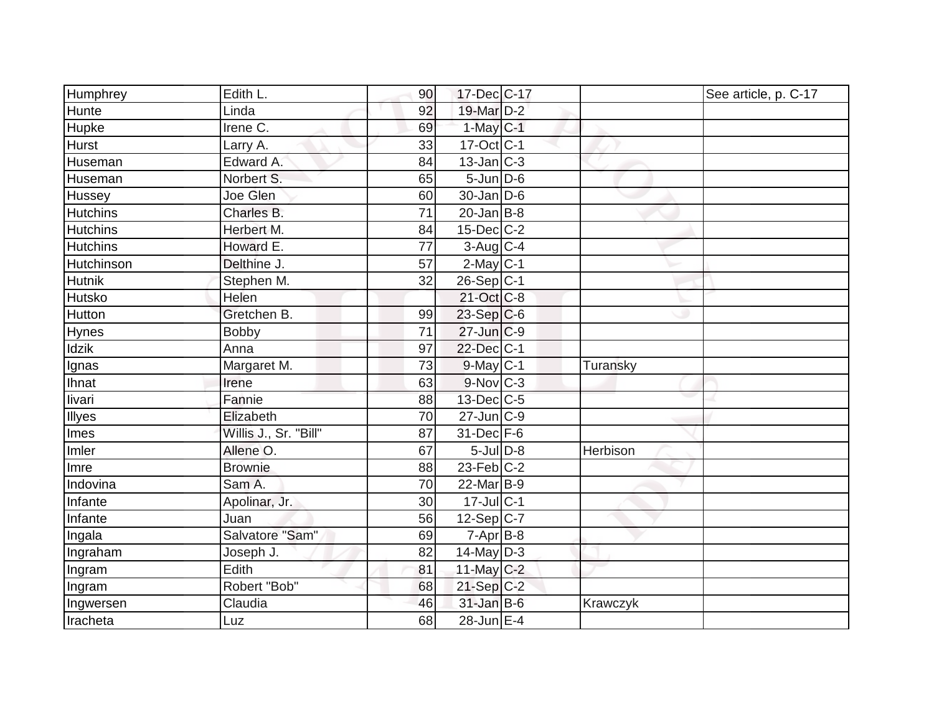| Humphrey        | Edith L.              | 90 | 17-Dec C-17             |          | See article, p. C-17 |
|-----------------|-----------------------|----|-------------------------|----------|----------------------|
| Hunte           | Linda                 | 92 | 19-Mar D-2              |          |                      |
| Hupke           | Irene C.              | 69 | $1$ -May $C-1$          |          |                      |
| Hurst           | Larry A.              | 33 | $17-Oct$ <sub>C-1</sub> |          |                      |
| Huseman         | Edward A.             | 84 | $13$ -Jan $C-3$         |          |                      |
| Huseman         | Norbert S.            | 65 | $5$ -Jun $D$ -6         |          |                      |
| Hussey          | Joe Glen              | 60 | $30$ -Jan D-6           |          |                      |
| <b>Hutchins</b> | Charles B.            | 71 | $20$ -Jan B-8           |          |                      |
| <b>Hutchins</b> | Herbert M.            | 84 | 15-Dec C-2              |          |                      |
| <b>Hutchins</b> | Howard E.             | 77 | $3$ -Aug C-4            |          |                      |
| Hutchinson      | Delthine J.           | 57 | $2$ -May $C-1$          |          |                      |
| <b>Hutnik</b>   | Stephen M.            | 32 | $26-Sep C-1$            |          |                      |
| Hutsko          | Helen                 |    | 21-Oct C-8              |          |                      |
| Hutton          | Gretchen B.           | 99 | $23-Sep$ C-6            |          |                      |
| Hynes           | <b>Bobby</b>          | 71 | $27$ -Jun $C-9$         |          |                      |
| <b>Idzik</b>    | Anna                  | 97 | 22-Dec C-1              |          |                      |
| Ignas           | Margaret M.           | 73 | $9$ -May $C-1$          | Turansky |                      |
| Ihnat           | Irene                 | 63 | $9-Nov$ <sub>C-3</sub>  |          |                      |
| livari          | Fannie                | 88 | $13$ -Dec $C$ -5        |          |                      |
| Illyes          | Elizabeth             | 70 | $27$ -Jun $ C-9$        |          |                      |
| Imes            | Willis J., Sr. "Bill" | 87 | 31-Dec F-6              |          |                      |
| Imler           | Allene O.             | 67 | $5$ -Jul $D-8$          | Herbison |                      |
| Imre            | <b>Brownie</b>        | 88 | $23$ -Feb $ C-2$        |          |                      |
| Indovina        | Sam A.                | 70 | $22$ -Mar $ B-9 $       |          |                      |
| Infante         | Apolinar, Jr.         | 30 | $17$ -Jul $C-1$         |          |                      |
| Infante         | Juan                  | 56 | $12-Sep C-7$            |          |                      |
| Ingala          | Salvatore "Sam"       | 69 | $7 - Apr$ B-8           |          |                      |
| Ingraham        | Joseph J.             | 82 | $14$ -May D-3           |          |                      |
| Ingram          | Edith                 | 81 | 11-May $C-2$            |          |                      |
| Ingram          | Robert "Bob"          | 68 | $21-Sep C-2$            |          |                      |
| Ingwersen       | Claudia               | 46 | $31$ -Jan B-6           | Krawczyk |                      |
| Iracheta        | Luz                   | 68 | 28-Jun E-4              |          |                      |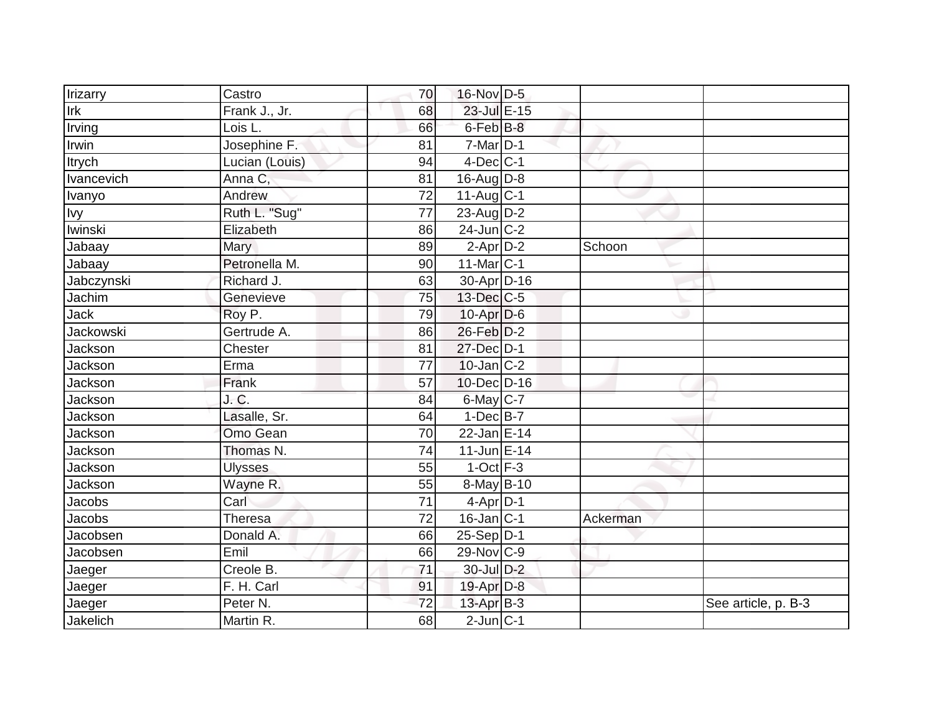| Irizarry              | Castro         | 70              | 16-Nov D-5        |          |                     |
|-----------------------|----------------|-----------------|-------------------|----------|---------------------|
| Irk                   | Frank J., Jr.  | 68              | 23-Jul E-15       |          |                     |
| Irving                | Lois L.        | 66              | 6-Feb B-8         |          |                     |
| Irwin                 | Josephine F.   | 81              | $7$ -Mar $ D-1 $  |          |                     |
| <b>Itrych</b>         | Lucian (Louis) | 94              | $4$ -Dec $ C-1 $  |          |                     |
| Ivancevich            | Anna C,        | 81              | 16-Aug $D-8$      |          |                     |
| Ivanyo                | Andrew         | $\overline{72}$ | $11-Aug C-1$      |          |                     |
| <u>Ivy</u><br>Iwinski | Ruth L. "Sug"  | $\overline{77}$ | 23-Aug $D-2$      |          |                     |
|                       | Elizabeth      | 86              | $24$ -Jun $ C-2 $ |          |                     |
| Jabaay                | <b>Mary</b>    | 89              | $2$ -Apr $D-2$    | Schoon   |                     |
| Jabaay                | Petronella M.  | 90              | $11$ -Mar $ C-1 $ |          |                     |
| Jabczynski            | Richard J.     | 63              | 30-Apr D-16       |          |                     |
| Jachim                | Genevieve      | 75              | 13-Dec C-5        |          |                     |
| <b>Jack</b>           | Roy P.         | 79              | $10$ -Apr $D$ -6  |          |                     |
| <b>Jackowski</b>      | Gertrude A.    | 86              | 26-Feb D-2        |          |                     |
| Jackson               | Chester        | 81              | 27-Dec D-1        |          |                     |
| Jackson               | Erma           | $\overline{77}$ | $10$ -Jan $ C-2 $ |          |                     |
| Jackson               | Frank          | 57              | 10-Dec D-16       |          |                     |
| Jackson               | J.C.           | 84              | 6-May C-7         |          |                     |
| Jackson               | Lasalle, Sr.   | 64              | $1-Dec$ B-7       |          |                     |
| Jackson               | Omo Gean       | 70              | 22-Jan E-14       |          |                     |
| Jackson               | Thomas N.      | $\overline{74}$ | 11-Jun E-14       |          |                     |
| Jackson               | <b>Ulysses</b> | 55              | $1$ -Oct $F-3$    |          |                     |
| Jackson               | Wayne R.       | 55              | 8-May B-10        |          |                     |
| Jacobs                | Carl           | 71              | $4$ -Apr $D-1$    |          |                     |
| Jacobs                | Theresa        | 72              | $16$ -Jan C-1     | Ackerman |                     |
| Jacobsen              | Donald A.      | 66              | $25-Sep D-1$      |          |                     |
| Jacobsen              | Emil           | 66              | 29-Nov C-9        |          |                     |
| Jaeger                | Creole B.      | 71              | 30-Jul D-2        |          |                     |
| Jaeger                | F. H. Carl     | 91              | 19-Apr D-8        |          |                     |
| Jaeger                | Peter N.       | 72              | $13$ -Apr $B-3$   |          | See article, p. B-3 |
| Jakelich              | Martin R.      | 68              | $2$ -Jun $C-1$    |          |                     |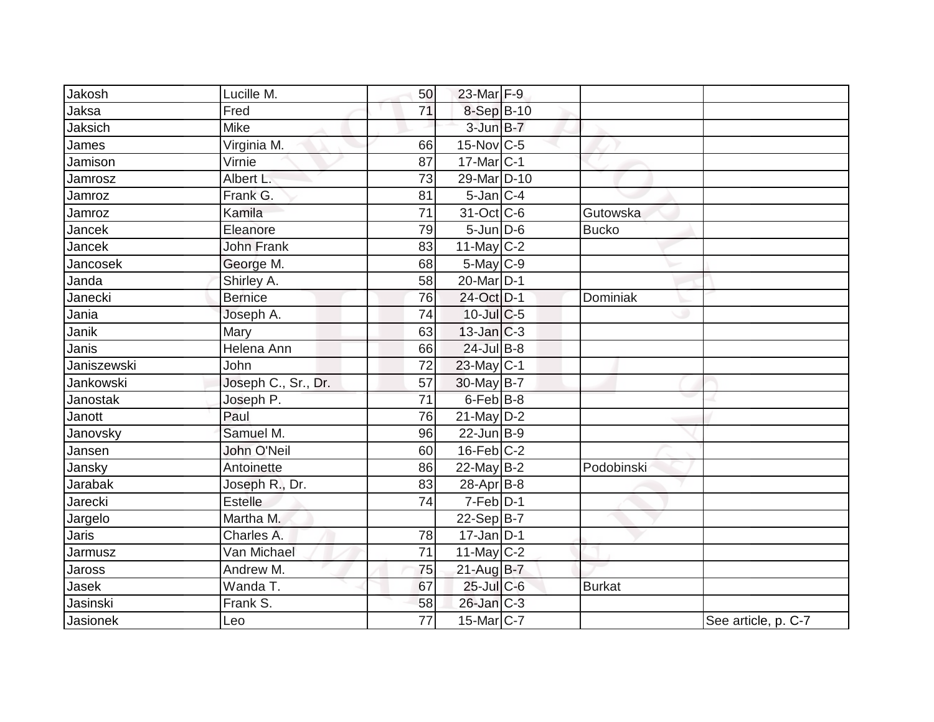| Jakosh          | Lucille M.          | 50              | 23-Mar F-9            |               |                     |
|-----------------|---------------------|-----------------|-----------------------|---------------|---------------------|
| Jaksa           | Fred                | 71              | 8-Sep B-10            |               |                     |
| Jaksich         | Mike                |                 | $3$ -Jun $B-7$        |               |                     |
| James           | Virginia M.         | 66              | $15$ -Nov $ C-5 $     |               |                     |
| Jamison         | Virnie              | 87              | 17-Mar C-1            |               |                     |
| Jamrosz         | Albert L.           | 73              | 29-Mar D-10           |               |                     |
| Jamroz          | Frank G.            | 81              | $5$ -Jan $ C-4$       |               |                     |
| Jamroz          | Kamila              | 71              | 31-Oct C-6            | Gutowska      |                     |
| Jancek          | Eleanore            | 79              | $5 - Jun$ $D-6$       | <b>Bucko</b>  |                     |
| Jancek          | <b>John Frank</b>   | 83              | $11$ -May C-2         |               |                     |
| Jancosek        | George M.           | 68              | $5$ -May $C$ -9       |               |                     |
| Janda           | Shirley A.          | 58              | 20-Mar <sub>D-1</sub> |               |                     |
| Janecki         | <b>Bernice</b>      | 76              | 24-Oct D-1            | Dominiak      |                     |
| Jania           | Joseph A.           | 74              | $10$ -Jul $C$ -5      |               |                     |
| Janik           | Mary                | 63              | $13$ -Jan $ C-3 $     |               |                     |
| Janis           | Helena Ann          | 66              | $24$ -Jul B-8         |               |                     |
| Janiszewski     | John                | $\overline{72}$ | 23-May C-1            |               |                     |
| Jankowski       | Joseph C., Sr., Dr. | 57              | 30-May B-7            |               |                     |
| <b>Janostak</b> | Joseph P.           | 71              | $6$ -Feb $B$ -8       |               |                     |
| Janott          | Paul                | 76              | $21$ -May $D-2$       |               |                     |
| Janovsky        | Samuel M.           | 96              | $22$ -Jun B-9         |               |                     |
| Jansen          | John O'Neil         | 60              | $16$ -Feb $ C-2 $     |               |                     |
| Jansky          | Antoinette          | 86              | $22$ -May B-2         | Podobinski    |                     |
| Jarabak         | Joseph R., Dr.      | 83              | 28-Apr B-8            |               |                     |
| Jarecki         | <b>Estelle</b>      | 74              | $7-Feb D-1$           |               |                     |
| Jargelo         | Martha M.           |                 | $22-Sep B-7$          |               |                     |
| Jaris           | Charles A.          | 78              | $17$ -Jan D-1         |               |                     |
| Jarmusz         | Van Michael         | $\overline{71}$ | 11-May $C-2$          |               |                     |
| Jaross          | Andrew M.           | 75              | $21$ -Aug $B-7$       |               |                     |
| Jasek           | Wanda T.            | 67              | $25$ -Jul C-6         | <b>Burkat</b> |                     |
| Jasinski        | Frank S.            | 58              | $26$ -Jan $ C-3 $     |               |                     |
| Jasionek        | Leo                 | 77              | $15$ -Mar $ C-7 $     |               | See article, p. C-7 |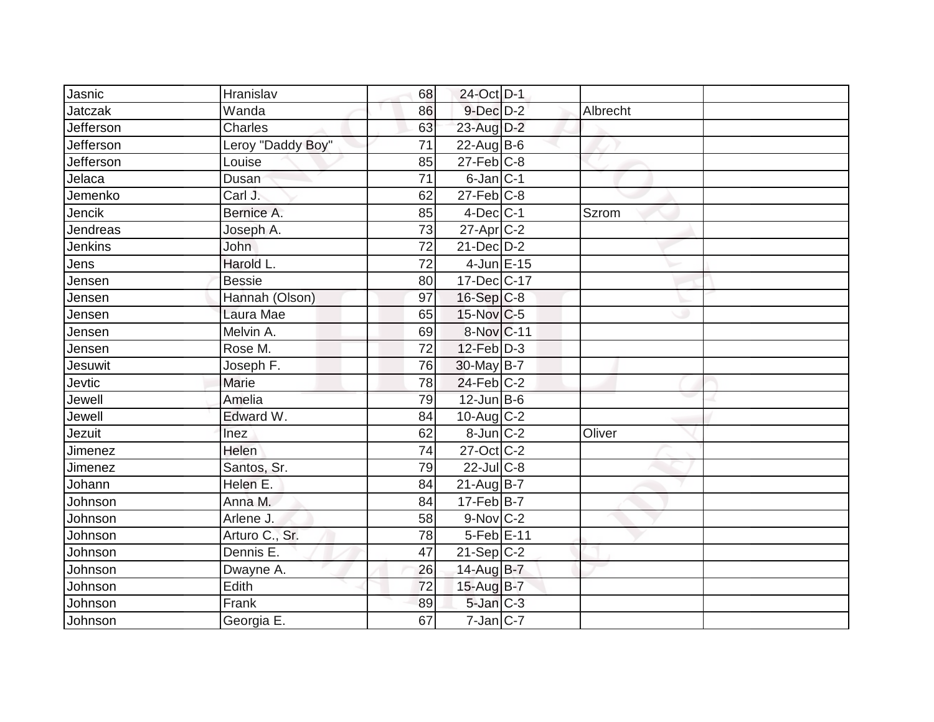| Jasnic         | Hranislav         | 68              | 24-Oct D-1        |          |  |
|----------------|-------------------|-----------------|-------------------|----------|--|
| Jatczak        | Wanda             | 86              | $9$ -Dec $D$ -2   | Albrecht |  |
| Jefferson      | Charles           | 63              | 23-Aug D-2        |          |  |
| Jefferson      | Leroy "Daddy Boy" | 71              | $22$ -Aug B-6     |          |  |
| Jefferson      | Louise            | 85              | $27$ -Feb $C-8$   |          |  |
| Jelaca         | Dusan             | 71              | $6$ -Jan $C-1$    |          |  |
| Jemenko        | Carl J.           | 62              | $27$ -Feb $ C-8$  |          |  |
| Jencik         | Bernice A.        | 85              | $4$ -Dec $ C-1 $  | Szrom    |  |
| Jendreas       | Joseph A.         | 73              | $27$ -Apr $ C-2 $ |          |  |
| Jenkins        | <b>John</b>       | 72              | $21$ -Dec $D-2$   |          |  |
| Jens           | Harold L.         | 72              | $4$ -Jun $E-15$   |          |  |
| Jensen         | <b>Bessie</b>     | 80              | 17-Dec C-17       |          |  |
| Jensen         | Hannah (Olson)    | 97              | 16-Sep C-8        |          |  |
| Jensen         | Laura Mae         | 65              | $15$ -Nov $ C-5 $ |          |  |
| Jensen         | Melvin A.         | 69              | 8-Nov C-11        |          |  |
| Jensen         | Rose M.           | 72              | 12-Feb D-3        |          |  |
| Jesuwit        | Joseph F.         | 76              | 30-May B-7        |          |  |
| Jevtic         | Marie             | 78              | $24$ -Feb $ C-2$  |          |  |
| Jewell         | Amelia            | 79              | $12$ -Jun B-6     |          |  |
| Jewell         | Edward W.         | 84              | $10$ -Aug C-2     |          |  |
| Jezuit         | Inez              | 62              | $8$ -Jun $ C-2 $  | Oliver   |  |
| <b>Jimenez</b> | <b>Helen</b>      | $\overline{74}$ | 27-Oct C-2        |          |  |
| Jimenez        | Santos, Sr.       | 79              | 22-Jul C-8        |          |  |
| Johann         | Helen E.          | 84              | $21$ -Aug B-7     |          |  |
| Johnson        | Anna M.           | 84              | $17$ -Feb $ B-7 $ |          |  |
| Johnson        | Arlene J.         | 58              | 9-Nov C-2         |          |  |
| Johnson        | Arturo C., Sr.    | 78              | $5-Feb$ $E-11$    |          |  |
| Johnson        | Dennis E.         | 47              | $21-Sep C-2$      |          |  |
| Johnson        | Dwayne A.         | 26              | 14-Aug B-7        |          |  |
| Johnson        | Edith             | 72              | 15-Aug B-7        |          |  |
| Johnson        | Frank             | 89              | $5$ -Jan $C-3$    |          |  |
| Johnson        | Georgia E.        | 67              | $7$ -Jan C-7      |          |  |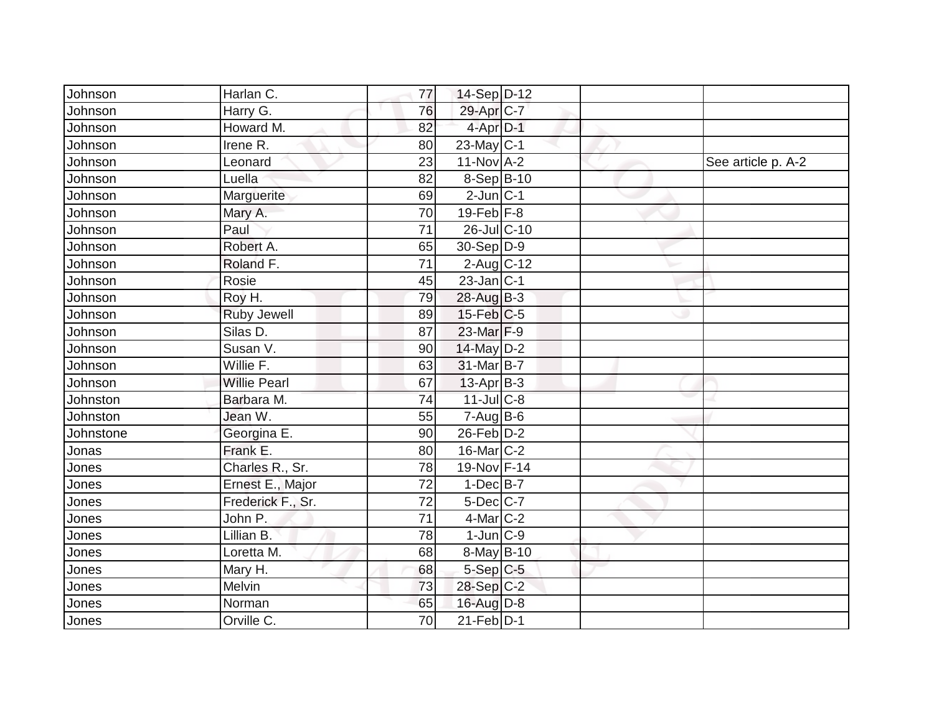| Johnson   | Harlan C.           | 77              | 14-Sep D-12            |  |                    |
|-----------|---------------------|-----------------|------------------------|--|--------------------|
| Johnson   | Harry G.            | 76              | 29-Apr <sub>IC-7</sub> |  |                    |
| Johnson   | Howard M.           | 82              | 4-Apr D-1              |  |                    |
| Johnson   | Irene R.            | 80              | $23$ -May C-1          |  |                    |
| Johnson   | Leonard             | 23              | $11-NovA-2$            |  | See article p. A-2 |
| Johnson   | Luella              | 82              | $8-Sep$ B-10           |  |                    |
| Johnson   | Marguerite          | 69              | $2$ -Jun $ C-1 $       |  |                    |
| Johnson   | Mary A.             | 70              | $19$ -Feb $F-8$        |  |                    |
| Johnson   | Paul                | 71              | 26-Jul C-10            |  |                    |
| Johnson   | Robert A.           | 65              | $30-Sep D-9$           |  |                    |
| Johnson   | Roland F.           | 71              | $2$ -Aug C-12          |  |                    |
| Johnson   | Rosie               | 45              | $23$ -Jan C-1          |  |                    |
| Johnson   | Roy H.              | 79              | 28-Aug B-3             |  |                    |
| Johnson   | <b>Ruby Jewell</b>  | 89              | $15$ -Feb $ C$ -5      |  |                    |
| Johnson   | Silas D.            | 87              | 23-Mar F-9             |  |                    |
| Johnson   | Susan V.            | 90              | 14-May D-2             |  |                    |
| Johnson   | Willie F.           | 63              | $31$ -Mar $B-7$        |  |                    |
| Johnson   | <b>Willie Pearl</b> | 67              | $13-Apr$ B-3           |  |                    |
| Johnston  | Barbara M.          | 74              | 11-Jul C-8             |  |                    |
| Johnston  | Jean W.             | 55              | $7 - Aug$ B-6          |  |                    |
| Johnstone | Georgina E.         | 90              | $26$ -Feb $D-2$        |  |                    |
| Jonas     | Frank E.            | 80              | 16-Mar C-2             |  |                    |
| Jones     | Charles R., Sr.     | 78              | 19-Nov F-14            |  |                    |
| Jones     | Ernest E., Major    | 72              | $1-Dec$ B-7            |  |                    |
| Jones     | Frederick F., Sr.   | 72              | $5$ -Dec $C$ -7        |  |                    |
| Jones     | John P.             | $\overline{71}$ | 4-Mar C-2              |  |                    |
| Jones     | Lillian B.          | 78              | $1$ -Jun $C-9$         |  |                    |
| Jones     | Loretta M.          | 68              | $8$ -May B-10          |  |                    |
| Jones     | Mary H.             | 68              | $5-Sep C-5$            |  |                    |
| Jones     | Melvin              | 73              | 28-Sep C-2             |  |                    |
| Jones     | Norman              | 65              | $16$ -Aug D-8          |  |                    |
| Jones     | Orville C.          | $\overline{70}$ | $21$ -Feb $D-1$        |  |                    |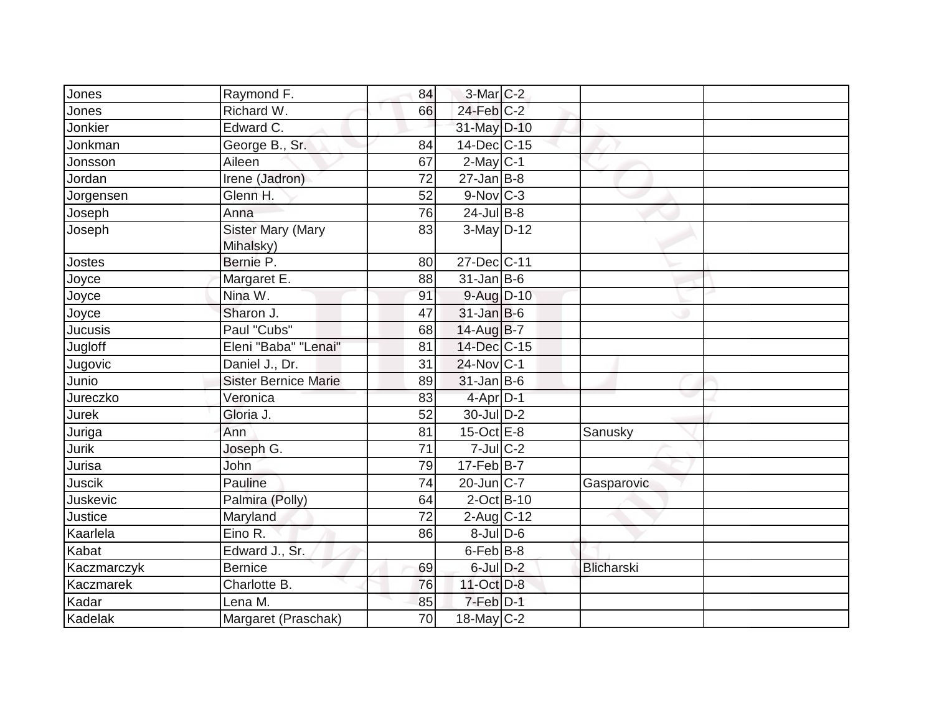| Jones          | Raymond F.                            | 84 | $3-Mar$ C-2            |                   |  |
|----------------|---------------------------------------|----|------------------------|-------------------|--|
| Jones          | Richard W.                            | 66 | $24$ -Feb $C-2$        |                   |  |
| Jonkier        | Edward C.                             |    | 31-May D-10            |                   |  |
| Jonkman        | George B., Sr.                        | 84 | 14-Dec C-15            |                   |  |
| Jonsson        | Aileen                                | 67 | $2$ -May C-1           |                   |  |
| Jordan         | Irene (Jadron)                        | 72 | $27$ -Jan B-8          |                   |  |
| Jorgensen      | Glenn H.                              | 52 | $9-Nov$ <sub>C-3</sub> |                   |  |
| Joseph         | Anna                                  | 76 | $24$ -Jul B-8          |                   |  |
| Joseph         | <b>Sister Mary (Mary</b><br>Mihalsky) | 83 | $3-May$ D-12           |                   |  |
| Jostes         | Bernie P.                             | 80 | 27-Dec C-11            |                   |  |
| Joyce          | Margaret E.                           | 88 | $31$ -Jan B-6          |                   |  |
| Joyce          | Nina W.                               | 91 | 9-Aug D-10             |                   |  |
| Joyce          | Sharon J.                             | 47 | $31$ -Jan B-6          |                   |  |
| <b>Jucusis</b> | Paul "Cubs"                           | 68 | 14-Aug B-7             |                   |  |
| Jugloff        | Eleni "Baba" "Lenai"                  | 81 | 14-Dec C-15            |                   |  |
| Jugovic        | Daniel J., Dr.                        | 31 | 24-Nov C-1             |                   |  |
| Junio          | <b>Sister Bernice Marie</b>           | 89 | $31$ -Jan B-6          |                   |  |
| Jureczko       | Veronica                              | 83 | $4$ -Apr $D-1$         |                   |  |
| <b>Jurek</b>   | Gloria J.                             | 52 | 30-Jul D-2             |                   |  |
| Juriga         | Ann                                   | 81 | 15-Oct $E-8$           | Sanusky           |  |
| Jurik          | Joseph G.                             | 71 | $7$ -Jul $C-2$         |                   |  |
| Jurisa         | John                                  | 79 | $17$ -Feb $B$ -7       |                   |  |
| <b>Juscik</b>  | Pauline                               | 74 | $20$ -Jun $ C-7 $      | Gasparovic        |  |
| Juskevic       | Palmira (Polly)                       | 64 | $2$ -Oct B-10          |                   |  |
| Justice        | Maryland                              | 72 | $2$ -Aug C-12          |                   |  |
| Kaarlela       | Eino R.                               | 86 | $8$ -Jul $D$ -6        |                   |  |
| Kabat          | Edward J., Sr.                        |    | $6$ -Feb $ B-8$        |                   |  |
| Kaczmarczyk    | <b>Bernice</b>                        | 69 | $6$ -Jul $D-2$         | <b>Blicharski</b> |  |
| Kaczmarek      | Charlotte B.                          | 76 | 11-Oct D-8             |                   |  |
| Kadar          | Lena M.                               | 85 | 7-Feb D-1              |                   |  |
| Kadelak        | Margaret (Praschak)                   | 70 | $18$ -May C-2          |                   |  |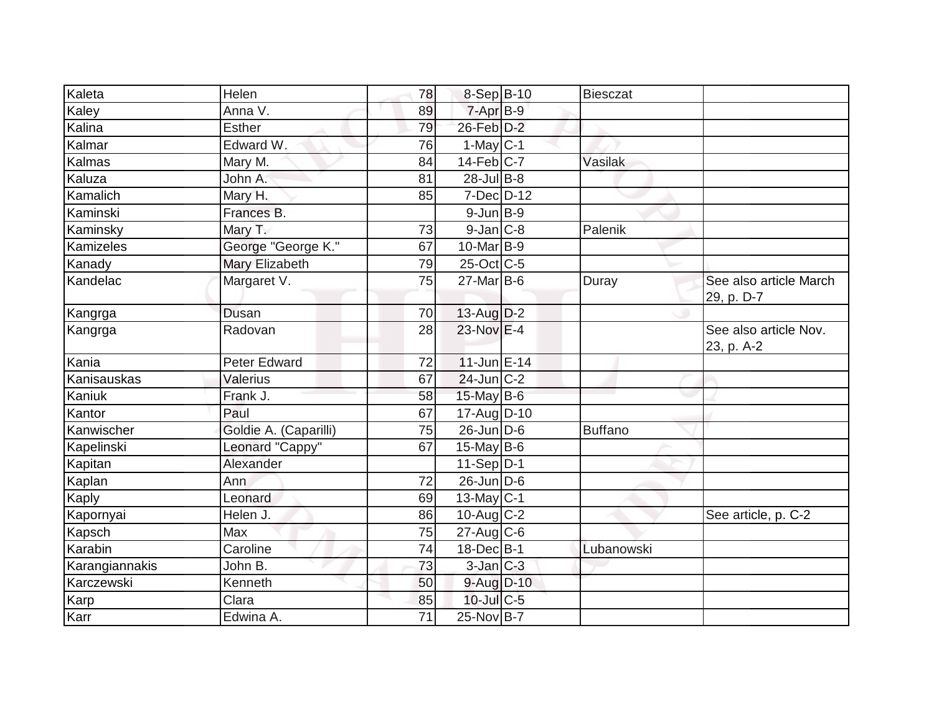| Kaleta           | Helen                 | 78 | 8-Sep B-10                  | Biesczat       |                                      |
|------------------|-----------------------|----|-----------------------------|----------------|--------------------------------------|
| Kaley            | Anna V.               | 89 | $7-Apr$ B-9                 |                |                                      |
| Kalina           | <b>Esther</b>         | 79 | 26-Feb D-2                  |                |                                      |
| Kalmar           | Edward W.             | 76 | $1-May C-1$                 |                |                                      |
| Kalmas           | Mary M.               | 84 | $14$ -Feb $C$ -7            | Vasilak        |                                      |
| Kaluza           | John A.               | 81 | 28-Jul B-8                  |                |                                      |
| Kamalich         | Mary H.               | 85 | $7$ -Dec $D-12$             |                |                                      |
| Kaminski         | Frances B.            |    | $9$ -Jun $B-9$              |                |                                      |
| Kaminsky         | Mary T.               | 73 | $9$ -Jan $C$ -8             | Palenik        |                                      |
| <b>Kamizeles</b> | George "George K."    | 67 | $10$ -Mar $ B-9 $           |                |                                      |
| Kanady           | Mary Elizabeth        | 79 | 25-Oct C-5                  |                |                                      |
| Kandelac         | Margaret V.           | 75 | $27$ -Mar $ B-6$            | Duray          | See also article March<br>29, p. D-7 |
| Kangrga          | Dusan                 | 70 | $13$ -Aug $D-2$             |                |                                      |
| Kangrga          | Radovan               | 28 | $23-Nov$ E-4                |                | See also article Nov.<br>23, p. A-2  |
| Kania            | <b>Peter Edward</b>   | 72 | $11$ -Jun E-14              |                |                                      |
| Kanisauskas      | Valerius              | 67 | $24$ -Jun $ C-2$            |                |                                      |
| Kaniuk           | Frank J.              | 58 | $15$ -May B-6               |                |                                      |
| Kantor           | Paul                  | 67 | 17-Aug D-10                 |                |                                      |
| Kanwischer       | Goldie A. (Caparilli) | 75 | $26$ -Jun $D$ -6            | <b>Buffano</b> |                                      |
| Kapelinski       | Leonard "Cappy"       | 67 | $15$ -May B-6               |                |                                      |
| Kapitan          | Alexander             |    | $11-Sep D-1$                |                |                                      |
| Kaplan           | Ann                   | 72 | $26$ -Jun $\overline{D}$ -6 |                |                                      |
| Kaply            | Leonard               | 69 | $13$ -May C-1               |                |                                      |
| Kapornyai        | Helen J.              | 86 | $10$ -Aug $C-2$             |                | See article, p. C-2                  |
| Kapsch           | Max                   | 75 | $27$ -Aug C-6               |                |                                      |
| Karabin          | Caroline              | 74 | $18$ -Dec $B-1$             | Lubanowski     |                                      |
| Karangiannakis   | John B.               | 73 | $3$ -Jan $ C-3 $            |                |                                      |
| Karczewski       | Kenneth               | 50 | 9-Aug D-10                  |                |                                      |
| Karp             | Clara                 | 85 | $10$ -Jul $C$ -5            |                |                                      |
| Karr             | Edwina A.             | 71 | 25-Nov B-7                  |                |                                      |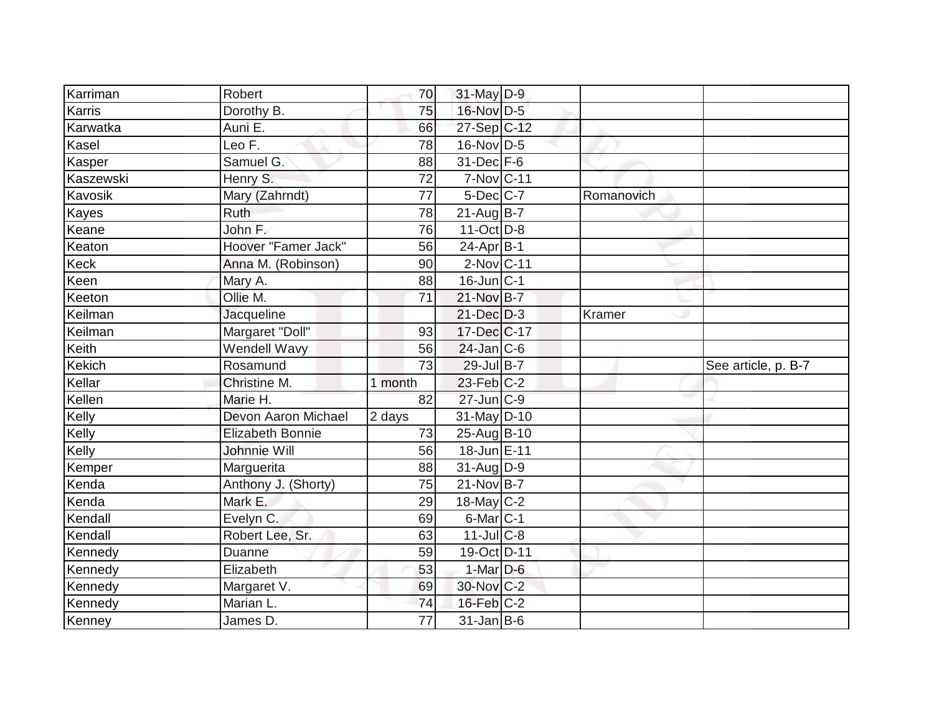| Karriman                                                           | Robert                  | 70      | 31-May D-9       |            |                     |
|--------------------------------------------------------------------|-------------------------|---------|------------------|------------|---------------------|
| Karris                                                             | Dorothy B.              | 75      | 16-Nov D-5       |            |                     |
| Karwatka                                                           | Auni E.                 | 66      | 27-Sep C-12      |            |                     |
| Kasel                                                              | Leo F.                  | 78      | $16$ -Nov D-5    |            |                     |
| Kasper                                                             | Samuel G.               | 88      | 31-Dec F-6       |            |                     |
| Kaszewski                                                          | Henry S.                | 72      | 7-Nov C-11       |            |                     |
| Kavosik                                                            | Mary (Zahrndt)          | 77      | 5-Dec C-7        | Romanovich |                     |
| Kayes                                                              | Ruth                    | 78      | $21$ -Aug B-7    |            |                     |
| Keane                                                              | John F.                 | 76      | $11-Oct$ D-8     |            |                     |
| Keaton                                                             | Hoover "Famer Jack"     | 56      | $24-Apr$ B-1     |            |                     |
| Keck                                                               | Anna M. (Robinson)      | 90      | $2$ -Nov $ C-11$ |            |                     |
| Keen                                                               | Mary A.                 | 88      | 16-Jun C-1       |            |                     |
| Keeton                                                             | Ollie M.                | 71      | 21-Nov B-7       |            |                     |
| Keilman                                                            | Jacqueline              |         | $21$ -Dec $D-3$  | Kramer     |                     |
| Keilman                                                            | Margaret "Doll"         | 93      | 17-Dec C-17      |            |                     |
| Keith                                                              | Wendell Wavy            | 56      | $24$ -Jan C-6    |            |                     |
| Kekich                                                             | Rosamund                | 73      | 29-Jul B-7       |            | See article, p. B-7 |
| Kellar                                                             | Christine M.            | 1 month | $23$ -Feb $C-2$  |            |                     |
| Kellen                                                             | Marie H.                | 82      | 27-Jun C-9       |            |                     |
| Kelly                                                              | Devon Aaron Michael     | 2 days  | 31-May D-10      |            |                     |
|                                                                    |                         |         |                  |            |                     |
|                                                                    | <b>Elizabeth Bonnie</b> | 73      | $25$ -Aug B-10   |            |                     |
|                                                                    | Johnnie Will            | 56      | 18-Jun E-11      |            |                     |
|                                                                    | Marguerita              | 88      | $31$ -Aug $D-9$  |            |                     |
| Kenda                                                              | Anthony J. (Shorty)     | 75      | $21-NovB - 7$    |            |                     |
|                                                                    | Mark E.                 | 29      | $18$ -May C-2    |            |                     |
|                                                                    | Evelyn C.               | 69      | 6-Mar C-1        |            |                     |
| Kendall                                                            | Robert Lee, Sr.         | 63      | $11$ -Jul C-8    |            |                     |
|                                                                    | Duanne                  | 59      | 19-Oct D-11      |            |                     |
| Kelly<br>Kelly<br>Kemper<br>Kenda<br>Kendall<br>Kennedy<br>Kennedy | Elizabeth               | 53      | $1-Mar$ D-6      |            |                     |
| Kennedy                                                            | Margaret V.             | 69      | 30-Nov C-2       |            |                     |
| Kennedy<br>Kenney                                                  | Marian L.               | 74      | $16$ -Feb $C-2$  |            |                     |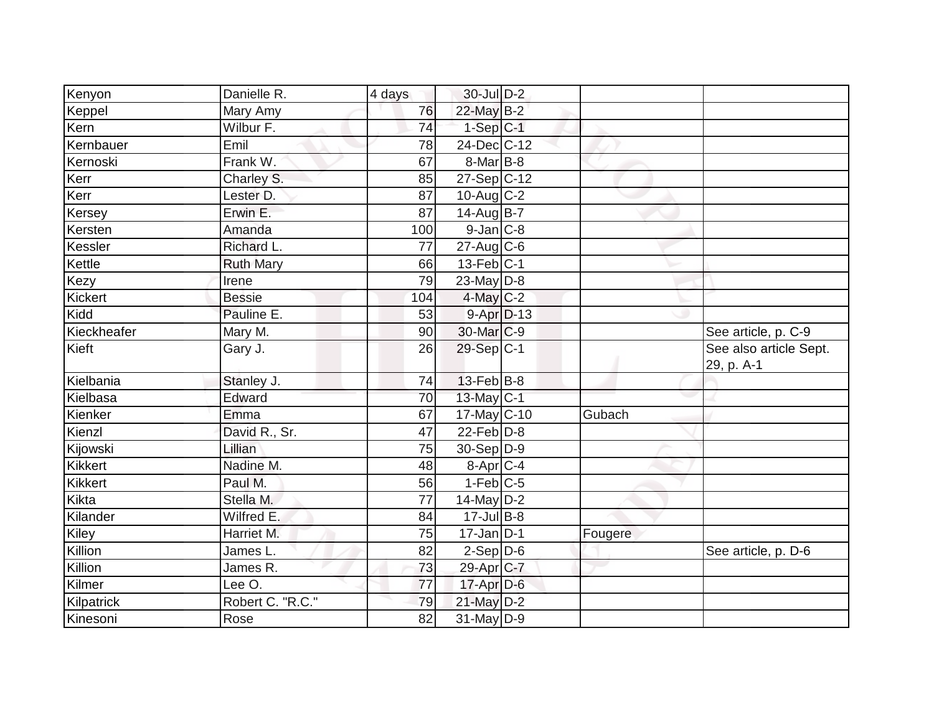| Kenyon         | Danielle R.      | 4 days          | 30-Jul D-2            |         |                                      |
|----------------|------------------|-----------------|-----------------------|---------|--------------------------------------|
| Keppel         | Mary Amy         | 76              | 22-May B-2            |         |                                      |
| Kern           | Wilbur F.        | 74              | $1-Sep$ $C-1$         |         |                                      |
| Kernbauer      | Emil             | 78              | 24-Dec C-12           |         |                                      |
| Kernoski       | Frank W.         | 67              | 8-Mar B-8             |         |                                      |
| Kerr           | Charley S.       | 85              | 27-Sep C-12           |         |                                      |
| Kerr           | Lester D.        | 87              | $10$ -Aug C-2         |         |                                      |
| Kersey         | Erwin E.         | $\overline{87}$ | 14-Aug B-7            |         |                                      |
| Kersten        | Amanda           | 100             | $9$ -Jan $ C$ -8      |         |                                      |
| Kessler        | Richard L.       | 77              | $27$ -Aug C-6         |         |                                      |
| Kettle         | <b>Ruth Mary</b> | 66              | $13$ -Feb $ C-1 $     |         |                                      |
| Kezy           | Irene            | 79              | 23-May D-8            |         |                                      |
| Kickert        | <b>Bessie</b>    | 104             | $4$ -May C-2          |         |                                      |
| Kidd           | Pauline E.       | 53              | $9-Apr D-13$          |         |                                      |
| Kieckheafer    | Mary M.          | 90              | 30-Mar C-9            |         | See article, p. C-9                  |
| Kieft          | Gary J.          | 26              | 29-Sep C-1            |         | See also article Sept.<br>29, p. A-1 |
| Kielbania      | Stanley J.       | 74              | $13$ -Feb $ B-8$      |         |                                      |
| Kielbasa       | Edward           | 70              | 13-May C-1            |         |                                      |
| Kienker        | Emma             | 67              | 17-May C-10           | Gubach  |                                      |
| Kienzl         | David R., Sr.    | 47              | $22$ -Feb $ D-8$      |         |                                      |
| Kijowski       | Lillian          | 75              | 30-Sep D-9            |         |                                      |
| <b>Kikkert</b> | Nadine M.        | 48              | 8-Apr <sub>C-4</sub>  |         |                                      |
| Kikkert        | Paul M.          | 56              | $1-Feb$ C-5           |         |                                      |
| Kikta          | Stella M.        | 77              | $14$ -May D-2         |         |                                      |
| Kilander       | Wilfred E.       | 84              | $17 -$ Jul B-8        |         |                                      |
| Kiley          | Harriet M.       | 75              | $17 - Jan$ $D-1$      | Fougere |                                      |
| Killion        | James L.         | 82              | $2-Sep D-6$           |         | See article, p. D-6                  |
| Killion        | James R.         | 73              | 29-Apr <sub>C-7</sub> |         |                                      |
| Kilmer         | Lee O.           | 77              | $17$ -Apr $D-6$       |         |                                      |
| Kilpatrick     | Robert C. "R.C." | 79              | $21$ -May $D-2$       |         |                                      |
| Kinesoni       | Rose             | 82              | $31$ -May D-9         |         |                                      |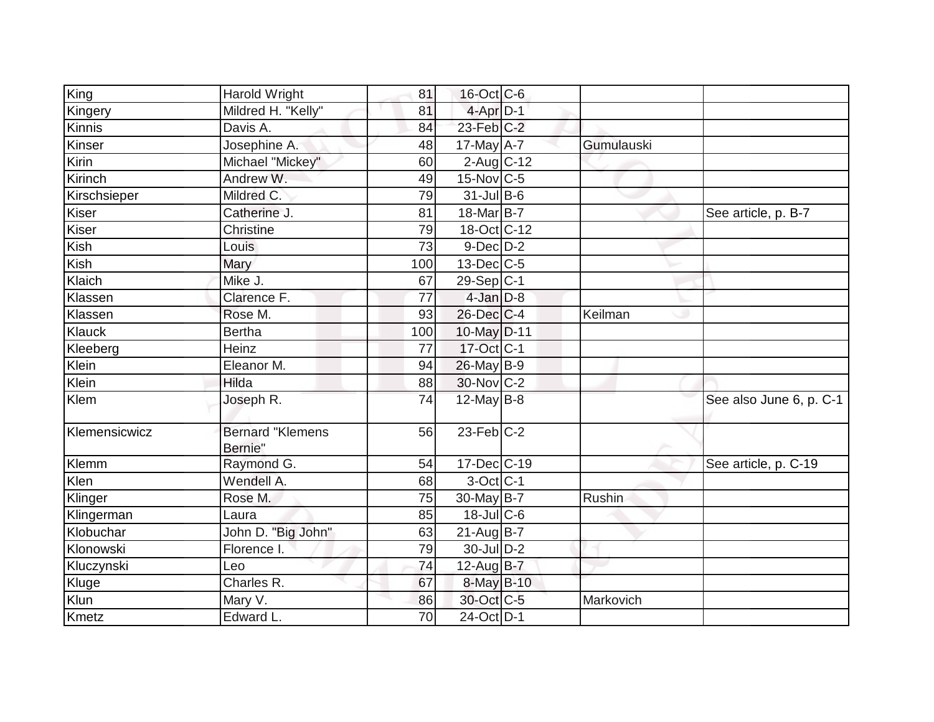| King          | <b>Harold Wright</b>               | 81              | 16-Oct C-6        |               |                         |
|---------------|------------------------------------|-----------------|-------------------|---------------|-------------------------|
| Kingery       | Mildred H. "Kelly"                 | 81              | $4$ -Apr $D-1$    |               |                         |
| Kinnis        | Davis A.                           | 84              | 23-Feb C-2        |               |                         |
| Kinser        | Josephine A.                       | 48              | $17$ -May $A - 7$ | Gumulauski    |                         |
| Kirin         | Michael "Mickey"                   | 60              | $2$ -Aug $C-12$   |               |                         |
| Kirinch       | Andrew W.                          | 49              | $15$ -Nov $C$ -5  |               |                         |
| Kirschsieper  | Mildred C.                         | 79              | $31$ -Jul B-6     |               |                         |
| Kiser         | Catherine J.                       | 81              | 18-Mar B-7        |               | See article, p. B-7     |
| Kiser         | Christine                          | 79              | 18-Oct C-12       |               |                         |
| Kish          | Louis                              | 73              | $9$ -Dec $D$ -2   |               |                         |
| Kish          | Mary                               | 100             | 13-Dec C-5        |               |                         |
| Klaich        | Mike J.                            | 67              | $29-Sep C-1$      |               |                         |
| Klassen       | Clarence F.                        | 77              | $4$ -Jan $D-8$    |               |                         |
| Klassen       | Rose M.                            | 93              | 26-Dec C-4        | Keilman       |                         |
| Klauck        | <b>Bertha</b>                      | 100             | 10-May D-11       |               |                         |
| Kleeberg      | Heinz                              | 77              | $17$ -Oct $C-1$   |               |                         |
| Klein         | Eleanor M.                         | 94              | 26-May B-9        |               |                         |
| Klein         | Hilda                              | 88              | 30-Nov C-2        |               |                         |
| Klem          | Joseph R.                          | 74              | $12$ -May B-8     |               | See also June 6, p. C-1 |
| Klemensicwicz | <b>Bernard "Klemens</b><br>Bernie" | 56              | $23$ -Feb $ C-2$  |               |                         |
| Klemm         | Raymond G.                         | 54              | $17 - Dec$ $C-19$ |               | See article, p. C-19    |
| Klen          | Wendell A.                         | 68              | 3-Oct C-1         |               |                         |
| Klinger       | Rose M.                            | 75              | 30-May B-7        | <b>Rushin</b> |                         |
| Klingerman    | Laura                              | 85              | 18-Jul C-6        |               |                         |
| Klobuchar     | John D. "Big John"                 | 63              | $21-Aug$ B-7      |               |                         |
| Klonowski     | Florence I.                        | 79              | 30-Jul D-2        |               |                         |
| Kluczynski    | Leo                                | 74              | 12-Aug B-7        |               |                         |
| Kluge         | Charles R.                         | 67              | 8-May B-10        |               |                         |
| Klun          | Mary V.                            | 86              | 30-Oct C-5        | Markovich     |                         |
| Kmetz         | Edward L.                          | $\overline{70}$ | 24-Oct D-1        |               |                         |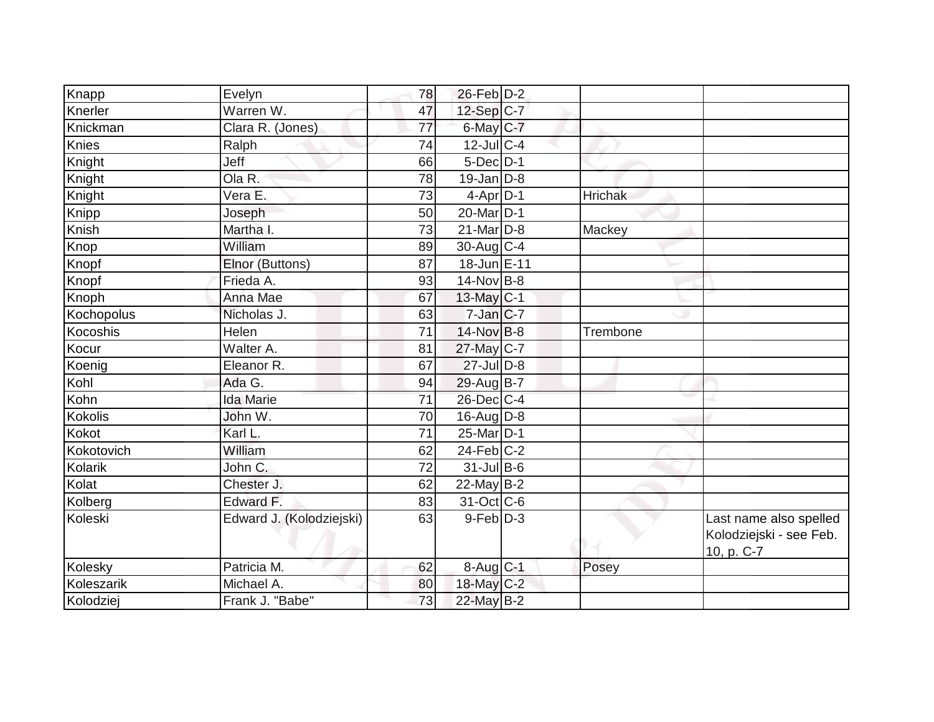| Knapp      | Evelyn                   | 78 | $26$ -Feb $D-2$          |                |                                                                 |
|------------|--------------------------|----|--------------------------|----------------|-----------------------------------------------------------------|
| Knerler    | Warren W.                | 47 | 12-Sep C-7               |                |                                                                 |
| Knickman   | Clara R. (Jones)         | 77 | $6$ -May $C$ -7          |                |                                                                 |
| Knies      | Ralph                    | 74 | $12$ -JulC-4             |                |                                                                 |
| Knight     | Jeff                     | 66 | $5$ -Dec $D-1$           |                |                                                                 |
| Knight     | Ola R.                   | 78 | $19$ -Jan D-8            |                |                                                                 |
| Knight     | Vera E.                  | 73 | $4$ -Apr $D-1$           | <b>Hrichak</b> |                                                                 |
| Knipp      | Joseph                   | 50 | 20-Mar <sub>D-1</sub>    |                |                                                                 |
| Knish      | Martha I.                | 73 | $21$ -Mar $ D-8 $        | Mackey         |                                                                 |
| Knop       | William                  | 89 | $30$ -Aug C-4            |                |                                                                 |
| Knopf      | Elnor (Buttons)          | 87 | 18-Jun E-11              |                |                                                                 |
| Knopf      | Frieda A.                | 93 | $14$ -Nov B-8            |                |                                                                 |
| Knoph      | Anna Mae                 | 67 | 13-May C-1               |                |                                                                 |
| Kochopolus | Nicholas J.              | 63 | $7$ -Jan $ C-7$          |                |                                                                 |
| Kocoshis   | Helen                    | 71 | 14-Nov B-8               | Trembone       |                                                                 |
| Kocur      | Walter A.                | 81 | 27-May C-7               |                |                                                                 |
| Koenig     | Eleanor R.               | 67 | $27$ -Jul $D-8$          |                |                                                                 |
| Kohl       | Ada G.                   | 94 | 29-Aug B-7               |                |                                                                 |
| Kohn       | <b>Ida Marie</b>         | 71 | $26$ -Dec $C$ -4         |                |                                                                 |
| Kokolis    | John W.                  | 70 | $16$ -AugD-8             |                |                                                                 |
| Kokot      | Karl L.                  | 71 | 25-Mar D-1               |                |                                                                 |
| Kokotovich | William                  | 62 | $24$ -Feb $ C-2$         |                |                                                                 |
| Kolarik    | John C.                  | 72 | $31$ -JulB-6             |                |                                                                 |
| Kolat      | Chester J.               | 62 | $22$ -May B-2            |                |                                                                 |
| Kolberg    | Edward F.                | 83 | $31-Oct$ <sub>C</sub> -6 |                |                                                                 |
| Koleski    | Edward J. (Kolodziejski) | 63 | $9$ -Feb $D-3$           |                | Last name also spelled<br>Kolodziejski - see Feb.<br>10, p. C-7 |
| Kolesky    | Patricia M.              | 62 | 8-Aug C-1                | Posey          |                                                                 |
| Koleszarik | Michael A.               | 80 | $18$ -May C-2            |                |                                                                 |
| Kolodziej  | Frank J. "Babe"          | 73 | 22-May B-2               |                |                                                                 |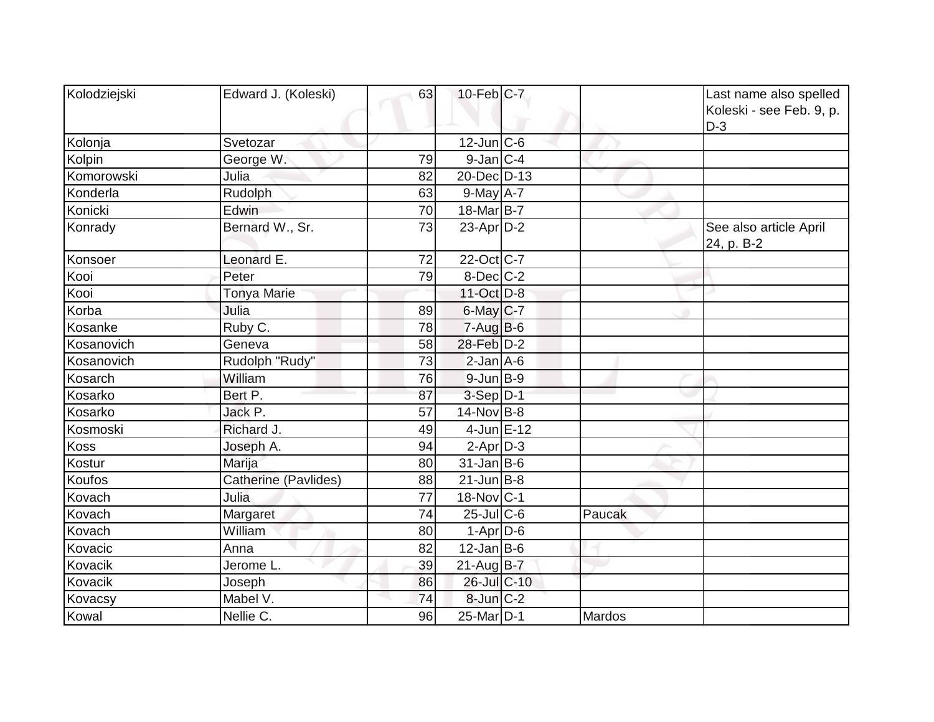| Kolodziejski | Edward J. (Koleski)  | 63 | $10$ -Feb $ C-7 $      |        | Last name also spelled<br>Koleski - see Feb. 9, p.<br>$D-3$ |
|--------------|----------------------|----|------------------------|--------|-------------------------------------------------------------|
| Kolonja      | Svetozar             |    | $12$ -Jun $ C-6$       |        |                                                             |
| Kolpin       | George W.            | 79 | $9$ -Jan $ C-4$        |        |                                                             |
| Komorowski   | Julia                | 82 | 20-Dec D-13            |        |                                                             |
| Konderla     | Rudolph              | 63 | $9$ -May $A$ -7        |        |                                                             |
| Konicki      | Edwin                | 70 | 18-Mar <sub>B</sub> -7 |        |                                                             |
| Konrady      | Bernard W., Sr.      | 73 | $23$ -Apr $ D-2 $      |        | See also article April<br>24, p. B-2                        |
| Konsoer      | Leonard E.           | 72 | 22-Oct C-7             |        |                                                             |
| Kooi         | Peter                | 79 | $8$ -Dec $C$ -2        |        |                                                             |
| Kooi         | <b>Tonya Marie</b>   |    | 11-Oct D-8             |        |                                                             |
| Korba        | Julia                | 89 | $6$ -May $C$ -7        |        |                                                             |
| Kosanke      | Ruby C.              | 78 | $7 - Aug$ B-6          |        |                                                             |
| Kosanovich   | Geneva               | 58 | 28-Feb D-2             |        |                                                             |
| Kosanovich   | Rudolph "Rudy"       | 73 | $2$ -Jan $A$ -6        |        |                                                             |
| Kosarch      | William              | 76 | $9$ -Jun $B-9$         |        |                                                             |
| Kosarko      | Bert P.              | 87 | $3-Sep D-1$            |        |                                                             |
| Kosarko      | Jack P.              | 57 | $14$ -Nov B-8          |        |                                                             |
| Kosmoski     | Richard J.           | 49 | $4$ -Jun $E-12$        |        |                                                             |
| Koss         | Joseph A.            | 94 | $2-Apr$ D-3            |        |                                                             |
| Kostur       | Marija               | 80 | $31$ -Jan B-6          |        |                                                             |
| Koufos       | Catherine (Pavlides) | 88 | $21$ -Jun $ B-8$       |        |                                                             |
| Kovach       | Julia                | 77 | 18-Nov C-1             |        |                                                             |
| Kovach       | Margaret             | 74 | $25$ -Jul C-6          | Paucak |                                                             |
| Kovach       | William              | 80 | $1-Apr$ D-6            |        |                                                             |
| Kovacic      | Anna                 | 82 | $12$ -Jan B-6          |        |                                                             |
| Kovacik      | Jerome L.            | 39 | $21$ -Aug $B-7$        |        |                                                             |
| Kovacik      | Joseph               | 86 | 26-Jul C-10            |        |                                                             |
| Kovacsy      | Mabel V.             | 74 | $8$ -Jun $C-2$         |        |                                                             |
| Kowal        | Nellie C.            | 96 | 25-Mar D-1             | Mardos |                                                             |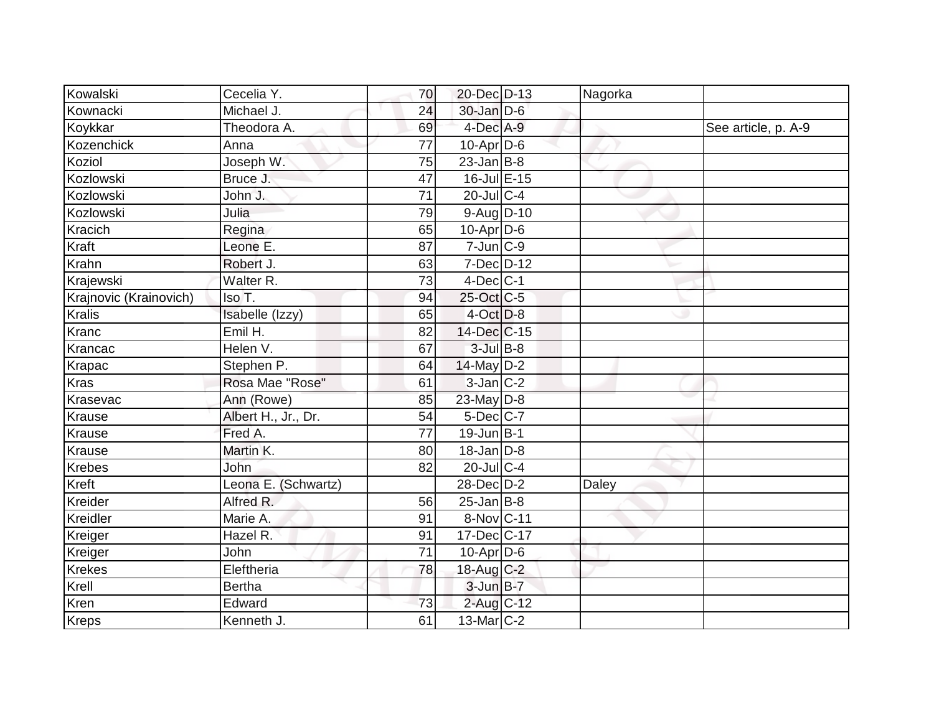| Kowalski               | Cecelia Y.          | 70 | 20-Dec D-13      | Nagorka |                     |
|------------------------|---------------------|----|------------------|---------|---------------------|
| Kownacki               | Michael J.          | 24 | $30$ -Jan $D-6$  |         |                     |
| Koykkar                | Theodora A.         | 69 | $4$ -Dec $A-9$   |         | See article, p. A-9 |
| Kozenchick             | Anna                | 77 | $10$ -Apr $D$ -6 |         |                     |
| Koziol                 | Joseph W.           | 75 | $23$ -Jan B-8    |         |                     |
| Kozlowski              | Bruce J.            | 47 | 16-Jul E-15      |         |                     |
| Kozlowski              | John J.             | 71 | 20-Jul C-4       |         |                     |
| Kozlowski              | Julia               | 79 | $9$ -Aug $D$ -10 |         |                     |
| Kracich                | Regina              | 65 | $10$ -Apr $D$ -6 |         |                     |
| Kraft                  | Leone E.            | 87 | $7$ -Jun $C-9$   |         |                     |
| Krahn                  | Robert J.           | 63 | $7$ -Dec $D-12$  |         |                     |
| Krajewski              | Walter R.           | 73 | $4$ -Dec $ C-1 $ |         |                     |
| Krajnovic (Krainovich) | Iso T.              | 94 | 25-Oct C-5       |         |                     |
| <b>Kralis</b>          | Isabelle (Izzy)     | 65 | $4$ -Oct $D-8$   |         |                     |
| Kranc                  | $E$ mil H.          | 82 | 14-Dec C-15      |         |                     |
| Krancac                | Helen V.            | 67 | $3$ -Jul B-8     |         |                     |
| Krapac                 | Stephen P.          | 64 | $14$ -May D-2    |         |                     |
| <b>Kras</b>            | Rosa Mae "Rose"     | 61 | $3$ -Jan $ C-2 $ |         |                     |
| Krasevac               | Ann (Rowe)          | 85 | 23-May D-8       |         |                     |
| <b>Krause</b>          | Albert H., Jr., Dr. | 54 | 5-Dec C-7        |         |                     |
| Krause                 | Fred A.             | 77 | $19$ -Jun $B$ -1 |         |                     |
| Krause                 | Martin K.           | 80 | $18$ -Jan $D-8$  |         |                     |
| <b>Krebes</b>          | John.               | 82 | 20-Jul C-4       |         |                     |
| Kreft                  | Leona E. (Schwartz) |    | 28-Dec D-2       | Daley   |                     |
| Kreider                | Alfred R.           | 56 | $25$ -Jan B-8    |         |                     |
| Kreidler               | Marie A.            | 91 | 8-Nov C-11       |         |                     |
| Kreiger                | Hazel R.            | 91 | 17-Dec C-17      |         |                     |
| Kreiger                | <b>John</b>         | 71 | $10$ -Apr $D$ -6 |         |                     |
| <b>Krekes</b>          | Eleftheria          | 78 | 18-Aug C-2       |         |                     |
| Krell                  | <b>Bertha</b>       |    | 3-Jun B-7        |         |                     |
| Kren                   | Edward              | 73 | 2-Aug C-12       |         |                     |
| Kreps                  | Kenneth J.          | 61 | $13$ -Mar $C-2$  |         |                     |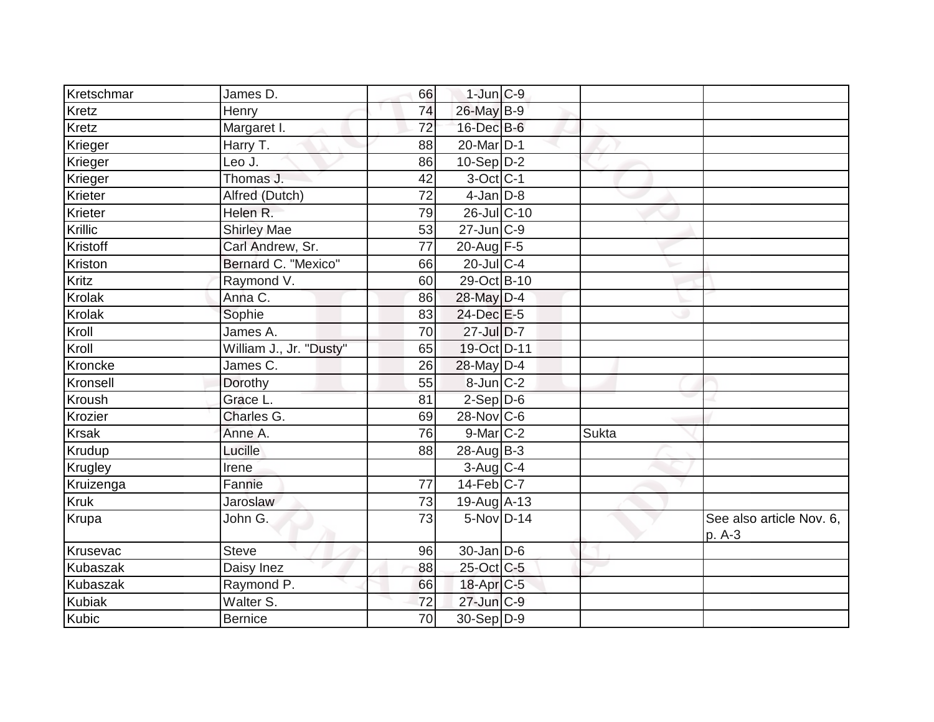| Kretschmar      | James D.                | 66 | $1$ -Jun $C-9$         |       |                                    |
|-----------------|-------------------------|----|------------------------|-------|------------------------------------|
| Kretz           | Henry                   | 74 | 26-May B-9             |       |                                    |
| Kretz           | Margaret I.             | 72 | $16$ -Dec $B$ -6       |       |                                    |
| Krieger         | Harry T.                | 88 | 20-Mar <sub>D-1</sub>  |       |                                    |
| Krieger         | Leo J.                  | 86 | $10-Sep$ D-2           |       |                                    |
| Krieger         | Thomas J.               | 42 | $3$ -Oct C-1           |       |                                    |
| Krieter         | Alfred (Dutch)          | 72 | $4$ -Jan $D-8$         |       |                                    |
| Krieter         | Helen R.                | 79 | 26-Jul C-10            |       |                                    |
| Krillic         | <b>Shirley Mae</b>      | 53 | $27$ -Jun $C-9$        |       |                                    |
| Kristoff        | Carl Andrew, Sr.        | 77 | 20-Aug F-5             |       |                                    |
| Kriston         | Bernard C. "Mexico"     | 66 | $20$ -Jul C-4          |       |                                    |
| Kritz           | Raymond V.              | 60 | 29-Oct B-10            |       |                                    |
| Krolak          | Anna C.                 | 86 | 28-May D-4             |       |                                    |
| Krolak          | Sophie                  | 83 | $24$ -Dec $E-5$        |       |                                    |
| Kroll           | James A.                | 70 | $27$ -Jul $D-7$        |       |                                    |
| Kroll           | William J., Jr. "Dusty" | 65 | 19-Oct D-11            |       |                                    |
| Kroncke         | James C.                | 26 | 28-May D-4             |       |                                    |
| Kronsell        | Dorothy                 | 55 | 8-Jun C-2              |       |                                    |
| Kroush          | Grace L.                | 81 | $2-Sep$ $D-6$          |       |                                    |
| Krozier         | Charles G.              | 69 | $28-Nov$ C-6           |       |                                    |
| <b>Krsak</b>    | Anne A.                 | 76 | $9$ -Mar $ C-2$        | Sukta |                                    |
| Krudup          | Lucille                 | 88 | 28-Aug B-3             |       |                                    |
| Krugley         | Irene                   |    | $3-Aug$ <sub>C-4</sub> |       |                                    |
| Kruizenga       | Fannie                  | 77 | $14$ -Feb $ C-7 $      |       |                                    |
| <b>Kruk</b>     | Jaroslaw                | 73 | 19-Aug A-13            |       |                                    |
| Krupa           | John G.                 | 73 | 5-Nov D-14             |       | See also article Nov. 6,<br>p. A-3 |
| Krusevac        | <b>Steve</b>            | 96 | $30$ -Jan $D-6$        |       |                                    |
| Kubaszak        | Daisy Inez              | 88 | 25-Oct C-5             |       |                                    |
| <b>Kubaszak</b> | Raymond P.              | 66 | 18-Apr C-5             |       |                                    |
| <b>Kubiak</b>   | Walter S.               | 72 | $27$ -Jun $C-9$        |       |                                    |
| Kubic           | <b>Bernice</b>          | 70 | $30-Sep D-9$           |       |                                    |
|                 |                         |    |                        |       |                                    |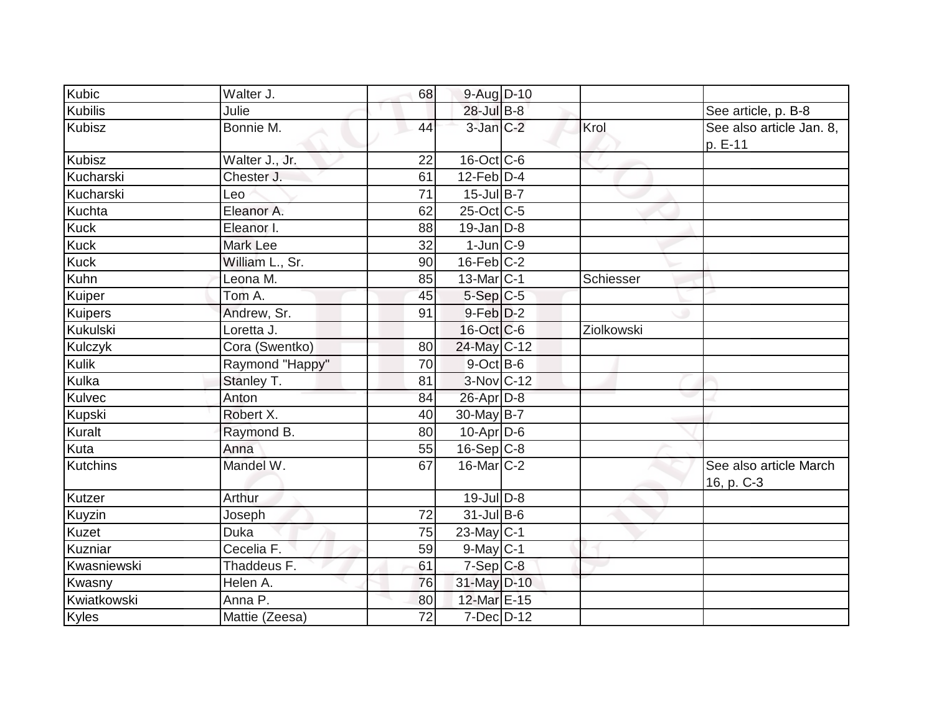| Kubic          | Walter J.       | 68 | 9-Aug D-10           |            |                                      |
|----------------|-----------------|----|----------------------|------------|--------------------------------------|
| <b>Kubilis</b> | Julie           |    | $28$ -Jul B-8        |            | See article, p. B-8                  |
| <b>Kubisz</b>  | Bonnie M.       | 44 | $3$ -Jan $C-2$       | Krol       | See also article Jan. 8,<br>p. E-11  |
| <b>Kubisz</b>  | Walter J., Jr.  | 22 | $16$ -Oct $ C$ -6    |            |                                      |
| Kucharski      | Chester J.      | 61 | $12$ -Feb $D-4$      |            |                                      |
| Kucharski      | Leo             | 71 | $15$ -Jul B-7        |            |                                      |
| Kuchta         | Eleanor A.      | 62 | 25-Oct C-5           |            |                                      |
| Kuck           | Eleanor I.      | 88 | $19$ -Jan $D-8$      |            |                                      |
| Kuck           | Mark Lee        | 32 | $1$ -Jun $ C-9$      |            |                                      |
| Kuck           | William L., Sr. | 90 | $16$ -Feb $C-2$      |            |                                      |
| Kuhn           | Leona M.        | 85 | $13$ -Mar $ C-1 $    | Schiesser  |                                      |
| Kuiper         | Tom A.          | 45 | $5-Sep C-5$          |            |                                      |
| Kuipers        | Andrew, Sr.     | 91 | 9-Feb <sup>D-2</sup> |            |                                      |
| Kukulski       | Loretta J.      |    | $16$ -Oct $ C$ -6    | Ziolkowski |                                      |
| Kulczyk        | Cora (Swentko)  | 80 | 24-May C-12          |            |                                      |
| Kulik          | Raymond "Happy" | 70 | $9-Oct$ B-6          |            |                                      |
| Kulka          | Stanley T.      | 81 | 3-Nov C-12           |            |                                      |
| Kulvec         | Anton           | 84 | $26$ -Apr $D-8$      |            |                                      |
| Kupski         | Robert X.       | 40 | $30$ -May B-7        |            |                                      |
| Kuralt         | Raymond B.      | 80 | $10$ -Apr $D$ -6     |            |                                      |
| Kuta           | Anna            | 55 | $16-Sep C-8$         |            |                                      |
| Kutchins       | Mandel W.       | 67 | $16$ -Mar $ C-2 $    |            | See also article March<br>16, p. C-3 |
| Kutzer         | Arthur          |    | $19$ -Jul $D-8$      |            |                                      |
| Kuyzin         | Joseph          | 72 | $31$ -Jul B-6        |            |                                      |
| Kuzet          | Duka            | 75 | $23$ -May C-1        |            |                                      |
| Kuzniar        | Cecelia F.      | 59 | $9-May C-1$          |            |                                      |
| Kwasniewski    | Thaddeus F.     | 61 | $7-Sep$ $C-8$        |            |                                      |
| Kwasny         | Helen A.        | 76 | 31-May D-10          |            |                                      |
| Kwiatkowski    | Anna P.         | 80 | 12-Mar E-15          |            |                                      |
| Kyles          | Mattie (Zeesa)  | 72 | 7-Dec D-12           |            |                                      |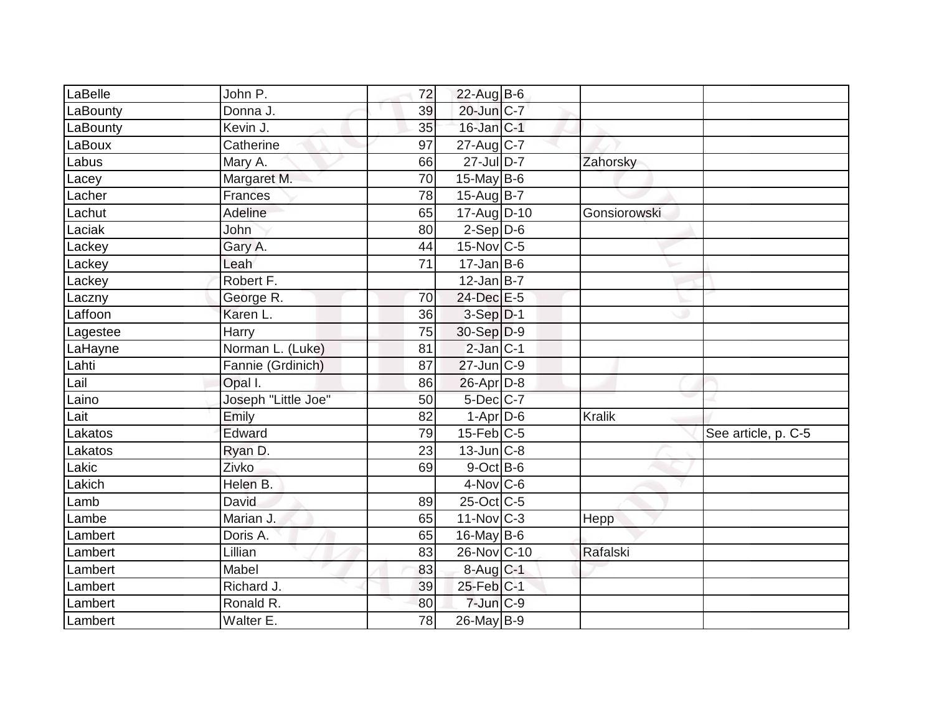| LaBelle  | John P.             | 72 | 22-Aug B-6             |              |                     |
|----------|---------------------|----|------------------------|--------------|---------------------|
| LaBounty | Donna J.            | 39 | 20-Jun C-7             |              |                     |
| LaBounty | Kevin J.            | 35 | 16-Jan C-1             |              |                     |
| LaBoux   | Catherine           | 97 | $27$ -Aug C-7          |              |                     |
| Labus    | Mary A.             | 66 | $27$ -Jul D-7          | Zahorsky     |                     |
| Lacey    | Margaret M.         | 70 | 15-May B-6             |              |                     |
| Lacher   | Frances             | 78 | 15-Aug B-7             |              |                     |
| Lachut   | Adeline             | 65 | 17-Aug D-10            | Gonsiorowski |                     |
| Laciak   | John                | 80 | $2-Sep D-6$            |              |                     |
| Lackey   | Gary A.             | 44 | $15$ -Nov $ C$ -5      |              |                     |
| Lackey   | Leah                | 71 | $17$ -Jan B-6          |              |                     |
| Lackey   | Robert F.           |    | $12$ -Jan B-7          |              |                     |
| Laczny   | George R.           | 70 | 24-Dec E-5             |              |                     |
| Laffoon  | Karen L.            | 36 | $3-Sep D-1$            |              |                     |
| Lagestee | Harry               | 75 | 30-Sep D-9             |              |                     |
| LaHayne  | Norman L. (Luke)    | 81 | $2$ -Jan $ C-1 $       |              |                     |
| Lahti    | Fannie (Grdinich)   | 87 | $27$ -Jun $ C-9$       |              |                     |
| Lail     | Opal I.             | 86 | $26$ -Apr $D-8$        |              |                     |
| Laino    | Joseph "Little Joe" | 50 | 5-Dec C-7              |              |                     |
| Lait     | Emily               | 82 | $1-Apr$ D-6            | Kralik       |                     |
| Lakatos  | Edward              | 79 | $15$ -Feb $ C$ -5      |              | See article, p. C-5 |
| Lakatos  | Ryan D.             | 23 | $13$ -Jun $ C-8 $      |              |                     |
| Lakic    | Zivko               | 69 | $9$ -Oct B-6           |              |                     |
| Lakich   | Helen B.            |    | $4$ -Nov $ C$ -6       |              |                     |
| Lamb     | David               | 89 | $25$ -Oct C-5          |              |                     |
| Lambe    | Marian J.           | 65 | 11-Nov C-3             | Hepp         |                     |
| Lambert  | Doris A.            | 65 | $16$ -May B-6          |              |                     |
| Lambert  | Lillian             | 83 | 26-Nov C-10            | Rafalski     |                     |
| Lambert  | Mabel               | 83 | $8-Aug$ <sub>C-1</sub> |              |                     |
| Lambert  | Richard J.          | 39 | $25$ -Feb $C-1$        |              |                     |
| Lambert  | Ronald R.           | 80 | $7$ -Jun $C-9$         |              |                     |
| Lambert  | Walter E.           | 78 | $26$ -May B-9          |              |                     |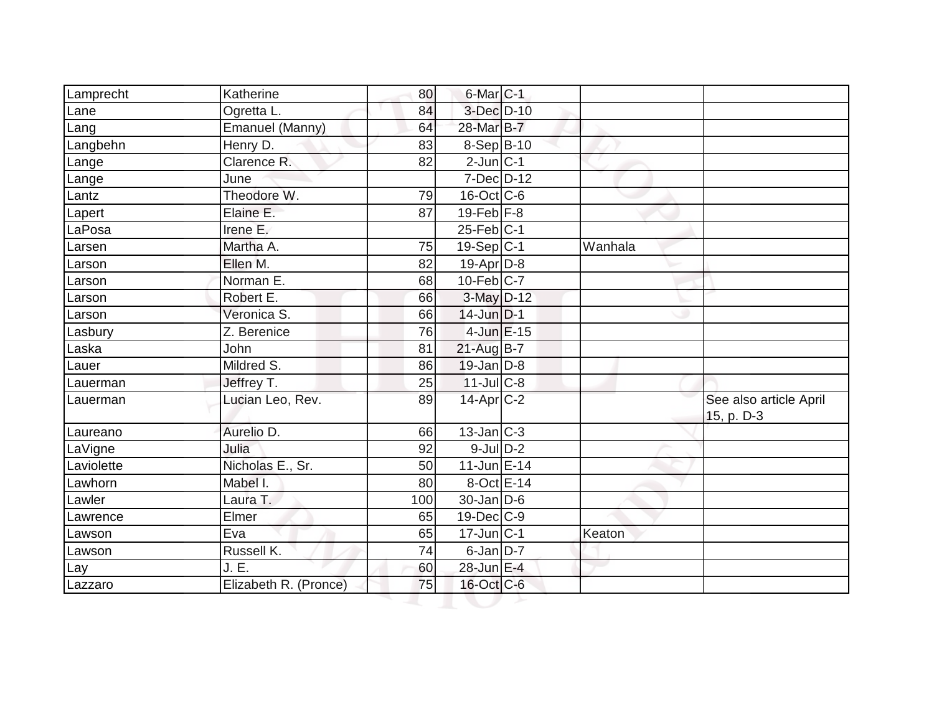| Lamprecht  | Katherine             | 80  | 6-Mar <sub>C-1</sub> |         |                                      |
|------------|-----------------------|-----|----------------------|---------|--------------------------------------|
| Lane       | Ogretta L.            | 84  | 3-Dec D-10           |         |                                      |
| Lang       | Emanuel (Manny)       | 64  | 28-Mar B-7           |         |                                      |
| Langbehn   | Henry D.              | 83  | $8-Sep B-10$         |         |                                      |
| Lange      | Clarence R.           | 82  | $2$ -Jun $C-1$       |         |                                      |
| Lange      | June                  |     | $7$ -Dec $D-12$      |         |                                      |
| Lantz      | Theodore W.           | 79  | $16$ -Oct $ C$ -6    |         |                                      |
| Lapert     | Elaine E.             | 87  | 19-Feb $F-8$         |         |                                      |
| LaPosa     | Irene E.              |     | $25$ -Feb $ C-1 $    |         |                                      |
| Larsen     | Martha A.             | 75  | $19-Sep C-1$         | Wanhala |                                      |
| Larson     | Ellen M.              | 82  | $19$ -Apr $D-8$      |         |                                      |
| Larson     | Norman <sub>E</sub> . | 68  | $10$ -Feb $C$ -7     |         |                                      |
| Larson     | Robert E.             | 66  | $3-May$ $D-12$       |         |                                      |
| _arson     | Veronica S.           | 66  | $14$ -Jun $D-1$      |         |                                      |
| Lasbury    | Z. Berenice           | 76  | $4$ -Jun $E-15$      |         |                                      |
| Laska      | John                  | 81  | 21-Aug B-7           |         |                                      |
| Lauer      | Mildred S.            | 86  | $19$ -Jan $D-8$      |         |                                      |
| Lauerman   | Jeffrey T.            | 25  | $11$ -JulC-8         |         |                                      |
| Lauerman   | Lucian Leo, Rev.      | 89  | $14$ -Apr $C-2$      |         | See also article April<br>15, p. D-3 |
| Laureano   | Aurelio D.            | 66  | $13$ -Jan $ C-3 $    |         |                                      |
| LaVigne    | Julia                 | 92  | $9$ -Jul $D-2$       |         |                                      |
| Laviolette | Nicholas E., Sr.      | 50  | 11-Jun E-14          |         |                                      |
| Lawhorn    | Mabel I.              | 80  | $8-Oct$ $E-14$       |         |                                      |
| Lawler     | Laura T.              | 100 | $30$ -Jan D-6        |         |                                      |
| _awrence   | Elmer                 | 65  | $19$ -Dec $C$ -9     |         |                                      |
| Lawson     | Eva                   | 65  | $17$ -Jun $ C-1 $    | Keaton  |                                      |
| Lawson     | Russell K.            | 74  | 6-Jan D-7            |         |                                      |
| Lay        | J.E.                  | 60  | 28-Jun E-4           |         |                                      |
| Lazzaro    | Elizabeth R. (Pronce) | 75  | $16$ -Oct $C$ -6     |         |                                      |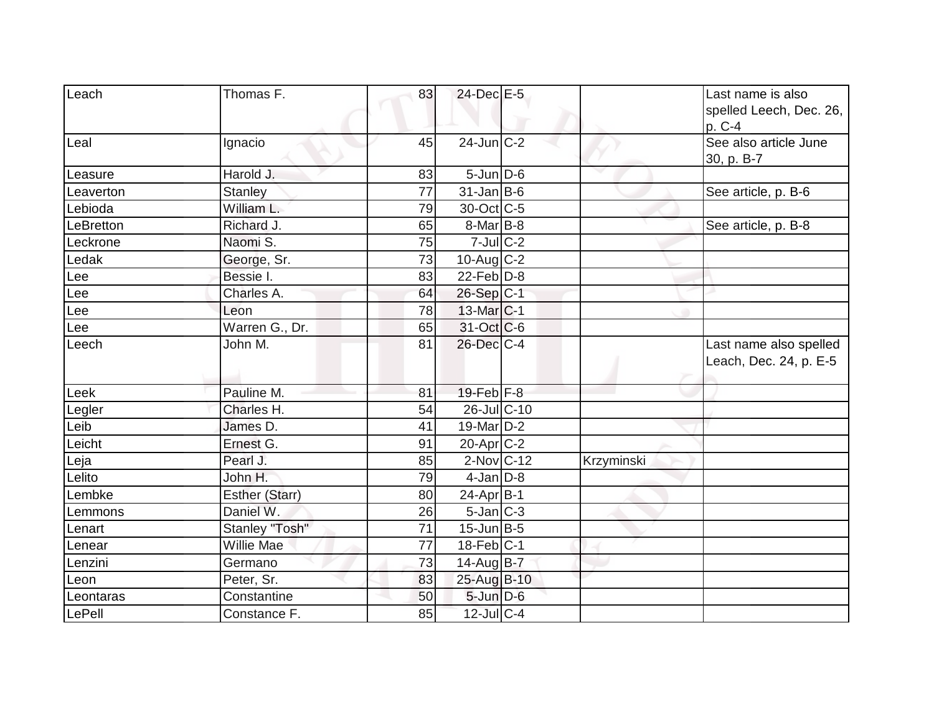| Leach     | Thomas F.      | 83 | 24-Dec E-5        |            | Last name is also       |
|-----------|----------------|----|-------------------|------------|-------------------------|
|           |                |    |                   |            | spelled Leech, Dec. 26, |
|           |                |    |                   |            | p. C-4                  |
| Leal      | Ignacio        | 45 | $24$ -Jun $C-2$   |            | See also article June   |
|           |                |    |                   |            | 30, p. B-7              |
| Leasure   | Harold J.      | 83 | $5$ -Jun $D$ -6   |            |                         |
| Leaverton | <b>Stanley</b> | 77 | $31$ -Jan B-6     |            | See article, p. B-6     |
| Lebioda   | William L.     | 79 | 30-Oct C-5        |            |                         |
| LeBretton | Richard J.     | 65 | $8$ -Mar $ B-8$   |            | See article, p. B-8     |
| Leckrone  | Naomi S.       | 75 | $7$ -Jul $C-2$    |            |                         |
| Ledak     | George, Sr.    | 73 | $10$ -Aug C-2     |            |                         |
| Lee       | Bessie I.      | 83 | $22$ -Feb $ D-8$  |            |                         |
| Lee       | Charles A.     | 64 | $26-Sep$ C-1      |            |                         |
| Lee       | Leon           | 78 | $13$ -Mar $ C-1 $ |            |                         |
| Lee       | Warren G., Dr. | 65 | $31-Oct$ C-6      |            |                         |
| Leech     | John M.        | 81 | 26-Dec C-4        |            | Last name also spelled  |
|           |                |    |                   |            | Leach, Dec. 24, p. E-5  |
|           |                |    |                   |            |                         |
| Leek      | Pauline M.     | 81 | $19$ -Feb $ F-8 $ |            |                         |
| Legler    | Charles H.     | 54 | $26$ -JulC-10     |            |                         |
| Leib      | James D.       | 41 | $19$ -Mar $ D-2 $ |            |                         |
| Leicht    | Ernest G.      | 91 | $20$ -Apr $C-2$   |            |                         |
| Leja      | Pearl J.       | 85 | $2$ -Nov $ C-12 $ | Krzyminski |                         |
| Lelito    | John H.        | 79 | $4$ -Jan D-8      |            |                         |
| Lembke    | Esther (Starr) | 80 | $24$ -Apr $B$ -1  |            |                         |
| Lemmons   | Daniel W.      | 26 | $5$ -Jan $ C-3 $  |            |                         |
| Lenart    | Stanley "Tosh" | 71 | $15$ -Jun $ B-5 $ |            |                         |
| Lenear    | Willie Mae     | 77 | $18$ -Feb $ C-1$  |            |                         |
| Lenzini   | Germano        | 73 | 14-Aug B-7        |            |                         |
| Leon      | Peter, Sr.     | 83 | 25-Aug B-10       |            |                         |
| Leontaras | Constantine    | 50 | $5$ -Jun $D-6$    |            |                         |
| LePell    | Constance F.   | 85 | $12$ -Jul C-4     |            |                         |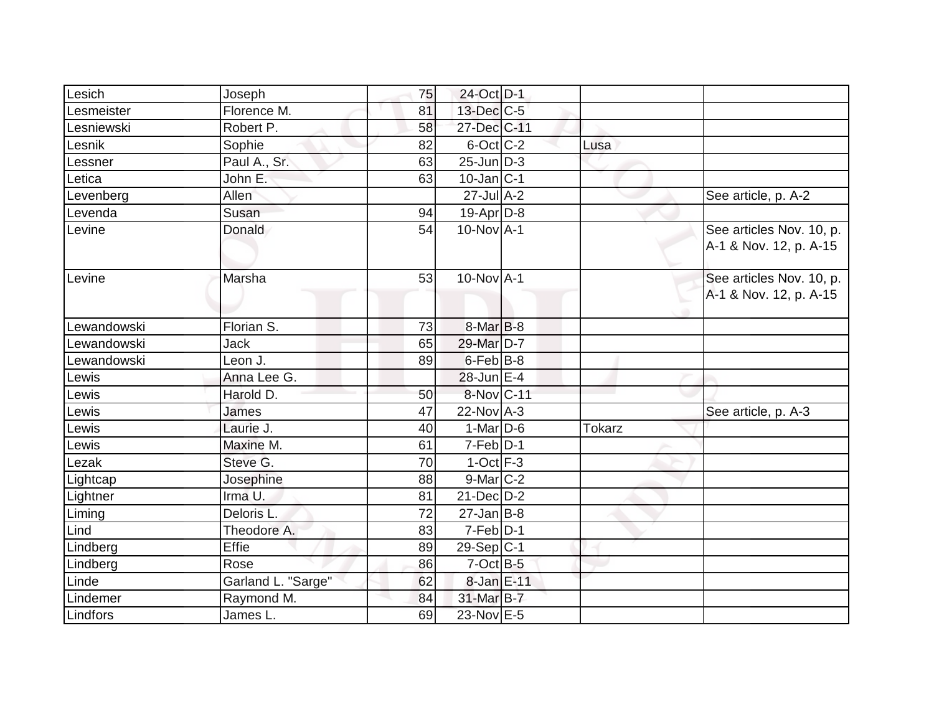| Lesich      | Joseph             | 75 | 24-Oct D-1        |               |                                                    |
|-------------|--------------------|----|-------------------|---------------|----------------------------------------------------|
| Lesmeister  | Florence M.        | 81 | $13$ -Dec $C$ -5  |               |                                                    |
| Lesniewski  | Robert P.          | 58 | 27-Dec C-11       |               |                                                    |
| Lesnik      | Sophie             | 82 | 6-Oct C-2         | Lusa          |                                                    |
| Lessner     | Paul A., Sr.       | 63 | $25$ -Jun $D-3$   |               |                                                    |
| Letica      | John E.            | 63 | $10$ -Jan $ C-1 $ |               |                                                    |
| Levenberg   | Allen              |    | $27$ -Jul $A-2$   |               | See article, p. A-2                                |
| Levenda     | Susan              | 94 | 19-Apr D-8        |               |                                                    |
| Levine      | Donald             | 54 | $10$ -Nov $A$ -1  |               | See articles Nov. 10, p.<br>A-1 & Nov. 12, p. A-15 |
| Levine      | Marsha             | 53 | $10$ -Nov $A-1$   |               | See articles Nov. 10, p.<br>A-1 & Nov. 12, p. A-15 |
| Lewandowski | Florian S.         | 73 | 8-Mar B-8         |               |                                                    |
| Lewandowski | Jack               | 65 | 29-Mar D-7        |               |                                                    |
| Lewandowski | Leon J.            | 89 | $6$ -Feb $B$ -8   |               |                                                    |
| Lewis       | Anna Lee G.        |    | $28$ -Jun $E-4$   |               |                                                    |
| Lewis       | Harold D.          | 50 | 8-Nov C-11        |               |                                                    |
| Lewis       | James              | 47 | $22$ -Nov A-3     |               | See article, p. A-3                                |
| Lewis       | Laurie J.          | 40 | $1-Mar$ D-6       | <b>Tokarz</b> |                                                    |
| Lewis       | Maxine M.          | 61 | $7-Feb D-1$       |               |                                                    |
| Lezak       | Steve G.           | 70 | $1-Oct$ F-3       |               |                                                    |
| Lightcap    | Josephine          | 88 | $9$ -Mar $ C-2 $  |               |                                                    |
| Lightner    | Irma U.            | 81 | $21$ -Dec $D-2$   |               |                                                    |
| Liming      | Deloris L.         | 72 | $27$ -Jan B-8     |               |                                                    |
| Lind        | Theodore A.        | 83 | $7-Feb$ D-1       |               |                                                    |
| Lindberg    | Effie              | 89 | $29-Sep C-1$      |               |                                                    |
| Lindberg    | Rose               | 86 | $7$ -Oct B-5      |               |                                                    |
| Linde       | Garland L. "Sarge" | 62 | 8-Jan E-11        |               |                                                    |
| Lindemer    | Raymond M.         | 84 | 31-Mar B-7        |               |                                                    |
| Lindfors    | James L.           | 69 | 23-Nov E-5        |               |                                                    |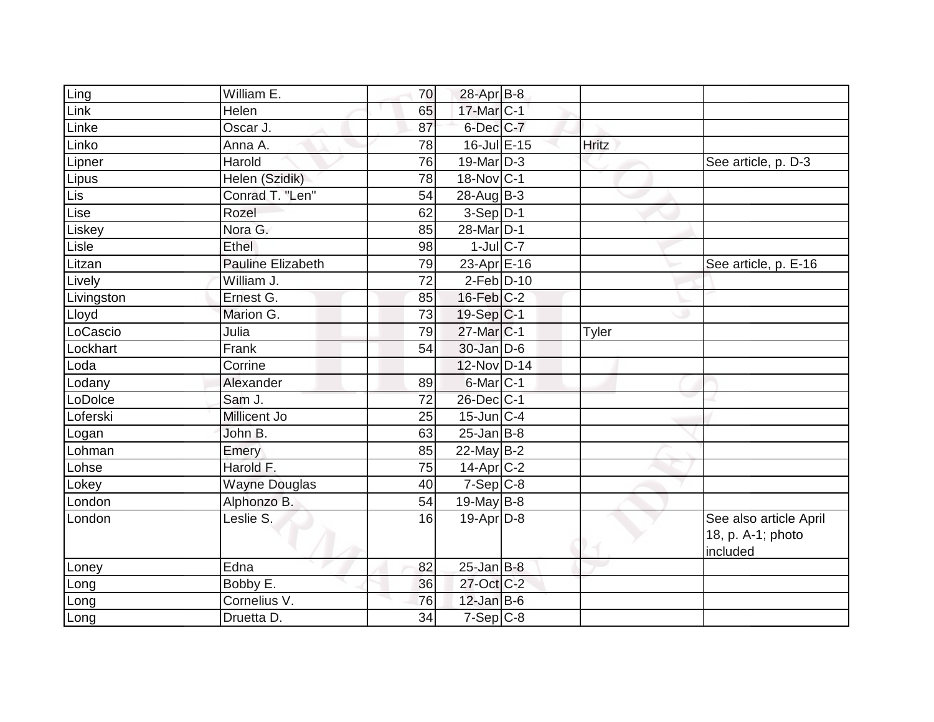| Ling       | William E.               | 70              | 28-Apr B-8            |              |                                                         |
|------------|--------------------------|-----------------|-----------------------|--------------|---------------------------------------------------------|
| Link       | <b>Helen</b>             | 65              | $17$ -Mar $C-1$       |              |                                                         |
| Linke      | Oscar J.                 | 87              | 6-Dec C-7             |              |                                                         |
| Linko      | Anna A.                  | 78              | $16$ -Jul $E-15$      | <b>Hritz</b> |                                                         |
| Lipner     | Harold                   | $\overline{76}$ | 19-Mar D-3            |              | See article, p. D-3                                     |
| Lipus      | Helen (Szidik)           | 78              | 18-Nov C-1            |              |                                                         |
| <b>Lis</b> | Conrad T. "Len"          | 54              | $28$ -AugB-3          |              |                                                         |
| Lise       | Rozel                    | 62              | $3-Sep$ D-1           |              |                                                         |
| Liskey     | Nora G.                  | 85              | 28-Mar D-1            |              |                                                         |
| Lisle      | Ethel                    | 98              | $1$ -Jul $C$ -7       |              |                                                         |
| Litzan     | <b>Pauline Elizabeth</b> | 79              | 23-Apr E-16           |              | See article, p. E-16                                    |
| Lively     | William J.               | $\overline{72}$ | $2-Feb D-10$          |              |                                                         |
| Livingston | Ernest G.                | 85              | $16$ -Feb $C-2$       |              |                                                         |
| Lloyd      | Marion G.                | 73              | $19-Sep C-1$          |              |                                                         |
| LoCascio   | Julia                    | 79              | 27-Mar <sub>C-1</sub> | Tyler        |                                                         |
| Lockhart   | Frank                    | 54              | $30$ -Jan $D-6$       |              |                                                         |
| Loda       | Corrine                  |                 | 12-Nov D-14           |              |                                                         |
| Lodany     | Alexander                | 89              | 6-Mar C-1             |              |                                                         |
| LoDolce    | Sam J.                   | 72              | $26$ -Dec $ C-1 $     |              |                                                         |
| Loferski   | Millicent Jo             | 25              | $15$ -Jun $ C-4 $     |              |                                                         |
| Logan      | John B.                  | 63              | $25$ -Jan B-8         |              |                                                         |
| Lohman     | Emery                    | 85              | $22$ -May B-2         |              |                                                         |
| Lohse      | Harold F.                | 75              | $14$ -Apr $C-2$       |              |                                                         |
| Lokey      | <b>Wayne Douglas</b>     | 40              | $7-Sep C-8$           |              |                                                         |
| London     | Alphonzo B.              | 54              | 19-May $B-8$          |              |                                                         |
| London     | Leslie S.                | 16              | 19-Apr D-8            |              | See also article April<br>18, p. A-1; photo<br>included |
| Loney      | Edna                     | 82              | $25$ -Jan B-8         |              |                                                         |
| Long       | Bobby E.                 | 36              | 27-Oct C-2            |              |                                                         |
| Long       | Cornelius V.             | 76              | $12$ -Jan B-6         |              |                                                         |
| Long       | Druetta D.               | 34              | $7-Sep$ C-8           |              |                                                         |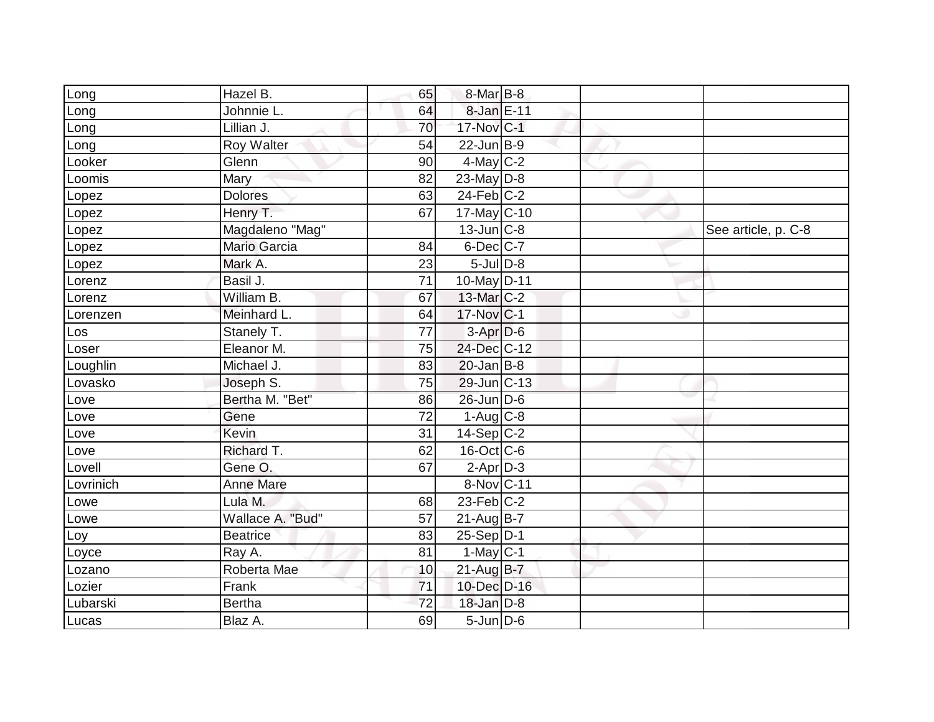| 8-Jan E-11<br>64<br>Johnnie L.<br>_ong<br>17-Nov C-1<br>Lillian J.<br>70<br>_ong<br>$22$ -Jun $B-9$<br>Roy Walter<br>54<br>Long<br>$4$ -May C-2<br>Glenn<br>90<br>Looker<br>Mary<br>23-May $D-8$<br>82<br>_oomis<br>$24$ -Feb $C-2$<br><b>Dolores</b><br>63<br>Lopez<br>67<br>Henry T.<br>$17$ -May C-10<br>Lopez<br>Magdaleno "Mag"<br>$13$ -Jun $ C-8 $<br>See article, p. C-8<br>_opez<br>Mario Garcia<br>$6$ -Dec $C$ -7<br>84<br>Lopez<br>$5$ -Jul $D-8$<br>Mark A.<br>23<br>Lopez<br>Basil J.<br>71<br>$10$ -May D-11<br>Lorenz<br>William B.<br>13-Mar C-2<br>67<br>_orenz<br>64<br>Meinhard L.<br>17-Nov C-1<br>Lorenzen<br>77<br>$3-Apr$ $D-6$<br>Stanely T.<br>Los<br>24-Dec C-12<br>Eleanor M.<br>75<br>Loser<br>$20$ -Jan B-8<br>Loughlin<br>Michael J.<br>83<br>Lovasko<br>Joseph S.<br>$29$ -Jun $ C-13$<br>75<br>Bertha M. "Bet"<br>$26$ -Jun D-6<br>86<br>Love<br>Gene<br>72<br>$1-Aug$ <sub>C-8</sub><br>-ove<br>31<br><b>Kevin</b><br>$14-Sep C-2$<br>_ove<br>Richard T.<br>16-Oct C-6<br>62<br>-ove<br>$2-AprD-3$<br>Gene O.<br>67<br>Lovell<br><b>Anne Mare</b><br>8-Nov C-11<br>_ovrinich<br>$23$ -Feb $C-2$<br>Lula M.<br>68<br>-owe<br>Wallace A. "Bud"<br>21-Aug B-7<br>57<br>Lowe<br>$25-Sep D-1$<br>83<br><b>Beatrice</b><br>Loy<br>81<br>$1-May C-1$<br>Ray A.<br>Loyce<br>Roberta Mae<br>$21$ -Aug $B$ -7<br>10<br>Lozano<br>Frank<br>10-Dec D-16<br>71<br>Lozier<br>72<br>$18$ -Jan $D-8$<br>Lubarski<br><b>Bertha</b><br>Blaz A.<br>$5 - Jun$ $D-6$<br>69 | Long  | Hazel B. | 65 | $8$ -Mar $B$ -8 |  |  |
|-----------------------------------------------------------------------------------------------------------------------------------------------------------------------------------------------------------------------------------------------------------------------------------------------------------------------------------------------------------------------------------------------------------------------------------------------------------------------------------------------------------------------------------------------------------------------------------------------------------------------------------------------------------------------------------------------------------------------------------------------------------------------------------------------------------------------------------------------------------------------------------------------------------------------------------------------------------------------------------------------------------------------------------------------------------------------------------------------------------------------------------------------------------------------------------------------------------------------------------------------------------------------------------------------------------------------------------------------------------------------------------------------------------------------------------------------------------------------------------------|-------|----------|----|-----------------|--|--|
|                                                                                                                                                                                                                                                                                                                                                                                                                                                                                                                                                                                                                                                                                                                                                                                                                                                                                                                                                                                                                                                                                                                                                                                                                                                                                                                                                                                                                                                                                         |       |          |    |                 |  |  |
|                                                                                                                                                                                                                                                                                                                                                                                                                                                                                                                                                                                                                                                                                                                                                                                                                                                                                                                                                                                                                                                                                                                                                                                                                                                                                                                                                                                                                                                                                         |       |          |    |                 |  |  |
|                                                                                                                                                                                                                                                                                                                                                                                                                                                                                                                                                                                                                                                                                                                                                                                                                                                                                                                                                                                                                                                                                                                                                                                                                                                                                                                                                                                                                                                                                         |       |          |    |                 |  |  |
|                                                                                                                                                                                                                                                                                                                                                                                                                                                                                                                                                                                                                                                                                                                                                                                                                                                                                                                                                                                                                                                                                                                                                                                                                                                                                                                                                                                                                                                                                         |       |          |    |                 |  |  |
|                                                                                                                                                                                                                                                                                                                                                                                                                                                                                                                                                                                                                                                                                                                                                                                                                                                                                                                                                                                                                                                                                                                                                                                                                                                                                                                                                                                                                                                                                         |       |          |    |                 |  |  |
|                                                                                                                                                                                                                                                                                                                                                                                                                                                                                                                                                                                                                                                                                                                                                                                                                                                                                                                                                                                                                                                                                                                                                                                                                                                                                                                                                                                                                                                                                         |       |          |    |                 |  |  |
|                                                                                                                                                                                                                                                                                                                                                                                                                                                                                                                                                                                                                                                                                                                                                                                                                                                                                                                                                                                                                                                                                                                                                                                                                                                                                                                                                                                                                                                                                         |       |          |    |                 |  |  |
|                                                                                                                                                                                                                                                                                                                                                                                                                                                                                                                                                                                                                                                                                                                                                                                                                                                                                                                                                                                                                                                                                                                                                                                                                                                                                                                                                                                                                                                                                         |       |          |    |                 |  |  |
|                                                                                                                                                                                                                                                                                                                                                                                                                                                                                                                                                                                                                                                                                                                                                                                                                                                                                                                                                                                                                                                                                                                                                                                                                                                                                                                                                                                                                                                                                         |       |          |    |                 |  |  |
|                                                                                                                                                                                                                                                                                                                                                                                                                                                                                                                                                                                                                                                                                                                                                                                                                                                                                                                                                                                                                                                                                                                                                                                                                                                                                                                                                                                                                                                                                         |       |          |    |                 |  |  |
|                                                                                                                                                                                                                                                                                                                                                                                                                                                                                                                                                                                                                                                                                                                                                                                                                                                                                                                                                                                                                                                                                                                                                                                                                                                                                                                                                                                                                                                                                         |       |          |    |                 |  |  |
|                                                                                                                                                                                                                                                                                                                                                                                                                                                                                                                                                                                                                                                                                                                                                                                                                                                                                                                                                                                                                                                                                                                                                                                                                                                                                                                                                                                                                                                                                         |       |          |    |                 |  |  |
|                                                                                                                                                                                                                                                                                                                                                                                                                                                                                                                                                                                                                                                                                                                                                                                                                                                                                                                                                                                                                                                                                                                                                                                                                                                                                                                                                                                                                                                                                         |       |          |    |                 |  |  |
|                                                                                                                                                                                                                                                                                                                                                                                                                                                                                                                                                                                                                                                                                                                                                                                                                                                                                                                                                                                                                                                                                                                                                                                                                                                                                                                                                                                                                                                                                         |       |          |    |                 |  |  |
|                                                                                                                                                                                                                                                                                                                                                                                                                                                                                                                                                                                                                                                                                                                                                                                                                                                                                                                                                                                                                                                                                                                                                                                                                                                                                                                                                                                                                                                                                         |       |          |    |                 |  |  |
|                                                                                                                                                                                                                                                                                                                                                                                                                                                                                                                                                                                                                                                                                                                                                                                                                                                                                                                                                                                                                                                                                                                                                                                                                                                                                                                                                                                                                                                                                         |       |          |    |                 |  |  |
|                                                                                                                                                                                                                                                                                                                                                                                                                                                                                                                                                                                                                                                                                                                                                                                                                                                                                                                                                                                                                                                                                                                                                                                                                                                                                                                                                                                                                                                                                         |       |          |    |                 |  |  |
|                                                                                                                                                                                                                                                                                                                                                                                                                                                                                                                                                                                                                                                                                                                                                                                                                                                                                                                                                                                                                                                                                                                                                                                                                                                                                                                                                                                                                                                                                         |       |          |    |                 |  |  |
|                                                                                                                                                                                                                                                                                                                                                                                                                                                                                                                                                                                                                                                                                                                                                                                                                                                                                                                                                                                                                                                                                                                                                                                                                                                                                                                                                                                                                                                                                         |       |          |    |                 |  |  |
|                                                                                                                                                                                                                                                                                                                                                                                                                                                                                                                                                                                                                                                                                                                                                                                                                                                                                                                                                                                                                                                                                                                                                                                                                                                                                                                                                                                                                                                                                         |       |          |    |                 |  |  |
|                                                                                                                                                                                                                                                                                                                                                                                                                                                                                                                                                                                                                                                                                                                                                                                                                                                                                                                                                                                                                                                                                                                                                                                                                                                                                                                                                                                                                                                                                         |       |          |    |                 |  |  |
|                                                                                                                                                                                                                                                                                                                                                                                                                                                                                                                                                                                                                                                                                                                                                                                                                                                                                                                                                                                                                                                                                                                                                                                                                                                                                                                                                                                                                                                                                         |       |          |    |                 |  |  |
|                                                                                                                                                                                                                                                                                                                                                                                                                                                                                                                                                                                                                                                                                                                                                                                                                                                                                                                                                                                                                                                                                                                                                                                                                                                                                                                                                                                                                                                                                         |       |          |    |                 |  |  |
|                                                                                                                                                                                                                                                                                                                                                                                                                                                                                                                                                                                                                                                                                                                                                                                                                                                                                                                                                                                                                                                                                                                                                                                                                                                                                                                                                                                                                                                                                         |       |          |    |                 |  |  |
|                                                                                                                                                                                                                                                                                                                                                                                                                                                                                                                                                                                                                                                                                                                                                                                                                                                                                                                                                                                                                                                                                                                                                                                                                                                                                                                                                                                                                                                                                         |       |          |    |                 |  |  |
|                                                                                                                                                                                                                                                                                                                                                                                                                                                                                                                                                                                                                                                                                                                                                                                                                                                                                                                                                                                                                                                                                                                                                                                                                                                                                                                                                                                                                                                                                         |       |          |    |                 |  |  |
|                                                                                                                                                                                                                                                                                                                                                                                                                                                                                                                                                                                                                                                                                                                                                                                                                                                                                                                                                                                                                                                                                                                                                                                                                                                                                                                                                                                                                                                                                         |       |          |    |                 |  |  |
|                                                                                                                                                                                                                                                                                                                                                                                                                                                                                                                                                                                                                                                                                                                                                                                                                                                                                                                                                                                                                                                                                                                                                                                                                                                                                                                                                                                                                                                                                         |       |          |    |                 |  |  |
|                                                                                                                                                                                                                                                                                                                                                                                                                                                                                                                                                                                                                                                                                                                                                                                                                                                                                                                                                                                                                                                                                                                                                                                                                                                                                                                                                                                                                                                                                         |       |          |    |                 |  |  |
|                                                                                                                                                                                                                                                                                                                                                                                                                                                                                                                                                                                                                                                                                                                                                                                                                                                                                                                                                                                                                                                                                                                                                                                                                                                                                                                                                                                                                                                                                         |       |          |    |                 |  |  |
|                                                                                                                                                                                                                                                                                                                                                                                                                                                                                                                                                                                                                                                                                                                                                                                                                                                                                                                                                                                                                                                                                                                                                                                                                                                                                                                                                                                                                                                                                         | Lucas |          |    |                 |  |  |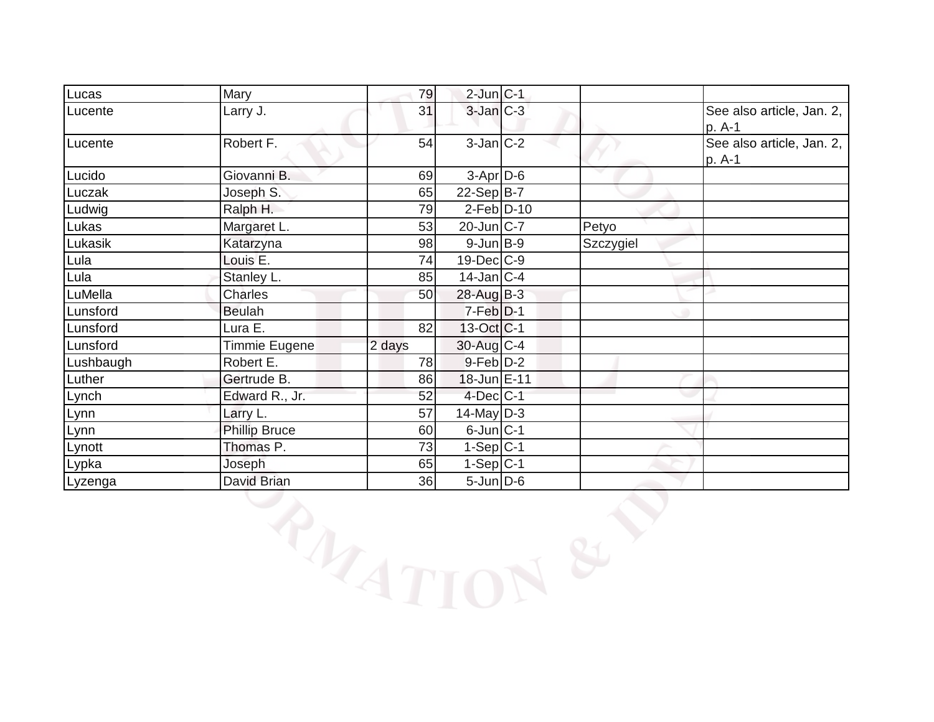| Lucas     | Mary                 | 79       | $2$ -Jun $C-1$   |           |                                     |
|-----------|----------------------|----------|------------------|-----------|-------------------------------------|
| Lucente   | Larry J.             | 31       | $3$ -Jan $C-3$   |           | See also article, Jan. 2,<br>p. A-1 |
| Lucente   | Robert F.            | 54       | $3-Jan C-2$      |           | See also article, Jan. 2,<br>p. A-1 |
| Lucido    | Giovanni B.          | 69       | $3-Apr$ $D-6$    |           |                                     |
| Luczak    | Joseph S.            | 65       | $22-Sep B-7$     |           |                                     |
| Ludwig    | Ralph H.             | 79       | $2-Feb D-10$     |           |                                     |
| Lukas     | Margaret L.          | 53       | 20-Jun C-7       | Petyo     |                                     |
| Lukasik   | Katarzyna            | 98       | $9$ -Jun $B$ -9  | Szczygiel |                                     |
| Lula      | Louis E.             | 74       | 19-Dec C-9       |           |                                     |
| Lula      | Stanley L.           | 85       | $14$ -Jan C-4    |           |                                     |
| LuMella   | Charles              | 50       | 28-Aug B-3       |           |                                     |
| Lunsford  | <b>Beulah</b>        |          | $7-Feb$ $D-1$    |           |                                     |
| Lunsford  | Lura E.              | 82       | $13-Oct$ $C-1$   |           |                                     |
| Lunsford  | Timmie Eugene        | 2 days   | 30-Aug C-4       |           |                                     |
| Lushbaugh | Robert E.            | 78       | $9$ -Feb $D-2$   |           |                                     |
| Luther    | Gertrude B.          | 86       | 18-Jun E-11      |           |                                     |
| Lynch     | Edward R., Jr.       | 52       | $4$ -Dec $ C-1 $ |           |                                     |
| Lynn      | Larry L.             | 57       | $14$ -May D-3    |           |                                     |
| Lynn      | <b>Phillip Bruce</b> | 60       | $6$ -Jun $C$ -1  |           |                                     |
| Lynott    | Thomas P.            | 73       | $1-Sep C-1$      |           |                                     |
| Lypka     | Joseph               | 65       | $1-Sep C-1$      |           |                                     |
| Lyzenga   | David Brian          | 36       | $5 - Jun$ $D-6$  |           |                                     |
|           |                      | PAZATION |                  |           |                                     |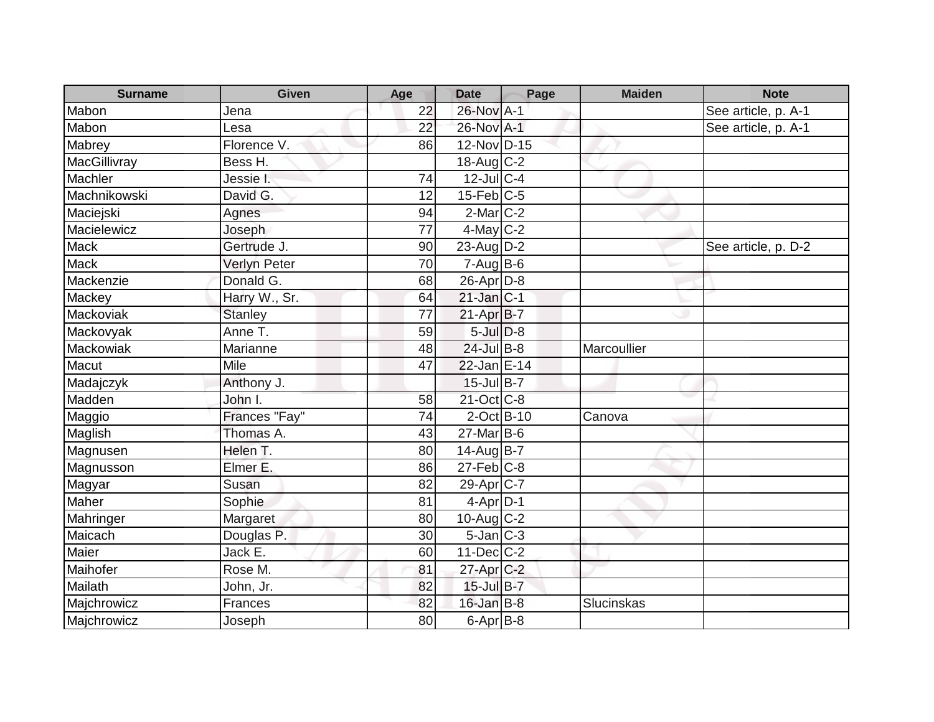| <b>Surname</b> | <b>Given</b>   | Age | <b>Date</b>            | Page | <b>Maiden</b> | <b>Note</b>         |
|----------------|----------------|-----|------------------------|------|---------------|---------------------|
| Mabon          | Jena           | 22  | 26-Nov A-1             |      |               | See article, p. A-1 |
| Mabon          | Lesa           | 22  | 26-Nov A-1             |      |               | See article, p. A-1 |
| Mabrey         | Florence V.    | 86  | 12-Nov D-15            |      |               |                     |
| MacGillivray   | Bess H.        |     | 18-Aug C-2             |      |               |                     |
| Machler        | Jessie I.      | 74  | $12$ -Jul C-4          |      |               |                     |
| Machnikowski   | David G.       | 12  | $15$ -Feb $ C$ -5      |      |               |                     |
| Maciejski      | Agnes          | 94  | $2$ -Mar $ C-2$        |      |               |                     |
| Macielewicz    | Joseph         | 77  | $4$ -May C-2           |      |               |                     |
| <b>Mack</b>    | Gertrude J.    | 90  | 23-Aug $D-2$           |      |               | See article, p. D-2 |
| <b>Mack</b>    | Verlyn Peter   | 70  | $7 - Aug$ B-6          |      |               |                     |
| Mackenzie      | Donald G.      | 68  | 26-Apr D-8             |      |               |                     |
| Mackey         | Harry W., Sr.  | 64  | $21$ -Jan $ C-1 $      |      |               |                     |
| Mackoviak      | <b>Stanley</b> | 77  | $21-AprB-7$            |      |               |                     |
| Mackovyak      | Anne T.        | 59  | $5$ -Jul $D-8$         |      |               |                     |
| Mackowiak      | Marianne       | 48  | $24$ -Jul B-8          |      | Marcoullier   |                     |
| Macut          | Mile           | 47  | 22-Jan E-14            |      |               |                     |
| Madajczyk      | Anthony J.     |     | $15$ -Jul B-7          |      |               |                     |
| Madden         | John I.        | 58  | $21-Oct$ $C-8$         |      |               |                     |
| Maggio         | Frances "Fay"  | 74  | $2$ -Oct B-10          |      | Canova        |                     |
| Maglish        | Thomas A.      | 43  | $27$ -Mar $B$ -6       |      |               |                     |
| Magnusen       | Helen T.       | 80  | $14$ -Aug B-7          |      |               |                     |
| Magnusson      | Elmer E.       | 86  | $27$ -Feb $C-8$        |      |               |                     |
| Magyar         | Susan          | 82  | 29-Apr <sub>IC-7</sub> |      |               |                     |
| Maher          | Sophie         | 81  | $4-Apr D-1$            |      |               |                     |
| Mahringer      | Margaret       | 80  | 10-Aug $C-2$           |      |               |                     |
| Maicach        | Douglas P.     | 30  | $5$ -Jan $ C-3$        |      |               |                     |
| Maier          | Jack E.        | 60  | $11$ -Dec $C$ -2       |      |               |                     |
| Maihofer       | Rose M.        | 81  | $27$ -Apr $C-2$        |      |               |                     |
| Mailath        | John, Jr.      | 82  | $15$ -Jul $B-7$        |      |               |                     |
| Majchrowicz    | Frances        | 82  | $16$ -Jan B-8          |      | Slucinskas    |                     |
| Majchrowicz    | Joseph         | 80  | $6$ -Apr $B$ -8        |      |               |                     |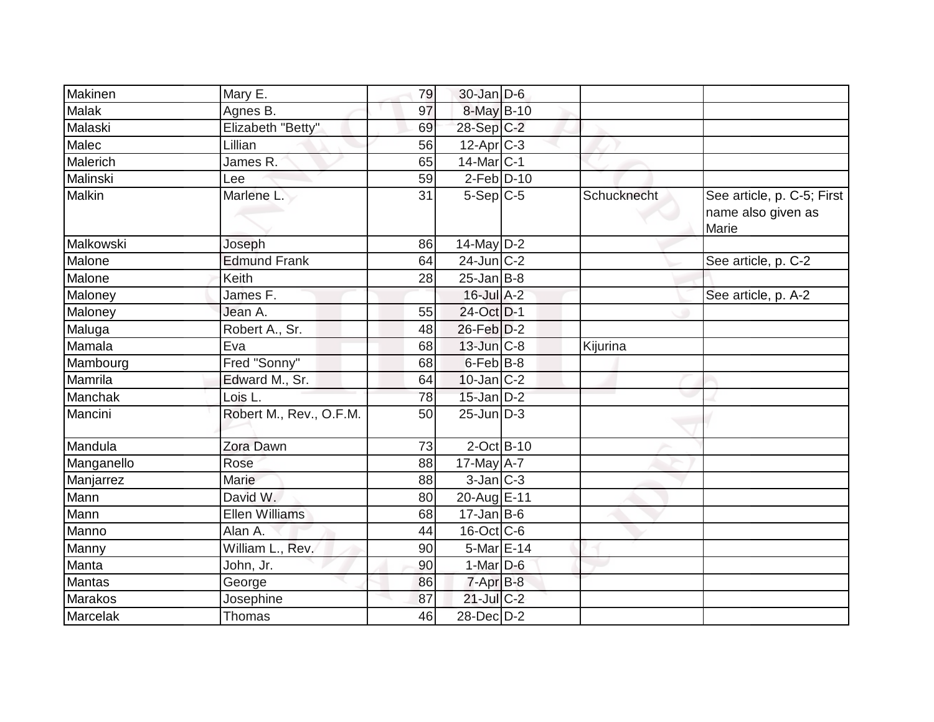| Makinen        | Mary E.                 | 79 | $30$ -Jan D-6               |             |                                                           |
|----------------|-------------------------|----|-----------------------------|-------------|-----------------------------------------------------------|
| <b>Malak</b>   | Agnes B.                | 97 | 8-May B-10                  |             |                                                           |
| Malaski        | Elizabeth "Betty"       | 69 | $28-Sep C-2$                |             |                                                           |
| Malec          | Lillian                 | 56 | $12$ -Apr $ C-3 $           |             |                                                           |
| Malerich       | James R.                | 65 | 14-Mar C-1                  |             |                                                           |
| Malinski       | Lee                     | 59 | $2-Feb$ D-10                |             |                                                           |
| Malkin         | Marlene L.              | 31 | $5-Sep C-5$                 | Schucknecht | See article, p. C-5; First<br>name also given as<br>Marie |
| Malkowski      | Joseph                  | 86 | $14$ -May D-2               |             |                                                           |
| Malone         | <b>Edmund Frank</b>     | 64 | $24$ -Jun $ C-2$            |             | See article, p. C-2                                       |
| Malone         | Keith                   | 28 | $25$ -Jan B-8               |             |                                                           |
| Maloney        | James F.                |    | $16$ -Jul $A-2$             |             | See article, p. A-2                                       |
| Maloney        | Jean A.                 | 55 | 24-Oct D-1                  |             |                                                           |
| Maluga         | Robert A., Sr.          | 48 | 26-Feb D-2                  |             |                                                           |
| Mamala         | Eva                     | 68 | $13$ -Jun $ C-8$            | Kijurina    |                                                           |
| Mambourg       | Fred "Sonny"            | 68 | $6$ -Feb $ B-8$             |             |                                                           |
| Mamrila        | Edward M., Sr.          | 64 | $10$ -Jan $ C-2 $           |             |                                                           |
| Manchak        | Lois L.                 | 78 | $15$ -Jan D-2               |             |                                                           |
| Mancini        | Robert M., Rev., O.F.M. | 50 | $25$ -Jun $\overline{D}$ -3 |             |                                                           |
| Mandula        | Zora Dawn               | 73 | $2$ -Oct B-10               |             |                                                           |
| Manganello     | Rose                    | 88 | 17-May $A-7$                |             |                                                           |
| Manjarrez      | Marie                   | 88 | $3$ -Jan $ C-3 $            |             |                                                           |
| Mann           | David W.                | 80 | 20-Aug E-11                 |             |                                                           |
| Mann           | <b>Ellen Williams</b>   | 68 | $17$ -Jan B-6               |             |                                                           |
| Manno          | Alan A.                 | 44 | 16-Oct C-6                  |             |                                                           |
| Manny          | William L., Rev.        | 90 | $5$ -Mar $E$ -14            |             |                                                           |
| Manta          | John, Jr.               | 90 | $1-Mar$ D-6                 |             |                                                           |
| Mantas         | George                  | 86 | $7 - Apr$ $B-8$             |             |                                                           |
| <b>Marakos</b> | Josephine               | 87 | $21$ -Jul C-2               |             |                                                           |
| Marcelak       | Thomas                  | 46 | $28$ -Dec $D-2$             |             |                                                           |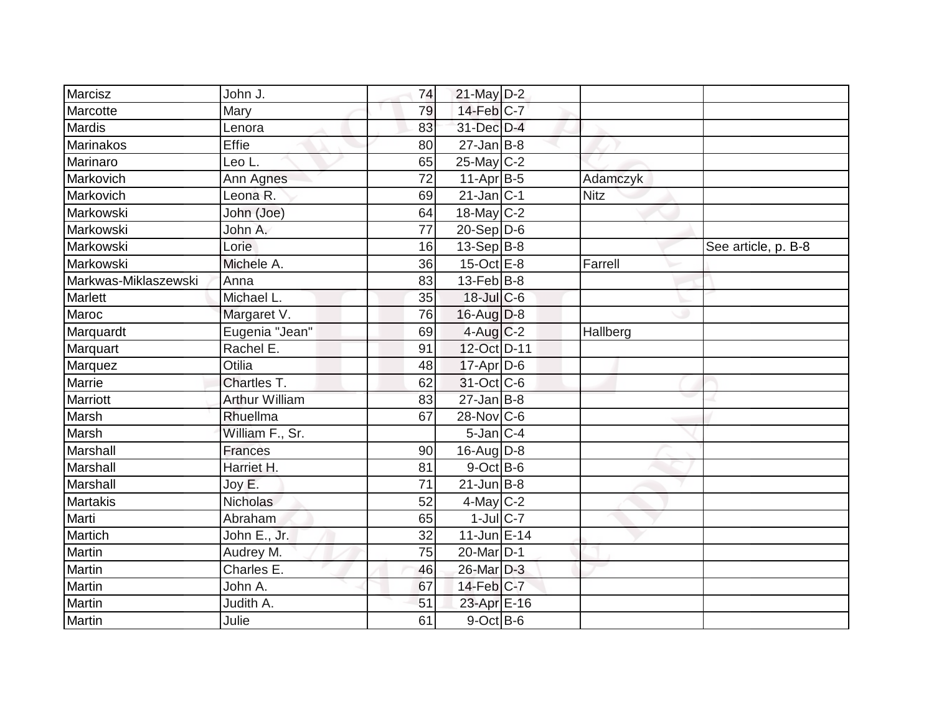| Marcisz              | John J.         | 74 | 21-May D-2            |             |                     |
|----------------------|-----------------|----|-----------------------|-------------|---------------------|
| Marcotte             | Mary            | 79 | 14-Feb C-7            |             |                     |
| Mardis               | Lenora          | 83 | 31-Dec D-4            |             |                     |
| <b>Marinakos</b>     | <b>Effie</b>    | 80 | $27$ -Jan B-8         |             |                     |
| Marinaro             | Leo L.          | 65 | 25-May C-2            |             |                     |
| Markovich            | Ann Agnes       | 72 | $11-Apr B-5$          | Adamczyk    |                     |
| Markovich            | Leona R.        | 69 | $21$ -Jan $ C-1$      | <b>Nitz</b> |                     |
| Markowski            | John (Joe)      | 64 | 18-May C-2            |             |                     |
| Markowski            | John A.         | 77 | $20-Sep D-6$          |             |                     |
| Markowski            | Lorie           | 16 | $13-Sep B-8$          |             | See article, p. B-8 |
| Markowski            | Michele A.      | 36 | $15$ -Oct $E - 8$     | Farrell     |                     |
| Markwas-Miklaszewski | Anna            | 83 | $13$ -Feb $ B-8$      |             |                     |
| Marlett              | Michael L.      | 35 | 18-Jul C-6            |             |                     |
| Maroc                | Margaret V.     | 76 | $16$ -Aug D-8         |             |                     |
| Marquardt            | Eugenia "Jean"  | 69 | $4$ -Aug C-2          | Hallberg    |                     |
| Marquart             | Rachel E.       | 91 | 12-Oct D-11           |             |                     |
| Marquez              | Otilia          | 48 | $17$ -Apr $D$ -6      |             |                     |
| Marrie               | Chartles T.     | 62 | 31-Oct C-6            |             |                     |
| Marriott             | Arthur William  | 83 | $27$ -Jan B-8         |             |                     |
| Marsh                | Rhuellma        | 67 | 28-Nov C-6            |             |                     |
| Marsh                | William F., Sr. |    | $5$ -Jan $C$ -4       |             |                     |
| Marshall             | <b>Frances</b>  | 90 | 16-Aug D-8            |             |                     |
| Marshall             | Harriet H.      | 81 | $9$ -Oct B-6          |             |                     |
| Marshall             | Joy E.          | 71 | $21$ -Jun $ B-8$      |             |                     |
| Martakis             | <b>Nicholas</b> | 52 | $4$ -May C-2          |             |                     |
| Marti                | Abraham         | 65 | $1$ -Jul C-7          |             |                     |
| Martich              | John E., Jr.    | 32 | $11$ -Jun E-14        |             |                     |
| Martin               | Audrey M.       | 75 | 20-Mar <sub>D-1</sub> |             |                     |
| Martin               | Charles E.      | 46 | 26-Mar D-3            |             |                     |
| Martin               | John A.         | 67 | 14-Feb C-7            |             |                     |
| Martin               | Judith A.       | 51 | 23-Apr E-16           |             |                     |
| Martin               | Julie           | 61 | $9$ -Oct B-6          |             |                     |
|                      |                 |    |                       |             |                     |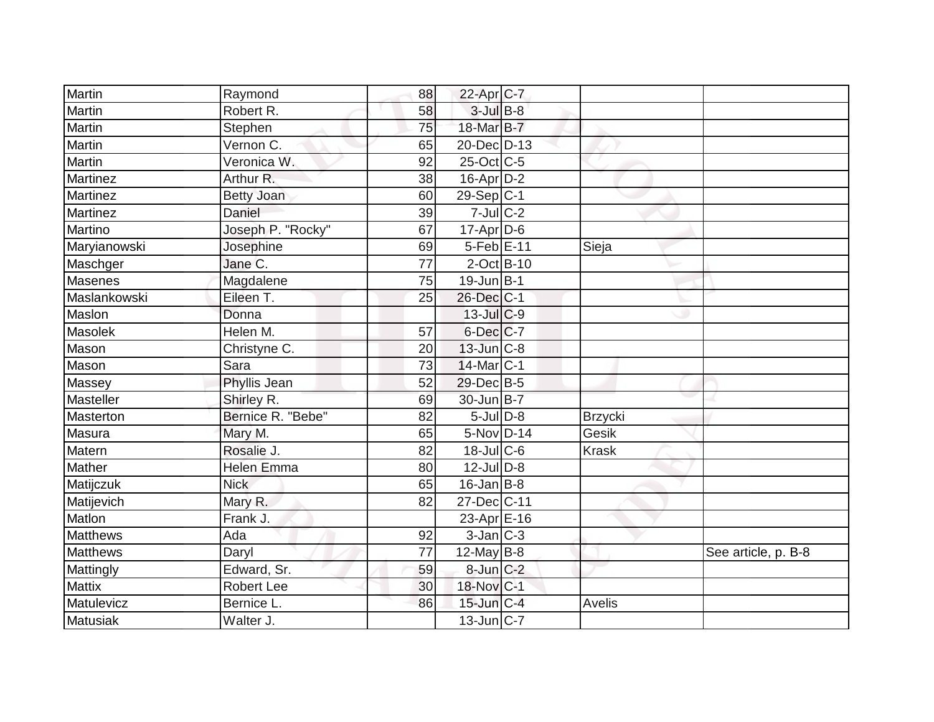| <b>Martin</b>   | Raymond                     | 88 | 22-Apr C-7        |                |                     |
|-----------------|-----------------------------|----|-------------------|----------------|---------------------|
| Martin          | Robert R.                   | 58 | $3$ -Jul B-8      |                |                     |
| Martin          | Stephen                     | 75 | 18-Mar B-7        |                |                     |
| Martin          | Vernon $\overline{C}$ .     | 65 | 20-Dec D-13       |                |                     |
| Martin          | Veronica W.                 | 92 | 25-Oct C-5        |                |                     |
| Martinez        | Arthur R.                   | 38 | $16$ -Apr $D-2$   |                |                     |
| Martinez        |                             | 60 | $29-Sep C-1$      |                |                     |
| Martinez        | <b>Betty Joan</b><br>Daniel |    |                   |                |                     |
|                 |                             | 39 | $7 -$ Jul C-2     |                |                     |
| Martino         | Joseph P. "Rocky"           | 67 | $17$ -Apr $D$ -6  |                |                     |
| Maryianowski    | Josephine                   | 69 | 5-Feb E-11        | Sieja          |                     |
| Maschger        | Jane C.                     | 77 | $2$ -Oct B-10     |                |                     |
| <b>Masenes</b>  | Magdalene                   | 75 | $19$ -Jun $B-1$   |                |                     |
| Maslankowski    | Eileen T.                   | 25 | 26-Dec C-1        |                |                     |
| Maslon          | Donna                       |    | $13$ -Jul C-9     |                |                     |
| Masolek         | Helen M.                    | 57 | $6$ -Dec $C$ -7   |                |                     |
| Mason           | Christyne C.                | 20 | $13$ -Jun $ C-8$  |                |                     |
| Mason           | Sara                        | 73 | $14$ -Mar $ C-1$  |                |                     |
| Massey          | <b>Phyllis Jean</b>         | 52 | 29-Dec B-5        |                |                     |
| Masteller       | Shirley R.                  | 69 | 30-Jun B-7        |                |                     |
| Masterton       | Bernice R. "Bebe"           | 82 | $5$ -Jul $D-8$    | <b>Brzycki</b> |                     |
| Masura          | Mary M.                     | 65 | $5-Nov$ D-14      | Gesik          |                     |
| Matern          | Rosalie J.                  | 82 | $18$ -Jul C-6     | <b>Krask</b>   |                     |
| Mather          | <b>Helen Emma</b>           | 80 | $12$ -Jul $D-8$   |                |                     |
| Matijczuk       | <b>Nick</b>                 | 65 | $16$ -Jan B-8     |                |                     |
| Matijevich      | Mary R.                     | 82 | 27-Dec C-11       |                |                     |
| Matlon          | Frank J.                    |    | 23-Apr $E-16$     |                |                     |
| <b>Matthews</b> | Ada                         | 92 | $3$ -Jan $C-3$    |                |                     |
| <b>Matthews</b> | Daryl                       | 77 | $12$ -May B-8     |                | See article, p. B-8 |
| Mattingly       | Edward, Sr.                 | 59 | $8$ -Jun $C-2$    |                |                     |
| <b>Mattix</b>   | <b>Robert Lee</b>           | 30 | 18-Nov C-1        |                |                     |
| Matulevicz      | Bernice L.                  | 86 | $15$ -Jun $ C-4$  | Avelis         |                     |
| <b>Matusiak</b> | Walter J.                   |    | $13$ -Jun $ C-7 $ |                |                     |
|                 |                             |    |                   |                |                     |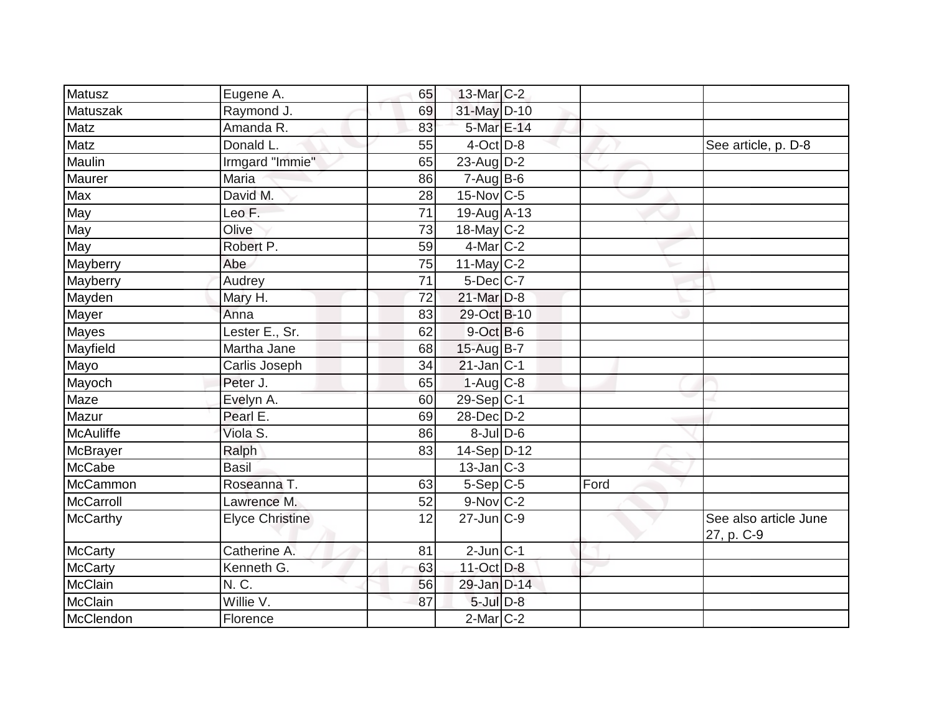| Matusz           | Eugene A.              | 65              | $13$ -Mar $ C-2 $ |      |                                     |
|------------------|------------------------|-----------------|-------------------|------|-------------------------------------|
| Matuszak         | Raymond J.             | 69              | 31-May D-10       |      |                                     |
| Matz             | Amanda R.              | 83              | 5-Mar E-14        |      |                                     |
| Matz             | Donald L.              | 55              | $4$ -Oct $D-8$    |      | See article, p. D-8                 |
| Maulin           | Irmgard "Immie"        | 65              | $23$ -Aug D-2     |      |                                     |
| Maurer           | Maria                  | 86              | $7-AugB-6$        |      |                                     |
| Max              | David M.               | 28              | $15$ -Nov $ C-5 $ |      |                                     |
| May              | Leo F.                 | $\overline{71}$ | $19-Auq$ A-13     |      |                                     |
| May              | Olive                  | 73              | 18-May $C-2$      |      |                                     |
| May              | Robert P.              | 59              | $4$ -Mar $ C-2 $  |      |                                     |
| Mayberry         | Abe                    | 75              | 11-May C-2        |      |                                     |
| Mayberry         | Audrey                 | 71              | 5-Dec C-7         |      |                                     |
| Mayden           | Mary H.                | 72              | 21-Mar D-8        |      |                                     |
| Mayer            | Anna                   | 83              | 29-Oct B-10       |      |                                     |
| Mayes            | Lester E., Sr.         | 62              | 9-Oct B-6         |      |                                     |
| Mayfield         | Martha Jane            | 68              | 15-Aug B-7        |      |                                     |
| Mayo             | Carlis Joseph          | 34              | $21$ -Jan $ C-1 $ |      |                                     |
| Mayoch           | Peter J.               | 65              | $1-Aug$ C-8       |      |                                     |
| Maze             | Evelyn A.              | 60              | $29-Sep C-1$      |      |                                     |
| Mazur            | Pearl E.               | 69              | 28-Dec D-2        |      |                                     |
| <b>McAuliffe</b> | Viola S.               | 86              | $8$ -Jul $D$ -6   |      |                                     |
| McBrayer         | Ralph                  | 83              | 14-Sep D-12       |      |                                     |
| <b>McCabe</b>    | <b>Basil</b>           |                 | $13$ -Jan $ C-3 $ |      |                                     |
| McCammon         | Roseanna T.            | 63              | $5-Sep C-5$       | Ford |                                     |
| McCarroll        | Lawrence M.            | 52              | 9-Nov C-2         |      |                                     |
| <b>McCarthy</b>  | <b>Elyce Christine</b> | 12              | $27$ -Jun $C-9$   |      | See also article June<br>27, p. C-9 |
| <b>McCarty</b>   | Catherine A.           | 81              | $2$ -Jun $ C-1 $  |      |                                     |
| <b>McCarty</b>   | Kenneth G.             | 63              | $11-Oct$ D-8      |      |                                     |
| <b>McClain</b>   | N. C.                  | 56              | 29-Jan D-14       |      |                                     |
| <b>McClain</b>   | Willie V.              | 87              | $5$ -Jul $D-8$    |      |                                     |
| McClendon        | Florence               |                 | $2$ -Mar $C-2$    |      |                                     |
|                  |                        |                 |                   |      |                                     |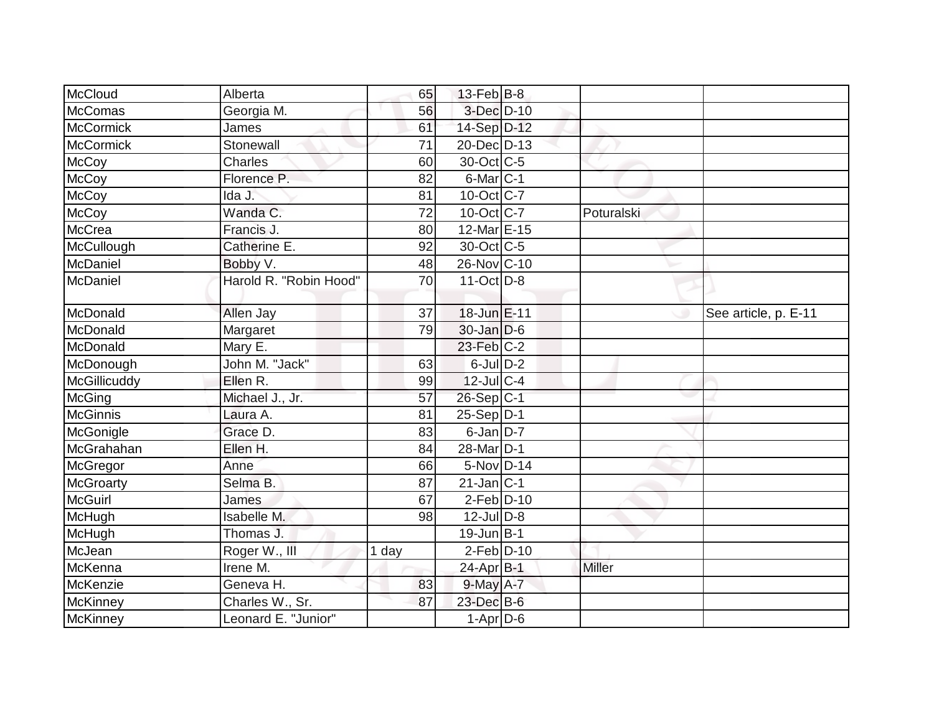| McCloud          | Alberta                | 65    | $13$ -Feb $ B-8 $ |            |                      |
|------------------|------------------------|-------|-------------------|------------|----------------------|
| McComas          | Georgia M.             | 56    | 3-Dec D-10        |            |                      |
| <b>McCormick</b> | James                  | 61    | 14-Sep D-12       |            |                      |
| <b>McCormick</b> | Stonewall              | 71    | 20-Dec D-13       |            |                      |
| McCoy            | Charles                | 60    | 30-Oct C-5        |            |                      |
| <b>McCoy</b>     | Florence P.            | 82    | 6-Mar C-1         |            |                      |
| <b>McCoy</b>     | Ida J.                 | 81    | $10$ -Oct $ C-7 $ |            |                      |
| <b>McCoy</b>     | Wanda C.               | 72    | 10-Oct C-7        | Poturalski |                      |
| <b>McCrea</b>    | Francis J.             | 80    | 12-Mar E-15       |            |                      |
| McCullough       | Catherine E.           | 92    | 30-Oct C-5        |            |                      |
| McDaniel         | Bobby V.               | 48    | 26-Nov C-10       |            |                      |
| McDaniel         | Harold R. "Robin Hood" | 70    | $11-Oct$ D-8      |            |                      |
| McDonald         | Allen Jay              | 37    | 18-Jun E-11       |            | See article, p. E-11 |
| McDonald         | Margaret               | 79    | $30$ -Jan $D-6$   |            |                      |
| McDonald         | Mary E.                |       | 23-Feb C-2        |            |                      |
| McDonough        | John M. "Jack"         | 63    | $6$ -Jul $D-2$    |            |                      |
| McGillicuddy     | Ellen R.               | 99    | $12$ -JulC-4      |            |                      |
| McGing           | Michael J., Jr.        | 57    | 26-Sep C-1        |            |                      |
| <b>McGinnis</b>  | Laura A.               | 81    | $25-Sep$ D-1      |            |                      |
| McGonigle        | Grace D.               | 83    | $6$ -Jan $D-7$    |            |                      |
| McGrahahan       | Ellen H.               | 84    | 28-Mar D-1        |            |                      |
| McGregor         | Anne                   | 66    | $5-Nov$ D-14      |            |                      |
| <b>McGroarty</b> | Selma B.               | 87    | $21$ -Jan $ C-1 $ |            |                      |
| <b>McGuirl</b>   | James                  | 67    | $2-Feb D-10$      |            |                      |
| McHugh           | Isabelle M.            | 98    | $12$ -Jul $D-8$   |            |                      |
| McHugh           | Thomas J.              |       | 19-Jun B-1        |            |                      |
| McJean           | Roger W., III          | 1 day | $2-Feb$ $D-10$    |            |                      |
| McKenna          | Irene M.               |       | 24-Apr B-1        | Miller     |                      |
| McKenzie         | Geneva H.              | 83    | $9$ -May $A - 7$  |            |                      |
| McKinney         | Charles W., Sr.        | 87    | 23-Dec B-6        |            |                      |
| <b>McKinney</b>  | Leonard E. "Junior"    |       | $1-Apr$ D-6       |            |                      |
|                  |                        |       |                   |            |                      |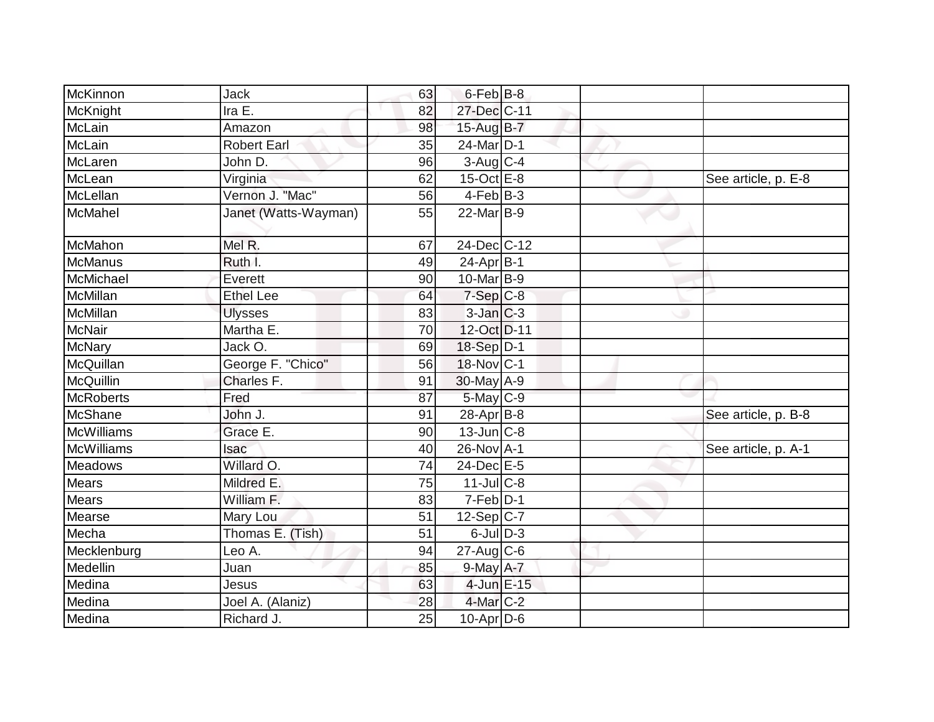| McKinnon          | Jack                 | 63 | $6$ -Feb $ B-8 $      |  |                     |
|-------------------|----------------------|----|-----------------------|--|---------------------|
| McKnight          | Ira E.               | 82 | 27-Dec C-11           |  |                     |
| McLain            | Amazon               | 98 | 15-Aug B-7            |  |                     |
| McLain            | <b>Robert Earl</b>   | 35 | 24-Mar <sub>D-1</sub> |  |                     |
| McLaren           | John D.              | 96 | $3$ -Aug C-4          |  |                     |
| McLean            | Virginia             | 62 | $15$ -Oct $E$ -8      |  | See article, p. E-8 |
| McLellan          | Vernon J. "Mac"      | 56 | $4$ -Feb $ B-3 $      |  |                     |
| McMahel           | Janet (Watts-Wayman) | 55 | 22-Mar B-9            |  |                     |
| McMahon           | Mel R.               | 67 | 24-Dec C-12           |  |                     |
| McManus           | Ruth I.              | 49 | $24-Apr$ B-1          |  |                     |
| McMichael         | Everett              | 90 | $10$ -Mar $B-9$       |  |                     |
| McMillan          | <b>Ethel Lee</b>     | 64 | $7-Sep C-8$           |  |                     |
| McMillan          | <b>Ulysses</b>       | 83 | $3$ -Jan $C-3$        |  |                     |
| <b>McNair</b>     | Martha E.            | 70 | 12-Oct D-11           |  |                     |
| <b>McNary</b>     | Jack O.              | 69 | 18-Sep D-1            |  |                     |
| McQuillan         | George F. "Chico"    | 56 | $18-Nov$ C-1          |  |                     |
| McQuillin         | Charles F.           | 91 | $30$ -May $A-9$       |  |                     |
| <b>McRoberts</b>  | Fred                 | 87 | $5$ -May $C$ -9       |  |                     |
| McShane           | John J.              | 91 | $28-Apr B-8$          |  | See article, p. B-8 |
| McWilliams        | Grace E.             | 90 | $13$ -Jun $ C-8$      |  |                     |
| <b>McWilliams</b> | Isac                 | 40 | 26-Nov A-1            |  | See article, p. A-1 |
| Meadows           | Willard O.           | 74 | 24-Dec E-5            |  |                     |
| <b>Mears</b>      | Mildred E.           | 75 | $11$ -JulC-8          |  |                     |
| Mears             | William F.           | 83 | $7-Feb$ D-1           |  |                     |
| Mearse            | Mary Lou             | 51 | $12-Sep C-7$          |  |                     |
| Mecha             | Thomas E. (Tish)     | 51 | $6$ -Jul $D-3$        |  |                     |
| Mecklenburg       | Leo A.               | 94 | $27$ -Aug C-6         |  |                     |
| Medellin          | Juan                 | 85 | $9$ -May $A-7$        |  |                     |
| Medina            | Jesus                | 63 | 4-Jun E-15            |  |                     |
| Medina            | Joel A. (Alaniz)     | 28 | $4$ -Mar $C-2$        |  |                     |
| Medina            | Richard J.           | 25 | $10$ -Apr $D$ -6      |  |                     |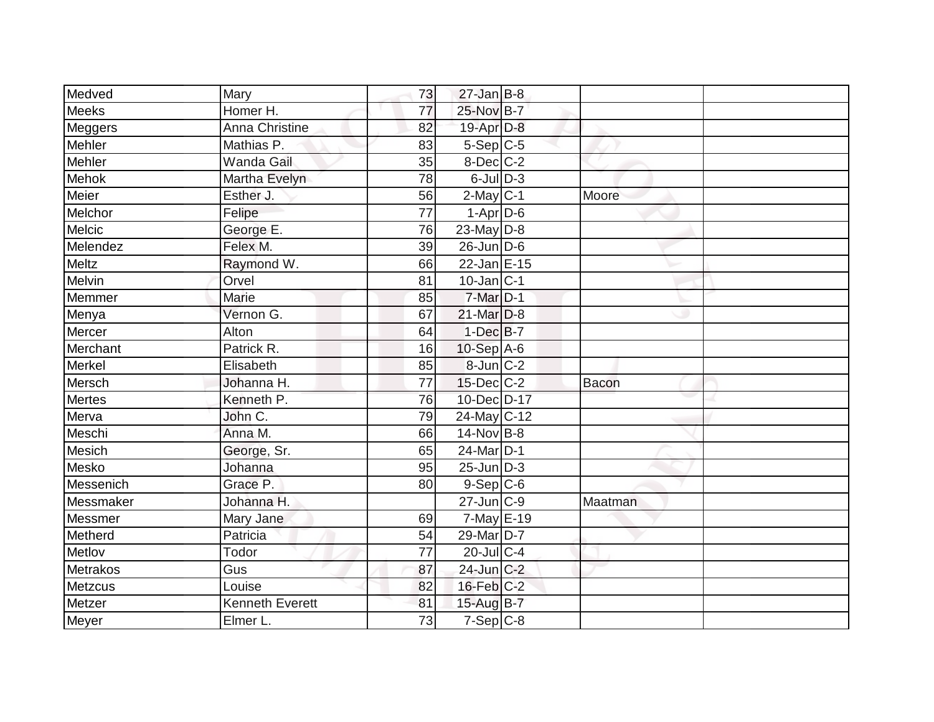| Medved    | Mary                   | 73              | $27$ -Jan B-8     |              |  |
|-----------|------------------------|-----------------|-------------------|--------------|--|
| Meeks     | Homer H.               | 77              | 25-Nov B-7        |              |  |
| Meggers   | Anna Christine         | 82              | 19-Apr D-8        |              |  |
| Mehler    | Mathias P.             | 83              | $5-Sep$ C-5       |              |  |
| Mehler    | <b>Wanda Gail</b>      | 35              | 8-Dec C-2         |              |  |
| Mehok     | Martha Evelyn          | 78              | $6$ -Jul $D-3$    |              |  |
| Meier     | Esther J.              | 56              | $2$ -May $C-1$    | Moore        |  |
| Melchor   | Felipe                 | $\overline{77}$ | $1-Apr$ D-6       |              |  |
| Melcic    | George E.              | 76              | 23-May $D-8$      |              |  |
| Melendez  | Felex M.               | 39              | $26$ -Jun $D$ -6  |              |  |
| Meltz     | Raymond W.             | 66              | 22-Jan E-15       |              |  |
| Melvin    | Orvel                  | 81              | $10$ -Jan $ C-1 $ |              |  |
| Memmer    | Marie                  | 85              | 7-Mar D-1         |              |  |
| Menya     | Vernon G.              | 67              | 21-Mar D-8        |              |  |
| Mercer    | Alton                  | 64              | $1$ -Dec $B$ -7   |              |  |
| Merchant  | Patrick R.             | 16              | 10-Sep A-6        |              |  |
| Merkel    | Elisabeth              | 85              | $8$ -Jun $C-2$    |              |  |
| Mersch    | Johanna H.             | 77              | 15-Dec C-2        | <b>Bacon</b> |  |
| Mertes    | Kenneth P.             | 76              | 10-Dec D-17       |              |  |
| Merva     | John C.                | 79              | 24-May C-12       |              |  |
| Meschi    | Anna M.                | 66              | $14$ -Nov B-8     |              |  |
| Mesich    | George, Sr.            | 65              | 24-Mar D-1        |              |  |
| Mesko     | Johanna                | 95              | $25$ -Jun $ D-3 $ |              |  |
| Messenich | Grace P.               | 80              | $9-Sep C-6$       |              |  |
| Messmaker | Johanna H.             |                 | $27$ -Jun $ C-9 $ | Maatman      |  |
| Messmer   | Mary Jane              | 69              | $7$ -May $E-19$   |              |  |
| Metherd   | Patricia               | 54              | 29-Mar D-7        |              |  |
| Metlov    | Todor                  | 77              | $20$ -JulC-4      |              |  |
| Metrakos  | Gus                    | 87              | 24-Jun C-2        |              |  |
| Metzcus   | Louise                 | 82              | 16-Feb C-2        |              |  |
| Metzer    | <b>Kenneth Everett</b> | 81              | 15-Aug B-7        |              |  |
| Meyer     | Elmer L.               | $\overline{73}$ | $7-Sep$ C-8       |              |  |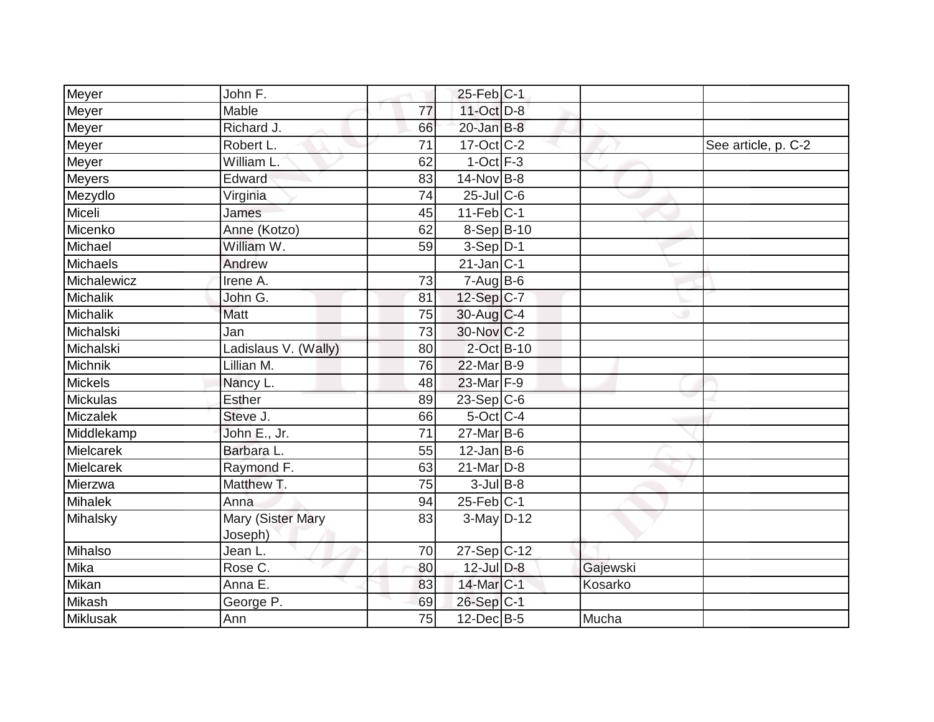| Meyer       | John F.                             |                 | $25$ -Feb $ C-1$  |          |                     |
|-------------|-------------------------------------|-----------------|-------------------|----------|---------------------|
| Meyer       | Mable                               | 77              | 11-Oct D-8        |          |                     |
| Meyer       | Richard J.                          | 66              | $20$ -Jan B-8     |          |                     |
| Meyer       | Robert L.                           | 71              | $17-Oct$ $C-2$    |          | See article, p. C-2 |
| Meyer       | William L.                          | 62              | $1$ -Oct $F-3$    |          |                     |
| Meyers      | Edward                              | 83              | 14-Nov B-8        |          |                     |
| Mezydlo     | Virginia                            | 74              | $25$ -Jul C-6     |          |                     |
| Miceli      | James                               | 45              | $11-Feb$ C-1      |          |                     |
| Micenko     | Anne (Kotzo)                        | 62              | $8-Sep$ B-10      |          |                     |
| Michael     | William W.                          | 59              | $3-Sep D-1$       |          |                     |
| Michaels    | Andrew                              |                 | $21$ -Jan C-1     |          |                     |
| Michalewicz | Irene A.                            | 73              | $7 - Aug$ $B - 6$ |          |                     |
| Michalik    | John G.                             | 81              | 12-Sep C-7        |          |                     |
| Michalik    | Matt                                | $\overline{75}$ | $30$ -Aug C-4     |          |                     |
| Michalski   | Jan                                 | 73              | $30$ -Nov $ C-2 $ |          |                     |
| Michalski   | Ladislaus V. (Wally)                | 80              | $2$ -Oct $B-10$   |          |                     |
| Michnik     | Lillian M.                          | 76              | 22-Mar B-9        |          |                     |
| Mickels     | Nancy L.                            | 48              | 23-Mar F-9        |          |                     |
| Mickulas    | <b>Esther</b>                       | 89              | $23-Sep C-6$      |          |                     |
| Miczalek    | Steve J.                            | 66              | $5$ -Oct C-4      |          |                     |
| Middlekamp  | John E., Jr.                        | 71              | $27$ -Mar $B$ -6  |          |                     |
| Mielcarek   | Barbara L.                          | 55              | $12$ -Jan B-6     |          |                     |
| Mielcarek   | Raymond F.                          | 63              | $21$ -Mar $D-8$   |          |                     |
| Mierzwa     | Matthew T.                          | 75              | $3$ -Jul B-8      |          |                     |
| Mihalek     | Anna                                | 94              | $25$ -Feb $ C-1 $ |          |                     |
| Mihalsky    | <b>Mary (Sister Mary</b><br>Joseph) | 83              | $3-May$ D-12      |          |                     |
| Mihalso     | Jean L.                             | 70              | $27-Sep C-12$     |          |                     |
| Mika        | Rose C.                             | 80              | $12$ -Jul $D-8$   | Gajewski |                     |
| Mikan       | Anna E.                             | 83              | 14-Mar C-1        | Kosarko  |                     |
| Mikash      | George P.                           | 69              | $26-Sep C-1$      |          |                     |
| Miklusak    | Ann                                 | 75              | $12$ -Dec $B-5$   | Mucha    |                     |
|             |                                     |                 |                   |          |                     |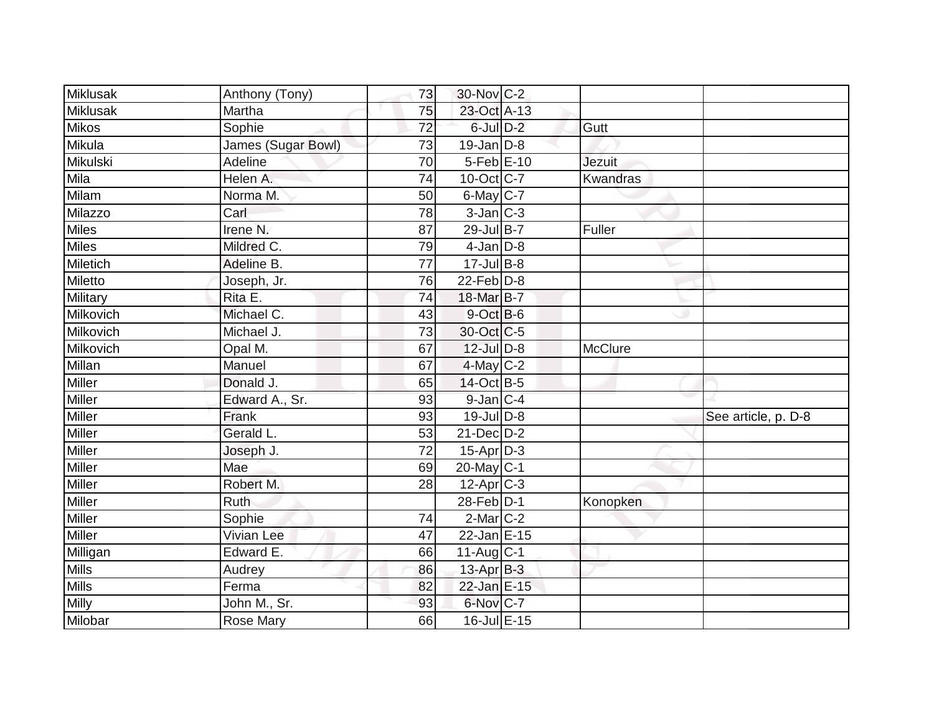| <b>Miklusak</b> | Anthony (Tony)      | 73              | 30-Nov C-2        |                 |                     |
|-----------------|---------------------|-----------------|-------------------|-----------------|---------------------|
| Miklusak        | Martha              | 75              | 23-Oct A-13       |                 |                     |
| <b>Mikos</b>    | Sophie              | $\overline{72}$ | 6-Jul D-2         | Gutt            |                     |
| Mikula          | James (Sugar Bowl)  | 73              | $19$ -Jan D-8     |                 |                     |
| Mikulski        | Adeline             | $\overline{70}$ | 5-Feb E-10        | <b>Jezuit</b>   |                     |
| Mil <u>a</u>    | Helen A.            | 74              | 10-Oct C-7        | <b>Kwandras</b> |                     |
| Milam           | Norma M.            | 50              | $6$ -May $C$ -7   |                 |                     |
| Milazzo         | Carl                | 78              | $3$ -Jan $ C-3 $  |                 |                     |
| Miles           | Irene <sub>N.</sub> | 87              | 29-Jul B-7        | Fuller          |                     |
| Miles           | Mildred C.          | 79              | $4$ -Jan $D-8$    |                 |                     |
| Miletich        | Adeline B.          | 77              | $17 -$ Jul B-8    |                 |                     |
| Miletto         | Joseph, Jr.         | 76              | $22$ -Feb $D-8$   |                 |                     |
| Military        | Rita E.             | 74              | 18-Mar B-7        |                 |                     |
| Milkovich       | Michael C.          | 43              | $9$ -Oct $B$ -6   |                 |                     |
| Milkovich       | Michael J.          | 73              | 30-Oct C-5        |                 |                     |
| Milkovich       | Opal M.             | 67              | 12-Jul D-8        | McClure         |                     |
| Millan          | Manuel              | 67              | $4$ -May C-2      |                 |                     |
| Miller          | Donald J.           | 65              | 14-Oct B-5        |                 |                     |
| Miller          | Edward A., Sr.      | 93              | $9$ -Jan $C-4$    |                 |                     |
| Miller          | Frank               | 93              | 19-Jul D-8        |                 | See article, p. D-8 |
| Miller          | Gerald L.           | 53              | $21$ -Dec $D-2$   |                 |                     |
| Miller          | Joseph J.           | $\overline{72}$ | $15-Apr$ D-3      |                 |                     |
| Miller          | Mae                 | 69              | 20-May C-1        |                 |                     |
| <b>Miller</b>   | Robert M.           | 28              | $12$ -Apr $ C-3 $ |                 |                     |
| Miller          | Ruth                |                 | 28-Feb D-1        | Konopken        |                     |
| Miller          | Sophie              | 74              | $2$ -Mar $C-2$    |                 |                     |
| Miller          | <b>Vivian Lee</b>   | 47              | 22-Jan E-15       |                 |                     |
| Milligan        | Edward E.           | 66              | $11-Aug C-1$      |                 |                     |
| <b>Mills</b>    | Audrey              | 86              | $13$ -Apr $B-3$   |                 |                     |
| <b>Mills</b>    | Ferma               | 82              | 22-Jan E-15       |                 |                     |
| Milly           | John M., Sr.        | 93              | 6-Nov C-7         |                 |                     |
| Milobar         | Rose Mary           | 66              | 16-Jul E-15       |                 |                     |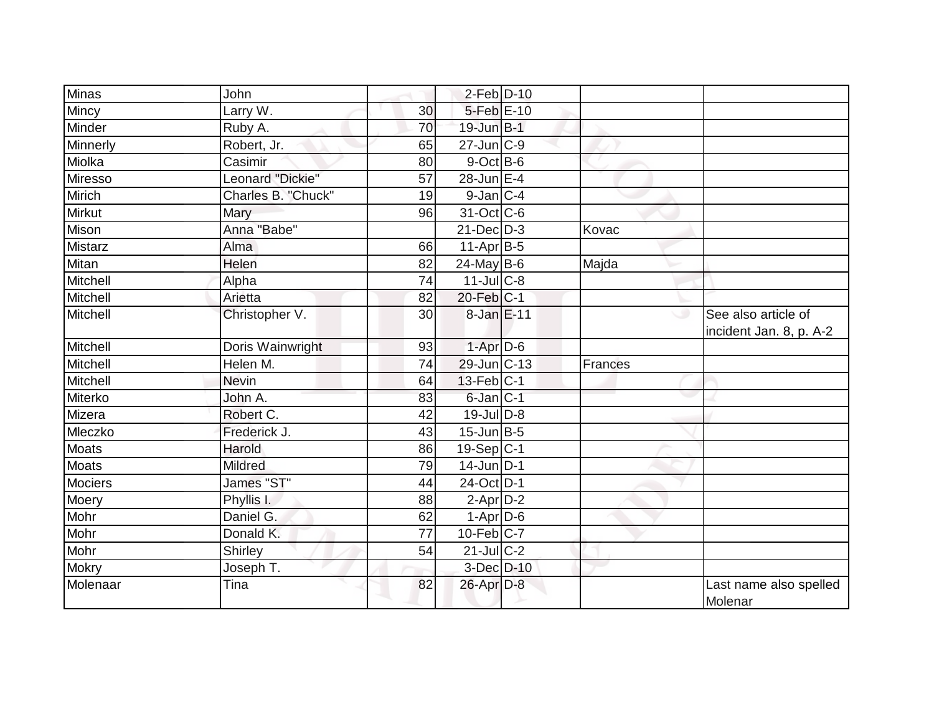| <b>Minas</b>   | John                    |                 | $2$ -Feb $D-10$   |         |                                                |
|----------------|-------------------------|-----------------|-------------------|---------|------------------------------------------------|
| Mincy          | Larry W.                | 30              | 5-Feb E-10        |         |                                                |
| Minder         | Ruby A.                 | 70              | 19-Jun B-1        |         |                                                |
| Minnerly       | Robert, Jr.             | 65              | $27$ -Jun $C-9$   |         |                                                |
| Miolka         | Casimir                 | 80              | $9$ -Oct $B$ -6   |         |                                                |
| Miresso        | Leonard "Dickie"        | 57              | 28-Jun E-4        |         |                                                |
| Mirich         | Charles B. "Chuck"      | 19              | $9$ -Jan $C$ -4   |         |                                                |
| <b>Mirkut</b>  | Mary                    | 96              | 31-Oct C-6        |         |                                                |
| Mison          | Anna "Babe"             |                 | $21 - Dec$ $D-3$  | Kovac   |                                                |
| Mistarz        | Alma                    | 66              | $11$ -Apr $B-5$   |         |                                                |
| Mitan          | Helen                   | 82              | $24$ -May B-6     | Majda   |                                                |
| Mitchell       | Alpha                   | 74              | $11$ -Jul C-8     |         |                                                |
| Mitchell       | Arietta                 | 82              | $20$ -Feb $C-1$   |         |                                                |
| Mitchell       | Christopher V.          | 30              | 8-Jan E-11        |         | See also article of<br>incident Jan. 8, p. A-2 |
| Mitchell       | Doris Wainwright        | 93              | $1-AprD-6$        |         |                                                |
| Mitchell       | Helen M.                | 74              | 29-Jun C-13       | Frances |                                                |
| Mitchell       | <b>Nevin</b>            | 64              | $13$ -Feb $ C-1 $ |         |                                                |
| Miterko        | John A.                 | 83              | $6$ -Jan $ C-1$   |         |                                                |
| Mizera         | Robert C.               | 42              | $19$ -Jul $D-8$   |         |                                                |
| Mleczko        | Frederick J.            | 43              | $15$ -Jun $B-5$   |         |                                                |
| Moats          | Harold                  | 86              | 19-Sep $ C-1 $    |         |                                                |
| Moats          | <b>Mildred</b>          | 79              | 14-Jun D-1        |         |                                                |
| <b>Mociers</b> | James "ST"              | 44              | 24-Oct D-1        |         |                                                |
| Moery          | Phyllis I.              | 88              | $2-Apr$ D-2       |         |                                                |
| Mohr           | Daniel G.               | 62              | $1-Apr$ D-6       |         |                                                |
| Mohr           | Donald K.               | $\overline{77}$ | $10$ -Feb $C$ -7  |         |                                                |
| Mohr           | Shirley                 | 54              | $21$ -Jul C-2     |         |                                                |
| <b>Mokry</b>   | Joseph $\overline{T}$ . |                 | 3-Dec D-10        |         |                                                |
| Molenaar       | Tina                    | 82              | 26-Apr D-8        |         | Last name also spelled<br>Molenar              |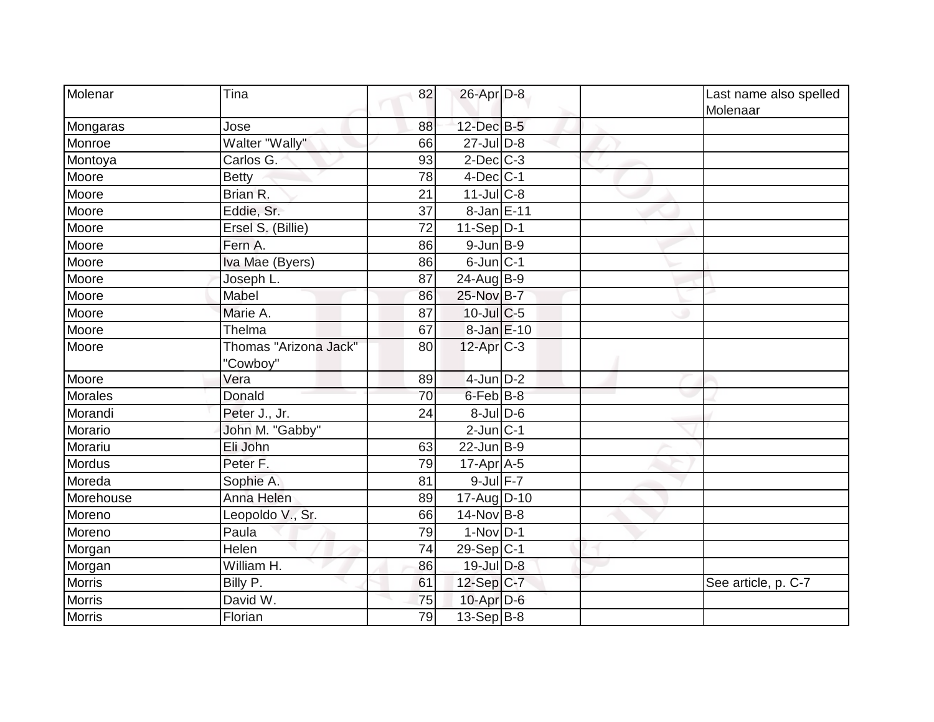| Molenar       | Tina                              | 82 | $26$ -Apr $D-8$  |  | Last name also spelled<br>Molenaar |
|---------------|-----------------------------------|----|------------------|--|------------------------------------|
| Mongaras      | Jose                              | 88 | 12-Dec B-5       |  |                                    |
| Monroe        | Walter "Wally"                    | 66 | $27$ -Jul $D-8$  |  |                                    |
| Montoya       | Carlos G.                         | 93 | $2$ -Dec $ C-3 $ |  |                                    |
| Moore         | <b>Betty</b>                      | 78 | $4$ -Dec $C$ -1  |  |                                    |
| Moore         | Brian R.                          | 21 | $11$ -Jul $C$ -8 |  |                                    |
| Moore         | Eddie, Sr.                        | 37 | 8-Jan E-11       |  |                                    |
| Moore         | Ersel S. (Billie)                 | 72 | $11-Sep D-1$     |  |                                    |
| Moore         | Fern A.                           | 86 | $9$ -Jun $B$ -9  |  |                                    |
| Moore         | Iva Mae (Byers)                   | 86 | $6$ -Jun $ C-1$  |  |                                    |
| Moore         | Joseph L.                         | 87 | $24$ -Aug B-9    |  |                                    |
| Moore         | Mabel                             | 86 | 25-Nov B-7       |  |                                    |
| Moore         | Marie A.                          | 87 | $10$ -Jul $C$ -5 |  |                                    |
| Moore         | Thelma                            | 67 | 8-Jan E-10       |  |                                    |
| Moore         | Thomas "Arizona Jack"<br>"Cowboy" | 80 | $12$ -Apr $C-3$  |  |                                    |
| Moore         | Vera                              | 89 | $4$ -Jun $D-2$   |  |                                    |
| Morales       | Donald                            | 70 | $6$ -Feb $B$ -8  |  |                                    |
| Morandi       | Peter J., Jr.                     | 24 | $8$ -Jul $D$ -6  |  |                                    |
| Morario       | John M. "Gabby"                   |    | $2$ -Jun $ C-1$  |  |                                    |
| Morariu       | Eli John                          | 63 | $22$ -Jun $B-9$  |  |                                    |
| <b>Mordus</b> | Peter F.                          | 79 | $17$ -Apr $A$ -5 |  |                                    |
| Moreda        | Sophie A.                         | 81 | 9-Jul F-7        |  |                                    |
| Morehouse     | Anna Helen                        | 89 | 17-Aug D-10      |  |                                    |
| Moreno        | Leopoldo V., Sr.                  | 66 | 14-Nov B-8       |  |                                    |
| Moreno        | Paula                             | 79 | $1-Nov D-1$      |  |                                    |
| Morgan        | Helen                             | 74 | $29-Sep C-1$     |  |                                    |
| Morgan        | William H.                        | 86 | $19$ -Jul $D-8$  |  |                                    |
| <b>Morris</b> | Billy P.                          | 61 | $12-Sep C-7$     |  | See article, p. C-7                |
| <b>Morris</b> | David W.                          | 75 | $10$ -Apr $D-6$  |  |                                    |
| <b>Morris</b> | Florian                           | 79 | 13-Sep B-8       |  |                                    |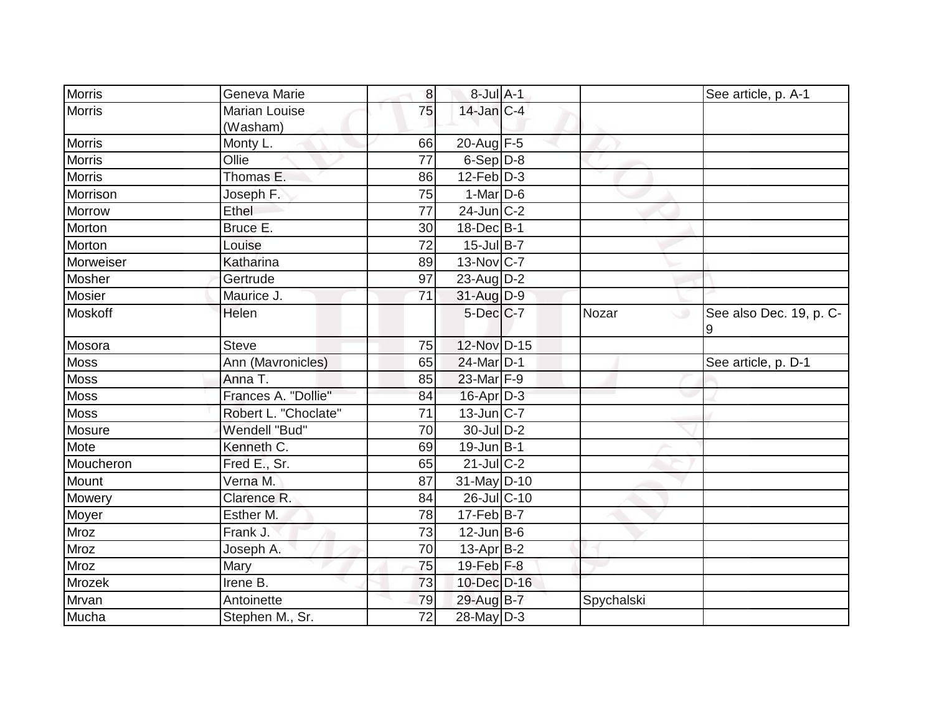| <b>Morris</b> | Geneva Marie                     | 8               | 8-Jul A-1         |              | See article, p. A-1          |
|---------------|----------------------------------|-----------------|-------------------|--------------|------------------------------|
| <b>Morris</b> | <b>Marian Louise</b><br>(Washam) | 75              | $14$ -Jan $C-4$   |              |                              |
| <b>Morris</b> | Monty L.                         | 66              | 20-Aug $F-5$      |              |                              |
| <b>Morris</b> | Ollie                            | 77              | $6-Sep D-8$       |              |                              |
| <b>Morris</b> | Thomas E.                        | 86              | $12$ -Feb $D-3$   |              |                              |
| Morrison      | Joseph F.                        | 75              | $1-Mar$ D-6       |              |                              |
| Morrow        | Ethel                            | 77              | $24$ -Jun $ C-2$  |              |                              |
| Morton        | Bruce E.                         | 30              | $18$ -Dec $B$ -1  |              |                              |
| Morton        | Louise                           | 72              | $15$ -Jul B-7     |              |                              |
| Morweiser     | Katharina                        | 89              | 13-Nov C-7        |              |                              |
| Mosher        | Gertrude                         | 97              | $23$ -AugD-2      |              |                              |
| Mosier        | Maurice J.                       | 71              | 31-Aug D-9        |              |                              |
| Moskoff       | Helen                            |                 | $5$ -Dec $C$ -7   | Nozar<br>C O | See also Dec. 19, p. C-<br>9 |
| Mosora        | <b>Steve</b>                     | 75              | 12-Nov D-15       |              |                              |
| <b>Moss</b>   | Ann (Mavronicles)                | 65              | $24$ -Mar $D-1$   |              | See article, p. D-1          |
| <b>Moss</b>   | Anna T.                          | 85              | $23$ -Mar F-9     |              |                              |
| Moss          | Frances A. "Dollie"              | 84              | 16-Apr D-3        |              |                              |
| <b>Moss</b>   | Robert L. "Choclate"             | 71              | $13$ -Jun $ C-7 $ |              |                              |
| Mosure        | Wendell "Bud"                    | 70              | 30-Jul D-2        |              |                              |
| Mote          | Kenneth C.                       | 69              | $19$ -Jun $B$ -1  |              |                              |
| Moucheron     | Fred E., Sr.                     | 65              | $21$ -JulC-2      |              |                              |
| Mount         | Verna M.                         | 87              | 31-May D-10       |              |                              |
| Mowery        | Clarence R.                      | 84              | 26-Jul C-10       |              |                              |
| Moyer         | Esther M.                        | 78              | $17$ -Feb $ B-7 $ |              |                              |
| Mroz          | Frank J.                         | 73              | $12$ -Jun B-6     |              |                              |
| <b>Mroz</b>   | Joseph A.                        | 70              | $13$ -Apr $ B-2 $ |              |                              |
| Mroz          | Mary                             | 75              | $19$ -Feb $F-8$   |              |                              |
| Mrozek        | Irene B.                         | 73              | 10-Dec D-16       |              |                              |
| Mrvan         | Antoinette                       | 79              | 29-Aug B-7        | Spychalski   |                              |
| Mucha         | Stephen M., Sr.                  | $\overline{72}$ | $28$ -May $D-3$   |              |                              |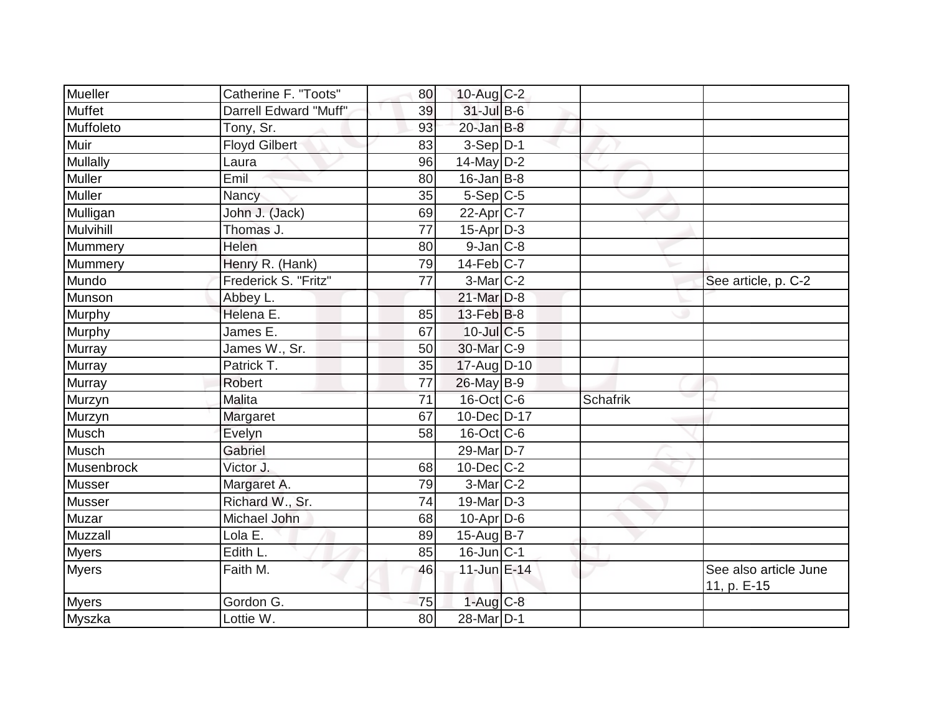| Mueller         | Catherine F. "Toots"  | 80 | 10-Aug C-2             |                 |                                      |
|-----------------|-----------------------|----|------------------------|-----------------|--------------------------------------|
| Muffet          | Darrell Edward "Muff" | 39 | 31-Jul B-6             |                 |                                      |
| Muffoleto       | Tony, Sr.             | 93 | $20$ -Jan $B-8$        |                 |                                      |
| Muir            | Floyd Gilbert         | 83 | $3-Sep D-1$            |                 |                                      |
| <b>Mullally</b> | Laura                 | 96 | $14$ -May D-2          |                 |                                      |
| Muller          | Emil                  | 80 | $16$ -Jan B-8          |                 |                                      |
| Muller          | Nancy                 | 35 | $5-Sep C-5$            |                 |                                      |
| Mulligan        | John J. (Jack)        | 69 | $22$ -Apr $ C-7 $      |                 |                                      |
| Mulvihill       | Thomas J.             | 77 | $15$ -Apr $D-3$        |                 |                                      |
| Mummery         | Helen                 | 80 | $9$ -Jan $ C$ -8       |                 |                                      |
| Mummery         | Henry R. (Hank)       | 79 | $14$ -Feb $ C-7$       |                 |                                      |
| Mundo           | Frederick S. "Fritz"  | 77 | $3-Mar$ $C-2$          |                 | See article, p. C-2                  |
| Munson          | Abbey L.              |    | 21-Mar D-8             |                 |                                      |
| Murphy          | Helena E.             | 85 | $13$ -Feb $ B-8$       |                 |                                      |
| Murphy          | James E.              | 67 | $10$ -Jul $C$ -5       |                 |                                      |
| Murray          | James W., Sr.         | 50 | 30-Mar C-9             |                 |                                      |
| Murray          | Patrick T.            | 35 | 17-Aug D-10            |                 |                                      |
| Murray          | <b>Robert</b>         | 77 | $26$ -May B-9          |                 |                                      |
| Murzyn          | Malita                | 71 | $16$ -Oct $ C$ -6      | <b>Schafrik</b> |                                      |
| Murzyn          | Margaret              | 67 | 10-Dec D-17            |                 |                                      |
| Musch           | Evelyn                | 58 | $16$ -Oct $ C$ -6      |                 |                                      |
| Musch           | Gabriel               |    | 29-Mar D-7             |                 |                                      |
| Musenbrock      | Victor J.             | 68 | $10$ -Dec $ C-2 $      |                 |                                      |
| <b>Musser</b>   | Margaret A.           | 79 | $3-Mar$ $C-2$          |                 |                                      |
| Musser          | Richard W., Sr.       | 74 | $19$ -Mar $D-3$        |                 |                                      |
| Muzar           | Michael John          | 68 | $10-Apr\overline{D-6}$ |                 |                                      |
| Muzzall         | Lola E.               | 89 | 15-Aug $ B-7 $         |                 |                                      |
| <b>Myers</b>    | Edith L.              | 85 | $16$ -Jun $ C-1$       |                 |                                      |
| <b>Myers</b>    | Faith M.              | 46 | 11-Jun E-14            |                 | See also article June<br>11, p. E-15 |
| Myers           | Gordon G.             | 75 | $1-Aug$ $C-8$          |                 |                                      |
| Myszka          | Lottie W.             | 80 | 28-Mar D-1             |                 |                                      |
|                 |                       |    |                        |                 |                                      |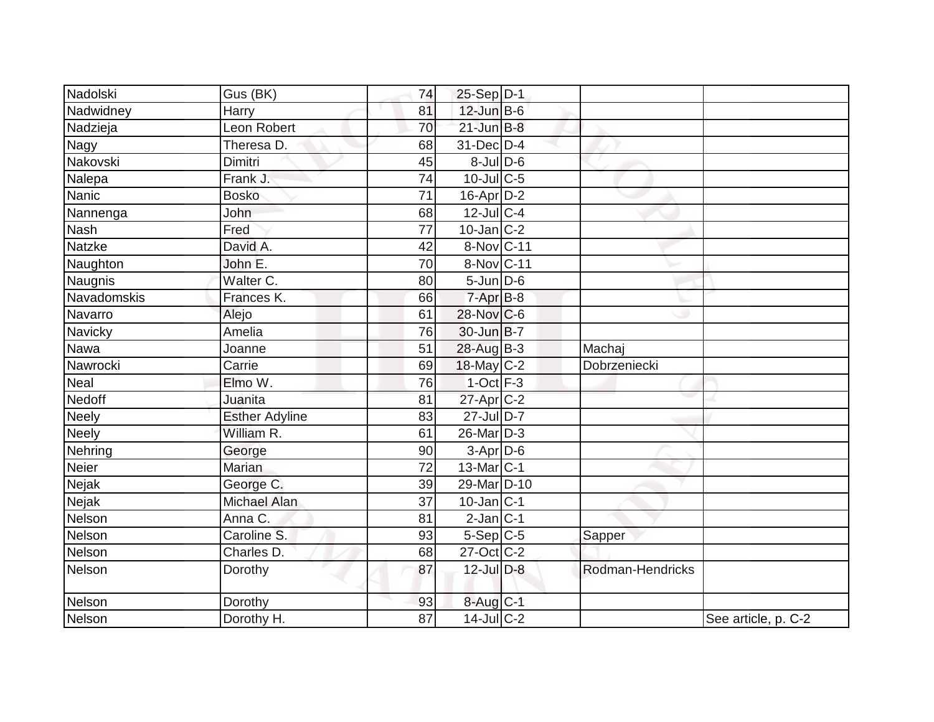| Nadolski     | Gus (BK)               | 74 | $25-Sep D-1$           |                  |                     |
|--------------|------------------------|----|------------------------|------------------|---------------------|
| Nadwidney    | Harry                  | 81 | 12-Jun B-6             |                  |                     |
| Nadzieja     | Leon Robert            | 70 | $21$ -Jun $B-8$        |                  |                     |
| Nagy         | Theresa D.             | 68 | 31-Dec D-4             |                  |                     |
| Nakovski     | <b>Dimitri</b>         | 45 | $8 -$ Jul $D - 6$      |                  |                     |
| Nalepa       | Frank J.               | 74 | $10$ -Jul C-5          |                  |                     |
| Nanic        | <b>Bosko</b>           | 71 | 16-Apr D-2             |                  |                     |
| Nannenga     | John                   | 68 | $12$ -Jul C-4          |                  |                     |
| <b>Nash</b>  | Fred                   | 77 | $10$ -Jan $ C-2 $      |                  |                     |
| Natzke       | David A.               | 42 | 8-Nov C-11             |                  |                     |
| Naughton     | John E.                | 70 | 8-Nov C-11             |                  |                     |
| Naugnis      | Walter C.              | 80 | $5$ -Jun $D$ -6        |                  |                     |
| Navadomskis  | Frances K.             | 66 | $7-Apr$ $B-8$          |                  |                     |
| Navarro      | Alejo                  | 61 | 28-Nov C-6             |                  |                     |
| Navicky      | Amelia                 | 76 | $30 - Jun$ $B - 7$     |                  |                     |
| Nawa         | Joanne                 | 51 | 28-Aug B-3             | Machaj           |                     |
| Nawrocki     | Carrie                 | 69 | 18-May C-2             | Dobrzeniecki     |                     |
| Nea          | Elmo W.                | 76 | $1$ -Oct $F-3$         |                  |                     |
| Nedoff       | Juanita                | 81 | 27-Apr C-2             |                  |                     |
| <b>Neely</b> | <b>Esther Adyline</b>  | 83 | 27-Jul D-7             |                  |                     |
| <b>Neely</b> | William R.             | 61 | 26-Mar D-3             |                  |                     |
| Nehring      | George                 | 90 | 3-Apr D-6              |                  |                     |
| Neier        | <b>Marian</b>          | 72 | 13-Mar C-1             |                  |                     |
| Nejak        | George C.              | 39 | 29-Mar <sub>D-10</sub> |                  |                     |
| Nejak        | Michael Alan           | 37 | $10$ -Jan $ C-1 $      |                  |                     |
| Nelson       | Anna C.                | 81 | $2$ -Jan $C-1$         |                  |                     |
| Nelson       | Caroline <sub>S.</sub> | 93 | $5-Sep C-5$            | Sapper           |                     |
| Nelson       | Charles D.             | 68 | $27$ -Oct C-2          |                  |                     |
| Nelson       | Dorothy                | 87 | 12-Jul D-8             | Rodman-Hendricks |                     |
| Nelson       | Dorothy                | 93 | 8-Aug C-1              |                  |                     |
| Nelson       | Dorothy H.             | 87 | $14$ -Jul $C-2$        |                  | See article, p. C-2 |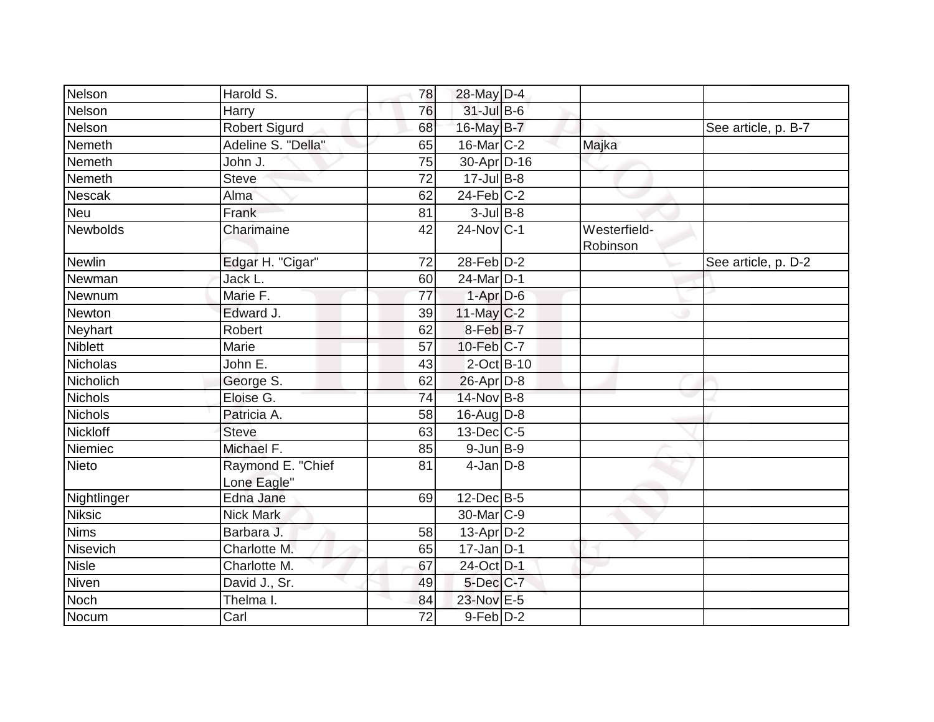| Nelson          | Harold S.                        | 78 | $28$ -May D-4                  |                          |                     |
|-----------------|----------------------------------|----|--------------------------------|--------------------------|---------------------|
| Nelson          | Harry                            | 76 | $31$ -Jul B-6                  |                          |                     |
| Nelson          | <b>Robert Sigurd</b>             | 68 | 16-May B-7                     |                          | See article, p. B-7 |
| Nemeth          | Adeline S. "Della"               | 65 | $16$ -Mar $C-2$                | Majka                    |                     |
| Nemeth          | John J.                          | 75 | $30 - Apr$ $\overline{D} - 16$ |                          |                     |
| Nemeth          | <b>Steve</b>                     | 72 | $17$ -Jul B-8                  |                          |                     |
| Nescak          | Alma                             | 62 | $24$ -Feb $C-2$                |                          |                     |
| <b>Neu</b>      | Frank                            | 81 | $3$ -Jul B-8                   |                          |                     |
| Newbolds        | Charimaine                       | 42 | 24-Nov C-1                     | Westerfield-<br>Robinson |                     |
| <b>Newlin</b>   | Edgar H. "Cigar"                 | 72 | $28$ -Feb $D-2$                |                          | See article, p. D-2 |
| Newman          | Jack L.                          | 60 | $24$ -Mar $ D-1$               |                          |                     |
| Newnum          | Marie F.                         | 77 | $1-Apr$ D-6                    |                          |                     |
| Newton          | Edward J.                        | 39 | $11$ -May $C-2$                |                          |                     |
| Neyhart         | Robert                           | 62 | $8$ -Feb $ B-7 $               |                          |                     |
| <b>Niblett</b>  | Marie                            | 57 | $10$ -Feb $C-7$                |                          |                     |
| <b>Nicholas</b> | John E.                          | 43 | $2$ -Oct B-10                  |                          |                     |
| Nicholich       | George S.                        | 62 | $26$ -Apr $D-8$                |                          |                     |
| <b>Nichols</b>  | Eloise G.                        | 74 | 14-Nov B-8                     |                          |                     |
| <b>Nichols</b>  | Patricia A.                      | 58 | $16$ -AugD-8                   |                          |                     |
| Nickloff        | <b>Steve</b>                     | 63 | $13$ -Dec $ C-5 $              |                          |                     |
| Niemiec         | Michael F.                       | 85 | $9$ -Jun $B-9$                 |                          |                     |
| <b>Nieto</b>    | Raymond E. "Chief<br>Lone Eagle" | 81 | $4$ -Jan $D-8$                 |                          |                     |
| Nightlinger     | Edna Jane                        | 69 | $12$ -Dec $B$ -5               |                          |                     |
| <b>Niksic</b>   | <b>Nick Mark</b>                 |    | 30-Mar C-9                     |                          |                     |
| <b>Nims</b>     | Barbara J.                       | 58 | $13$ -Apr $D-2$                |                          |                     |
| Nisevich        | Charlotte M.                     | 65 | $17$ -Jan $D-1$                |                          |                     |
| <b>Nisle</b>    | Charlotte M.                     | 67 | 24-Oct D-1                     |                          |                     |
| Niven           | David J., Sr.                    | 49 | $5$ -Dec $C$ -7                |                          |                     |
| <b>Noch</b>     | Thelma I.                        | 84 | 23-Nov E-5                     |                          |                     |
| Nocum           | Carl                             | 72 | $9-Feb D-2$                    |                          |                     |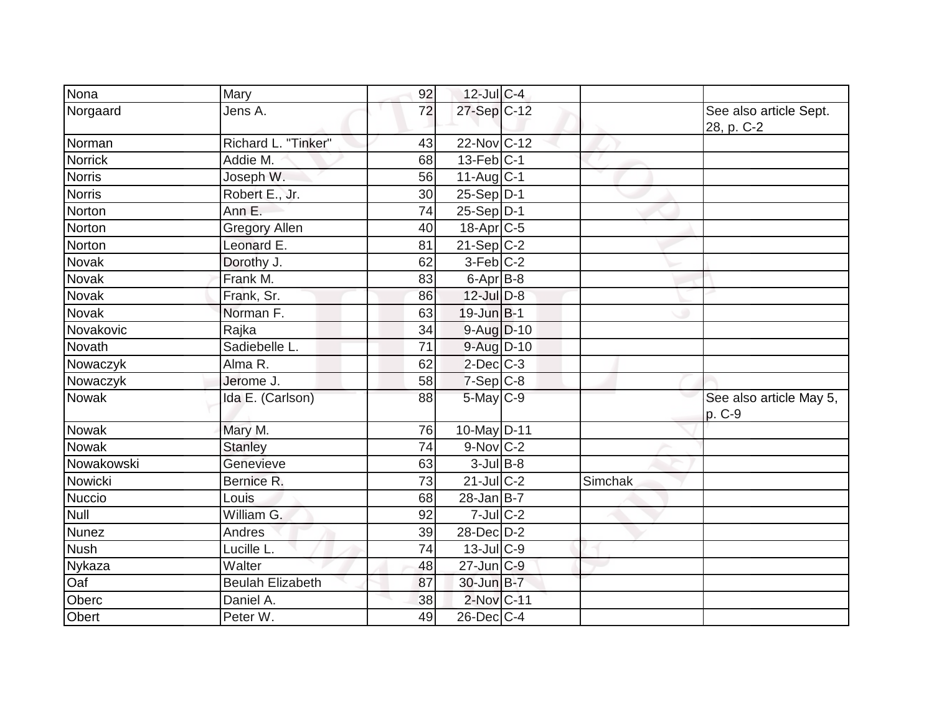| Nona           | Mary                    | 92 | $12$ -Jul C-4           |         |                                      |
|----------------|-------------------------|----|-------------------------|---------|--------------------------------------|
| Norgaard       | Jens A.                 | 72 | 27-Sep C-12             |         | See also article Sept.<br>28, p. C-2 |
| Norman         | Richard L. "Tinker"     | 43 | 22-Nov C-12             |         |                                      |
| <b>Norrick</b> | Addie M.                | 68 | $13$ -Feb $ C-1 $       |         |                                      |
| <b>Norris</b>  | Joseph W.               | 56 | $11-Auq$ <sub>C-1</sub> |         |                                      |
| <b>Norris</b>  | Robert E., Jr.          | 30 | $25-Sep D-1$            |         |                                      |
| Norton         | Ann E.                  | 74 | $25-Sep D-1$            |         |                                      |
| Norton         | <b>Gregory Allen</b>    | 40 | 18-Apr C-5              |         |                                      |
| Norton         | Leonard E.              | 81 | $21-SepC-2$             |         |                                      |
| Novak          | Dorothy J.              | 62 | $3-Feb$ C-2             |         |                                      |
| <b>Novak</b>   | Frank M.                | 83 | $6$ -Apr $B$ -8         |         |                                      |
| Novak          | Frank, Sr.              | 86 | $12$ -Jul $D-8$         |         |                                      |
| Novak          | Norman <sub>F.</sub>    | 63 | $19$ -Jun $B$ -1        |         |                                      |
| Novakovic      | Rajka                   | 34 | 9-Aug D-10              |         |                                      |
| Novath         | Sadiebelle L.           | 71 | 9-Aug D-10              |         |                                      |
| Nowaczyk       | Alma R.                 | 62 | $2$ -Dec $C$ -3         |         |                                      |
| Nowaczyk       | Jerome J.               | 58 | $7-Sep C-8$             |         |                                      |
| <b>Nowak</b>   | Ida E. (Carlson)        | 88 | $5$ -May $C$ -9         |         | See also article May 5,<br>p. C-9    |
| Nowak          | Mary M.                 | 76 | 10-May D-11             |         |                                      |
| <b>Nowak</b>   | <b>Stanley</b>          | 74 | $9-Nov$ C-2             |         |                                      |
| Nowakowski     | Genevieve               | 63 | $3$ -Jul B-8            |         |                                      |
| Nowicki        | Bernice R.              | 73 | $21$ -Jul C-2           | Simchak |                                      |
| Nuccio         | Louis                   | 68 | $28$ -Jan B-7           |         |                                      |
| Null           | William G.              | 92 | $7$ -Jul $C-2$          |         |                                      |
| <b>Nunez</b>   | Andres                  | 39 | $28$ -Dec $D-2$         |         |                                      |
| <b>Nush</b>    | Lucille L.              | 74 | $13$ -JulC-9            |         |                                      |
| Nykaza         | Walter                  | 48 | $27$ -Jun $ C-9 $       |         |                                      |
| Oaf            | <b>Beulah Elizabeth</b> | 87 | 30-Jun B-7              |         |                                      |
| Oberc          | Daniel A.               | 38 | 2-Nov C-11              |         |                                      |
| Obert          | Peter W.                | 49 | $26$ -Dec $ C-4 $       |         |                                      |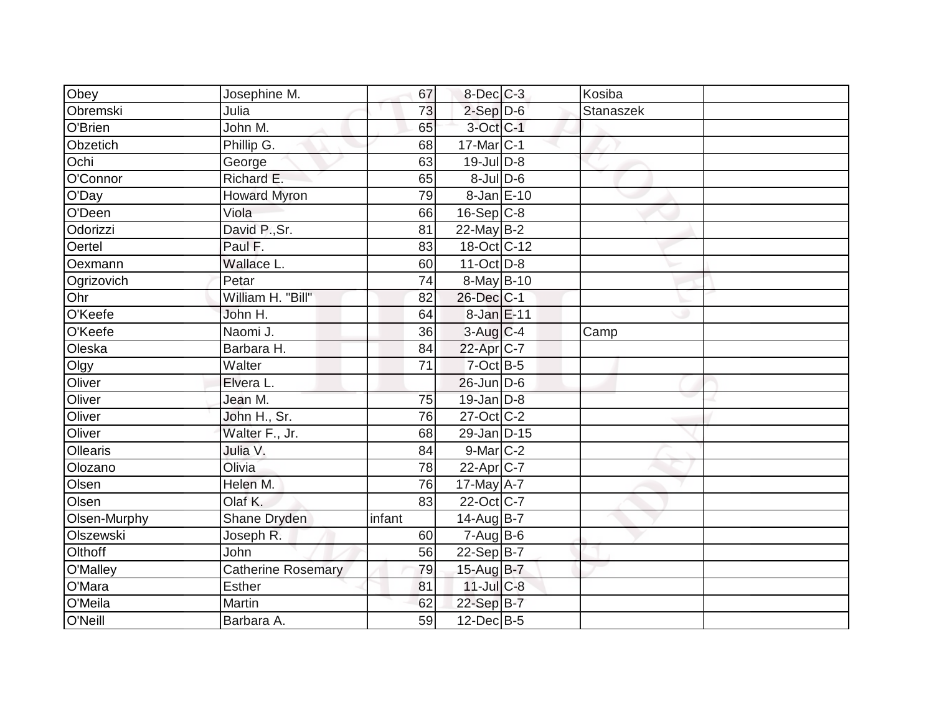|                           | 65                                                                              |          |                                                                                                                                                                                                                                                                                                                                                                                                                                                                                                                                       |                            |
|---------------------------|---------------------------------------------------------------------------------|----------|---------------------------------------------------------------------------------------------------------------------------------------------------------------------------------------------------------------------------------------------------------------------------------------------------------------------------------------------------------------------------------------------------------------------------------------------------------------------------------------------------------------------------------------|----------------------------|
| Phillip G.                | 68                                                                              |          |                                                                                                                                                                                                                                                                                                                                                                                                                                                                                                                                       |                            |
| George                    | 63                                                                              |          |                                                                                                                                                                                                                                                                                                                                                                                                                                                                                                                                       |                            |
|                           | 65                                                                              |          |                                                                                                                                                                                                                                                                                                                                                                                                                                                                                                                                       |                            |
| <b>Howard Myron</b>       | 79                                                                              |          |                                                                                                                                                                                                                                                                                                                                                                                                                                                                                                                                       |                            |
| Viola                     | 66                                                                              |          |                                                                                                                                                                                                                                                                                                                                                                                                                                                                                                                                       |                            |
|                           | 81                                                                              |          |                                                                                                                                                                                                                                                                                                                                                                                                                                                                                                                                       |                            |
| Paul F.                   | 83                                                                              |          |                                                                                                                                                                                                                                                                                                                                                                                                                                                                                                                                       |                            |
| Wallace L.                | 60                                                                              |          |                                                                                                                                                                                                                                                                                                                                                                                                                                                                                                                                       |                            |
| Petar                     | 74                                                                              |          |                                                                                                                                                                                                                                                                                                                                                                                                                                                                                                                                       |                            |
| William H. "Bill"         | 82                                                                              |          |                                                                                                                                                                                                                                                                                                                                                                                                                                                                                                                                       |                            |
| John H.                   | 64                                                                              |          |                                                                                                                                                                                                                                                                                                                                                                                                                                                                                                                                       |                            |
| Naomi J.                  | 36                                                                              |          | Camp                                                                                                                                                                                                                                                                                                                                                                                                                                                                                                                                  |                            |
| Barbara H.                | 84                                                                              |          |                                                                                                                                                                                                                                                                                                                                                                                                                                                                                                                                       |                            |
| Walter                    | 71                                                                              |          |                                                                                                                                                                                                                                                                                                                                                                                                                                                                                                                                       |                            |
| Elvera L.                 |                                                                                 |          |                                                                                                                                                                                                                                                                                                                                                                                                                                                                                                                                       |                            |
| Jean M.                   | 75                                                                              |          |                                                                                                                                                                                                                                                                                                                                                                                                                                                                                                                                       |                            |
| John H., Sr.              | 76                                                                              |          |                                                                                                                                                                                                                                                                                                                                                                                                                                                                                                                                       |                            |
| Walter F., Jr.            | 68                                                                              |          |                                                                                                                                                                                                                                                                                                                                                                                                                                                                                                                                       |                            |
| Julia V.                  | 84                                                                              |          |                                                                                                                                                                                                                                                                                                                                                                                                                                                                                                                                       |                            |
| Olivia                    | 78                                                                              |          |                                                                                                                                                                                                                                                                                                                                                                                                                                                                                                                                       |                            |
| Helen M.                  | 76                                                                              |          |                                                                                                                                                                                                                                                                                                                                                                                                                                                                                                                                       |                            |
| Olaf K.                   | 83                                                                              |          |                                                                                                                                                                                                                                                                                                                                                                                                                                                                                                                                       |                            |
|                           | infant                                                                          |          |                                                                                                                                                                                                                                                                                                                                                                                                                                                                                                                                       |                            |
| Joseph R.                 | 60                                                                              |          |                                                                                                                                                                                                                                                                                                                                                                                                                                                                                                                                       |                            |
| John                      | 56                                                                              |          |                                                                                                                                                                                                                                                                                                                                                                                                                                                                                                                                       |                            |
| <b>Catherine Rosemary</b> | 79                                                                              |          |                                                                                                                                                                                                                                                                                                                                                                                                                                                                                                                                       |                            |
| <b>Esther</b>             | 81                                                                              |          |                                                                                                                                                                                                                                                                                                                                                                                                                                                                                                                                       |                            |
| Martin                    | 62                                                                              |          |                                                                                                                                                                                                                                                                                                                                                                                                                                                                                                                                       |                            |
| Barbara A.                | 59                                                                              |          |                                                                                                                                                                                                                                                                                                                                                                                                                                                                                                                                       |                            |
|                           | Josephine M.<br>Julia<br>John M.<br>Richard E.<br>David P., Sr.<br>Shane Dryden | 67<br>73 | $8$ -Dec $C$ -3<br>$2$ -Sep $D-6$<br>3-Oct C-1<br>$17$ -Mar $ C-1$<br>19-Jul D-8<br>$8$ -Jul $D$ -6<br>$8$ -Jan $E$ -10<br>$16-Sep$ C-8<br>$22$ -May B-2<br>$18-Cct$ C-12<br>$11-Oct$ D-8<br>8-May B-10<br>26-Dec C-1<br>8-Jan E-11<br>$3-Auq$ $C-4$<br>22-Apr C-7<br>$7$ -Oct B-5<br>$26$ -Jun $D-6$<br>19-Jan D-8<br>27-Oct C-2<br>29-Jan D-15<br>9-Mar C-2<br>$22$ -Apr $C$ -7<br>$17$ -May $A - 7$<br>22-Oct C-7<br>14-Aug B-7<br>$7 - Aug$ B-6<br>$22-Sep B-7$<br>15-Aug $B-7$<br>$11$ -Jul $C-8$<br>22-Sep B-7<br>$12$ -Dec B-5 | Kosiba<br><b>Stanaszek</b> |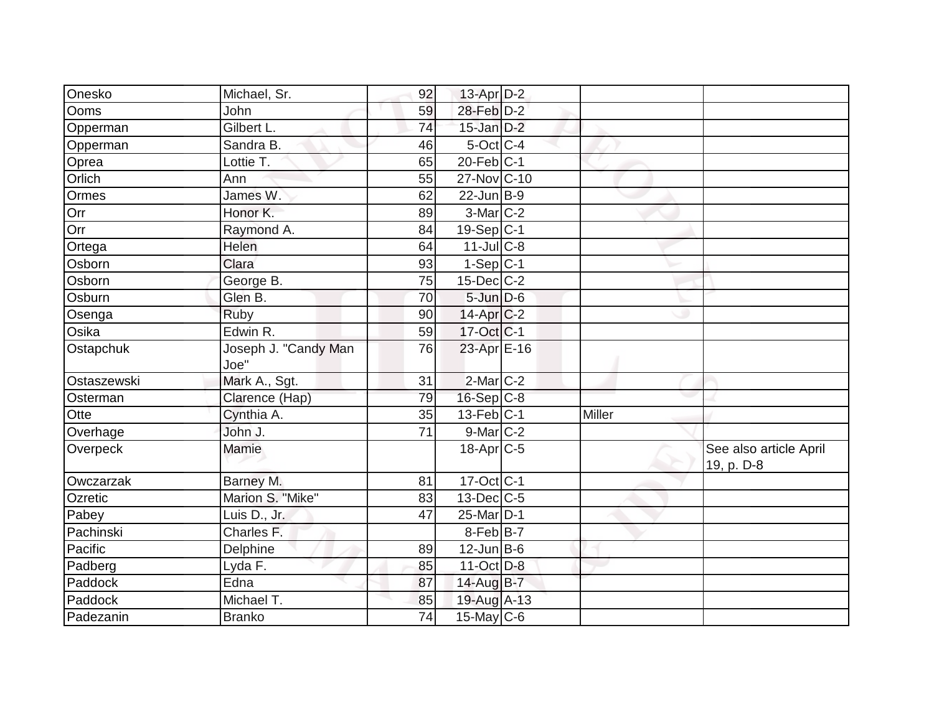| Onesko      | Michael, Sr.                 | 92              | 13-Apr D-2              |        |                                      |
|-------------|------------------------------|-----------------|-------------------------|--------|--------------------------------------|
| <b>Ooms</b> | John                         | 59              | 28-Feb D-2              |        |                                      |
| Opperman    | Gilbert L.                   | 74              | $15$ -Jan $D-2$         |        |                                      |
| Opperman    | Sandra B.                    | 46              | $5$ -Oct C-4            |        |                                      |
| Oprea       | Lottie T.                    | 65              | $20$ -Feb $ C-1 $       |        |                                      |
| Orlich      | Ann                          | 55              | 27-Nov C-10             |        |                                      |
| Ormes       | James W.                     | 62              | $22$ -Jun $B-9$         |        |                                      |
| Orr         | Honor K.                     | 89              | 3-Mar C-2               |        |                                      |
| Orr         | Raymond A.                   | 84              | $19-Sep C-1$            |        |                                      |
| Ortega      | Helen                        | 64              | $11$ -JulC-8            |        |                                      |
| Osborn      | Clara                        | 93              | $1-Sep C-1$             |        |                                      |
| Osborn      | George B.                    | 75              | 15-Dec C-2              |        |                                      |
| Osburn      | Glen B.                      | 70              | $5 - Jun$ $D-6$         |        |                                      |
| Osenga      | Ruby                         | 90              | $14$ -Apr $ C-2 $       |        |                                      |
| Osika       | Edwin R.                     | 59              | 17-Oct C-1              |        |                                      |
| Ostapchuk   | Joseph J. "Candy Man<br>Joe" | 76              | 23-Apr E-16             |        |                                      |
| Ostaszewski | Mark A., Sgt.                | 31              | 2-Mar <sub>IC-2</sub>   |        |                                      |
| Osterman    | Clarence (Hap)               | 79              | $16-Sep C-8$            |        |                                      |
| Otte        | Cynthia A.                   | 35              | $13$ -Feb $ C-1 $       | Miller |                                      |
| Overhage    | John J.                      | 71              | $9$ -Mar $ C-2 $        |        |                                      |
| Overpeck    | Mamie                        |                 | $18$ -Apr $C$ -5        |        | See also article April<br>19, p. D-8 |
| Owczarzak   | Barney M.                    | 81              | $17-Oct$ <sub>C-1</sub> |        |                                      |
| Ozretic     | Marion S. "Mike"             | 83              | $13$ -Dec $ C$ -5       |        |                                      |
| Pabey       | Luis D., Jr.                 | 47              | 25-Mar D-1              |        |                                      |
| Pachinski   | Charles F.                   |                 | $8$ -Feb $ B-7 $        |        |                                      |
| Pacific     | Delphine                     | 89              | $12$ -Jun B-6           |        |                                      |
| Padberg     | Lyda F.                      | 85              | $11$ -Oct D-8           |        |                                      |
| Paddock     | Edna                         | 87              | 14-Aug B-7              |        |                                      |
| Paddock     | Michael T.                   | 85              | 19-Aug A-13             |        |                                      |
| Padezanin   | <b>Branko</b>                | $\overline{74}$ | $15$ -May C-6           |        |                                      |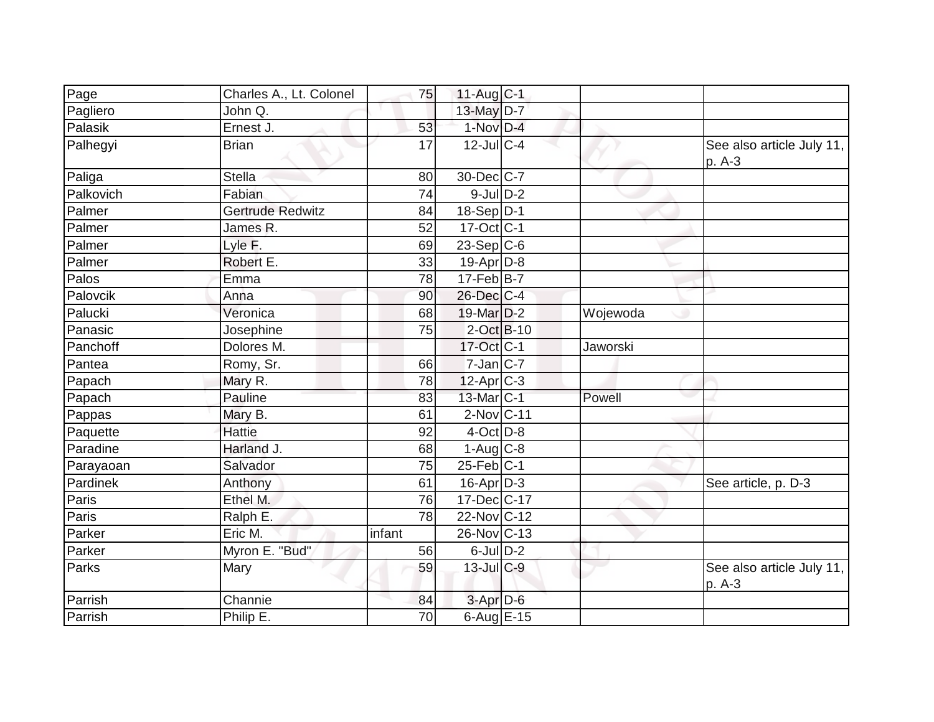| Page      | Charles A., Lt. Colonel | 75     | $11-Auq$ <sub>C-1</sub> |          |                                     |
|-----------|-------------------------|--------|-------------------------|----------|-------------------------------------|
| Pagliero  | John Q.                 |        | 13-May $D-7$            |          |                                     |
| Palasik   | Ernest J.               | 53     | 1-Nov D-4               |          |                                     |
| Palhegyi  | <b>Brian</b>            | 17     | $12$ -JulC-4            |          | See also article July 11,<br>p. A-3 |
| Paliga    | <b>Stella</b>           | 80     | 30-Dec C-7              |          |                                     |
| Palkovich | Fabian                  | 74     | $9$ -Jul $D-2$          |          |                                     |
| Palmer    | Gertrude Redwitz        | 84     | $18-Sep D-1$            |          |                                     |
| Palmer    | James R.                | 52     | $17-Oct$ <sub>C-1</sub> |          |                                     |
| Palmer    | Lyle F.                 | 69     | $23-Sep C-6$            |          |                                     |
| Palmer    | Robert E.               | 33     | $19$ -Apr $ D-8$        |          |                                     |
| Palos     | Emma                    | 78     | $17$ -Feb $ B-7 $       |          |                                     |
| Palovcik  | Anna                    | 90     | 26-Dec C-4              |          |                                     |
| Palucki   | Veronica                | 68     | 19-Mar D-2              | Wojewoda |                                     |
| Panasic   | Josephine               | 75     | $2-Oct$ B-10            |          |                                     |
| Panchoff  | Dolores M.              |        | 17-Oct C-1              | Jaworski |                                     |
| Pantea    | Romy, Sr.               | 66     | $7$ -Jan $ C-7 $        |          |                                     |
| Papach    | Mary R.                 | 78     | $12-Apr$ C-3            |          |                                     |
| Papach    | Pauline                 | 83     | 13-Mar C-1              | Powell   |                                     |
| Pappas    | Mary B.                 | 61     | $2$ -Nov $ C-11$        |          |                                     |
| Paquette  | <b>Hattie</b>           | 92     | $4$ -Oct $D-8$          |          |                                     |
| Paradine  | Harland J.              | 68     | $1-Aug$ <sub>C-8</sub>  |          |                                     |
| Parayaoan | Salvador                | 75     | $25$ -Feb $ C-1 $       |          |                                     |
| Pardinek  | Anthony                 | 61     | $16$ -Apr $D-3$         |          | See article, p. D-3                 |
| Paris     | Ethel M.                | 76     | $17 - Dec$ C-17         |          |                                     |
| Paris     | Ralph E.                | 78     | 22-Nov C-12             |          |                                     |
| Parker    | Eric M.                 | infant | 26-Nov C-13             |          |                                     |
| Parker    | Myron E. "Bud"          | 56     | $6$ -Jul $D-2$          |          |                                     |
| Parks     | Mary                    | 59     | $13$ -Jul C-9           |          | See also article July 11,<br>p. A-3 |
| Parrish   | Channie                 | 84     | $3-Apr$ D-6             |          |                                     |
| Parrish   | Philip E.               | 70     | $6$ -Aug $E$ -15        |          |                                     |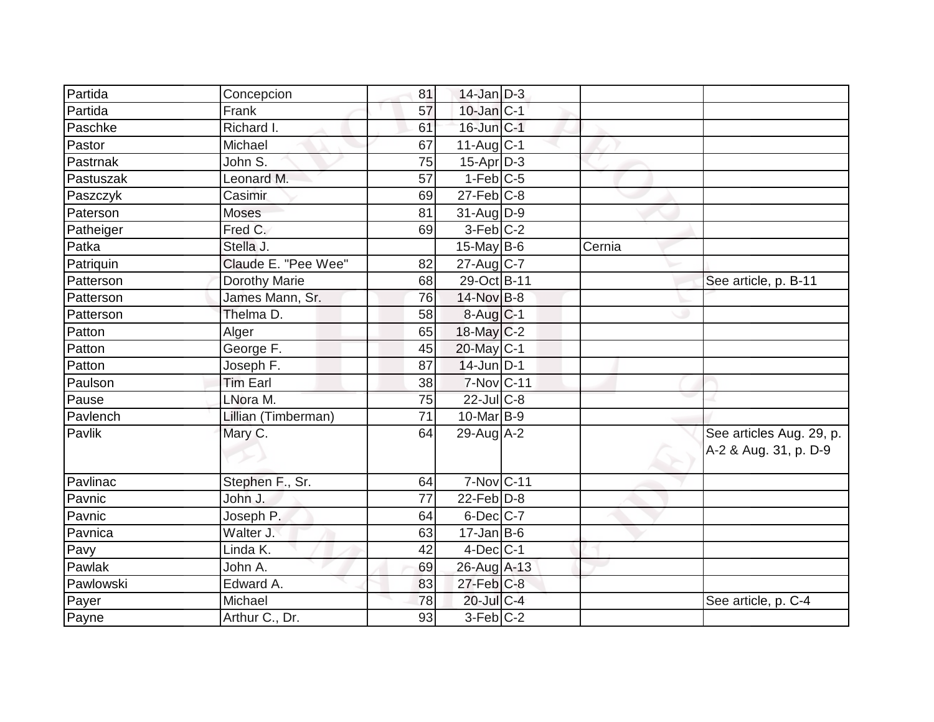| Partida   | Concepcion                     | 81              | $14$ -Jan D-3          |        |                          |
|-----------|--------------------------------|-----------------|------------------------|--------|--------------------------|
| Partida   | Frank                          | 57              | $10$ -Jan $ C-1 $      |        |                          |
| Paschke   | Richard I.                     | 61              | $16$ -Jun $ C-1 $      |        |                          |
| Pastor    | Michael                        | 67              | $11-Aug C-1$           |        |                          |
| Pastrnak  | John $\overline{\mathsf{S}}$ . | $\overline{75}$ | $15-Apr$ D-3           |        |                          |
| Pastuszak | Leonard M.                     | 57              | $1-Feb$ C-5            |        |                          |
| Paszczyk  | Casimir                        | 69              | $27$ -Feb $ C-8$       |        |                          |
| Paterson  | Moses                          | 81              | $31$ -AugD-9           |        |                          |
| Patheiger | Fred C.                        | 69              | $3-Feb$ C-2            |        |                          |
| Patka     | Stella J.                      |                 | 15-May $B-6$           | Cernia |                          |
| Patriquin | Claude E. "Pee Wee"            | 82              | $27$ -Aug C-7          |        |                          |
| Patterson | Dorothy Marie                  | 68              | 29-Oct B-11            |        | See article, p. B-11     |
| Patterson | James Mann, Sr.                | 76              | 14-Nov B-8             |        |                          |
| Patterson | Thelma D.                      | 58              | $8-Aug$ <sub>C-1</sub> |        |                          |
| Patton    | Alger                          | 65              | $18$ -May C-2          |        |                          |
| Patton    | George F.                      | 45              | 20-May C-1             |        |                          |
| Patton    | Joseph F.                      | 87              | $14$ -Jun D-1          |        |                          |
| Paulson   | <b>Tim Earl</b>                | 38              | 7-Nov C-11             |        |                          |
| Pause     | LNora M.                       | 75              | $22$ -Jul $C-8$        |        |                          |
| Pavlench  | Lillian (Timberman)            | 71              | $10$ -Mar $ B-9 $      |        |                          |
| Pavlik    | Mary C.                        | 64              | $29$ -Aug $A-2$        |        | See articles Aug. 29, p. |
|           |                                |                 |                        |        | A-2 & Aug. 31, p. D-9    |
| Pavlinac  | Stephen F., Sr.                | 64              | 7-Nov C-11             |        |                          |
| Pavnic    | John J.                        | 77              | $22$ -Feb $D-8$        |        |                          |
| Pavnic    | Joseph P.                      | 64              | $6$ -Dec $C$ -7        |        |                          |
| Pavnica   | Walter J.                      | 63              | $17$ -Jan B-6          |        |                          |
| Pavy      | Linda K.                       | 42              | $4$ -Dec $ C-1 $       |        |                          |
| Pawlak    | John A.                        | 69              | 26-Aug A-13            |        |                          |
| Pawlowski | Edward A.                      | 83              | $27$ -Feb $ C-8 $      |        |                          |
| Payer     | Michael                        | 78              | 20-Jul C-4             |        | See article, p. C-4      |
| Payne     | Arthur C., Dr.                 | 93              | $3-Feb$ $C-2$          |        |                          |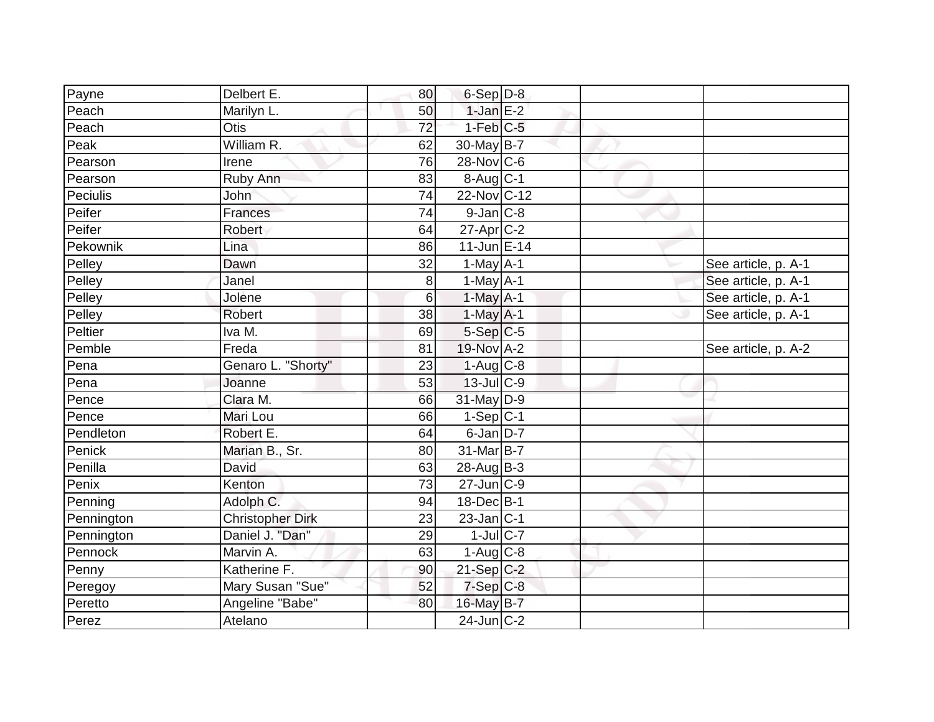| Payne      | Delbert E.              | 80              | $6-Sep$ D-8             |  |                     |
|------------|-------------------------|-----------------|-------------------------|--|---------------------|
| Peach      | Marilyn L.              | 50              | $1$ -Jan $E-2$          |  |                     |
| Peach      | Otis                    | $\overline{72}$ | $1-Feb$ $C-5$           |  |                     |
| Peak       | William R.              | 62              | 30-May $B-7$            |  |                     |
| Pearson    | Irene                   | 76              | 28-Nov C-6              |  |                     |
| Pearson    | Ruby Ann                | 83              | $8-Aug$ <sub>C-1</sub>  |  |                     |
| Peciulis   | <b>John</b>             | 74              | 22-Nov C-12             |  |                     |
| Peifer     | Frances                 | 74              | $9$ -Jan $ C-8 $        |  |                     |
| Peifer     | Robert                  | 64              | $27$ -Apr $C-2$         |  |                     |
| Pekownik   | Lina                    | 86              | $11$ -Jun $E-14$        |  |                     |
| Pelley     | Dawn                    | 32              | $\overline{1}$ -May A-1 |  | See article, p. A-1 |
| Pelley     | Janel                   | 8 <sup>1</sup>  | $1-May$ A-1             |  | See article, p. A-1 |
| Pelley     | Jolene                  | $6\overline{6}$ | 1-May $A-1$             |  | See article, p. A-1 |
| Pelley     | Robert                  | 38              | $1$ -May $A-1$          |  | See article, p. A-1 |
| Peltier    | Iva M.                  | 69              | $5-Sep C-5$             |  |                     |
| Pemble     | Freda                   | 81              | 19-Nov A-2              |  | See article, p. A-2 |
| Pena       | Genaro L. "Shorty"      | 23              | $1-Aug$ <sub>C-8</sub>  |  |                     |
| Pena       | Joanne                  | 53              | $13$ -Jul C-9           |  |                     |
| Pence      | Clara M.                | 66              | 31-May D-9              |  |                     |
| Pence      | Mari Lou                | 66              | $1-Sep C-1$             |  |                     |
| Pendleton  | Robert E.               | 64              | $6$ -Jan $D-7$          |  |                     |
| Penick     | Marian B., Sr.          | 80              | 31-Mar B-7              |  |                     |
| Penilla    | <b>David</b>            | 63              | 28-Aug B-3              |  |                     |
| Penix      | Kenton                  | 73              | $27$ -Jun $ C-9$        |  |                     |
| Penning    | Adolph C.               | 94              | $18$ -Dec $B$ -1        |  |                     |
| Pennington | <b>Christopher Dirk</b> | 23              | $23$ -Jan C-1           |  |                     |
| Pennington | Daniel J. "Dan"         | 29              | $1$ -Jul $C$ -7         |  |                     |
| Pennock    | Marvin A.               | 63              | $1-Aug$ <sub>C-8</sub>  |  |                     |
| Penny      | Katherine F.            | 90              | $21-Sep C-2$            |  |                     |
| Peregoy    | Mary Susan "Sue"        | 52              | $7-Sep$ $C-8$           |  |                     |
| Peretto    | Angeline "Babe"         | 80              | 16-May B-7              |  |                     |
| Perez      | Atelano                 |                 | $24$ -Jun $ C-2 $       |  |                     |
|            |                         |                 |                         |  |                     |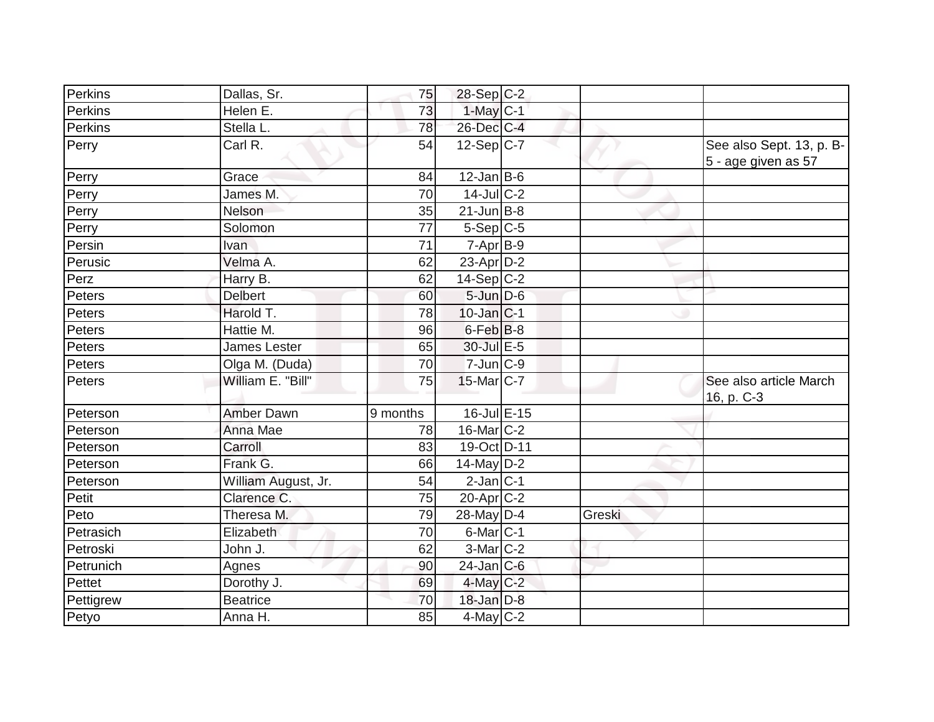| Perkins   | Dallas, Sr.         | 75       | $28-Sep C-2$      |        |                                                 |
|-----------|---------------------|----------|-------------------|--------|-------------------------------------------------|
| Perkins   | Helen E.            | 73       | $1$ -May $C-1$    |        |                                                 |
| Perkins   | Stella L.           | 78       | 26-Dec C-4        |        |                                                 |
| Perry     | Carl R.             | 54       | $12-Sep C-7$      |        | See also Sept. 13, p. B-<br>5 - age given as 57 |
| Perry     | Grace               | 84       | $12$ -Jan B-6     |        |                                                 |
| Perry     | James M.            | 70       | $14$ -Jul $C-2$   |        |                                                 |
| Perry     | Nelson              | 35       | $21$ -Jun B-8     |        |                                                 |
| Perry     | Solomon             | 77       | $5-Sep C-5$       |        |                                                 |
| Persin    | Ivan                | 71       | $7-Apr$ B-9       |        |                                                 |
| Perusic   | Velma A.            | 62       | $23$ -Apr $D-2$   |        |                                                 |
| Perz      | Harry B.            | 62       | $14-Sep C-2$      |        |                                                 |
| Peters    | <b>Delbert</b>      | 60       | $5 - Jun$ $D-6$   |        |                                                 |
| Peters    | Harold T.           | 78       | $10$ -Jan $ C-1 $ |        |                                                 |
| Peters    | Hattie M.           | 96       | $6$ -Feb $B$ -8   |        |                                                 |
| Peters    | James Lester        | 65       | 30-Jul E-5        |        |                                                 |
| Peters    | Olga M. (Duda)      | 70       | $7$ -Jun $C-9$    |        |                                                 |
| Peters    | William E. "Bill"   | 75       | $15$ -Mar $ C-7 $ |        | See also article March<br>16, p. C-3            |
| Peterson  | <b>Amber Dawn</b>   | 9 months | 16-Jul E-15       |        |                                                 |
| Peterson  | Anna Mae            | 78       | $16$ -Mar $ C-2 $ |        |                                                 |
| Peterson  | Carroll             | 83       | 19-Oct D-11       |        |                                                 |
| Peterson  | Frank G.            | 66       | $14$ -May D-2     |        |                                                 |
| Peterson  | William August, Jr. | 54       | $2$ -Jan $ C-1 $  |        |                                                 |
| Petit     | Clarence C.         | 75       | $20$ -Apr $C-2$   |        |                                                 |
| Peto      | Theresa M.          | 79       | 28-May D-4        | Greski |                                                 |
| Petrasich | Elizabeth           | 70       | $6$ -Mar $ C-1 $  |        |                                                 |
| Petroski  | John J.             | 62       | $3-Mar$ $C-2$     |        |                                                 |
| Petrunich | Agnes               | 90       | $24$ -Jan C-6     |        |                                                 |
| Pettet    | Dorothy J.          | 69       | $4$ -May $C-2$    |        |                                                 |
| Pettigrew | <b>Beatrice</b>     | 70       | $18$ -Jan $D-8$   |        |                                                 |
| Petyo     | Anna H.             | 85       | $4$ -May C-2      |        |                                                 |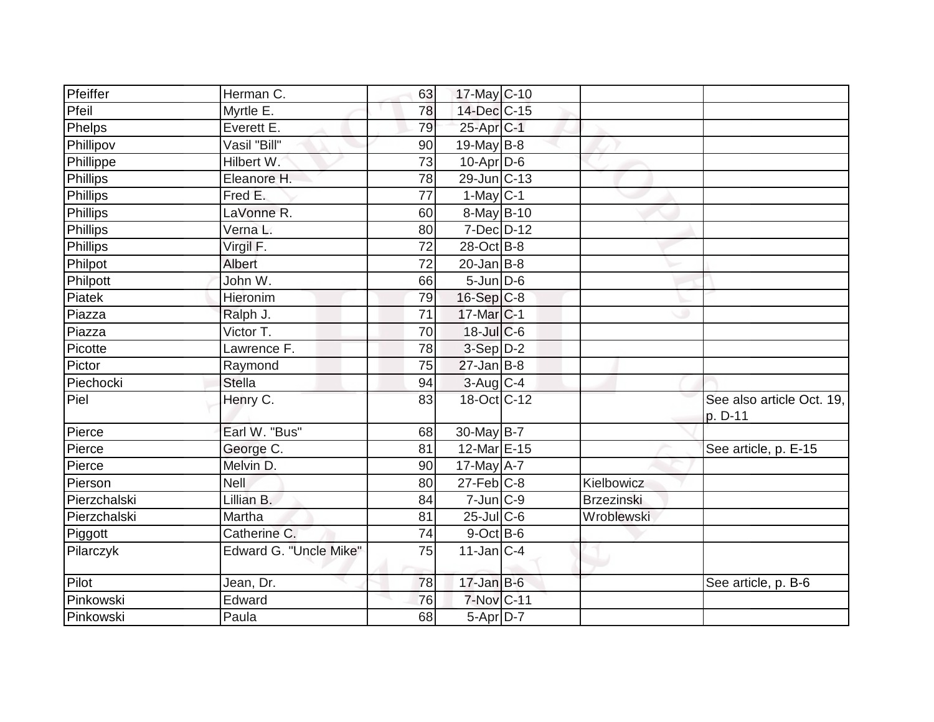| Pfeiffer        | Herman C.              | 63              | 17-May C-10            |                   |                                      |
|-----------------|------------------------|-----------------|------------------------|-------------------|--------------------------------------|
| Pfeil           | Myrtle E.              | 78              | 14-Dec C-15            |                   |                                      |
| <b>Phelps</b>   | Everett E.             | 79              | $25$ -Apr $C$ -1       |                   |                                      |
| Phillipov       | Vasil "Bill"           | 90              | 19-May $B-8$           |                   |                                      |
| Phillippe       | Hilbert W.             | $\overline{73}$ | $10$ -Apr $D-6$        |                   |                                      |
| <b>Phillips</b> | Eleanore H.            | 78              | 29-Jun C-13            |                   |                                      |
| Phillips        | Fred E.                | 77              | $1-May$ <sub>C-1</sub> |                   |                                      |
| <b>Phillips</b> | LaVonne R.             | 60              | 8-May B-10             |                   |                                      |
| <b>Phillips</b> | Verna L.               | 80              | 7-Dec D-12             |                   |                                      |
| Phillips        | Virgil F.              | 72              | 28-Oct B-8             |                   |                                      |
| Philpot         | Albert                 | 72              | $20$ -Jan B-8          |                   |                                      |
| Philpott        | John W.                | 66              | $5$ -Jun $D-6$         |                   |                                      |
| Piatek          | Hieronim               | 79              | 16-Sep C-8             |                   |                                      |
| Piazza          | Ralph J.               | 71              | 17-Mar C-1             |                   |                                      |
| Piazza          | Victor T.              | 70              | $18$ -Jul C-6          |                   |                                      |
| Picotte         | Lawrence F.            | 78              | $3-Sep$ $D-2$          |                   |                                      |
| Pictor          | Raymond                | 75              | $27$ -Jan B-8          |                   |                                      |
| Piechocki       | <b>Stella</b>          | 94              | $3$ -Aug C-4           |                   |                                      |
| Piel            | Henry C.               | 83              | 18-Oct C-12            |                   | See also article Oct. 19,<br>p. D-11 |
| Pierce          | Earl W. "Bus"          | 68              | 30-May $B-7$           |                   |                                      |
| Pierce          | George C.              | 81              | $12$ -Mar $E-15$       |                   | See article, p. E-15                 |
| Pierce          | Melvin D.              | 90              | $17$ -May $A$ -7       |                   |                                      |
| Pierson         | <b>Nell</b>            | 80              | $27$ -Feb $C-8$        | Kielbowicz        |                                      |
| Pierzchalski    | Lillian B.             | 84              | $7$ -Jun $ C-9 $       | <b>Brzezinski</b> |                                      |
| Pierzchalski    | Martha                 | 81              | 25-Jul C-6             | Wroblewski        |                                      |
| Piggott         | Catherine C.           | 74              | $9$ -Oct $B$ -6        |                   |                                      |
| Pilarczyk       | Edward G. "Uncle Mike" | 75              | $11$ -Jan $ C-4 $      |                   |                                      |
| Pilot           | Jean, Dr.              | 78              | $17$ -Jan B-6          |                   | See article, p. B-6                  |
| Pinkowski       | Edward                 | 76              | 7-Nov C-11             |                   |                                      |
| Pinkowski       | Paula                  | 68              | $5-Apr$ D-7            |                   |                                      |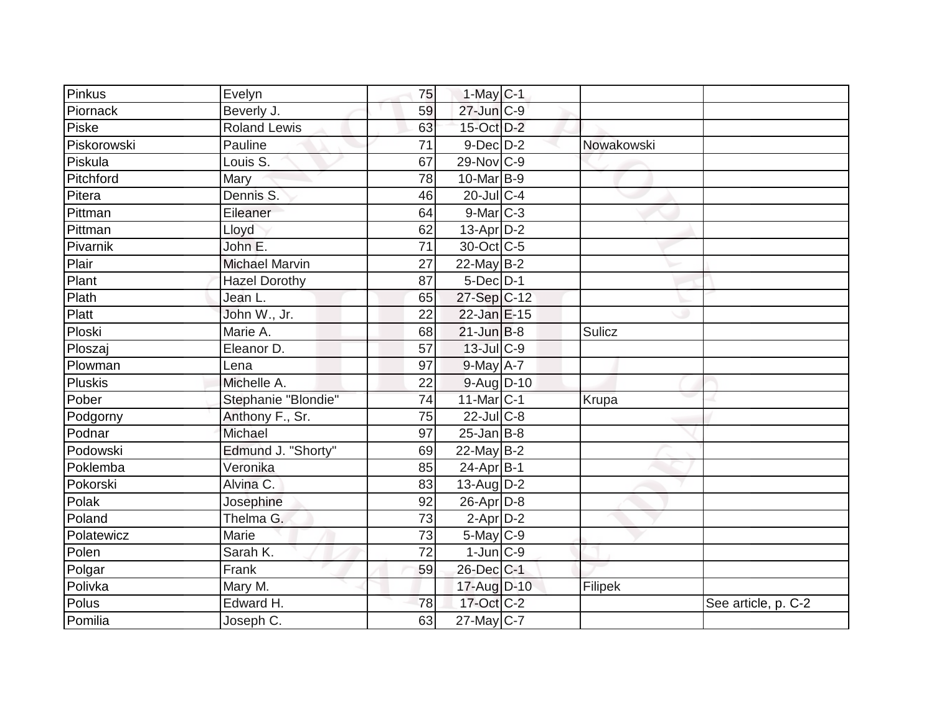| Pinkus         | Evelyn                | 75              | $1-May$ <sub>C-1</sub> |            |                     |
|----------------|-----------------------|-----------------|------------------------|------------|---------------------|
| Piornack       | Beverly J.            | 59              | 27-Jun C-9             |            |                     |
| Piske          | <b>Roland Lewis</b>   | 63              | 15-Oct D-2             |            |                     |
| Piskorowski    | Pauline               | 71              | $9$ -Dec $D$ -2        | Nowakowski |                     |
| Piskula        | Louis S.              | 67              | 29-Nov C-9             |            |                     |
| Pitchford      | Mary                  | 78              | $10$ -Mar $ B-9 $      |            |                     |
| Pitera         | Dennis S.             | 46              | $20$ -JulC-4           |            |                     |
| Pittman        | Eileaner              | 64              | $9$ -Mar $C-3$         |            |                     |
| <b>Pittman</b> | Lloyd                 | 62              | $13$ -Apr $D-2$        |            |                     |
| Pivarnik       | John E.               | 71              | 30-Oct C-5             |            |                     |
| Plair          | <b>Michael Marvin</b> | 27              | $22$ -May B-2          |            |                     |
| Plant          | <b>Hazel Dorothy</b>  | 87              | $5$ -Dec $D-1$         |            |                     |
| Plath          | Jean L.               | 65              | $27-Sep$ C-12          |            |                     |
| Platt          | John W., Jr.          | 22              | 22-Jan E-15            |            |                     |
| Ploski         | Marie A.              | 68              | $21$ -Jun B-8          | Sulicz     |                     |
| Ploszaj        | Eleanor D.            | 57              | $13$ -Jul C-9          |            |                     |
| Plowman        | Lena                  | $\overline{97}$ | $9$ -May $A - 7$       |            |                     |
| <b>Pluskis</b> | Michelle A.           | 22              | 9-Aug D-10             |            |                     |
| Pober          | Stephanie "Blondie"   | 74              | $11$ -Mar $ C-1 $      | Krupa      |                     |
| Podgorny       | Anthony F., Sr.       | 75              | $22$ -Jul C-8          |            |                     |
| Podnar         | Michael               | 97              | $25$ -Jan B-8          |            |                     |
| Podowski       | Edmund J. "Shorty"    | 69              | $22$ -May B-2          |            |                     |
| Poklemba       | Veronika              | 85              | $24-Apr$ B-1           |            |                     |
| Pokorski       | Alvina C.             | 83              | $13$ -Aug D-2          |            |                     |
| Polak          | Josephine             | 92              | $26$ -Apr $D-8$        |            |                     |
| Poland         | Thelma G.             | 73              | $2$ -Apr $D-2$         |            |                     |
| Polatewicz     | Marie                 | 73              | $5$ -May $C$ -9        |            |                     |
| Polen          | Sarah K.              | 72              | $1$ -Jun $ C-9 $       |            |                     |
| Polgar         | Frank                 | 59              | 26-Dec C-1             |            |                     |
| Polivka        | Mary M.               |                 | 17-Aug D-10            | Filipek    |                     |
| Polus          | Edward H.             | 78              | 17-Oct C-2             |            | See article, p. C-2 |
| Pomilia        | Joseph C.             | 63              | $27$ -May C-7          |            |                     |
|                |                       |                 |                        |            |                     |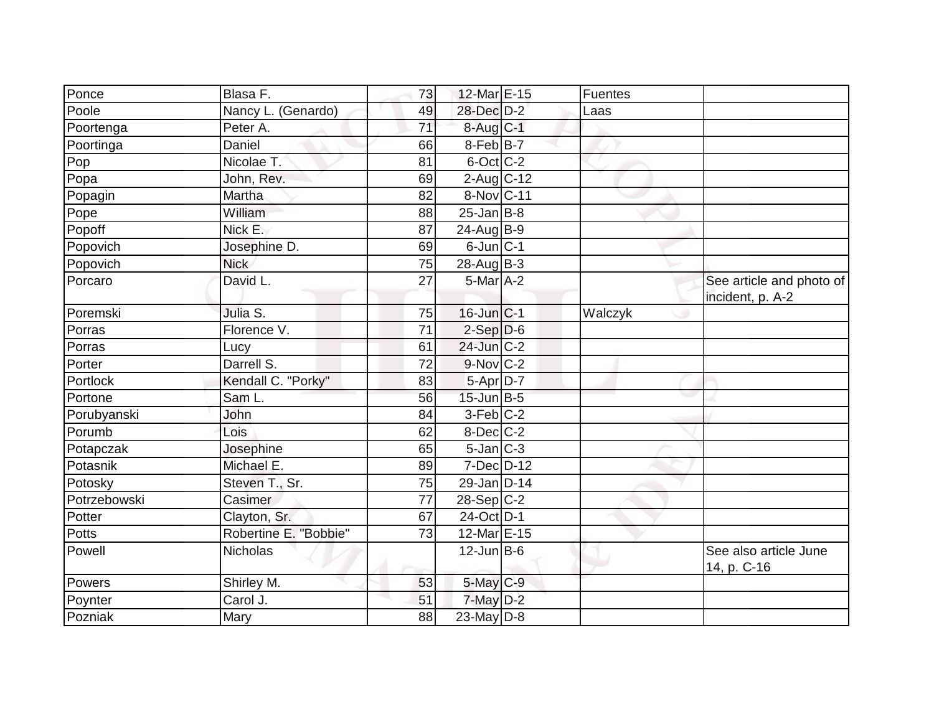| Ponce        | Blasa F.              | 73 | 12-Mar E-15       | Fuentes |                                              |
|--------------|-----------------------|----|-------------------|---------|----------------------------------------------|
| Poole        | (Genardo)<br>Nancy L. | 49 | 28-Dec D-2        | Laas    |                                              |
| Poortenga    | Peter A.              | 71 | 8-Aug C-1         |         |                                              |
| Poortinga    | Daniel                | 66 | $8$ -Feb $ B-7 $  |         |                                              |
| Pop          | Nicolae T.            | 81 | 6-Oct C-2         |         |                                              |
| Popa         | John, Rev.            | 69 | 2-Aug C-12        |         |                                              |
| Popagin      | Martha                | 82 | 8-Nov C-11        |         |                                              |
| Pope         | William               | 88 | $25$ -Jan B-8     |         |                                              |
| Popoff       | Nick E.               | 87 | 24-Aug B-9        |         |                                              |
| Popovich     | Josephine D.          | 69 | $6$ -Jun $ C-1$   |         |                                              |
| Popovich     | <b>Nick</b>           | 75 | $28$ -Aug B-3     |         |                                              |
| Porcaro      | David L.              | 27 | $5$ -Mar $A$ -2   |         | See article and photo of<br>incident, p. A-2 |
| Poremski     | Julia S.              | 75 | $16$ -Jun $ C-1$  | Walczyk |                                              |
| Porras       | Florence V.           | 71 | $2-Sep D-6$       |         |                                              |
| Porras       | Lucy                  | 61 | 24-Jun C-2        |         |                                              |
| Porter       | Darrell S.            | 72 | $9-Nov$ C-2       |         |                                              |
| Portlock     | Kendall C. "Porky"    | 83 | $5-AprD-7$        |         |                                              |
| Portone      | Sam L.                | 56 | 15-Jun B-5        |         |                                              |
| Porubyanski  | John                  | 84 | $3-Feb$ C-2       |         |                                              |
| Porumb       | Lois                  | 62 | $8$ -Dec $C$ -2   |         |                                              |
| Potapczak    | Josephine             | 65 | $5$ -Jan $ C-3 $  |         |                                              |
| Potasnik     | Michael E.            | 89 | $7$ -Dec $D-12$   |         |                                              |
| Potosky      | Steven T., Sr.        | 75 | $29$ -Jan D-14    |         |                                              |
| Potrzebowski | Casimer               | 77 | $28-Sep C-2$      |         |                                              |
| Potter       | Clayton, Sr.          | 67 | $24$ -Oct $D-1$   |         |                                              |
| Potts        | Robertine E. "Bobbie" | 73 | 12-Mar E-15       |         |                                              |
| Powell       | <b>Nicholas</b>       |    | $12$ -Jun $ B-6 $ |         | See also article June<br>14, p. C-16         |
| Powers       | Shirley M.            | 53 | 5-May C-9         |         |                                              |
| Poynter      | Carol J.              | 51 | $7$ -May $D-2$    |         |                                              |
| Pozniak      | Mary                  | 88 | 23-May $D-8$      |         |                                              |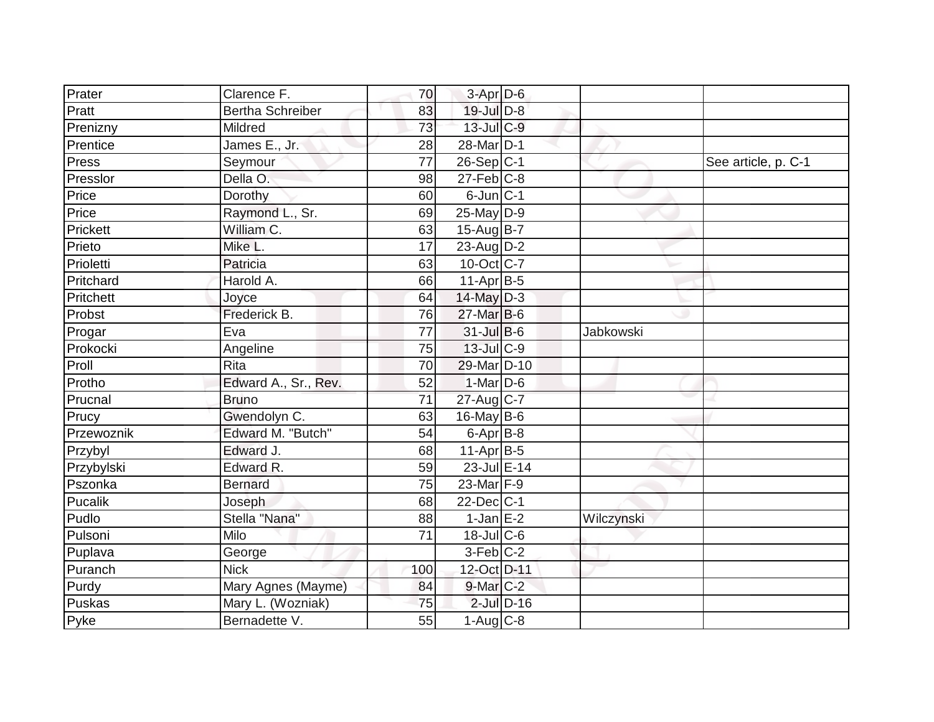| Prater     | Clarence F.             | 70              | $3-Apr$ D-6        |                 |            |                     |
|------------|-------------------------|-----------------|--------------------|-----------------|------------|---------------------|
| Pratt      | <b>Bertha Schreiber</b> | 83              | 19-Jul D-8         |                 |            |                     |
| Prenizny   | Mildred                 | 73              | 13-Jul C-9         |                 |            |                     |
| Prentice   | James E., Jr.           | 28              | 28-Mar D-1         |                 |            |                     |
| Press      | Seymour                 | 77              | 26-Sep C-1         |                 |            | See article, p. C-1 |
| Presslor   | Della O.                | 98              | $27$ -Feb $ C-8 $  |                 |            |                     |
| Price      | Dorothy                 | 60              | $6$ -Jun $C-1$     |                 |            |                     |
| Price      | Raymond L., Sr.         | 69              | $25$ -May D-9      |                 |            |                     |
| Prickett   | William C.              | 63              | 15-Aug B-7         |                 |            |                     |
| Prieto     | Mike L.                 | 17              | $23$ -Aug D-2      |                 |            |                     |
| Prioletti  | Patricia                | 63              | $10$ -Oct $ C-7 $  |                 |            |                     |
| Pritchard  | Harold A.               | 66              | $11-Apr B-5$       |                 |            |                     |
| Pritchett  | Joyce                   | 64              | 14-May D-3         |                 |            |                     |
| Probst     | Frederick B.            | 76              | 27-Mar B-6         |                 |            |                     |
| Progar     | Eva                     | 77              | 31-Jul B-6         |                 | Jabkowski  |                     |
| Prokocki   | Angeline                | 75              | $13 -$ Jul $C - 9$ |                 |            |                     |
| Proll      | Rita                    | $\overline{70}$ | 29-Mar D-10        |                 |            |                     |
| Protho     | Edward A., Sr., Rev.    | 52              | 1-Mar D-6          |                 |            |                     |
| Prucnal    | <b>Bruno</b>            | 71              | 27-Aug C-7         |                 |            |                     |
| Prucy      | Gwendolyn C.            | 63              | 16-May B-6         |                 |            |                     |
| Przewoznik | Edward M. "Butch"       | 54              | $6$ -Apr $B$ -8    |                 |            |                     |
| Przybyl    | Edward J.               | 68              | $11-Apr$ B-5       |                 |            |                     |
| Przybylski | Edward R.               | 59              | 23-Jul E-14        |                 |            |                     |
| Pszonka    | <b>Bernard</b>          | 75              | 23-Mar F-9         |                 |            |                     |
| Pucalik    | Joseph                  | 68              | $22$ -Dec $ C-1 $  |                 |            |                     |
| Pudlo      | Stella "Nana"           | 88              | $1$ -Jan $E-2$     |                 | Wilczynski |                     |
| Pulsoni    | Milo                    | 71              | $18$ -JulC-6       |                 |            |                     |
| Puplava    | George                  |                 | $3-Feb$ $C-2$      |                 |            |                     |
| Puranch    | <b>Nick</b>             | 100             | 12-Oct D-11        |                 |            |                     |
| Purdy      | Mary Agnes (Mayme)      | 84              | 9-Mar C-2          |                 |            |                     |
| Puskas     | Mary L. (Wozniak)       | 75              |                    | $2$ -Jul $D-16$ |            |                     |
| Pyke       | Bernadette V.           | 55              | $1-Aug$ $C-8$      |                 |            |                     |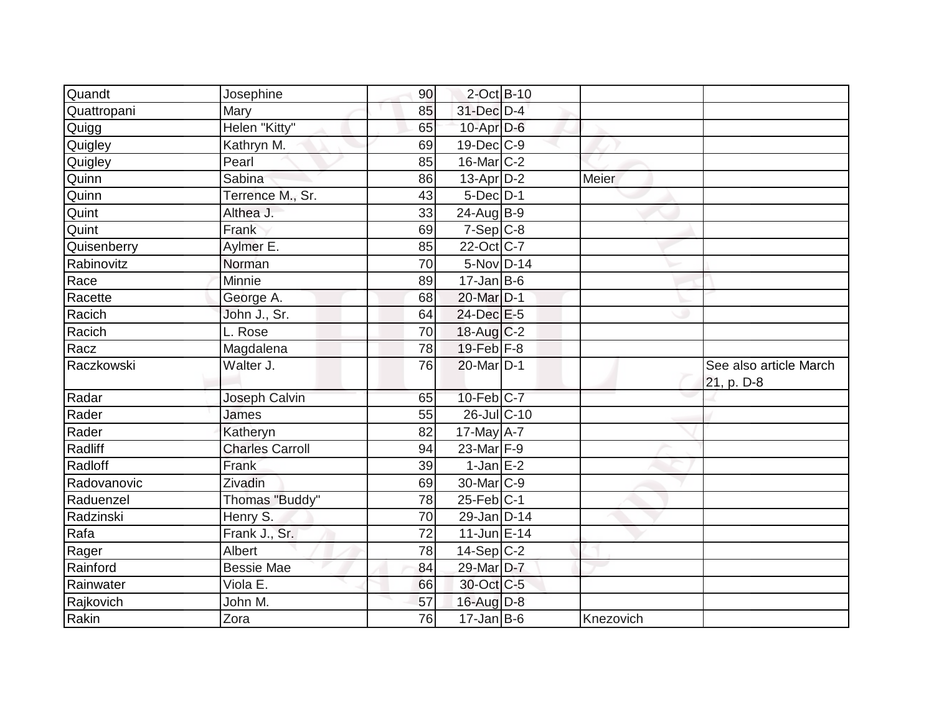| Quandt      | Josephine              | 90 | $2$ -Oct B-10     |           |                                      |
|-------------|------------------------|----|-------------------|-----------|--------------------------------------|
| Quattropani | Mary                   | 85 | 31-Dec D-4        |           |                                      |
| Quigg       | Helen "Kitty"          | 65 | $10$ -Apr $D-6$   |           |                                      |
| Quigley     | Kathryn M.             | 69 | $19$ -Dec $ C$ -9 |           |                                      |
| Quigley     | Pearl                  | 85 | 16-Mar C-2        |           |                                      |
| Quinn       | Sabina                 | 86 | 13-Apr D-2        | Meier     |                                      |
| Quinn       | Terrence M., Sr.       | 43 | $5$ -Dec $D-1$    |           |                                      |
| Quint       | Althea J.              | 33 | $24$ -Aug B-9     |           |                                      |
| Quint       | Frank                  | 69 | $7-Sep C-8$       |           |                                      |
| Quisenberry | Aylmer E.              | 85 | 22-Oct C-7        |           |                                      |
| Rabinovitz  | Norman                 | 70 | 5-Nov D-14        |           |                                      |
| Race        | Minnie                 | 89 | $17$ -Jan B-6     |           |                                      |
| Racette     | George A.              | 68 | 20-Mar D-1        |           |                                      |
| Racich      | John J., Sr.           | 64 | $24$ -Dec $E-5$   |           |                                      |
| Racich      | L. Rose                | 70 | $18$ -Aug C-2     |           |                                      |
| Racz        | Magdalena              | 78 | 19-Feb F-8        |           |                                      |
| Raczkowski  | Walter J.              | 76 | 20-Mar D-1        |           | See also article March<br>21, p. D-8 |
| Radar       | Joseph Calvin          | 65 | 10-Feb C-7        |           |                                      |
| Rader       | James                  | 55 | 26-Jul C-10       |           |                                      |
| Rader       | Katheryn               | 82 | $17$ -May $A - 7$ |           |                                      |
| Radliff     | <b>Charles Carroll</b> | 94 | 23-Mar F-9        |           |                                      |
| Radloff     | Frank                  | 39 | $1$ -Jan E-2      |           |                                      |
| Radovanovic | Zivadin                | 69 | 30-Mar C-9        |           |                                      |
| Raduenzel   | Thomas "Buddy"         | 78 | $25$ -Feb $ C-1$  |           |                                      |
| Radzinski   | Henry S.               | 70 | 29-Jan D-14       |           |                                      |
| Rafa        | Frank J., Sr.          | 72 | $11$ -Jun $E-14$  |           |                                      |
| Rager       | Albert                 | 78 | $14-Sep C-2$      |           |                                      |
| Rainford    | <b>Bessie Mae</b>      | 84 | 29-Mar D-7        |           |                                      |
| Rainwater   | Viola E.               | 66 | 30-Oct C-5        |           |                                      |
| Rajkovich   | John M.                | 57 | 16-Aug D-8        |           |                                      |
| Rakin       | Zora                   | 76 | $17$ -Jan B-6     | Knezovich |                                      |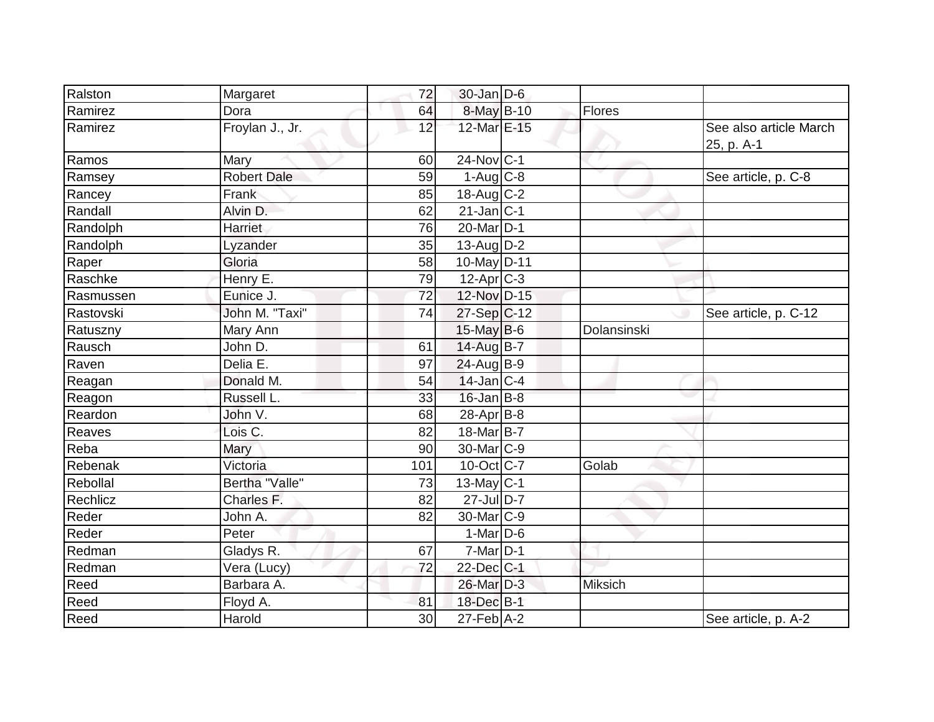| Ralston   | Margaret           | 72              | $30$ -Jan D-6              |                |                                      |
|-----------|--------------------|-----------------|----------------------------|----------------|--------------------------------------|
| Ramirez   | Dora               | 64              | 8-May B-10                 | Flores         |                                      |
| Ramirez   | Froylan J., Jr.    | 12              | 12-Mar E-15                |                | See also article March<br>25, p. A-1 |
| Ramos     | Mary               | 60              | $24$ -Nov $ C-1$           |                |                                      |
| Ramsey    | <b>Robert Dale</b> | 59              | $1-Aug$ $C-8$              |                | See article, p. C-8                  |
| Rancey    | Frank              | 85              | $18$ -Aug C-2              |                |                                      |
| Randall   | Alvin D.           | 62              | $21$ -Jan $ C-1$           |                |                                      |
| Randolph  | Harriet            | 76              | 20-Mar D-1                 |                |                                      |
| Randolph  | Lyzander           | 35              | $13$ -Aug D-2              |                |                                      |
| Raper     | Gloria             | 58              | $10$ -May D-11             |                |                                      |
| Raschke   | Henry E.           | 79              | 12-Apr C-3                 |                |                                      |
| Rasmussen | Eunice J.          | 72              | 12-Nov D-15                |                |                                      |
| Rastovski | John M. "Taxi"     | 74              | $27-Sep C-12$              |                | See article, p. C-12                 |
| Ratuszny  | Mary Ann           |                 | $15$ -May B-6              | Dolansinski    |                                      |
| Rausch    | John D.            | 61              | 14-Aug B-7                 |                |                                      |
| Raven     | Delia E.           | 97              | 24-Aug B-9                 |                |                                      |
| Reagan    | Donald M.          | 54              | $14$ -Jan C-4              |                |                                      |
| Reagon    | Russell L.         | 33              | $16$ -Jan B-8              |                |                                      |
| Reardon   | John V.            | 68              | $28-Apr$ B-8               |                |                                      |
| Reaves    | Lois C.            | 82              | 18-Mar B-7                 |                |                                      |
| Reba      | Mary               | 90              | 30-Mar <sub>C-9</sub>      |                |                                      |
| Rebenak   | Victoria           | 101             | $10$ -Oct $ C-7 $          | Golab          |                                      |
| Rebollal  | Bertha "Valle"     | 73              | $13$ -May C-1              |                |                                      |
| Rechlicz  | Charles F.         | 82              | $27$ -Jul $D-7$            |                |                                      |
| Reder     | John A.            | 82              | 30-Mar C-9                 |                |                                      |
| Reder     | Peter              |                 | $1-Mar$ D-6                |                |                                      |
| Redman    | Gladys R.          | 67              | $7$ -Mar $\overline{D}$ -1 |                |                                      |
| Redman    | Vera (Lucy)        | $\overline{72}$ | $22$ -Dec $C-1$            |                |                                      |
| Reed      | Barbara A.         |                 | 26-Mar D-3                 | <b>Miksich</b> |                                      |
| Reed      | Floyd A.           | 81              | 18-Dec B-1                 |                |                                      |
| Reed      | Harold             | 30              | $27 - Feb$ A-2             |                | See article, p. A-2                  |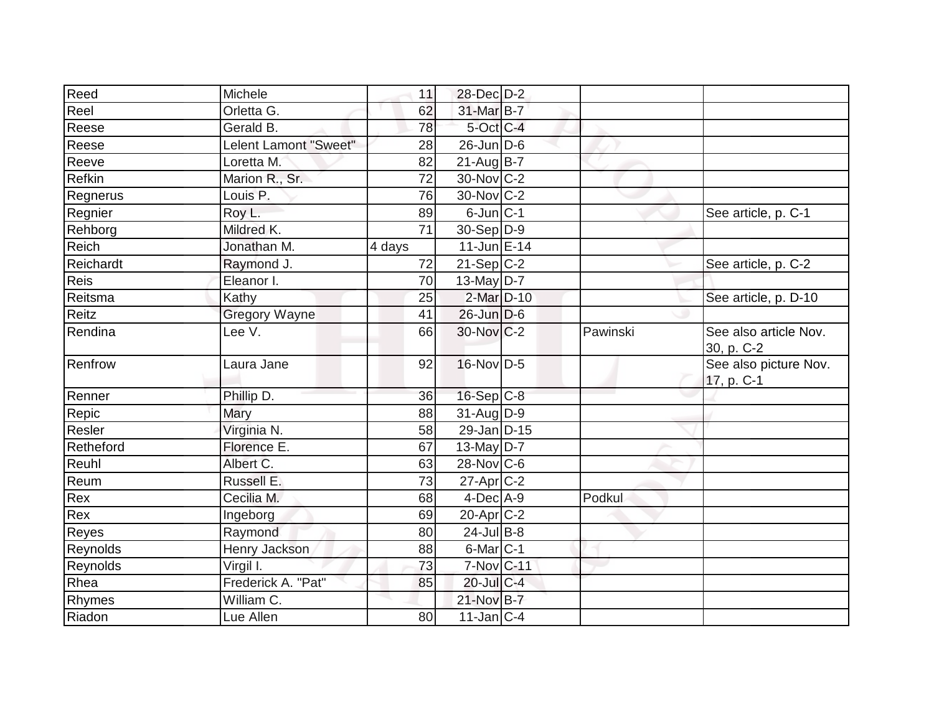| Reed        | Michele               | 11     | 28-Dec D-2                 |          |                                     |
|-------------|-----------------------|--------|----------------------------|----------|-------------------------------------|
| Reel        | Orletta G.            | 62     | 31-Mar B-7                 |          |                                     |
| Reese       | Gerald B.             | 78     | 5-Oct C-4                  |          |                                     |
| Reese       | Lelent Lamont "Sweet" | 28     | $26$ -Jun D-6              |          |                                     |
| Reeve       | Loretta M.            | 82     | $21-AugB-7$                |          |                                     |
| Refkin      | Marion R., Sr.        | 72     | 30-Nov C-2                 |          |                                     |
| Regnerus    | Louis <sub>P.</sub>   | 76     | 30-Nov C-2                 |          |                                     |
| Regnier     | Roy L.                | 89     | $6$ -Jun $ C-1 $           |          | See article, p. C-1                 |
| Rehborg     | Mildred K.            | 71     | $30-Sep D-9$               |          |                                     |
| Reich       | Jonathan M.           | 4 days | $11$ -Jun E-14             |          |                                     |
| Reichardt   | Raymond J.            | 72     | $21-Sep C-2$               |          | See article, p. C-2                 |
| <b>Reis</b> | Eleanor I.            | 70     | $13$ -May D-7              |          |                                     |
| Reitsma     | Kathy                 | 25     | $2$ -Mar $D-10$            |          | See article, p. D-10                |
| Reitz       | <b>Gregory Wayne</b>  | 41     | $26$ -Jun $D-6$            |          |                                     |
| Rendina     | Lee V.                | 66     | 30-Nov C-2                 | Pawinski | See also article Nov.<br>30, p. C-2 |
| Renfrow     | Laura Jane            | 92     | 16-Nov D-5                 |          | See also picture Nov.<br>17, p. C-1 |
| Renner      | Phillip D.            | 36     | $16-Sep C-8$               |          |                                     |
| Repic       | Mary                  | 88     | $31$ -Aug $D-9$            |          |                                     |
| Resler      | Virginia N.           | 58     | 29-Jan D-15                |          |                                     |
| Retheford   | Florence E.           | 67     | 13-May $D-7$               |          |                                     |
| Reuhl       | Albert C.             | 63     | $28-Nov$ C-6               |          |                                     |
| Reum        | Russell E.            | 73     | $27$ -Apr $ C-2 $          |          |                                     |
| Rex         | Cecilia M.            | 68     | $4$ -Dec $ A-9 $           | Podkul   |                                     |
| Rex         | Ingeborg              | 69     | 20-Apr <sub>C-2</sub>      |          |                                     |
| Reyes       | Raymond               | 80     | $24$ -Jul B-8              |          |                                     |
| Reynolds    | Henry Jackson         | 88     | 6-Mar <sub>C-1</sub>       |          |                                     |
| Reynolds    | Virgil I.             | 73     | $7-Nov$ $C-11$             |          |                                     |
| Rhea        | Frederick A. "Pat"    | 85     | 20-Jul C-4                 |          |                                     |
| Rhymes      | William C.            |        | 21-Nov B-7                 |          |                                     |
| Riadon      | Lue Allen             | 80     | $11$ -Jan $\overline{C-4}$ |          |                                     |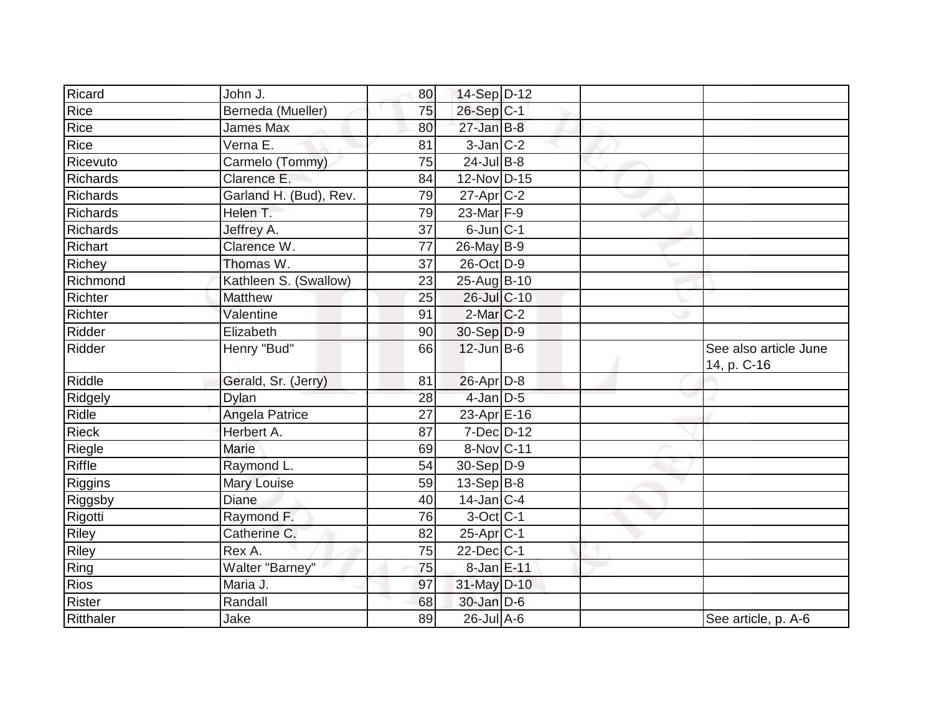| Ricard          | John J.                | 80              | 14-Sep D-12       |  |                                      |
|-----------------|------------------------|-----------------|-------------------|--|--------------------------------------|
| Rice            | Berneda (Mueller)      | 75              | 26-Sep C-1        |  |                                      |
| Rice            | <b>James Max</b>       | 80              | $27$ -Jan B-8     |  |                                      |
| Rice            | Verna E.               | 81              | $3-Jan C-2$       |  |                                      |
| Ricevuto        | Carmelo (Tommy)        | $\overline{75}$ | $24$ -Jul B-8     |  |                                      |
| <b>Richards</b> | Clarence E.            | 84              | 12-Nov D-15       |  |                                      |
| <b>Richards</b> | Garland H. (Bud), Rev. | $\overline{79}$ | $27$ -Apr $ C-2 $ |  |                                      |
| Richards        | Helen T.               | 79              | 23-Mar F-9        |  |                                      |
| Richards        | Jeffrey A.             | 37              | $6$ -Jun $ C-1$   |  |                                      |
| Richart         | Clarence W.            | 77              | 26-May B-9        |  |                                      |
| Richey          | Thomas W.              | 37              | 26-Oct D-9        |  |                                      |
| Richmond        | Kathleen S. (Swallow)  | 23              | 25-Aug B-10       |  |                                      |
| Richter         | Matthew                | 25              | 26-Jul C-10       |  |                                      |
| Richter         | Valentine              | 91              | $2$ -Mar $C-2$    |  |                                      |
| Ridder          | Elizabeth              | 90              | $30-Sep D-9$      |  |                                      |
| Ridder          | Henry "Bud"            | 66              | $12$ -Jun $B-6$   |  | See also article June<br>14, p. C-16 |
| <b>Riddle</b>   | Gerald, Sr. (Jerry)    | 81              | $26$ -Apr $D-8$   |  |                                      |
| Ridgely         | Dylan                  | 28              | 4-Jan D-5         |  |                                      |
| Ridle           | Angela Patrice         | 27              | 23-Apr E-16       |  |                                      |
| Rieck           | Herbert A.             | 87              | $7 - Dec$ $D-12$  |  |                                      |
| Riegle          | Marie                  | 69              | 8-Nov C-11        |  |                                      |
| Riffle          | Raymond L.             | 54              | $30-Sep D-9$      |  |                                      |
| Riggins         | Mary Louise            | 59              | $13-Sep B-8$      |  |                                      |
| Riggsby         | <b>Diane</b>           | 40              | $14$ -Jan $ C-4$  |  |                                      |
| Rigotti         | Raymond F.             | 76              | 3-Oct C-1         |  |                                      |
| Riley           | Catherine C.           | 82              | $25-Apr$ C-1      |  |                                      |
| <b>Riley</b>    | Rex A.                 | 75              | $22$ -Dec $ C-1 $ |  |                                      |
| Ring            | Walter "Barney"        | 75              | 8-Jan E-11        |  |                                      |
| <b>Rios</b>     | Maria J.               | 97              | 31-May D-10       |  |                                      |
| Rister          | Randall                | 68              | $30$ -Jan D-6     |  |                                      |
| Ritthaler       | Jake                   | 89              | $26$ -Jul A-6     |  | See article, p. A-6                  |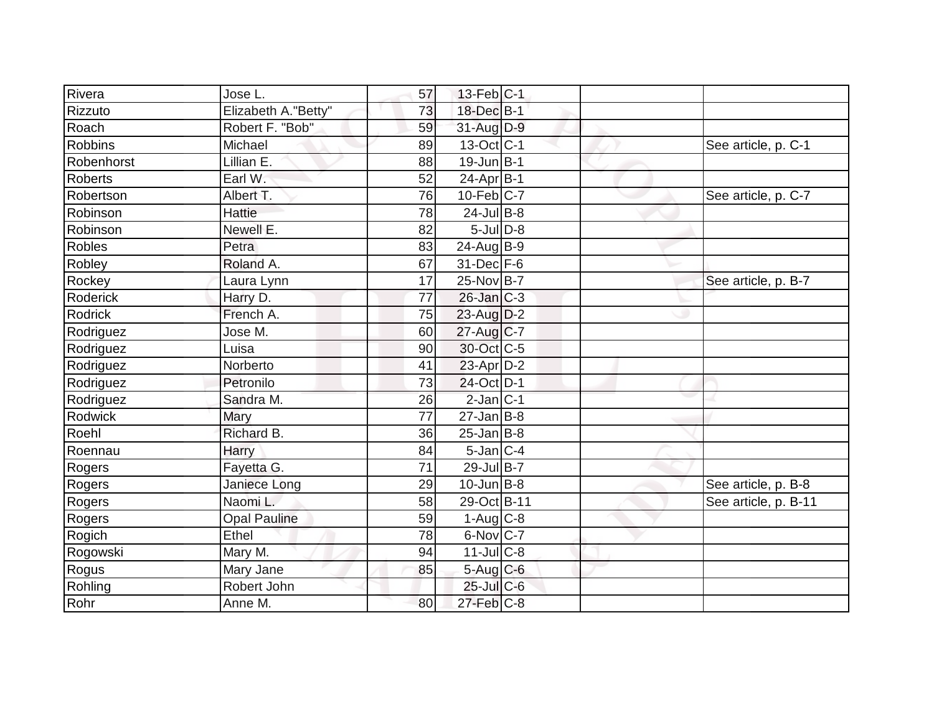| Rivera         | Jose L.             | 57 | $13$ -Feb $ C-1 $ |  |                      |
|----------------|---------------------|----|-------------------|--|----------------------|
| Rizzuto        | Elizabeth A."Betty" | 73 | 18-Dec B-1        |  |                      |
| Roach          | Robert F. "Bob"     | 59 | 31-Aug D-9        |  |                      |
| <b>Robbins</b> | Michael             | 89 | $13-Oct$ $C-1$    |  | See article, p. C-1  |
| Robenhorst     | Lillian E.          | 88 | $19$ -Jun $B-1$   |  |                      |
| Roberts        | Earl W.             | 52 | $24$ -Apr $B-1$   |  |                      |
| Robertson      | Albert T.           | 76 | $10$ -Feb $C$ -7  |  | See article, p. C-7  |
| Robinson       | Hattie              | 78 | $24$ -Jul B-8     |  |                      |
| Robinson       | Newell E.           | 82 | $5$ -JulD-8       |  |                      |
| Robles         | Petra               | 83 | 24-Aug B-9        |  |                      |
| Robley         | Roland A.           | 67 | $31$ -Dec $F-6$   |  |                      |
| Rockey         | Laura Lynn          | 17 | 25-Nov B-7        |  | See article, p. B-7  |
| Roderick       | Harry D.            | 77 | $26$ -Jan $C-3$   |  |                      |
| Rodrick        | French A.           | 75 | 23-Aug D-2        |  |                      |
| Rodriguez      | Jose M.             | 60 | 27-Aug C-7        |  |                      |
| Rodriguez      | Luisa               | 90 | 30-Oct C-5        |  |                      |
| Rodriguez      | Norberto            | 41 | $23$ -Apr $D-2$   |  |                      |
| Rodriguez      | Petronilo           | 73 | 24-Oct D-1        |  |                      |
| Rodriguez      | Sandra M.           | 26 | $2$ -Jan $ C-1 $  |  |                      |
| Rodwick        | Mary                | 77 | $27$ -Jan B-8     |  |                      |
| Roehl          | Richard B.          | 36 | $25$ -Jan B-8     |  |                      |
| Roennau        | Harry               | 84 | $5$ -Jan $C-4$    |  |                      |
| Rogers         | Fayetta G.          | 71 | 29-Jul B-7        |  |                      |
| Rogers         | Janiece Long        | 29 | $10$ -Jun $ B-8 $ |  | See article, p. B-8  |
| Rogers         | Naomi L.            | 58 | 29-Oct B-11       |  | See article, p. B-11 |
| Rogers         | <b>Opal Pauline</b> | 59 | $1-Aug$ $C-8$     |  |                      |
| Rogich         | Ethel               | 78 | 6-Nov C-7         |  |                      |
| Rogowski       | Mary M.             | 94 | $11$ -Jul $C-8$   |  |                      |
| Rogus          | Mary Jane           | 85 | 5-Aug C-6         |  |                      |
| Rohling        | Robert John         |    | $25$ -Jul $C$ -6  |  |                      |
| Rohr           | Anne M.             | 80 | $27$ -Feb $ C-8$  |  |                      |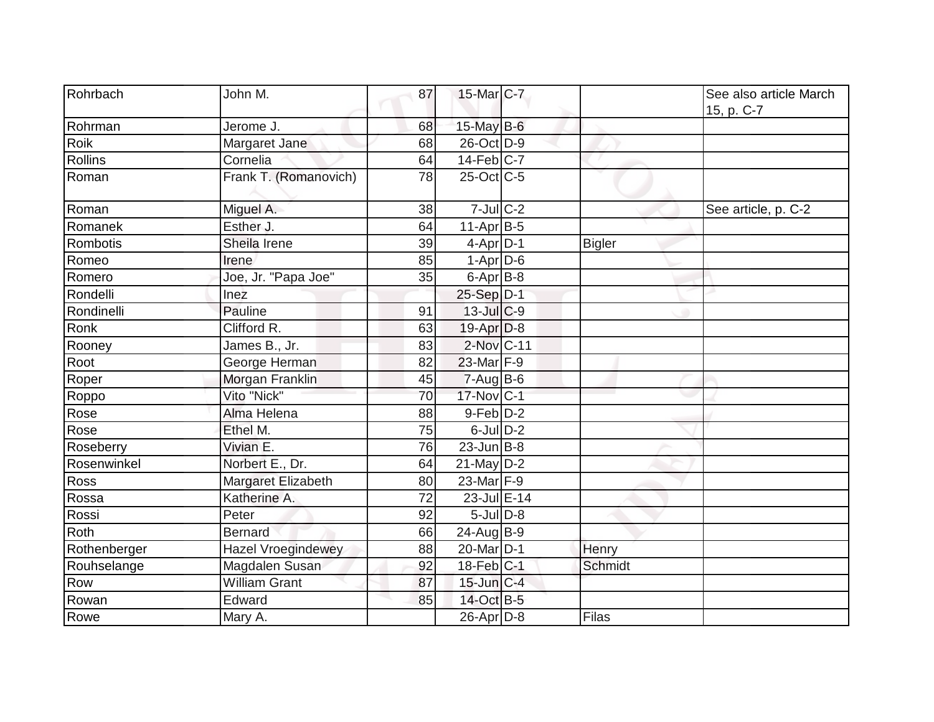| Rohrbach     | John M.                   | 87 | 15-Mar C-7            |                | See also article March<br>15, p. C-7 |
|--------------|---------------------------|----|-----------------------|----------------|--------------------------------------|
| Rohrman      | Jerome J.                 | 68 | $15$ -May B-6         |                |                                      |
| Roik         | Margaret Jane             | 68 | 26-Oct D-9            |                |                                      |
| Rollins      | Cornelia                  | 64 | $14-Feb$ C-7          |                |                                      |
| Roman        | Frank T. (Romanovich)     | 78 | $25$ -Oct $ C$ -5     |                |                                      |
| Roman        | Miguel A.                 | 38 | $7$ -Jul $C-2$        |                | See article, p. C-2                  |
| Romanek      | Esther J.                 | 64 | $11-Apr B-5$          |                |                                      |
| Rombotis     | Sheila Irene              | 39 | $4$ -Apr $D$ -1       | <b>Bigler</b>  |                                      |
| Romeo        | Irene                     | 85 | $1-Apr$ D-6           |                |                                      |
| Romero       | Joe, Jr. "Papa Joe"       | 35 | $6$ -Apr $B$ -8       |                |                                      |
| Rondelli     | Inez                      |    | 25-Sep D-1            |                |                                      |
| Rondinelli   | Pauline                   | 91 | 13-Jul C-9            |                |                                      |
| Ronk         | Clifford R.               | 63 | $19-Apr D-8$          |                |                                      |
| Rooney       | James B., Jr.             | 83 | 2-Nov C-11            |                |                                      |
| Root         | George Herman             | 82 | 23-Mar F-9            |                |                                      |
| Roper        | Morgan Franklin           | 45 | $7 - Aug$ B-6         |                |                                      |
| Roppo        | Vito "Nick"               | 70 | 17-Nov C-1            |                |                                      |
| Rose         | Alma Helena               | 88 | 9-Feb D-2             |                |                                      |
| Rose         | Ethel M.                  | 75 | $6$ -Jul $D-2$        |                |                                      |
| Roseberry    | Vivian E.                 | 76 | $23$ -Jun $ B-8$      |                |                                      |
| Rosenwinkel  | Norbert E., Dr.           | 64 | $21$ -May $D-2$       |                |                                      |
| Ross         | Margaret Elizabeth        | 80 | 23-Mar F-9            |                |                                      |
| Rossa        | Katherine A.              | 72 | 23-Jul E-14           |                |                                      |
| Rossi        | Peter                     | 92 | $5$ -Jul $D-8$        |                |                                      |
| Roth         | <b>Bernard</b>            | 66 | $24$ -Aug B-9         |                |                                      |
| Rothenberger | <b>Hazel Vroegindewey</b> | 88 | 20-Mar <sub>D-1</sub> | Henry          |                                      |
| Rouhselange  | Magdalen Susan            | 92 | $18$ -Feb $ C-1$      | <b>Schmidt</b> |                                      |
| Row          | <b>William Grant</b>      | 87 | $15$ -Jun $C-4$       |                |                                      |
| Rowan        | Edward                    | 85 | 14-Oct B-5            |                |                                      |
| Rowe         | Mary A.                   |    | 26-Apr D-8            | Filas          |                                      |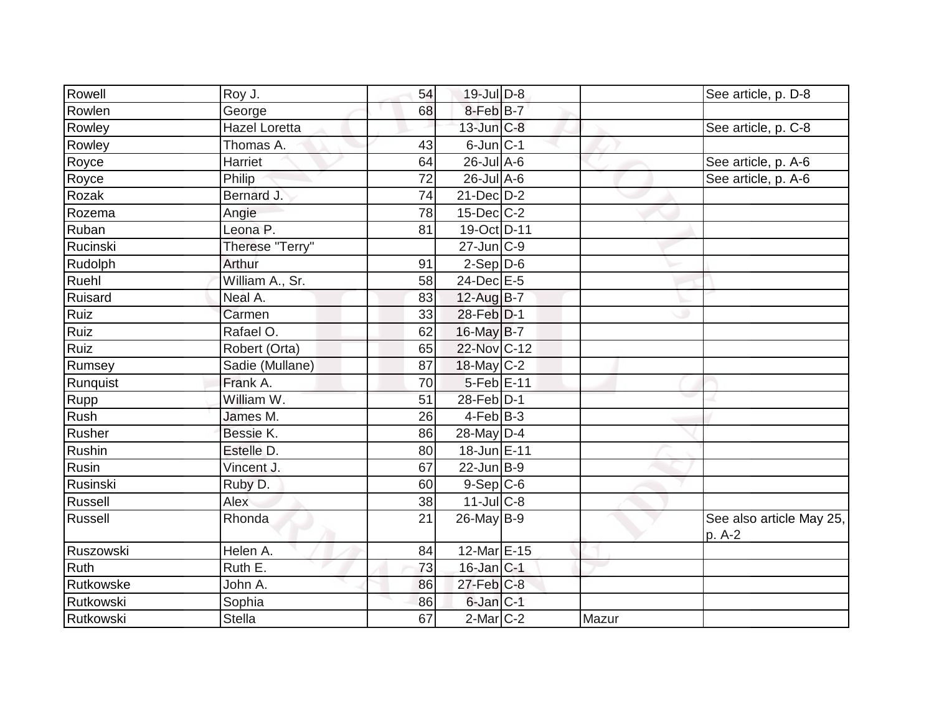| Rowell    | Roy J.               | 54 | 19-Jul D-8        |       | See article, p. D-8                |
|-----------|----------------------|----|-------------------|-------|------------------------------------|
| Rowlen    | George               | 68 | 8-Feb B-7         |       |                                    |
| Rowley    | <b>Hazel Loretta</b> |    | 13-Jun C-8        |       | See article, p. C-8                |
| Rowley    | Thomas A.            | 43 | $6$ -Jun $ C-1$   |       |                                    |
| Royce     | Harriet              | 64 | $26$ -Jul $A$ -6  |       | See article, p. A-6                |
| Royce     | Philip               | 72 | 26-Jul A-6        |       | See article, p. A-6                |
| Rozak     | Bernard J.           | 74 | 21-Dec D-2        |       |                                    |
| Rozema    | Angie                | 78 | $15$ -Dec $ C-2 $ |       |                                    |
| Ruban     | Leona <sub>P.</sub>  | 81 | 19-Oct D-11       |       |                                    |
| Rucinski  | Therese "Terry"      |    | $27$ -Jun $ C-9$  |       |                                    |
| Rudolph   | Arthur               | 91 | $2-Sep D-6$       |       |                                    |
| Ruehl     | William A., Sr.      | 58 | 24-Dec E-5        |       |                                    |
| Ruisard   | Neal A.              | 83 | 12-Aug B-7        |       |                                    |
| Ruiz      | Carmen               | 33 | 28-Feb D-1        |       |                                    |
| Ruiz      | Rafael O.            | 62 | 16-May B-7        |       |                                    |
| Ruiz      | Robert (Orta)        | 65 | 22-Nov C-12       |       |                                    |
| Rumsey    | Sadie (Mullane)      | 87 | $18$ -May C-2     |       |                                    |
| Runquist  | Frank A.             | 70 | 5-Feb E-11        |       |                                    |
| Rupp      | William W.           | 51 | 28-Feb D-1        |       |                                    |
| Rush      | James M.             | 26 | $4$ -Feb $ B-3$   |       |                                    |
| Rusher    | Bessie K.            | 86 | 28-May D-4        |       |                                    |
| Rushin    | Estelle D.           | 80 | 18-Jun E-11       |       |                                    |
| Rusin     | Vincent J.           | 67 | $22$ -Jun B-9     |       |                                    |
| Rusinski  | Ruby D.              | 60 | $9-Sep C-6$       |       |                                    |
| Russell   | Alex                 | 38 | $11$ -Jul C-8     |       |                                    |
| Russell   | Rhonda               | 21 | 26-May B-9        |       | See also article May 25,<br>p. A-2 |
| Ruszowski | Helen A.             | 84 | 12-Mar E-15       |       |                                    |
| Ruth      | Ruth E.              | 73 | $16$ -Jan $ C-1$  |       |                                    |
| Rutkowske | John A.              | 86 | $27$ -Feb $C-8$   |       |                                    |
| Rutkowski | Sophia               | 86 | $6$ -Jan $C-1$    |       |                                    |
| Rutkowski | <b>Stella</b>        | 67 | $2$ -Mar $C$ -2   | Mazur |                                    |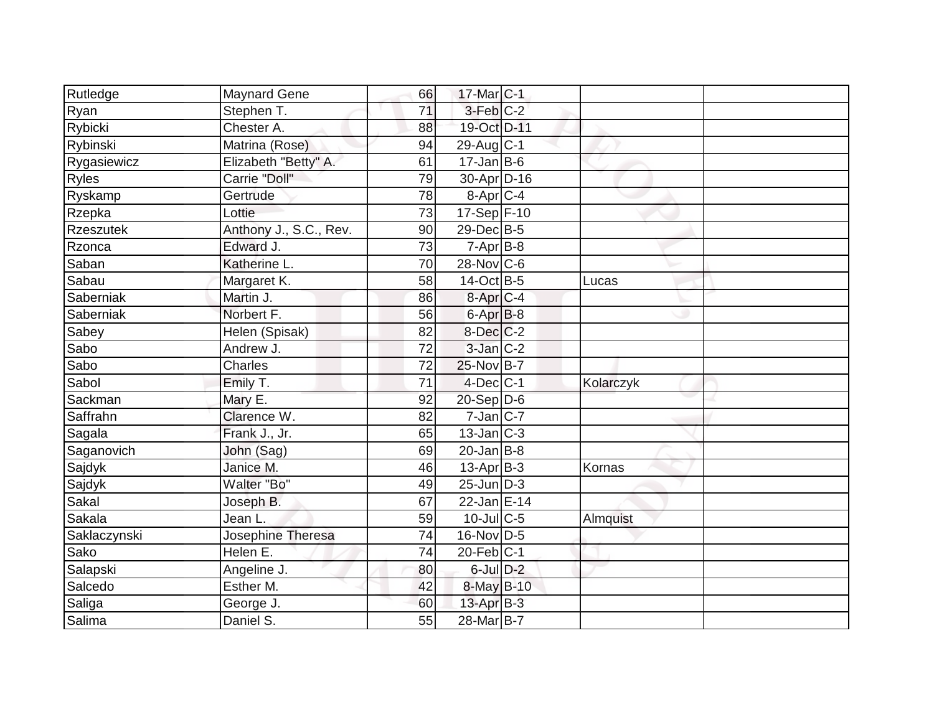| Rutledge         | <b>Maynard Gene</b>    | 66 | 17-Mar C-1                  |           |  |
|------------------|------------------------|----|-----------------------------|-----------|--|
| Ryan             | Stephen T.             | 71 | $3$ -Feb $C-2$              |           |  |
| Rybicki          | Chester A.             | 88 | 19-Oct D-11                 |           |  |
| Rybinski         | Matrina (Rose)         | 94 | $29$ -Aug C-1               |           |  |
| Rygasiewicz      | Elizabeth "Betty" A.   | 61 | $17 - Jan$ B-6              |           |  |
| Ryles            | Carrie "Doll"          | 79 | 30-Apr D-16                 |           |  |
| Ryskamp          | Gertrude               | 78 | $8-Apr$ $C-4$               |           |  |
| Rzepka           | Lottie                 | 73 | $17-Sep$ F-10               |           |  |
| <b>Rzeszutek</b> | Anthony J., S.C., Rev. | 90 | $29$ -Dec $B$ -5            |           |  |
| Rzonca           | Edward J.              | 73 | $7 - Apr$ B-8               |           |  |
| Saban            | Katherine L.           | 70 | 28-Nov C-6                  |           |  |
| Sabau            | Margaret K.            | 58 | 14-Oct B-5                  | Lucas     |  |
| Saberniak        | Martin J.              | 86 | 8-Apr <sub>IC-4</sub>       |           |  |
| Saberniak        | Norbert F.             | 56 | $6 - Apr$ $B-8$             |           |  |
| Sabey            | Helen (Spisak)         | 82 | $8$ -Dec $C-2$              |           |  |
| Sabo             | Andrew J.              | 72 | 3-Jan C-2                   |           |  |
| Sabo             | <b>Charles</b>         | 72 | 25-Nov B-7                  |           |  |
| Sabol            | Emily T.               | 71 | $4$ -Dec $ C-1 $            | Kolarczyk |  |
| Sackman          | Mary E.                | 92 | 20-Sep D-6                  |           |  |
| Saffrahn         | Clarence W.            | 82 | $7$ -Jan $ C-7 $            |           |  |
| Sagala           | Frank J., Jr.          | 65 | $13$ -Jan $ C-3 $           |           |  |
| Saganovich       | John (Sag)             | 69 | $20$ -Jan B-8               |           |  |
| Sajdyk           | Janice M.              | 46 | $13$ -Apr $ B-3 $           | Kornas    |  |
| Sajdyk           | Walter "Bo"            | 49 | $25$ -Jun $ D-3 $           |           |  |
| Sakal            | Joseph B.              | 67 | $22$ -Jan $E-14$            |           |  |
| Sakala           | Jean L.                | 59 | 10-Jul C-5                  | Almquist  |  |
| Saklaczynski     | Josephine Theresa      | 74 | $16$ -Nov $\overline{D}$ -5 |           |  |
| Sako             | Helen E.               | 74 | $20$ -Feb $ C-1$            |           |  |
| Salapski         | Angeline J.            | 80 | $6$ -Jul $D-2$              |           |  |
| Salcedo          | Esther M.              | 42 | 8-May B-10                  |           |  |
| Saliga           | George J.              | 60 | $13$ -Apr $B-3$             |           |  |
| Salima           | Daniel S.              | 55 | 28-Mar B-7                  |           |  |
|                  |                        |    |                             |           |  |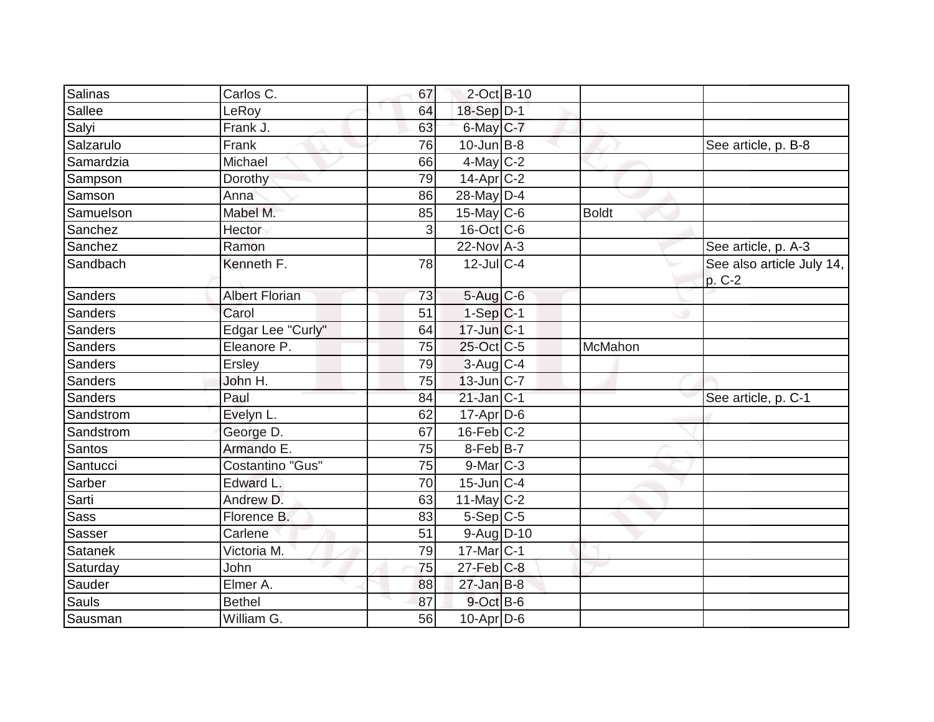| Salinas        | Carlos C.             | 67 | $2$ -Oct B-10           |         |                                     |
|----------------|-----------------------|----|-------------------------|---------|-------------------------------------|
| Sallee         | LeRoy                 | 64 | 18-Sep D-1              |         |                                     |
| Salyi          | Frank J.              | 63 | $6$ -May $C$ -7         |         |                                     |
| Salzarulo      | Frank                 | 76 | $10$ -Jun $ B-8 $       |         | See article, p. B-8                 |
| Samardzia      | Michael               | 66 | $4$ -May C-2            |         |                                     |
| Sampson        | Dorothy               | 79 | $14$ -Apr $C-2$         |         |                                     |
| Samson         | Anna                  | 86 | 28-May D-4              |         |                                     |
| Samuelson      | Mabel M.              | 85 | 15-May $C-6$            | Boldt   |                                     |
| Sanchez        | Hector                | 3  | $16$ -Oct $ C$ -6       |         |                                     |
| Sanchez        | Ramon                 |    | $22$ -Nov A-3           |         | See article, p. A-3                 |
| Sandbach       | Kenneth F.            | 78 | $\overline{12}$ -JulC-4 |         | See also article July 14,<br>p. C-2 |
| Sanders        | <b>Albert Florian</b> | 73 | 5-Aug C-6               |         |                                     |
| Sanders        | Carol                 | 51 | $1-Sep C-1$             |         |                                     |
| Sanders        | Edgar Lee "Curly"     | 64 | $17$ -Jun $ C-1$        |         |                                     |
| Sanders        | Eleanore P.           | 75 | 25-Oct C-5              | McMahon |                                     |
| Sanders        | Ersley                | 79 | 3-Aug C-4               |         |                                     |
| Sanders        | John H.               | 75 | $13$ -Jun $ C-7$        |         |                                     |
| Sanders        | Paul                  | 84 | $21$ -Jan C-1           |         | See article, p. C-1                 |
| Sandstrom      | Evelyn L.             | 62 | $17$ -Apr $D$ -6        |         |                                     |
| Sandstrom      | George D.             | 67 | $16$ -Feb $ C-2$        |         |                                     |
| <b>Santos</b>  | Armando E.            | 75 | $8$ -Feb $B$ -7         |         |                                     |
| Santucci       | Costantino "Gus"      | 75 | $9$ -Mar $ C-3 $        |         |                                     |
| Sarber         | Edward L.             | 70 | $15$ -Jun $ C-4 $       |         |                                     |
| Sarti          | Andrew D.             | 63 | $11$ -May C-2           |         |                                     |
| <b>Sass</b>    | Florence B.           | 83 | $5-Sep C-5$             |         |                                     |
| Sasser         | Carlene               | 51 | $9-Aug$ D-10            |         |                                     |
| <b>Satanek</b> | Victoria M.           | 79 | $17$ -Mar $ C-1$        |         |                                     |
| Saturday       | <b>John</b>           | 75 | $27$ -Feb $ C-8$        |         |                                     |
| Sauder         | Elmer A.              | 88 | $27$ -Jan B-8           |         |                                     |
| Sauls          | <b>Bethel</b>         | 87 | 9-Oct B-6               |         |                                     |
| Sausman        | William G.            | 56 | $10$ -Apr $ D$ -6       |         |                                     |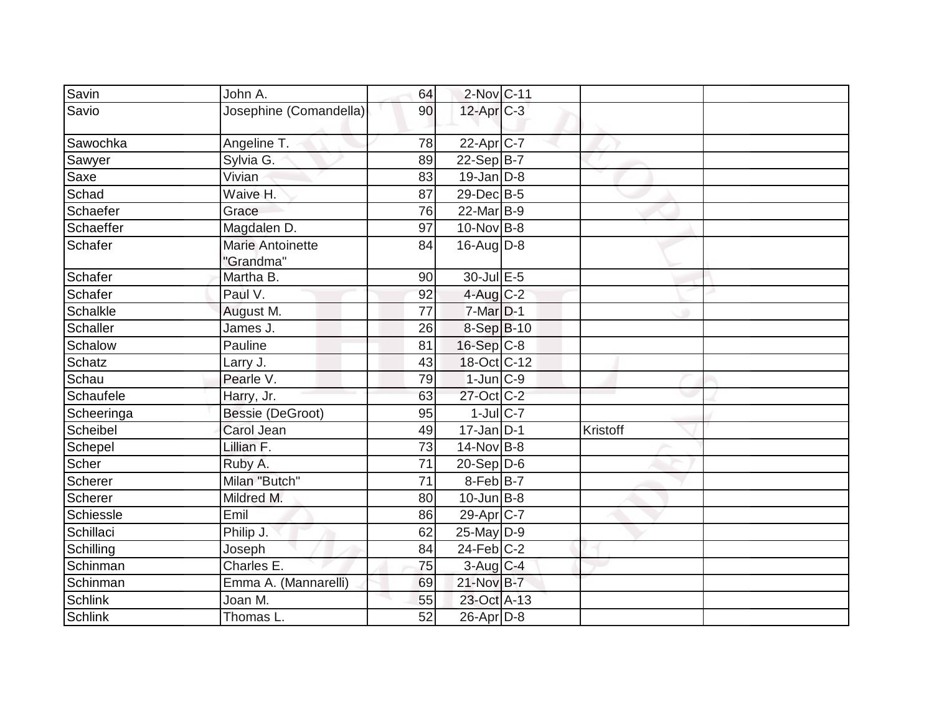| Savin           | John A.                              | 64              | 2-Nov C-11        |          |
|-----------------|--------------------------------------|-----------------|-------------------|----------|
| Savio           | Josephine (Comandella)               | 90              | 12-Apr C-3        |          |
| Sawochka        | Angeline T.                          | 78              | $22-Apr$ $C-7$    |          |
| Sawyer          | Sylvia G.                            | 89              | $22-Sep B-7$      |          |
| Saxe            | Vivian                               | 83              | $19$ -Jan $D-8$   |          |
| Schad           | Waive H.                             | 87              | 29-Dec B-5        |          |
| Schaefer        | Grace                                | 76              | 22-Mar B-9        |          |
| Schaeffer       | Magdalen D.                          | 97              | 10-Nov B-8        |          |
| Schafer         | <b>Marie Antoinette</b><br>"Grandma" | 84              | $16$ -Aug $D-8$   |          |
| Schafer         | Martha B.                            | 90              | 30-Jul E-5        |          |
| Schafer         | Paul V.                              | 92              | $4$ -Aug C-2      |          |
| <b>Schalkle</b> | August M.                            | 77              | 7-Mar D-1         |          |
| <b>Schaller</b> | James J.                             | 26              | 8-Sep B-10        |          |
| Schalow         | Pauline                              | 81              | 16-Sep C-8        |          |
| Schatz          | Larry J.                             | 43              | 18-Oct C-12       |          |
| Schau           | Pearle V.                            | 79              | $1$ -Jun $ C-9 $  |          |
| Schaufele       | Harry, Jr.                           | 63              | 27-Oct C-2        |          |
| Scheeringa      | Bessie (DeGroot)                     | 95              | $1$ -Jul $C$ -7   |          |
| Scheibel        | Carol Jean                           | 49              | $17$ -Jan D-1     | Kristoff |
| Schepel         | Lillian F.                           | 73              | $14$ -Nov B-8     |          |
| Scher           | Ruby A.                              | 71              | $20-Sep$ D-6      |          |
| Scherer         | Milan "Butch"                        | $\overline{71}$ | $8-Feb$ B-7       |          |
| Scherer         | Mildred M.                           | 80              | $10$ -Jun $ B-8 $ |          |
| Schiessle       | Emil                                 | 86              | 29-Apr C-7        |          |
| Schillaci       | Philip J.                            | 62              | $25$ -May D-9     |          |
| Schilling       | Joseph                               | 84              | $24$ -Feb $C-2$   |          |
| Schinman        | Charles E.                           | 75              | $3$ -Aug C-4      |          |
| Schinman        | Emma A. (Mannarelli)                 | 69              | 21-Nov B-7        |          |
| <b>Schlink</b>  | Joan M.                              | 55              | 23-Oct A-13       |          |
| <b>Schlink</b>  | Thomas L.                            | 52              | $26$ -Apr $D-8$   |          |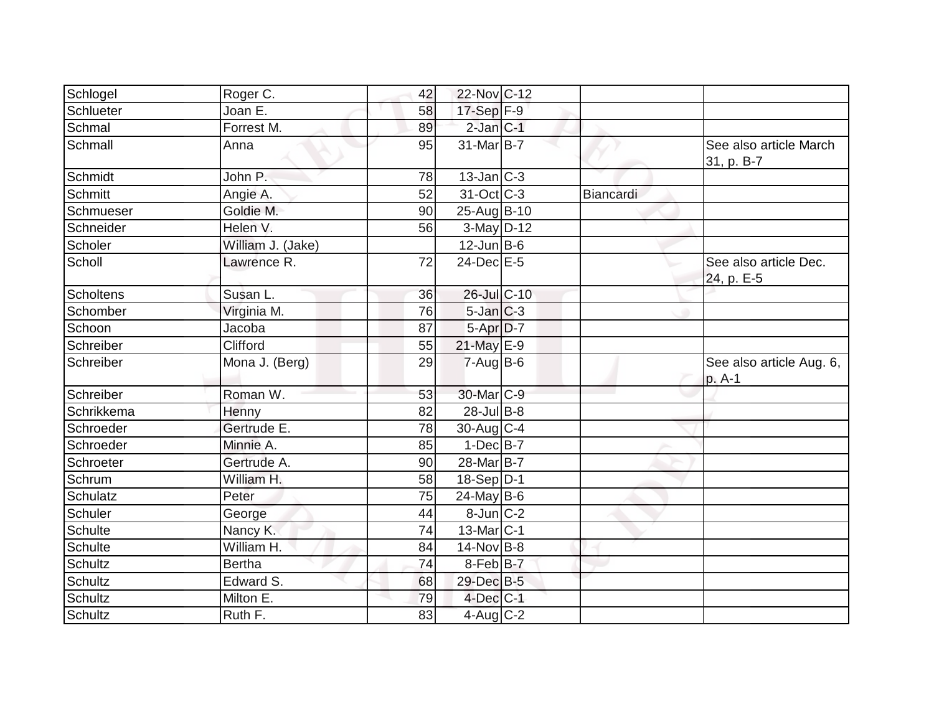| Schlogel         | Roger C.          | 42 | 22-Nov C-12              |           |                                      |
|------------------|-------------------|----|--------------------------|-----------|--------------------------------------|
| Schlueter        | Joan E.           | 58 | 17-Sep F-9               |           |                                      |
| Schmal           | Forrest M.        | 89 | $2$ -Jan $ C-1 $         |           |                                      |
| Schmall          | Anna              | 95 | $31$ -Mar $ B-7 $        |           | See also article March<br>31, p. B-7 |
| Schmidt          | John P.           | 78 | $13$ -Jan C-3            |           |                                      |
| Schmitt          | Angie A.          | 52 | $31-Oct$ <sub>C</sub> -3 | Biancardi |                                      |
| Schmueser        | Goldie M.         | 90 | 25-Aug B-10              |           |                                      |
| Schneider        | Helen V.          | 56 | 3-May D-12               |           |                                      |
| Scholer          | William J. (Jake) |    | $12$ -Jun B-6            |           |                                      |
| Scholl           | Lawrence R.       | 72 | $24$ -Dec $E-5$          |           | See also article Dec.<br>24, p. E-5  |
| <b>Scholtens</b> | Susan L.          | 36 | 26-Jul C-10              |           |                                      |
| Schomber         | Virginia M.       | 76 | $5$ -Jan $C-3$           |           |                                      |
| Schoon           | Jacoba            | 87 | 5-Apr D-7                |           |                                      |
| Schreiber        | Clifford          | 55 | 21-May E-9               |           |                                      |
| Schreiber        | Mona J. (Berg)    | 29 | $7-Aug$ B-6              |           | See also article Aug. 6,<br>p. A-1   |
| Schreiber        | Roman W.          | 53 | 30-Mar <sub>IC-9</sub>   |           |                                      |
| Schrikkema       | Henny             | 82 | $28$ -Jul $B-8$          |           |                                      |
| Schroeder        | Gertrude E.       | 78 | $30$ -Aug C-4            |           |                                      |
| Schroeder        | Minnie A.         | 85 | $1-Dec$ B-7              |           |                                      |
| Schroeter        | Gertrude A.       | 90 | 28-Mar B-7               |           |                                      |
| Schrum           | William H.        | 58 | $18-Sep D-1$             |           |                                      |
| <b>Schulatz</b>  | Peter             | 75 | $24$ -May B-6            |           |                                      |
| Schuler          | George            | 44 | 8-Jun C-2                |           |                                      |
| Schulte          | Nancy K.          | 74 | 13-Mar C-1               |           |                                      |
| Schulte          | William H.        | 84 | $14$ -Nov B-8            |           |                                      |
| <b>Schultz</b>   | <b>Bertha</b>     | 74 | $8$ -Feb $ B-7 $         |           |                                      |
| <b>Schultz</b>   | Edward S.         | 68 | 29-Dec B-5               |           |                                      |
| <b>Schultz</b>   | Milton E.         | 79 | $4$ -Dec $ C-1$          |           |                                      |
| Schultz          | Ruth F.           | 83 | $4$ -Aug C-2             |           |                                      |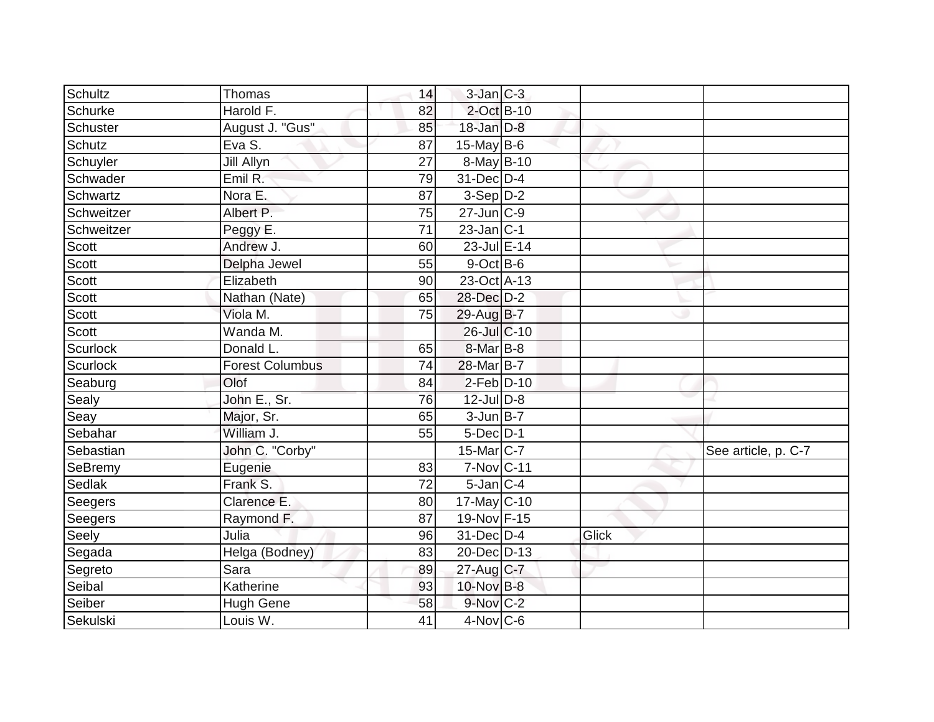| Schultz    | Thomas                 | 14 | $3$ -Jan $ C-3 $ |       |                     |
|------------|------------------------|----|------------------|-------|---------------------|
| Schurke    | Harold F.              | 82 | $2$ -Oct B-10    |       |                     |
| Schuster   | August J. "Gus"        | 85 | 18-Jan D-8       |       |                     |
| Schutz     | Eva S.                 | 87 | 15-May $B-6$     |       |                     |
| Schuyler   | <b>Jill Allyn</b>      | 27 | 8-May B-10       |       |                     |
| Schwader   | Emil R:                | 79 | 31-Dec D-4       |       |                     |
| Schwartz   | Nora E.                | 87 | $3-Sep D-2$      |       |                     |
| Schweitzer | Albert P.              | 75 | $27$ -Jun $ C-9$ |       |                     |
| Schweitzer | Peggy E.               | 71 | $23$ -Jan C-1    |       |                     |
| Scott      | Andrew J.              | 60 | 23-Jul E-14      |       |                     |
| Scott      | Delpha Jewel           | 55 | $9$ -Oct $B$ -6  |       |                     |
| Scott      | Elizabeth              | 90 | 23-Oct A-13      |       |                     |
| Scott      | Nathan (Nate)          | 65 | 28-Dec D-2       |       |                     |
| Scott      | Viola M.               | 75 | 29-Aug B-7       |       |                     |
| Scott      | Wanda M.               |    | 26-Jul C-10      |       |                     |
| Scurlock   | Donald L.              | 65 | $8$ -Mar $B$ -8  |       |                     |
| Scurlock   | <b>Forest Columbus</b> | 74 | 28-Mar B-7       |       |                     |
| Seaburg    | Olof                   | 84 | $2$ -Feb $D-10$  |       |                     |
| Sealy      | John E., Sr.           | 76 | $12$ -Jul $D-8$  |       |                     |
| Seay       | Major, Sr.             | 65 | $3$ -Jun $B-7$   |       |                     |
| Sebahar    | William J.             | 55 | $5$ -Dec $D-1$   |       |                     |
| Sebastian  | John C. "Corby"        |    | 15-Mar C-7       |       | See article, p. C-7 |
| SeBremy    | Eugenie                | 83 | 7-Nov C-11       |       |                     |
| Sedlak     | Frank S.               | 72 | $5$ -Jan $C-4$   |       |                     |
| Seegers    | Clarence E.            | 80 | $17$ -May C-10   |       |                     |
| Seegers    | Raymond F.             | 87 | 19-Nov F-15      |       |                     |
| Seely      | Julia                  | 96 | 31-Dec D-4       | Glick |                     |
| Segada     | Helga (Bodney)         | 83 | 20-Dec D-13      |       |                     |
| Segreto    | Sara                   | 89 | 27-Aug C-7       |       |                     |
| Seibal     | Katherine              | 93 | 10-Nov B-8       |       |                     |
| Seiber     | <b>Hugh Gene</b>       | 58 | $9-Nov$ C-2      |       |                     |
| Sekulski   | Louis W.               | 41 | $4$ -Nov $ C$ -6 |       |                     |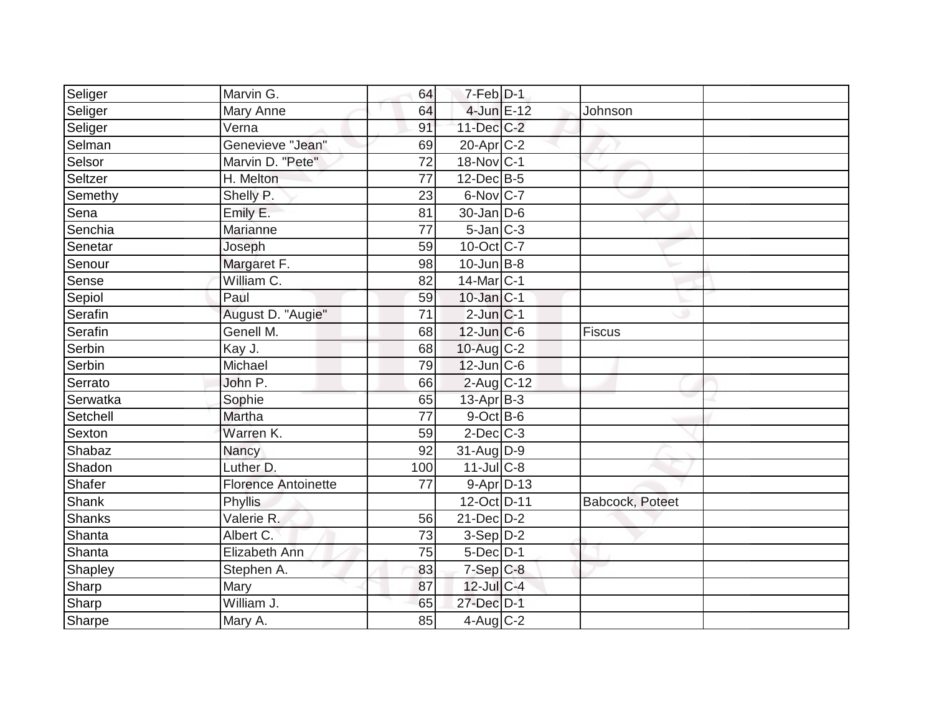|                            | 69                                                                                |                |                                                                                                                                                                                                                                                                                                                                                                                                                                                                                                                                                                                |         |
|----------------------------|-----------------------------------------------------------------------------------|----------------|--------------------------------------------------------------------------------------------------------------------------------------------------------------------------------------------------------------------------------------------------------------------------------------------------------------------------------------------------------------------------------------------------------------------------------------------------------------------------------------------------------------------------------------------------------------------------------|---------|
|                            | 72                                                                                |                |                                                                                                                                                                                                                                                                                                                                                                                                                                                                                                                                                                                |         |
| H. Melton                  | 77                                                                                |                |                                                                                                                                                                                                                                                                                                                                                                                                                                                                                                                                                                                |         |
| Shelly P.                  | 23                                                                                |                |                                                                                                                                                                                                                                                                                                                                                                                                                                                                                                                                                                                |         |
| Emily E.                   | 81                                                                                |                |                                                                                                                                                                                                                                                                                                                                                                                                                                                                                                                                                                                |         |
| Marianne                   | 77                                                                                |                |                                                                                                                                                                                                                                                                                                                                                                                                                                                                                                                                                                                |         |
| Joseph                     | 59                                                                                |                |                                                                                                                                                                                                                                                                                                                                                                                                                                                                                                                                                                                |         |
| Margaret F.                | 98                                                                                |                |                                                                                                                                                                                                                                                                                                                                                                                                                                                                                                                                                                                |         |
| William C.                 | 82                                                                                |                |                                                                                                                                                                                                                                                                                                                                                                                                                                                                                                                                                                                |         |
| Paul                       | 59                                                                                |                |                                                                                                                                                                                                                                                                                                                                                                                                                                                                                                                                                                                |         |
| August D. "Augie"          | 71                                                                                |                |                                                                                                                                                                                                                                                                                                                                                                                                                                                                                                                                                                                |         |
| Genell M.                  | 68                                                                                |                | Fiscus                                                                                                                                                                                                                                                                                                                                                                                                                                                                                                                                                                         |         |
|                            | 68                                                                                |                |                                                                                                                                                                                                                                                                                                                                                                                                                                                                                                                                                                                |         |
| Michael                    | 79                                                                                |                |                                                                                                                                                                                                                                                                                                                                                                                                                                                                                                                                                                                |         |
| John P.                    | 66                                                                                |                |                                                                                                                                                                                                                                                                                                                                                                                                                                                                                                                                                                                |         |
| Sophie                     | 65                                                                                |                |                                                                                                                                                                                                                                                                                                                                                                                                                                                                                                                                                                                |         |
| Martha                     | 77                                                                                |                |                                                                                                                                                                                                                                                                                                                                                                                                                                                                                                                                                                                |         |
| Warren K.                  | 59                                                                                |                |                                                                                                                                                                                                                                                                                                                                                                                                                                                                                                                                                                                |         |
| Nancy                      | $\overline{92}$                                                                   |                |                                                                                                                                                                                                                                                                                                                                                                                                                                                                                                                                                                                |         |
| Luther D.                  | 100                                                                               |                |                                                                                                                                                                                                                                                                                                                                                                                                                                                                                                                                                                                |         |
| <b>Florence Antoinette</b> | 77                                                                                |                |                                                                                                                                                                                                                                                                                                                                                                                                                                                                                                                                                                                |         |
| Phyllis                    |                                                                                   |                | Babcock, Poteet                                                                                                                                                                                                                                                                                                                                                                                                                                                                                                                                                                |         |
| Valerie R.                 | 56                                                                                |                |                                                                                                                                                                                                                                                                                                                                                                                                                                                                                                                                                                                |         |
| Albert C.                  | 73                                                                                |                |                                                                                                                                                                                                                                                                                                                                                                                                                                                                                                                                                                                |         |
| Elizabeth Ann              | 75                                                                                |                |                                                                                                                                                                                                                                                                                                                                                                                                                                                                                                                                                                                |         |
| Stephen A.                 | 83                                                                                |                |                                                                                                                                                                                                                                                                                                                                                                                                                                                                                                                                                                                |         |
| Mary                       | 87                                                                                |                |                                                                                                                                                                                                                                                                                                                                                                                                                                                                                                                                                                                |         |
| William J.                 | 65                                                                                |                |                                                                                                                                                                                                                                                                                                                                                                                                                                                                                                                                                                                |         |
| Mary A.                    | 85                                                                                |                |                                                                                                                                                                                                                                                                                                                                                                                                                                                                                                                                                                                |         |
|                            | Marvin G.<br>Mary Anne<br>Verna<br>Genevieve "Jean"<br>Marvin D. "Pete"<br>Kay J. | 64<br>64<br>91 | $7-Feb$ $D-1$<br>4-Jun E-12<br>11-Dec C-2<br>$20$ -Apr $C-2$<br>18-Nov C-1<br>$12$ -Dec $B$ -5<br>6-Nov C-7<br>$30$ -Jan D-6<br>$5$ -Jan $C-3$<br>$10$ -Oct C-7<br>$10$ -Jun $B-8$<br>$14$ -Mar $ C-1$<br>$10$ -Jan $ C-1 $<br>$2$ -Jun $ C-1$<br>$12$ -Jun $ C-6$<br>$10$ -Aug $C-2$<br>$12$ -Jun $ C-6$<br>$2$ -Aug C-12<br>$13$ -Apr $ B-3 $<br>$9$ -Oct $B$ -6<br>$2$ -Dec $C-3$<br>31-Aug D-9<br>$11$ -Jul C-8<br>$9 - Apr$ $D-13$<br>12-Oct D-11<br>$21$ -Dec $D-2$<br>$3-Sep D-2$<br>$5$ -Dec $D-1$<br>$7-Sep$ $C-8$<br>$12$ -Jul $C-4$<br>27-Dec D-1<br>$4$ -Aug $C-2$ | Johnson |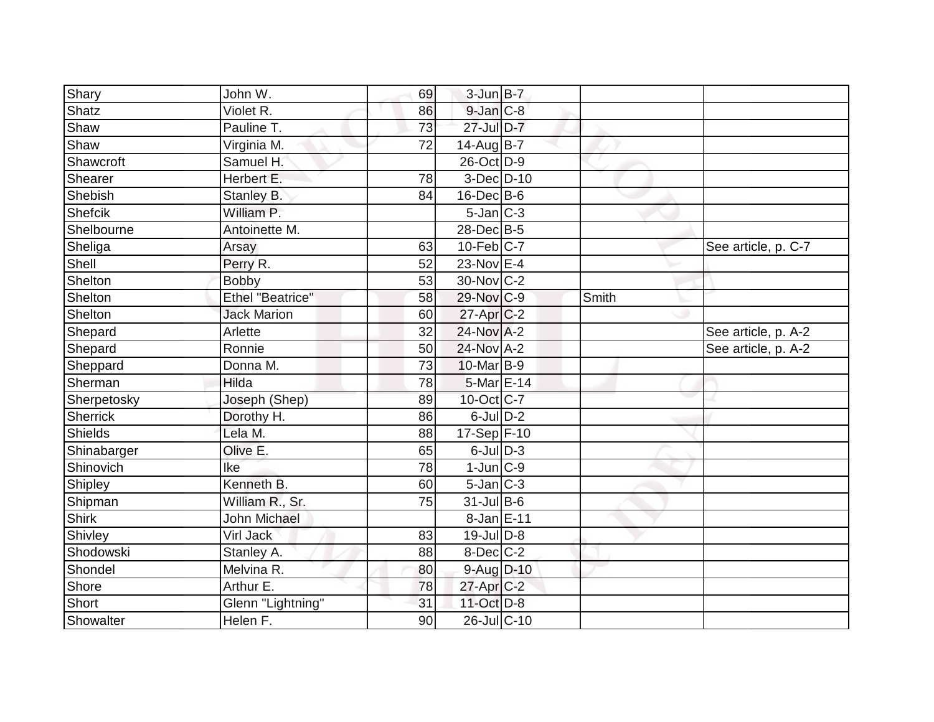| Shary        | John W.                 | 69              | $3$ -Jun $B-7$    |       |                     |
|--------------|-------------------------|-----------------|-------------------|-------|---------------------|
| Shatz        | Violet R.               | 86              | $9$ -Jan $C$ -8   |       |                     |
| Shaw         | Pauline T.              | 73              | 27-Jul D-7        |       |                     |
| Shaw         | Virginia M.             | 72              | $14$ -AugB-7      |       |                     |
| Shawcroft    | Samuel H.               |                 | 26-Oct D-9        |       |                     |
| Shearer      | Herbert E.              | 78              | 3-Dec D-10        |       |                     |
| Shebish      | Stanley B.              | 84              | $16$ -Dec $B$ -6  |       |                     |
| Shefcik      | William P.              |                 | $5$ -Jan $ C-3 $  |       |                     |
| Shelbourne   | Antoinette M.           |                 | 28-Dec B-5        |       |                     |
| Sheliga      | Arsay                   | 63              | $10$ -Feb $ C-7 $ |       | See article, p. C-7 |
| Shell        | Perry R.                | 52              | 23-Nov E-4        |       |                     |
| Shelton      | <b>Bobby</b>            | 53              | 30-Nov C-2        |       |                     |
| Shelton      | <b>Ethel "Beatrice"</b> | 58              | 29-Nov C-9        | Smith |                     |
| Shelton      | <b>Jack Marion</b>      | 60              | $27$ -Apr $ C$ -2 |       |                     |
| Shepard      | Arlette                 | 32              | 24-Nov A-2        |       | See article, p. A-2 |
| Shepard      | Ronnie                  | 50              | 24-Nov A-2        |       | See article, p. A-2 |
| Sheppard     | Donna M.                | $\overline{73}$ | 10-Mar B-9        |       |                     |
| Sherman      | Hilda                   | 78              | 5-Mar E-14        |       |                     |
| Sherpetosky  | Joseph (Shep)           | 89              | 10-Oct C-7        |       |                     |
| Sherrick     | Dorothy H.              | 86              | $6$ -Jul $D-2$    |       |                     |
| Shields      | Lela M.                 | 88              | $17-Sep$ F-10     |       |                     |
| Shinabarger  | Olive E.                | 65              | $6$ -JulD-3       |       |                     |
| Shinovich    | Ike                     | 78              | $1$ -Jun $ C-9 $  |       |                     |
| Shipley      | Kenneth B.              | 60              | $5$ -Jan $ C-3 $  |       |                     |
| Shipman      | William R., Sr.         | 75              | 31-Jul B-6        |       |                     |
| <b>Shirk</b> | John Michael            |                 | 8-Jan E-11        |       |                     |
| Shivley      | <b>Virl Jack</b>        | 83              | $19$ -Jul $D-8$   |       |                     |
| Shodowski    | Stanley A.              | 88              | $8$ -Dec $C$ -2   |       |                     |
| Shondel      | Melvina R.              | 80              | $9$ -Aug $D$ -10  |       |                     |
| Shore        | Arthur E.               | 78              | 27-Apr C-2        |       |                     |
| Short        | Glenn "Lightning"       | 31              | 11-Oct D-8        |       |                     |
| Showalter    | Helen F.                | 90              | 26-Jul C-10       |       |                     |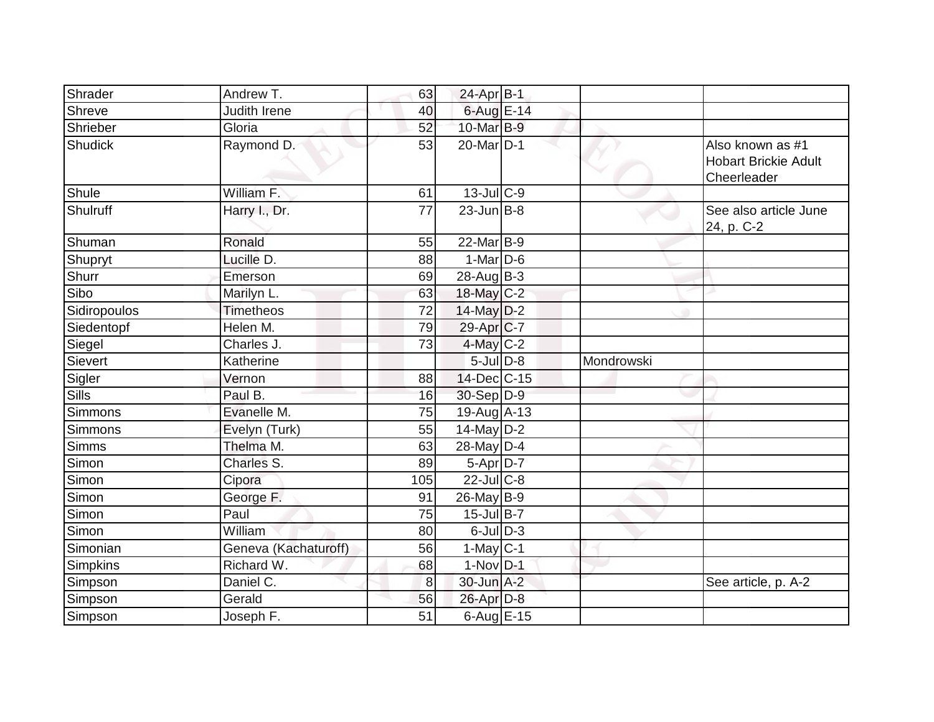| Shrader        | Andrew T.            | 63       | 24-Apr B-1            |            |                                                                |
|----------------|----------------------|----------|-----------------------|------------|----------------------------------------------------------------|
| Shreve         | Judith Irene         | 40       | 6-Aug E-14            |            |                                                                |
| Shrieber       | Gloria               | 52       | 10-Mar B-9            |            |                                                                |
| Shudick        | Raymond D.           | 53       | 20-Mar <sub>D-1</sub> |            | Also known as #1<br><b>Hobart Brickie Adult</b><br>Cheerleader |
| Shule          | William F.           | 61       | $13$ -Jul C-9         |            |                                                                |
| Shulruff       | Harry I., Dr.        | 77       | $23$ -Jun $B - 8$     |            | See also article June<br>24, p. C-2                            |
| Shuman         | Ronald               | 55       | 22-Mar B-9            |            |                                                                |
| <b>Shupryt</b> | Lucille D.           | 88       | $1-Mar$ D-6           |            |                                                                |
| Shurr          | Emerson              | 69       | $28$ -Aug $B-3$       |            |                                                                |
| Sibo           | Marilyn L.           | 63       | 18-May C-2            |            |                                                                |
| Sidiropoulos   | <b>Timetheos</b>     | 72       | $14$ -May $D-2$       |            |                                                                |
| Siedentopf     | Helen M.             | 79       | $29-Apr$ C-7          |            |                                                                |
| Siegel         | Charles J.           | 73       | $4$ -May C-2          |            |                                                                |
| Sievert        | Katherine            |          | $5$ -JulD-8           | Mondrowski |                                                                |
|                |                      |          |                       |            |                                                                |
| Sigler         | Vernon               | 88       | 14-Dec C-15           |            |                                                                |
| <b>Sills</b>   | Paul B.              | 16       | 30-Sep D-9            |            |                                                                |
| <b>Simmons</b> | Evanelle M.          | 75       | $19-Aug$ A-13         |            |                                                                |
| <b>Simmons</b> | Evelyn (Turk)        | 55       | 14-May D-2            |            |                                                                |
| <b>Simms</b>   | Thelma M.            | 63       | 28-May $D-4$          |            |                                                                |
| Simon          | Charles S.           | 89       | $5-Apr D-7$           |            |                                                                |
| Simon          | Cipora               | 105      | $22$ -JulC-8          |            |                                                                |
| Simon          | George F.            | 91       | $26$ -May B-9         |            |                                                                |
| Simon          | Paul                 | 75       | $15$ -Jul B-7         |            |                                                                |
| Simon          | William              | 80       | $6$ -Jul $D-3$        |            |                                                                |
| Simonian       | Geneva (Kachaturoff) | 56       | $1-May C-1$           |            |                                                                |
| Simpkins       | Richard W.           | 68       | $1-Nov$ D-1           |            |                                                                |
| Simpson        | Daniel C.            | $\bf{8}$ | 30-Jun A-2            |            | See article, p. A-2                                            |
| Simpson        | Gerald               | 56       | 26-Apr D-8            |            |                                                                |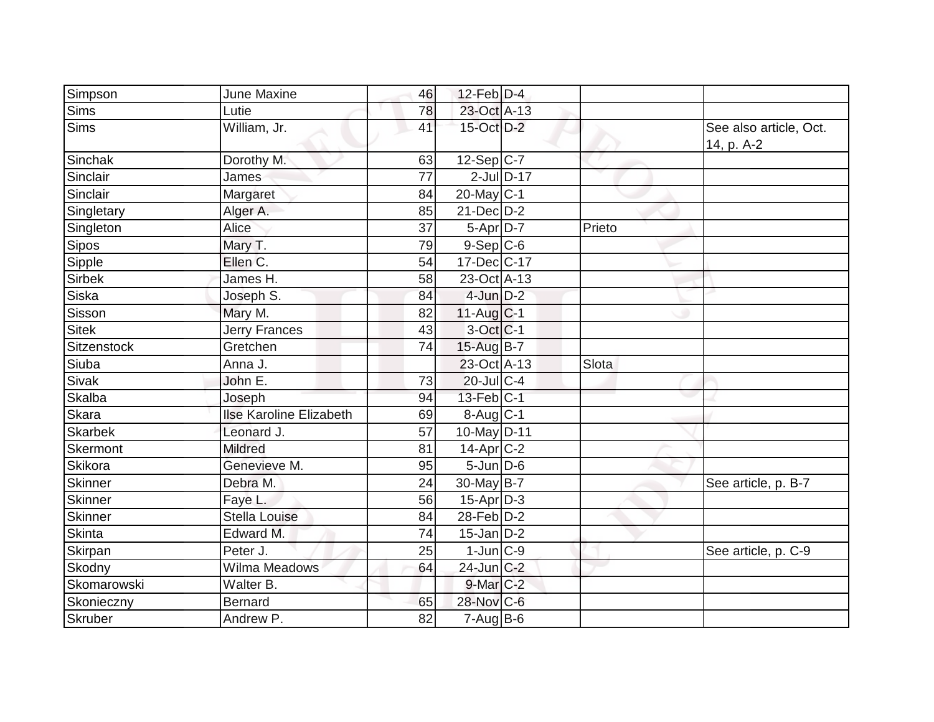| Simpson        | June Maxine                    | 46 | $12$ -Feb $D-4$        |              |        |                                      |
|----------------|--------------------------------|----|------------------------|--------------|--------|--------------------------------------|
| <b>Sims</b>    | Lutie                          | 78 | 23-Oct A-13            |              |        |                                      |
| <b>Sims</b>    | William, Jr.                   | 41 | 15-Oct D-2             |              |        | See also article, Oct.<br>14, p. A-2 |
| Sinchak        | Dorothy M.                     | 63 | $12-Sep C-7$           |              |        |                                      |
| Sinclair       | James                          | 77 |                        | $2$ -JulD-17 |        |                                      |
| Sinclair       | Margaret                       | 84 | $20$ -May C-1          |              |        |                                      |
| Singletary     | Alger A.                       | 85 | $21$ -Dec $D-2$        |              |        |                                      |
| Singleton      | <b>Alice</b>                   | 37 | 5-Apr D-7              |              | Prieto |                                      |
| <b>Sipos</b>   | Mary T.                        | 79 | $9-Sep C-6$            |              |        |                                      |
| Sipple         | Ellen C.                       | 54 | 17-Dec C-17            |              |        |                                      |
| <b>Sirbek</b>  | James H.                       | 58 | 23-Oct A-13            |              |        |                                      |
| Siska          | Joseph S.                      | 84 | $4$ -Jun $D-2$         |              |        |                                      |
| Sisson         | Mary M.                        | 82 | $11-Auq$ $C-1$         |              |        |                                      |
| <b>Sitek</b>   | <b>Jerry Frances</b>           | 43 | 3-Oct C-1              |              |        |                                      |
| Sitzenstock    | Gretchen                       | 74 | 15-Aug B-7             |              |        |                                      |
| Siuba          | Anna J.                        |    | 23-Oct A-13            |              | Slota  |                                      |
| <b>Sivak</b>   | John E.                        | 73 | $20$ -Jul $C-4$        |              |        |                                      |
| Skalba         | Joseph                         | 94 | $13$ -Feb $ C-1 $      |              |        |                                      |
| Skara          | <b>Ilse Karoline Elizabeth</b> | 69 | $8-Aug$ <sub>C-1</sub> |              |        |                                      |
| Skarbek        | Leonard J.                     | 57 | 10-May D-11            |              |        |                                      |
| Skermont       | <b>Mildred</b>                 | 81 | $14$ -Apr $C-2$        |              |        |                                      |
| Skikora        | Genevieve M.                   | 95 | $5$ -Jun $D-6$         |              |        |                                      |
| <b>Skinner</b> | Debra M.                       | 24 | 30-May B-7             |              |        | See article, p. B-7                  |
| Skinner        | Faye L.                        | 56 | $15$ -Apr $ D-3 $      |              |        |                                      |
| Skinner        | Stella Louise                  | 84 | $28$ -Feb $ D-2 $      |              |        |                                      |
| <b>Skinta</b>  | Edward M.                      | 74 | $15$ -Jan D-2          |              |        |                                      |
| Skirpan        | Peter J.                       | 25 | $1$ -Jun $ C-9 $       |              |        | See article, p. C-9                  |
| Skodny         | Wilma Meadows                  | 64 | 24-Jun C-2             |              |        |                                      |
| Skomarowski    | Walter B.                      |    | $9$ -Mar $C-2$         |              |        |                                      |
| Skonieczny     | <b>Bernard</b>                 | 65 | 28-Nov C-6             |              |        |                                      |
| Skruber        | Andrew P.                      | 82 | $7 - Aug$ B-6          |              |        |                                      |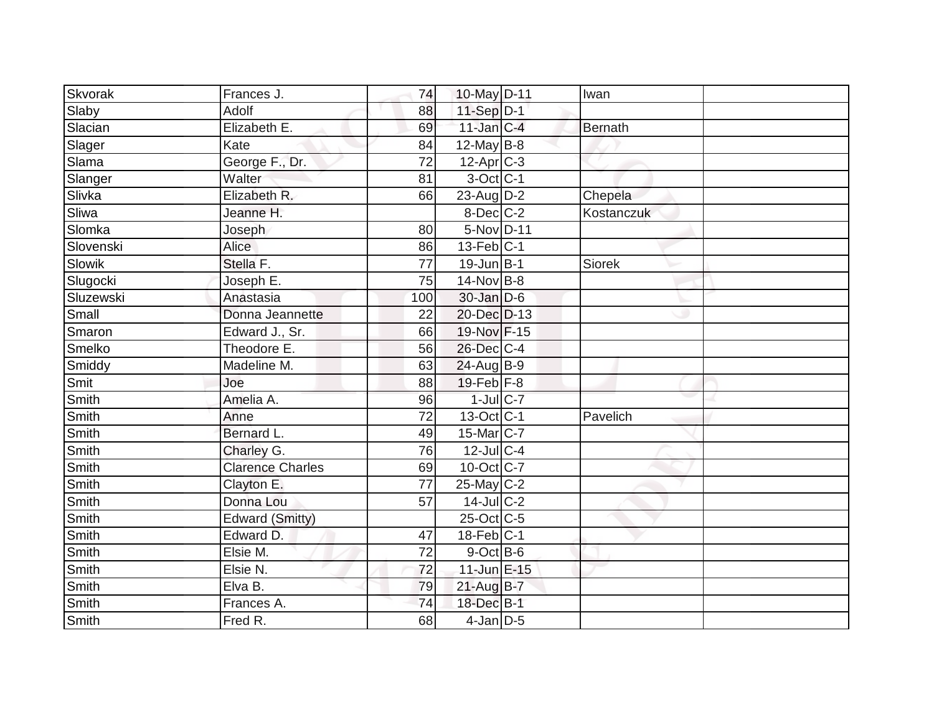| Skvorak      | Frances J.              | 74  | 10-May D-11             | Iwan       |  |
|--------------|-------------------------|-----|-------------------------|------------|--|
| Slaby        | Adolf                   | 88  | $11-Sep$ D-1            |            |  |
| Slacian      | Elizabeth E.            | 69  | $11$ -Jan $C-4$         | Bernath    |  |
| Slager       | Kate                    | 84  | 12-May $B-8$            |            |  |
| Slama        | George F., Dr.          | 72  | $12-Apr$ C-3            |            |  |
| Slanger      | Walter                  | 81  | $3$ -Oct C-1            |            |  |
| Slivka       | Elizabeth R.            | 66  | $23$ -Aug D-2           | Chepela    |  |
| Sliwa        | Jeanne H.               |     | $8$ -Dec $C$ -2         | Kostanczuk |  |
| Slomka       | Joseph                  | 80  | 5-Nov D-11              |            |  |
| Slovenski    | <b>Alice</b>            | 86  | $13$ -Feb $ C-1$        |            |  |
| Slowik       | Stella F.               | 77  | $19$ -Jun $B-1$         | Siorek     |  |
| Slugocki     | Joseph E.               | 75  | $14$ -Nov B-8           |            |  |
| Sluzewski    | Anastasia               | 100 | 30-Jan D-6              |            |  |
| Small        | Donna Jeannette         | 22  | 20-Dec D-13             |            |  |
| Smaron       | Edward J., Sr.          | 66  | 19-Nov F-15             |            |  |
| Smelko       | Theodore E.             | 56  | 26-Dec C-4              |            |  |
| Smiddy       | Madeline M.             | 63  | 24-Aug B-9              |            |  |
| Smit         | Joe                     | 88  | $19$ -Feb $F-8$         |            |  |
| Smith        | Amelia A.               | 96  | $1$ -Jul $C$ -7         |            |  |
| Smith        | Anne                    | 72  | $13-Oct$ <sub>C-1</sub> | Pavelich   |  |
| Smith        | Bernard L.              | 49  | 15-Mar C-7              |            |  |
| Smith        | Charley G.              | 76  | $12$ -Jul C-4           |            |  |
| <b>Smith</b> | <b>Clarence Charles</b> | 69  | 10-Oct C-7              |            |  |
| Smith        | Clayton E.              | 77  | $25$ -May C-2           |            |  |
| Smith        | Donna Lou               | 57  | $14$ -Jul $C-2$         |            |  |
| <b>Smith</b> | <b>Edward (Smitty)</b>  |     | 25-Oct C-5              |            |  |
| Smith        | Edward D.               | 47  | $18$ -Feb $ C-1 $       |            |  |
| Smith        | Elsie M.                | 72  | $9$ -Oct $B$ -6         |            |  |
| Smith        | Elsie N.                | 72  | 11-Jun E-15             |            |  |
| Smith        | Elva B.                 | 79  | $21-AugB-7$             |            |  |
| Smith        | Frances A.              | 74  | 18-Dec B-1              |            |  |
| Smith        | Fred R.                 | 68  | $4$ -Jan $D-5$          |            |  |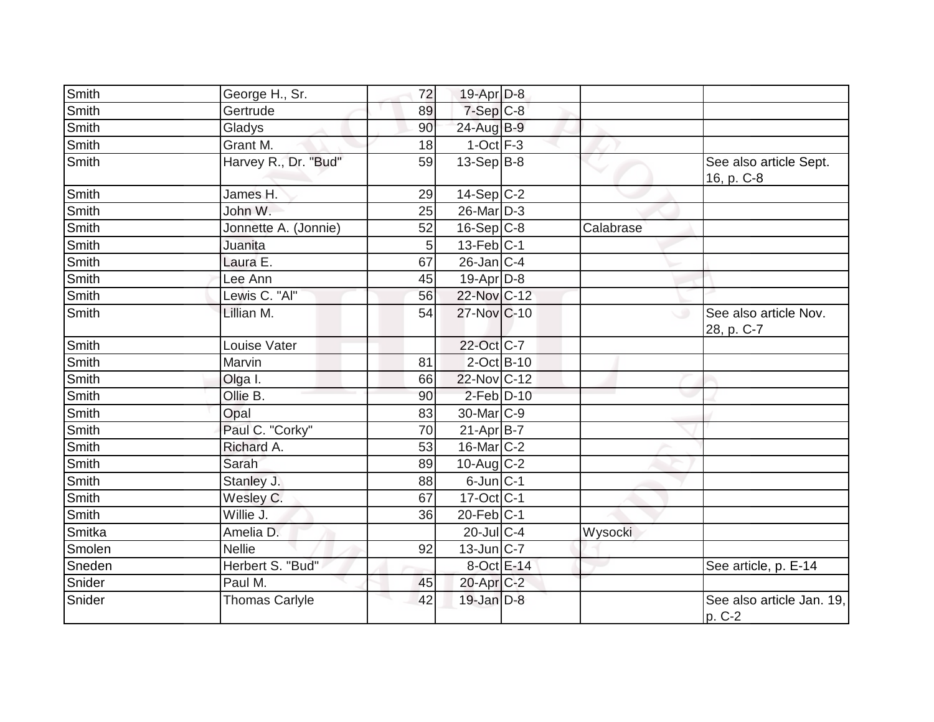| Smith          |                            | 72       | 19-Apr D-8                     |           |                                      |
|----------------|----------------------------|----------|--------------------------------|-----------|--------------------------------------|
| Smith          | George H., Sr.<br>Gertrude | 89       | 7-Sep C-8                      |           |                                      |
| Smith          |                            |          |                                |           |                                      |
|                | Gladys<br>Grant M.         | 90       | $24$ -Aug $B-9$<br>$1-Oct$ F-3 |           |                                      |
| Smith<br>Smith | Harvey R., Dr. "Bud"       | 18<br>59 | $13-Sep$ B-8                   |           |                                      |
|                |                            |          |                                |           | See also article Sept.<br>16, p. C-8 |
| Smith          | James H.                   | 29       | $14-Sep C-2$                   |           |                                      |
| Smith          | John W.                    | 25       | 26-Mar D-3                     |           |                                      |
| Smith          | Jonnette A. (Jonnie)       | 52       | $16-Sep C-8$                   | Calabrase |                                      |
| Smith          | Juanita                    | 5        | $13$ -Feb $ C-1 $              |           |                                      |
| Smith          | Laura E.                   | 67       | $26$ -Jan C-4                  |           |                                      |
| Smith          | Lee Ann                    | 45       | 19-Apr D-8                     |           |                                      |
| <b>Smith</b>   | Lewis C. "Al"              | 56       | 22-Nov C-12                    |           |                                      |
| Smith          | Lillian M.                 | 54       | 27-Nov C-10                    | ◡         | See also article Nov.<br>28, p. C-7  |
| Smith          | Louise Vater               |          | 22-Oct C-7                     |           |                                      |
| Smith          | Marvin                     | 81       | $2$ -Oct $B$ -10               |           |                                      |
| Smith          | Olga I.                    | 66       | 22-Nov C-12                    |           |                                      |
| Smith          | Ollie B.                   | 90       | $2$ -Feb $D-10$                |           |                                      |
| Smith          | Opal                       | 83       | 30-Mar C-9                     |           |                                      |
| Smith          | Paul C. "Corky"            | 70       | $21-Apr$ B-7                   |           |                                      |
| Smith          | Richard A.                 | 53       | 16-Mar C-2                     |           |                                      |
| Smith          | Sarah                      | 89       | $10$ -Aug C-2                  |           |                                      |
| Smith          | Stanley J.                 | 88       | $6$ -Jun $ C-1$                |           |                                      |
| Smith          | Wesley C.                  | 67       | $17-Oct$ C-1                   |           |                                      |
| <b>Smith</b>   | Willie J.                  | 36       | $20$ -Feb $C-1$                |           |                                      |
| Smitka         | Amelia D.                  |          | $20$ -JulC-4                   | Wysocki   |                                      |
| Smolen         | <b>Nellie</b>              | 92       | $13$ -Jun $ C-7 $              |           |                                      |
| Sneden         | Herbert S. "Bud"           |          | 8-Oct E-14                     |           | See article, p. E-14                 |
| Snider         | Paul M.                    | 45       | $20$ -Apr $C-2$                |           |                                      |
| Snider         | <b>Thomas Carlyle</b>      | 42       | $19$ -Jan $D-8$                |           | See also article Jan. 19,<br>p. C-2  |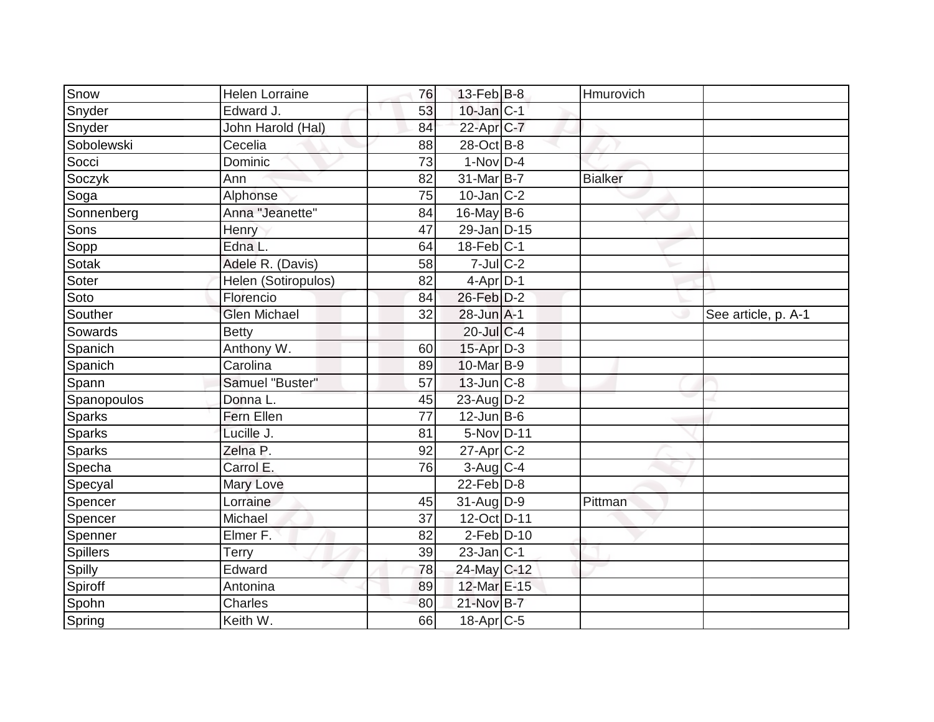| Snow          | <b>Helen Lorraine</b> | 76 | $13$ -Feb $ B-8 $ | Hmurovich      |                     |
|---------------|-----------------------|----|-------------------|----------------|---------------------|
| Snyder        | Edward J.             | 53 | $10$ -Jan $ C-1 $ |                |                     |
| Snyder        | John Harold (Hal)     | 84 | 22-Apr C-7        |                |                     |
| Sobolewski    | Cecelia               | 88 | 28-Oct B-8        |                |                     |
| Socci         | Dominic               | 73 | $1-Nov$ D-4       |                |                     |
| Soczyk        | Ann                   | 82 | 31-Mar B-7        | <b>Bialker</b> |                     |
| Soga          | Alphonse              | 75 | $10$ -Jan $ C-2 $ |                |                     |
| Sonnenberg    | Anna "Jeanette"       | 84 | 16-May B-6        |                |                     |
| Sons          | Henry                 | 47 | 29-Jan D-15       |                |                     |
| Sopp          | Edna L.               | 64 | $18$ -Feb $ C-1 $ |                |                     |
| Sotak         | Adele R. (Davis)      | 58 | $7$ -Jul $C-2$    |                |                     |
| Soter         | Helen (Sotiropulos)   | 82 | $4-Apr$ D-1       |                |                     |
| Soto          | Florencio             | 84 | 26-Feb D-2        |                |                     |
| Souther       | <b>Glen Michael</b>   | 32 | 28-Jun A-1        |                | See article, p. A-1 |
| Sowards       | <b>Betty</b>          |    | $20$ -Jul $C$ -4  |                |                     |
| Spanich       | Anthony W.            | 60 | $15$ -Apr $D-3$   |                |                     |
| Spanich       | Carolina              | 89 | 10-Mar B-9        |                |                     |
| Spann         | Samuel "Buster"       | 57 | $13$ -Jun $ C-8$  |                |                     |
| Spanopoulos   | Donna L.              | 45 | 23-Aug D-2        |                |                     |
| <b>Sparks</b> | Fern Ellen            | 77 | $12$ -Jun B-6     |                |                     |
| <b>Sparks</b> | Lucille J.            | 81 | 5-Nov D-11        |                |                     |
| <b>Sparks</b> | Zelna P.              | 92 | $27$ -Apr $C-2$   |                |                     |
| Specha        | Carrol E.             | 76 | 3-Aug C-4         |                |                     |
| Specyal       | Mary Love             |    | $22$ -Feb $ D-8$  |                |                     |
| Spencer       | Lorraine              | 45 | $31-AugD-9$       | Pittman        |                     |
| Spencer       | Michael               | 37 | 12-Oct D-11       |                |                     |
| Spenner       | Elmer F.              | 82 | $2$ -Feb $D-10$   |                |                     |
| Spillers      | <b>Terry</b>          | 39 | $23$ -Jan $C-1$   |                |                     |
| Spilly        | Edward                | 78 | 24-May C-12       |                |                     |
| Spiroff       | Antonina              | 89 | 12-Mar E-15       |                |                     |
| Spohn         | Charles               | 80 | 21-Nov B-7        |                |                     |
| Spring        | Keith W.              | 66 | $18$ -Apr $ C$ -5 |                |                     |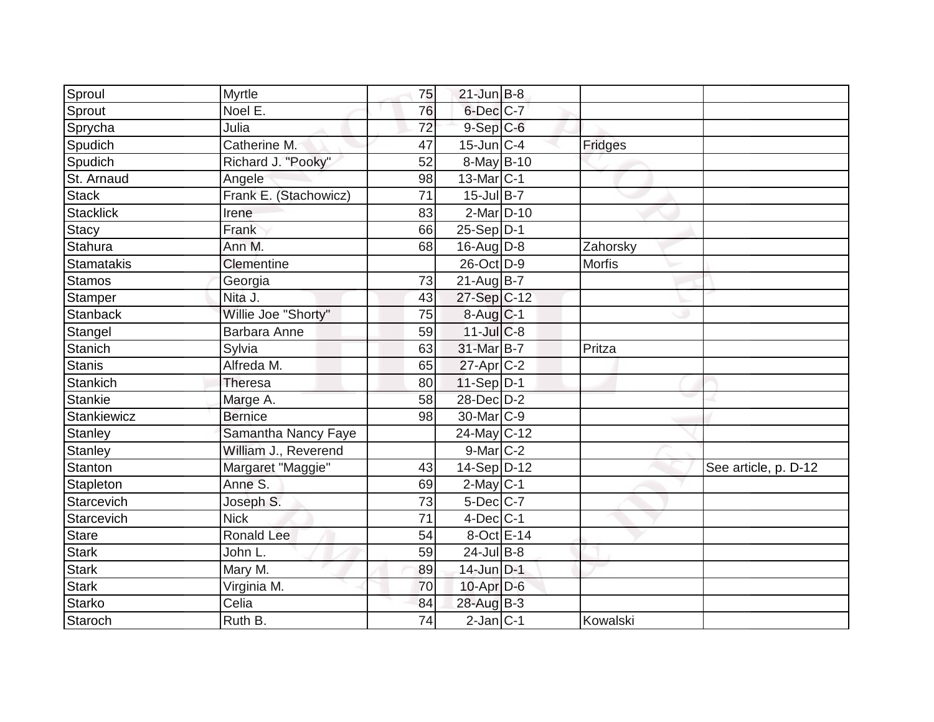| Catherine M.          | 47                         |                | Fridges                                                                                                                                                                                                                                                                                                                                                                                                                                                                                                                                                       |                      |
|-----------------------|----------------------------|----------------|---------------------------------------------------------------------------------------------------------------------------------------------------------------------------------------------------------------------------------------------------------------------------------------------------------------------------------------------------------------------------------------------------------------------------------------------------------------------------------------------------------------------------------------------------------------|----------------------|
| Richard J. "Pooky"    | 52                         |                |                                                                                                                                                                                                                                                                                                                                                                                                                                                                                                                                                               |                      |
| Angele                | 98                         |                |                                                                                                                                                                                                                                                                                                                                                                                                                                                                                                                                                               |                      |
| Frank E. (Stachowicz) | $\overline{71}$            |                |                                                                                                                                                                                                                                                                                                                                                                                                                                                                                                                                                               |                      |
| Irene                 | 83                         |                |                                                                                                                                                                                                                                                                                                                                                                                                                                                                                                                                                               |                      |
| Frank                 | 66                         |                |                                                                                                                                                                                                                                                                                                                                                                                                                                                                                                                                                               |                      |
| Ann M.                | 68                         |                | Zahorsky                                                                                                                                                                                                                                                                                                                                                                                                                                                                                                                                                      |                      |
| Clementine            |                            |                | Morfis                                                                                                                                                                                                                                                                                                                                                                                                                                                                                                                                                        |                      |
| Georgia               | 73                         |                |                                                                                                                                                                                                                                                                                                                                                                                                                                                                                                                                                               |                      |
| Nita J.               | 43                         |                |                                                                                                                                                                                                                                                                                                                                                                                                                                                                                                                                                               |                      |
| Willie Joe "Shorty"   | 75                         |                |                                                                                                                                                                                                                                                                                                                                                                                                                                                                                                                                                               |                      |
| Barbara Anne          | 59                         |                |                                                                                                                                                                                                                                                                                                                                                                                                                                                                                                                                                               |                      |
| Sylvia                | 63                         |                | Pritza                                                                                                                                                                                                                                                                                                                                                                                                                                                                                                                                                        |                      |
| Alfreda M.            | 65                         |                |                                                                                                                                                                                                                                                                                                                                                                                                                                                                                                                                                               |                      |
| Theresa               | 80                         |                |                                                                                                                                                                                                                                                                                                                                                                                                                                                                                                                                                               |                      |
| Marge A.              | 58                         |                |                                                                                                                                                                                                                                                                                                                                                                                                                                                                                                                                                               |                      |
| <b>Bernice</b>        | 98                         |                |                                                                                                                                                                                                                                                                                                                                                                                                                                                                                                                                                               |                      |
| Samantha Nancy Faye   |                            |                |                                                                                                                                                                                                                                                                                                                                                                                                                                                                                                                                                               |                      |
| William J., Reverend  |                            |                |                                                                                                                                                                                                                                                                                                                                                                                                                                                                                                                                                               |                      |
| Margaret "Maggie"     | 43                         |                |                                                                                                                                                                                                                                                                                                                                                                                                                                                                                                                                                               | See article, p. D-12 |
| Anne S.               | 69                         |                |                                                                                                                                                                                                                                                                                                                                                                                                                                                                                                                                                               |                      |
| Joseph S.             | 73                         |                |                                                                                                                                                                                                                                                                                                                                                                                                                                                                                                                                                               |                      |
| <b>Nick</b>           | 71                         |                |                                                                                                                                                                                                                                                                                                                                                                                                                                                                                                                                                               |                      |
| <b>Ronald Lee</b>     | 54                         |                |                                                                                                                                                                                                                                                                                                                                                                                                                                                                                                                                                               |                      |
| John L.               | 59                         |                |                                                                                                                                                                                                                                                                                                                                                                                                                                                                                                                                                               |                      |
| Mary M.               | 89                         |                |                                                                                                                                                                                                                                                                                                                                                                                                                                                                                                                                                               |                      |
| Virginia M.           | 70                         |                |                                                                                                                                                                                                                                                                                                                                                                                                                                                                                                                                                               |                      |
| Celia                 | 84                         |                |                                                                                                                                                                                                                                                                                                                                                                                                                                                                                                                                                               |                      |
| Ruth B.               | 74                         |                | Kowalski                                                                                                                                                                                                                                                                                                                                                                                                                                                                                                                                                      |                      |
|                       | Myrtle<br>Noel E.<br>Julia | 75<br>76<br>72 | $21$ -Jun $B-8$<br>6-Dec C-7<br>$9-$ Sep $C-6$<br>$15$ -Jun $ C-4 $<br>8-May B-10<br>$13$ -Mar $ C-1 $<br>$15$ -Jul B-7<br>$2-Mar\overline{D} - 10$<br>$25-Sep D-1$<br>$16$ -AugD-8<br>26-Oct D-9<br>$21-AugB-7$<br>27-Sep C-12<br>$8-Aug C-1$<br>$11$ -Jul C-8<br>31-Mar B-7<br>$27$ -Apr $ C-2 $<br>$11-Sep$ D-1<br>28-Dec D-2<br>30-Mar <sub>C-9</sub><br>24-May C-12<br>$9$ -Mar $C-2$<br>$14-Sep D-12$<br>$2$ -May $C-1$<br>$5$ -Dec $C$ -7<br>$4$ -Dec $C-1$<br>8-Oct E-14<br>$24$ -Jul B-8<br>$14$ -Jun D-1<br>10-Apr D-6<br>28-Aug B-3<br>$2-Jan$ C-1 |                      |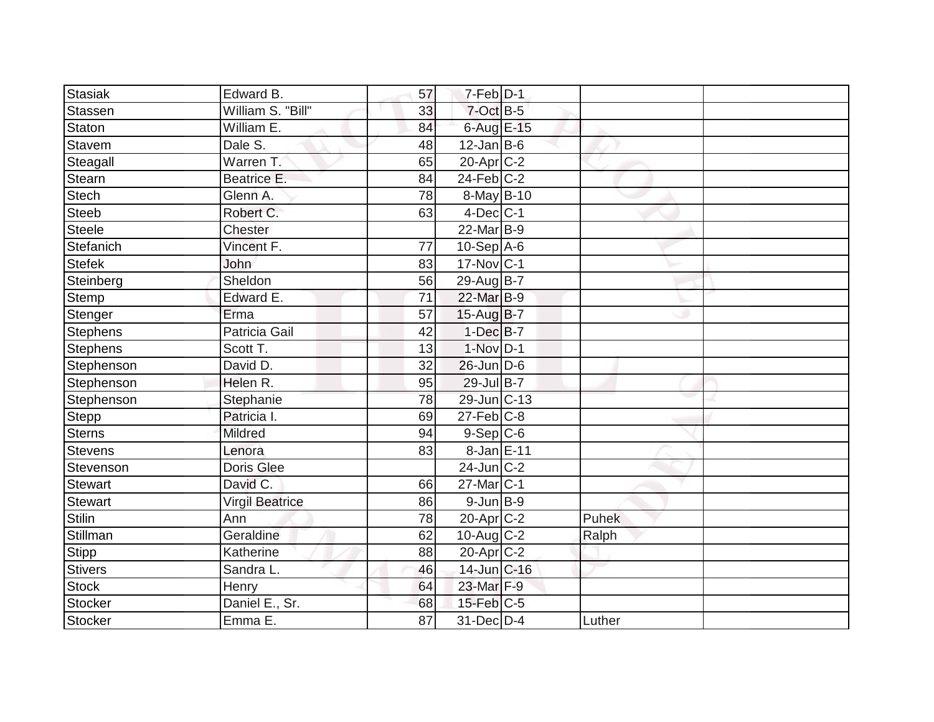| Stasiak         | Edward B.              | 57 | $7-Feb$ D-1           |        |  |
|-----------------|------------------------|----|-----------------------|--------|--|
| Stassen         | William S. "Bill"      | 33 | 7-Oct B-5             |        |  |
| Staton          | William E.             | 84 | 6-Aug E-15            |        |  |
| Stavem          | Dale S.                | 48 | $12$ -Jan B-6         |        |  |
| Steagall        | Warren T.              | 65 | 20-Apr C-2            |        |  |
| Stearn          | Beatrice E.            | 84 | $24$ -Feb $C-2$       |        |  |
| Stech           | Glenn A.               | 78 | 8-May B-10            |        |  |
| <b>Steeb</b>    | Robert C.              | 63 | $4$ -Dec $ C-1 $      |        |  |
| Steele          | <b>Chester</b>         |    | 22-Mar B-9            |        |  |
| Stefanich       | Vincent F.             | 77 | $10-Sep$ A-6          |        |  |
| Stefek          | John                   | 83 | $17$ -Nov $ C-1 $     |        |  |
| Steinberg       | Sheldon                | 56 | 29-Aug B-7            |        |  |
| Stemp           | Edward E.              | 71 | 22-Mar B-9            |        |  |
| Stenger         | Erma                   | 57 | 15-Aug B-7            |        |  |
| Stephens        | <b>Patricia Gail</b>   | 42 | $1-Dec$ B-7           |        |  |
| <b>Stephens</b> | Scott T.               | 13 | $1-Nov$ D-1           |        |  |
| Stephenson      | David D.               | 32 | $26$ -Jun $D-6$       |        |  |
| Stephenson      | Helen R.               | 95 | 29-Jul B-7            |        |  |
| Stephenson      | Stephanie              | 78 | 29-Jun C-13           |        |  |
| Stepp           | Patricia I.            | 69 | $27$ -Feb $C-8$       |        |  |
| <b>Sterns</b>   | <b>Mildred</b>         | 94 | $9-Sep C-6$           |        |  |
| <b>Stevens</b>  | Lenora                 | 83 | 8-Jan E-11            |        |  |
| Stevenson       | Doris Glee             |    | $24$ -Jun $C-2$       |        |  |
| Stewart         | David C.               | 66 | $27$ -Mar $ C-1$      |        |  |
| Stewart         | <b>Virgil Beatrice</b> | 86 | $9$ -Jun $B$ -9       |        |  |
| <b>Stilin</b>   | Ann                    | 78 | 20-Apr <sub>C-2</sub> | Puhek  |  |
| Stillman        | Geraldine              | 62 | 10-Aug $C-2$          | Ralph  |  |
| <b>Stipp</b>    | Katherine              | 88 | $20$ -Apr $ C-2 $     |        |  |
| <b>Stivers</b>  | Sandra L.              | 46 | 14-Jun C-16           |        |  |
| <b>Stock</b>    | Henry                  | 64 | 23-Mar F-9            |        |  |
| Stocker         | Daniel E., Sr.         | 68 | $15$ -Feb $ C-5 $     |        |  |
| Stocker         | Emma E.                | 87 | 31-Dec D-4            | Luther |  |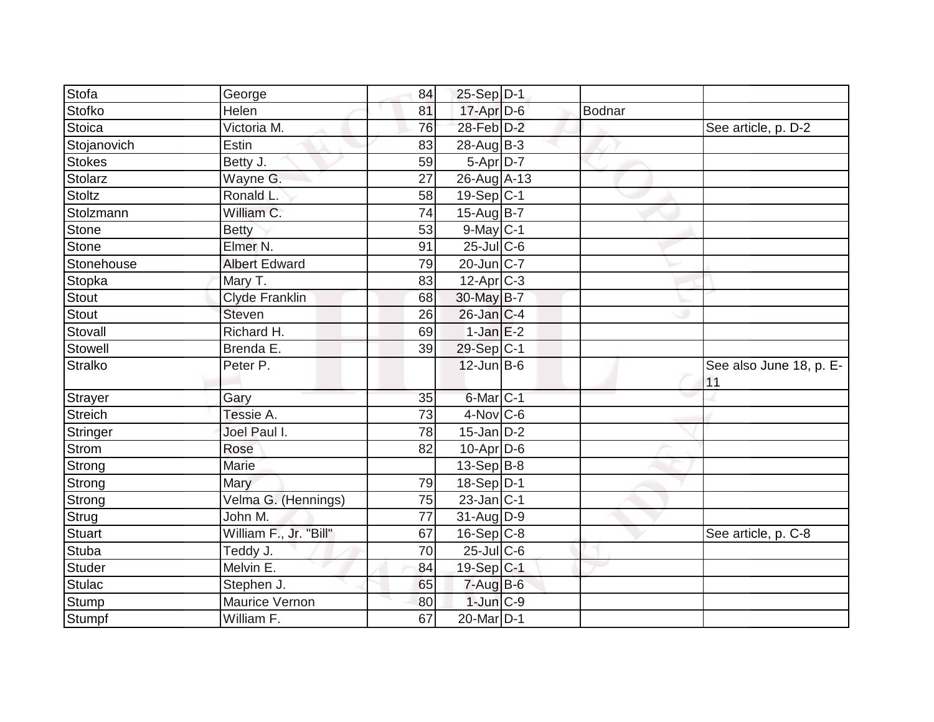| Stofa        | George                 | 84 | $25-Sep D-1$             |               |                                |
|--------------|------------------------|----|--------------------------|---------------|--------------------------------|
| Stofko       | Helen                  | 81 | $17$ -Apr $D-6$          | <b>Bodnar</b> |                                |
| Stoica       | Victoria M.            | 76 | 28-Feb D-2               |               | See article, p. D-2            |
| Stojanovich  | Estin                  | 83 | $28$ -AugB-3             |               |                                |
| Stokes       | Betty J.               | 59 | $5-Apr\overline{D-7}$    |               |                                |
| Stolarz      | Wayne G.               | 27 | 26-Aug A-13              |               |                                |
| Stoltz       | Ronald L.              | 58 | $19-Sep C-1$             |               |                                |
| Stolzmann    | William C.             | 74 | 15-Aug B-7               |               |                                |
| Stone        | <b>Betty</b>           | 53 | $9$ -May C-1             |               |                                |
| Stone        | Elmer <sub>N.</sub>    | 91 | $25$ -Jul $C$ -6         |               |                                |
| Stonehouse   | <b>Albert Edward</b>   | 79 | $20$ -Jun $ C-7$         |               |                                |
| Stopka       | Mary T.                | 83 | $12$ -Apr $ C-3 $        |               |                                |
| Stout        | <b>Clyde Franklin</b>  | 68 | 30-May B-7               |               |                                |
| <b>Stout</b> | <b>Steven</b>          | 26 | $26$ -Jan $C-4$          |               |                                |
| Stovall      | Richard H.             | 69 | $1-JanE-2$               |               |                                |
| Stowell      | Brenda E.              | 39 | 29-Sep C-1               |               |                                |
| Stralko      | Peter P.               |    | $12$ -Jun B-6            |               | See also June 18, p. E-<br> 11 |
| Strayer      | Gary                   | 35 | $6$ -Mar $ C-1 $         |               |                                |
| Streich      | Tessie A.              | 73 | $4$ -Nov $ C$ -6         |               |                                |
| Stringer     | Joel Paul I.           | 78 | $15$ -Jan D-2            |               |                                |
| Strom        | Rose                   | 82 | $10$ -Apr $D$ -6         |               |                                |
| Strong       | Marie                  |    | $13-Sep B-8$             |               |                                |
| Strong       | Mary                   | 79 | 18-Sep $D-1$             |               |                                |
| Strong       | Velma G. (Hennings)    | 75 | $23$ -Jan $C-1$          |               |                                |
| Strug        | John M.                | 77 | $\overline{31}$ -Aug D-9 |               |                                |
| Stuart       | William F., Jr. "Bill" | 67 | $16-Sep$ C-8             |               | See article, p. C-8            |
| Stuba        | Teddy J.               | 70 | $25$ -Jul $C$ -6         |               |                                |
| Studer       | Melvin E.              | 84 | 19-Sep C-1               |               |                                |
| Stulac       | Stephen J.             | 65 | $7 - Aug$ B-6            |               |                                |
| Stump        | Maurice Vernon         | 80 | $1$ -Jun $C-9$           |               |                                |
| Stumpf       | William F.             | 67 | 20-Mar <sub>D-1</sub>    |               |                                |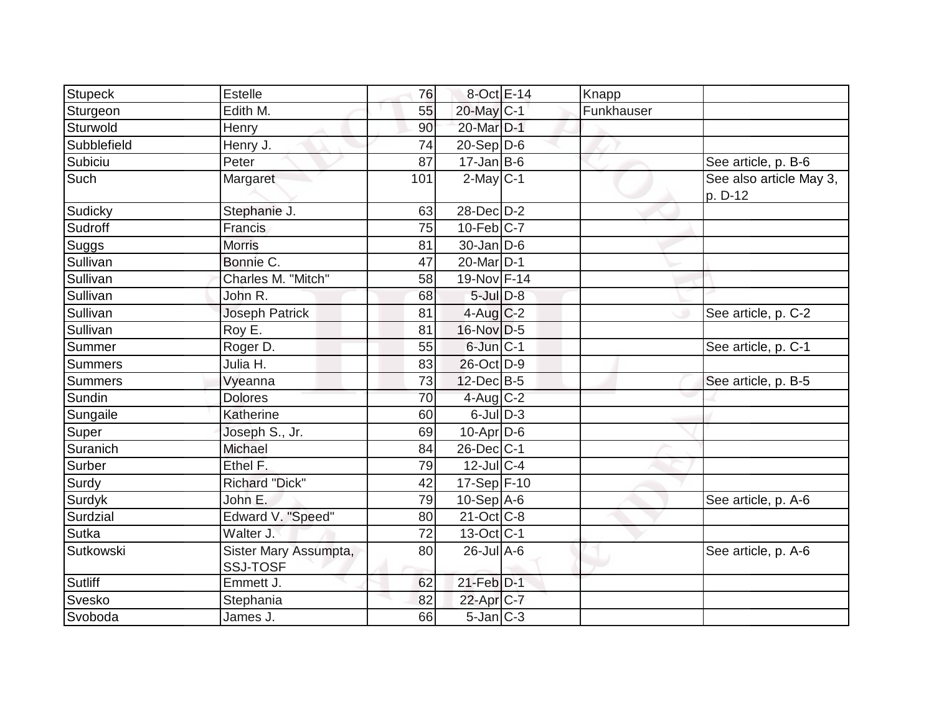| <b>Stupeck</b> | <b>Estelle</b>                           | 76  | $8$ -Oct $E-14$          | Knapp      |                                    |
|----------------|------------------------------------------|-----|--------------------------|------------|------------------------------------|
| Sturgeon       | Edith M.                                 | 55  | $20$ -May C-1            | Funkhauser |                                    |
| Sturwold       | Henry                                    | 90  | 20-Mar D-1               |            |                                    |
| Subblefield    | Henry J.                                 | 74  | $20-Sep D-6$             |            |                                    |
| Subiciu        | Peter                                    | 87  | $17 - Jan$ B-6           |            | See article, p. B-6                |
| Such           | Margaret                                 | 101 | $2$ -May $C-1$           |            | See also article May 3,<br>p. D-12 |
| Sudicky        | Stephanie J.                             | 63  | 28-Dec D-2               |            |                                    |
| Sudroff        | Francis                                  | 75  | $10$ -Feb $ C-7 $        |            |                                    |
| Suggs          | <b>Morris</b>                            | 81  | $30$ -Jan D-6            |            |                                    |
| Sullivan       | Bonnie C.                                | 47  | 20-Mar D-1               |            |                                    |
| Sullivan       | Charles M. "Mitch"                       | 58  | 19-Nov F-14              |            |                                    |
| Sullivan       | John R.                                  | 68  | $5$ -Jul $D-8$           |            |                                    |
| Sullivan       | <b>Joseph Patrick</b>                    | 81  | $4$ -Aug $C-2$           |            | See article, p. C-2                |
| Sullivan       | Roy E.                                   | 81  | $16$ -Nov D-5            |            |                                    |
| Summer         | Roger D.                                 | 55  | $6$ -Jun $ C-1 $         |            | See article, p. C-1                |
| <b>Summers</b> | Julia H.                                 | 83  | 26-Oct D-9               |            |                                    |
| <b>Summers</b> | Vyeanna                                  | 73  | $12$ -Dec $B-5$          |            | See article, p. B-5                |
| Sundin         | <b>Dolores</b>                           | 70  | $4$ -Aug C-2             |            |                                    |
| Sungaile       | Katherine                                | 60  | $6$ -JulD-3              |            |                                    |
| Super          | Joseph S., Jr.                           | 69  | $10$ -Apr $D$ -6         |            |                                    |
| Suranich       | Michael                                  | 84  | $26$ -Dec $ C-1 $        |            |                                    |
| Surber         | Ethel F.                                 | 79  | $12$ -JulC-4             |            |                                    |
| Surdy          | <b>Richard "Dick"</b>                    | 42  | 17-Sep F-10              |            |                                    |
| Surdyk         | John E.                                  | 79  | $10-Sep$ A-6             |            | See article, p. A-6                |
| Surdzial       | Edward V. "Speed"                        | 80  | $21-Oct$ <sub>C</sub> -8 |            |                                    |
| Sutka          | Walter J.                                | 72  | $13-Oct$ $C-1$           |            |                                    |
| Sutkowski      | Sister Mary Assumpta,<br><b>SSJ-TOSF</b> | 80  | $26$ -Jul A-6            |            | See article, p. A-6                |
| <b>Sutliff</b> | Emmett J.                                | 62  | $21$ -Feb $D-1$          |            |                                    |
| Svesko         | Stephania                                | 82  | 22-Apr C-7               |            |                                    |
| Svoboda        | James J.                                 | 66  | $5 - Jan$ $C - 3$        |            |                                    |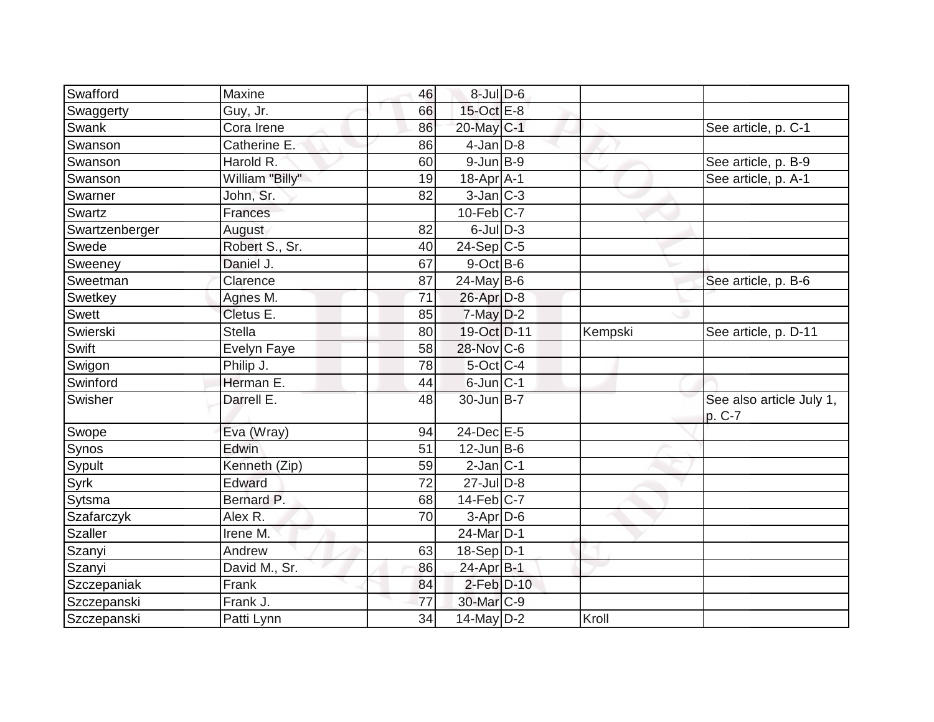|                |                 |    | $8$ -Jul $D$ -6         |         |                                    |
|----------------|-----------------|----|-------------------------|---------|------------------------------------|
| Swafford       | Maxine          | 46 | 15-Oct E-8              |         |                                    |
| Swaggerty      | Guy, Jr.        | 66 |                         |         |                                    |
| Swank          | Cora Irene      | 86 | $20$ -May $ C-1 $       |         | See article, p. C-1                |
| Swanson        | Catherine E.    | 86 | $4$ -Jan $D-8$          |         |                                    |
| Swanson        | Harold R.       | 60 | $9$ -Jun $B-9$          |         | See article, p. B-9                |
| Swanson        | William "Billy" | 19 | $18$ -Apr $A$ -1        |         | See article, p. A-1                |
| Swarner        | John, Sr.       | 82 | $3$ -Jan $ C-3 $        |         |                                    |
| Swartz         | Frances         |    | $10-Feb$ <sub>C-7</sub> |         |                                    |
| Swartzenberger | August          | 82 | $6$ -JulD-3             |         |                                    |
| Swede          | Robert S., Sr.  | 40 | $24-Sep C-5$            |         |                                    |
| Sweeney        | Daniel J.       | 67 | $9$ -Oct B-6            |         |                                    |
| Sweetman       | Clarence        | 87 | $24$ -May B-6           |         | See article, p. B-6                |
| Swetkey        | Agnes M.        | 71 | $26$ -Apr $D-8$         |         |                                    |
| <b>Swett</b>   | Cletus E.       | 85 | $7$ -May $D-2$          |         |                                    |
| Swierski       | <b>Stella</b>   | 80 | 19-Oct D-11             | Kempski | See article, p. D-11               |
| Swift          | Evelyn Faye     | 58 | 28-Nov C-6              |         |                                    |
| Swigon         | Philip J.       | 78 | $5$ -Oct $C$ -4         |         |                                    |
| Swinford       | Herman E.       | 44 | $6$ -Jun $ C-1 $        |         |                                    |
| Swisher        | Darrell E.      | 48 | $30$ -Jun B-7           |         | See also article July 1,<br>p. C-7 |
| Swope          | Eva (Wray)      | 94 | 24-Dec E-5              |         |                                    |
| Synos          | Edwin           | 51 | $12$ -Jun $B$ -6        |         |                                    |
| Sypult         | Kenneth (Zip)   | 59 | $2$ -Jan $ C-1 $        |         |                                    |
| Syrk           | Edward          | 72 | $27 -$ JulD-8           |         |                                    |
| Sytsma         | Bernard P.      | 68 | $14$ -Feb $ C-7$        |         |                                    |
| Szafarczyk     | Alex R.         | 70 | $3-Apr$ $D-6$           |         |                                    |
| Szaller        | Irene M.        |    | 24-Mar D-1              |         |                                    |
| Szanyi         | Andrew          | 63 | $18-Sep D-1$            |         |                                    |
| Szanyi         | David M., Sr.   | 86 | 24-Apr B-1              |         |                                    |
| Szczepaniak    | Frank           | 84 | $2$ -Feb $D-10$         |         |                                    |
| Szczepanski    | Frank J.        | 77 | 30-Mar <sub>IC-9</sub>  |         |                                    |
| Szczepanski    | Patti Lynn      | 34 | $14$ -May D-2           | Kroll   |                                    |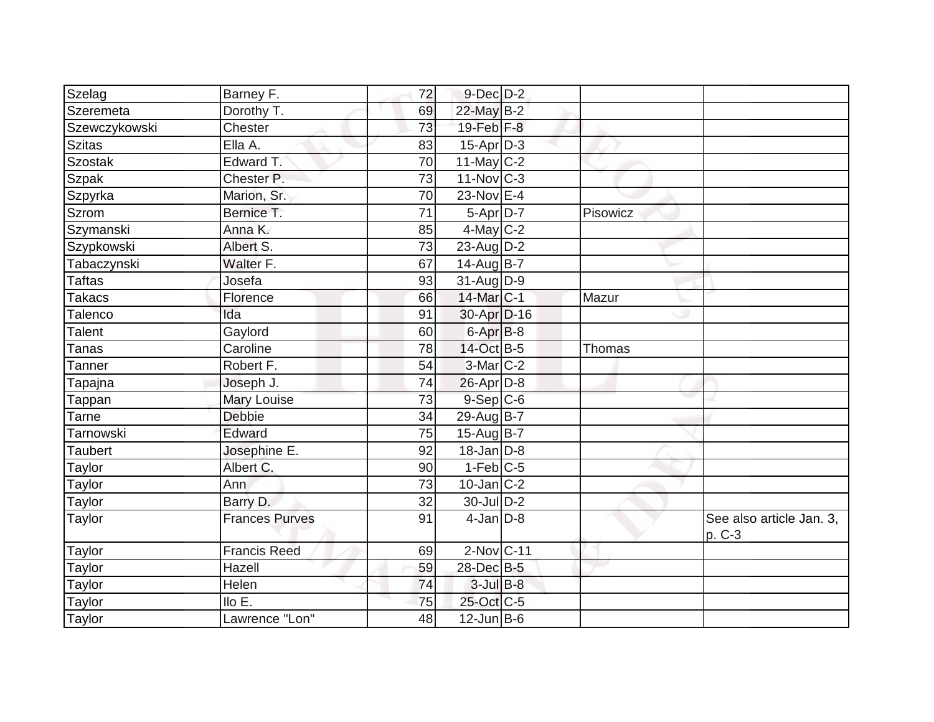| Szelag        | Barney F.             | 72              | $9$ -Dec $D$ -2   |          |                                    |
|---------------|-----------------------|-----------------|-------------------|----------|------------------------------------|
| Szeremeta     | Dorothy T.            | 69              | 22-May B-2        |          |                                    |
| Szewczykowski | Chester               | 73              | 19-Feb F-8        |          |                                    |
| <b>Szitas</b> | Ella A.               | 83              | $15$ -Apr $ D-3 $ |          |                                    |
| Szostak       | Edward T.             | $\overline{70}$ | $11$ -May C-2     |          |                                    |
| Szpak         | Chester P.            | 73              | $11$ -Nov $C-3$   |          |                                    |
| Szpyrka       | Marion, Sr.           | 70              | 23-Nov E-4        |          |                                    |
| <b>Szrom</b>  | Bernice T.            | 71              | $5-Apr$ D-7       | Pisowicz |                                    |
| Szymanski     | Anna K.               | 85              | $4$ -May C-2      |          |                                    |
| Szypkowski    | Albert S.             | 73              | $23$ -AugD-2      |          |                                    |
| Tabaczynski   | Walter F.             | 67              | 14-Aug B-7        |          |                                    |
| Taftas        | Josefa                | 93              | $31$ -Aug $D-9$   |          |                                    |
| Takacs        | Florence              | 66              | 14-Mar C-1        | Mazur    |                                    |
| Talenco       | Ida                   | 91              | 30-Apr D-16       |          |                                    |
| Talent        | Gaylord               | 60              | 6-Apr B-8         |          |                                    |
| Tanas         | Caroline              | 78              | 14-Oct B-5        | Thomas   |                                    |
| Tanner        | Robert F.             | 54              | $3-Mar$ $C-2$     |          |                                    |
| Tapajna       | Joseph J.             | 74              | $26$ -Apr $D-8$   |          |                                    |
| Tappan        | Mary Louise           | 73              | $9-Sep C-6$       |          |                                    |
| Tarne         | <b>Debbie</b>         | 34              | 29-Aug B-7        |          |                                    |
| Tarnowski     | Edward                | 75              | 15-Aug B-7        |          |                                    |
| Taubert       | Josephine E.          | 92              | $18$ -Jan $D-8$   |          |                                    |
| <b>Taylor</b> | Albert C.             | 90              | $1-Feb$ C-5       |          |                                    |
| Taylor        | Ann                   | 73              | $10$ -Jan $ C-2 $ |          |                                    |
| <b>Taylor</b> | Barry D.              | 32              | 30-Jul D-2        |          |                                    |
| Taylor        | <b>Frances Purves</b> | 91              | $4$ -Jan $D-8$    |          | See also article Jan. 3,<br>p. C-3 |
| <b>Taylor</b> | <b>Francis Reed</b>   | 69              | $2$ -Nov $ C-11$  |          |                                    |
| Taylor        | Hazell                | 59              | 28-Dec B-5        |          |                                    |
| Taylor        | Helen                 | 74              | $3$ -Jul B-8      |          |                                    |
| Taylor        | $I$ llo E.            | 75              | 25-Oct C-5        |          |                                    |
| <b>Taylor</b> | Lawrence "Lon"        | 48              | $12$ -Jun B-6     |          |                                    |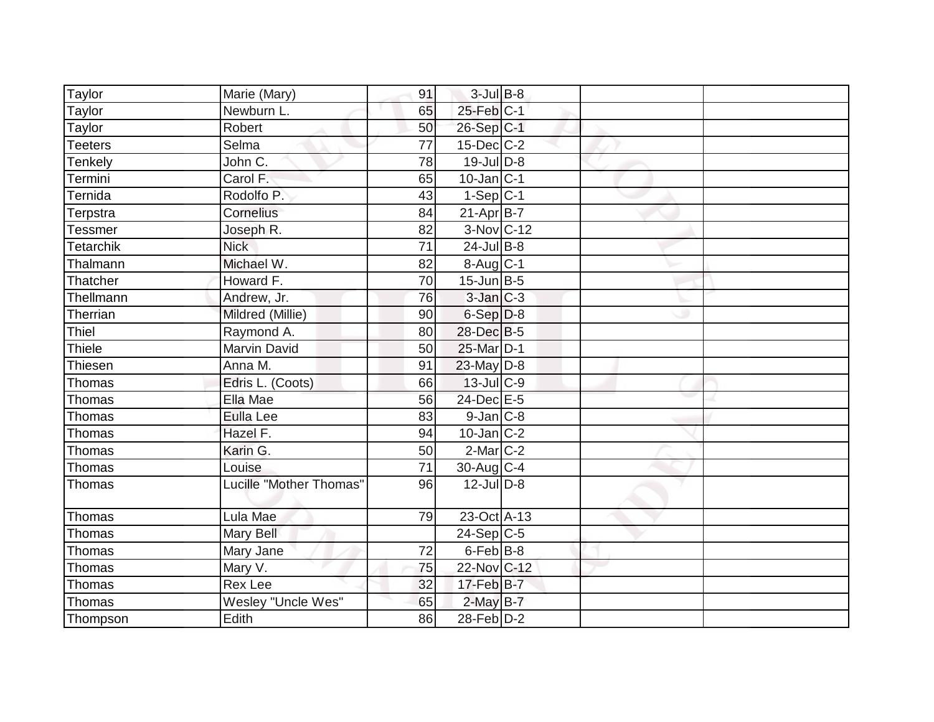| Taylor<br>Marie (Mary)            | 91              | $3$ -Jul B-8           |  |  |
|-----------------------------------|-----------------|------------------------|--|--|
| Taylor<br>Newburn L.              | 65              | 25-Feb C-1             |  |  |
| Taylor<br>Robert                  | 50              | 26-Sep C-1             |  |  |
| Selma<br>Teeters                  | 77              | $15$ -Dec $ C-2 $      |  |  |
| John C.<br>Tenkely                | $\overline{78}$ | $19$ -Jul $D-8$        |  |  |
| Carol F.<br>Termini               | 65              | $10$ -Jan $ C-1 $      |  |  |
| Ternida<br>Rodolfo P.             | 43              | $1-Sep C-1$            |  |  |
| Terpstra<br>Cornelius             | 84              | $21-Apr$ B-7           |  |  |
| Tessmer<br>Joseph R.              | 82              | 3-Nov C-12             |  |  |
| <b>Nick</b><br>Tetarchik          | 71              | $24$ -Jul B-8          |  |  |
| Michael W.<br>Thalmann            | 82              | $8-Aug$ <sub>C-1</sub> |  |  |
| Thatcher<br>Howard F.             | 70              | $15$ -Jun $ B-5 $      |  |  |
| Thellmann<br>Andrew, Jr.          | 76              | $3$ -Jan $C-3$         |  |  |
| Therrian<br>Mildred (Millie)      | 90              | $6-Sep D-8$            |  |  |
| Thiel<br>Raymond A.               | 80              | 28-Dec B-5             |  |  |
| Thiele<br>Marvin David            | 50              | 25-Mar D-1             |  |  |
| Thiesen<br>Anna M.                | 91              | $23$ -May D-8          |  |  |
| Thomas<br>Edris L. (Coots)        | 66              | $13$ -Jul C-9          |  |  |
| Thomas<br>Ella Mae                | 56              | 24-Dec E-5             |  |  |
| Thomas<br><b>Eulla Lee</b>        | 83              | $9$ -Jan $ C$ -8       |  |  |
| Thomas<br>Hazel F.                | 94              | $10$ -Jan $ C-2$       |  |  |
| Thomas<br>Karin G.                | 50              | $2$ -Mar $ C-2 $       |  |  |
| Thomas<br>Louise                  | 71              | 30-Aug C-4             |  |  |
| Lucille "Mother Thomas"<br>Thomas | 96              | $12$ -Jul D-8          |  |  |
| Thomas<br>Lula Mae                | 79              | 23-Oct A-13            |  |  |
| Thomas<br>Mary Bell               |                 | $24-Sep C-5$           |  |  |
| Mary Jane<br>Thomas               | 72              | $6$ -Feb $ B-8$        |  |  |
| Thomas<br>Mary V.                 | 75              | 22-Nov C-12            |  |  |
| Thomas<br><b>Rex Lee</b>          | 32              | $17$ -Feb $B$ -7       |  |  |
| Thomas<br>Wesley "Uncle Wes"      | 65              | $2$ -May B-7           |  |  |
| Thompson<br>Edith                 | 86              | $28$ -Feb $ D-2 $      |  |  |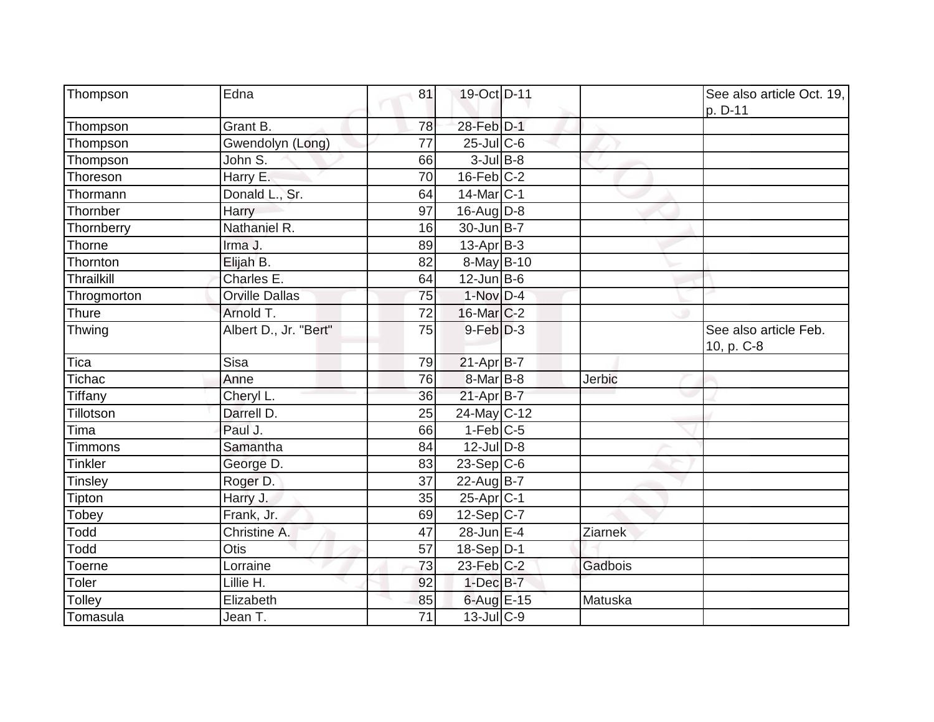| Thompson          | Edna                  | 81              | 19-Oct D-11       |         | See also article Oct. 19,<br>p. D-11 |
|-------------------|-----------------------|-----------------|-------------------|---------|--------------------------------------|
| Thompson          | Grant B.              | 78              | 28-Feb D-1        |         |                                      |
| Thompson          | Gwendolyn (Long)      | 77              | $25$ -JulC-6      |         |                                      |
| Thompson          | John S.               | 66              | $3$ -Jul $B-8$    |         |                                      |
| Thoreson          | Harry E.              | 70              | $16$ -Feb $C-2$   |         |                                      |
| Thormann          | Donald L., Sr.        | 64              | $14$ -Mar $ C-1$  |         |                                      |
| Thornber          | Harry                 | 97              | $16$ -Aug $D-8$   |         |                                      |
| Thornberry        | Nathaniel R.          | 16              | 30-Jun B-7        |         |                                      |
| Thorne            | Irma J.               | 89              | $13$ -Apr $ B-3 $ |         |                                      |
| Thornton          | Elijah B.             | 82              | 8-May B-10        |         |                                      |
| <b>Thrailkill</b> | Charles E.            | 64              | $12$ -Jun $B-6$   |         |                                      |
| Throgmorton       | Orville Dallas        | 75              | $1-Nov$ D-4       |         |                                      |
| Thure             | Arnold T.             | 72              | $16$ -Mar $ C-2 $ |         |                                      |
| Thwing            | Albert D., Jr. "Bert" | 75              | $9$ -Feb $D-3$    |         | See also article Feb.<br>10, p. C-8  |
| Tica              | Sisa                  | 79              | $21-Apr$ B-7      |         |                                      |
| Tichac            | Anne                  | 76              | 8-Mar B-8         | Jerbic  |                                      |
| Tiffany           | Cheryl L.             | 36              | 21-Apr B-7        |         |                                      |
| Tillotson         | Darrell D.            | 25              | 24-May C-12       |         |                                      |
| Tima              | Paul J.               | 66              | $1-Feb$ C-5       |         |                                      |
| <b>Timmons</b>    | Samantha              | 84              | $12$ -JulD-8      |         |                                      |
| <b>Tinkler</b>    | George D.             | 83              | $23-Sep$ C-6      |         |                                      |
| <b>Tinsley</b>    | Roger D.              | 37              | 22-Aug B-7        |         |                                      |
| Tipton            | Harry J.              | 35              | $25-Apr$ C-1      |         |                                      |
| Tobey             | Frank, Jr.            | 69              | 12-Sep C-7        |         |                                      |
| Todd              | Christine A.          | 47              | 28-Jun E-4        | Ziarnek |                                      |
| Todd              | Otis                  | 57              | $18-Sep D-1$      |         |                                      |
| Toerne            | Lorraine              | 73              | $23$ -Feb $ C-2$  | Gadbois |                                      |
| Toler             | Lillie H.             | 92              | $1$ -Dec $B-7$    |         |                                      |
| Tolley            | Elizabeth             | 85              | 6-Aug E-15        | Matuska |                                      |
| Tomasula          | Jean T.               | $\overline{71}$ | $13 -$ Jul C-9    |         |                                      |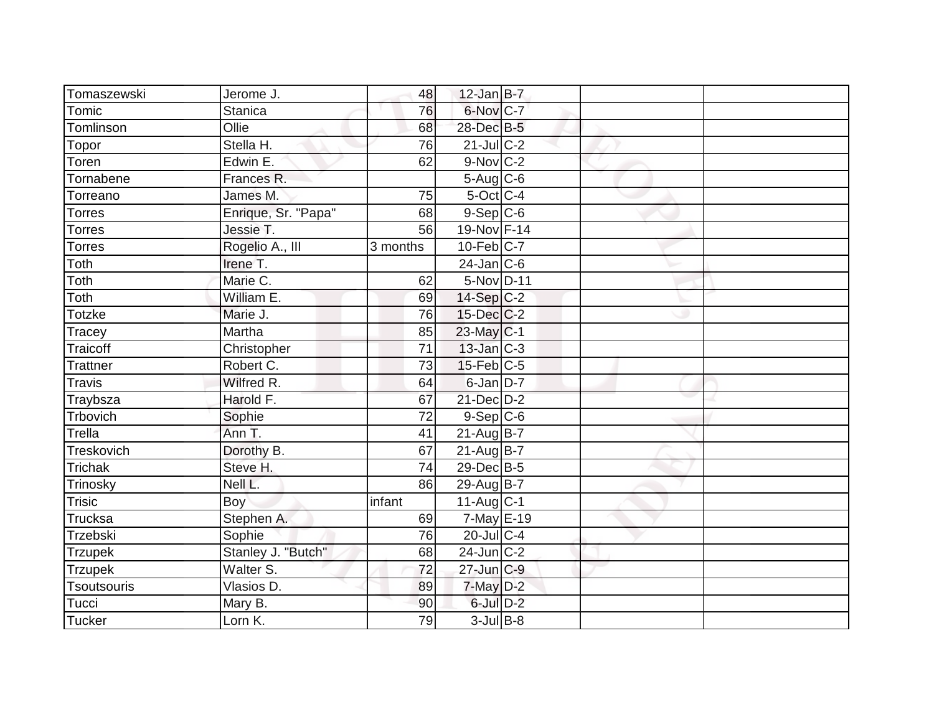| Tomaszewski        | Jerome J.           | 48              | $12$ -Jan B-7     |  |  |
|--------------------|---------------------|-----------------|-------------------|--|--|
| Tomic              | <b>Stanica</b>      | 76              | 6-Nov C-7         |  |  |
| Tomlinson          | Ollie               | 68              | 28-Dec B-5        |  |  |
| Topor              | Stella H.           | 76              | $21$ -JulC-2      |  |  |
| Toren              | Edwin E.            | 62              | $9-Nov$ C-2       |  |  |
| Tornabene          | Frances R.          |                 | 5-Aug C-6         |  |  |
| Torreano           | James M.            | 75              | $5$ -Oct $C$ -4   |  |  |
| <b>Torres</b>      | Enrique, Sr. "Papa" | 68              | $9-Sep C-6$       |  |  |
| <b>Torres</b>      | Jessie T.           | 56              | 19-Nov F-14       |  |  |
| <b>Torres</b>      | Rogelio A., III     | 3 months        | $10$ -Feb $ C-7$  |  |  |
| Toth               | Irene T.            |                 | $24$ -Jan $ C-6$  |  |  |
| Toth               | Marie C.            | 62              | 5-Nov D-11        |  |  |
| Toth               | William E.          | 69              | $14-Sep$ C-2      |  |  |
| Totzke             | Marie J.            | 76              | $15$ -Dec $C$ -2  |  |  |
| Tracey             | Martha              | 85              | $23$ -May C-1     |  |  |
| Traicoff           | Christopher         | 71              | 13-Jan C-3        |  |  |
| <b>Trattner</b>    | Robert C.           | $\overline{73}$ | $15$ -Feb $ C$ -5 |  |  |
| <b>Travis</b>      | Wilfred R.          | 64              | $6$ -Jan $D-7$    |  |  |
| Traybsza           | Harold F.           | 67              | $21$ -Dec $D-2$   |  |  |
| Trbovich           | Sophie              | 72              | $9-Sep C-6$       |  |  |
| Trella             | Ann T.              | 41              | $21$ -Aug B-7     |  |  |
| Treskovich         | Dorothy B.          | 67              | $21$ -Aug $B$ -7  |  |  |
| <b>Trichak</b>     | Steve H.            | 74              | 29-Dec B-5        |  |  |
| Trinosky           | Nell L.             | 86              | 29-Aug B-7        |  |  |
| Trisic             | Boy                 | infant          | $11$ -Aug C-1     |  |  |
| Trucksa            | Stephen A.          | 69              | $7$ -May $E-19$   |  |  |
| <b>Trzebski</b>    | Sophie              | 76              | $20$ -Jul C-4     |  |  |
| <b>Trzupek</b>     | Stanley J. "Butch"  | 68              | $24$ -Jun $ C-2$  |  |  |
| <b>Trzupek</b>     | Walter S.           | 72              | $27$ -Jun $C-9$   |  |  |
| <b>Tsoutsouris</b> | Vlasios D.          | 89              | $7$ -May $D-2$    |  |  |
| Tucci              | Mary B.             | 90              | 6-Jul D-2         |  |  |
| <b>Tucker</b>      | Lorn K.             | 79              | $3$ -Jul B-8      |  |  |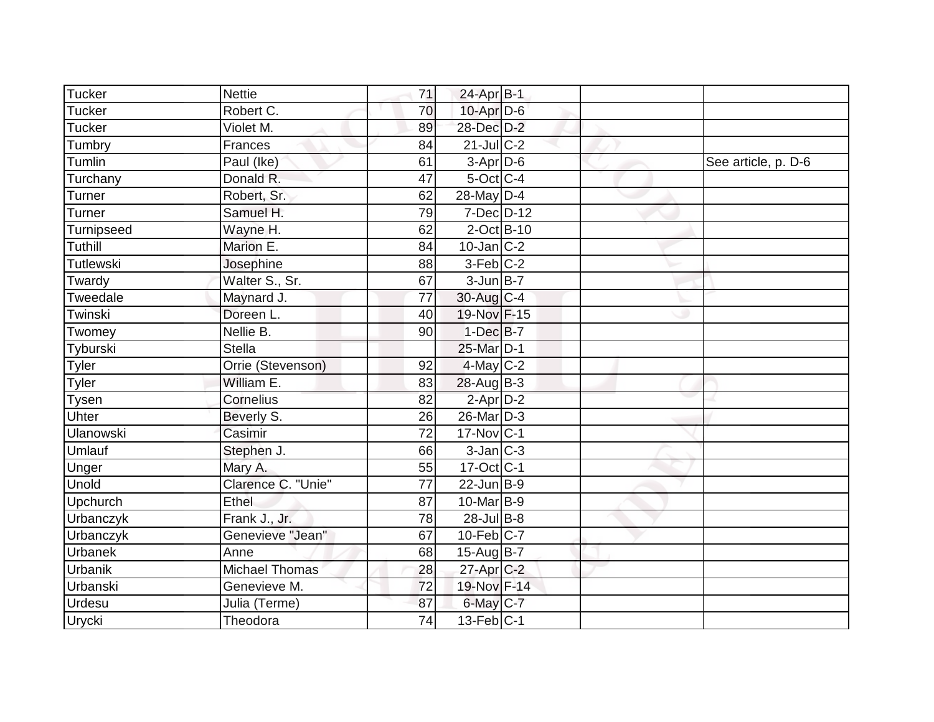| Tucker           | <b>Nettie</b>         | 71 | 24-Apr B-1        |  |                     |
|------------------|-----------------------|----|-------------------|--|---------------------|
| Tucker           | Robert C.             | 70 | $10$ -Apr $D-6$   |  |                     |
| <b>Tucker</b>    | Violet M.             | 89 | 28-Dec D-2        |  |                     |
| Tumbry           | Frances               | 84 | $21$ -JulC-2      |  |                     |
| Tumlin           | Paul (Ike)            | 61 | 3-Apr D-6         |  | See article, p. D-6 |
| Turchany         | Donald R.             | 47 | $5$ -Oct C-4      |  |                     |
| Turner           | Robert, Sr.           | 62 | $28$ -May D-4     |  |                     |
| Turner           | Samuel H.             | 79 | 7-Dec D-12        |  |                     |
| Turnipseed       | Wayne H.              | 62 | $2$ -Oct B-10     |  |                     |
| Tuthill          | Marion E.             | 84 | $10$ -Jan $ C-2 $ |  |                     |
| Tutlewski        | Josephine             | 88 | $3-Feb$ C-2       |  |                     |
| Twardy           | Walter S., Sr.        | 67 | $3$ -Jun $B-7$    |  |                     |
| Tweedale         | Maynard J.            | 77 | 30-Aug C-4        |  |                     |
| Twinski          | Doreen L.             | 40 | 19-Nov F-15       |  |                     |
| Twomey           | Nellie B.             | 90 | $1-Dec$ B-7       |  |                     |
| Tyburski         | <b>Stella</b>         |    | 25-Mar D-1        |  |                     |
| <b>Tyler</b>     | Orrie (Stevenson)     | 92 | $4$ -May C-2      |  |                     |
| Tyler            | William E.            | 83 | $28$ -Aug B-3     |  |                     |
| Tysen            | Cornelius             | 82 | $2$ -Apr $D-2$    |  |                     |
| Uhter            | Beverly S.            | 26 | 26-Mar D-3        |  |                     |
| Ulanowski        | Casimir               | 72 | $17$ -Nov $ C-1$  |  |                     |
| Umlauf           | Stephen J.            | 66 | $3$ -Jan $ C-3 $  |  |                     |
| Unger            | Mary A.               | 55 | 17-Oct C-1        |  |                     |
| <b>Unold</b>     | Clarence C. "Unie"    | 77 | $22$ -Jun $B-9$   |  |                     |
| Upchurch         | Ethel                 | 87 | $10$ -Mar $ B-9 $ |  |                     |
| <b>Urbanczyk</b> | Frank J., Jr.         | 78 | 28-Jul B-8        |  |                     |
| Urbanczyk        | Genevieve "Jean"      | 67 | $10$ -Feb $ C-7$  |  |                     |
| Urbanek          | Anne                  | 68 | 15-Aug B-7        |  |                     |
| <b>Urbanik</b>   | <b>Michael Thomas</b> | 28 | $27$ -Apr $C-2$   |  |                     |
| Urbanski         | Genevieve M.          | 72 | 19-Nov F-14       |  |                     |
| <b>Urdesu</b>    | Julia (Terme)         | 87 | $6$ -May $C$ -7   |  |                     |
| Urycki           | Theodora              | 74 | $13$ -Feb $ C-1 $ |  |                     |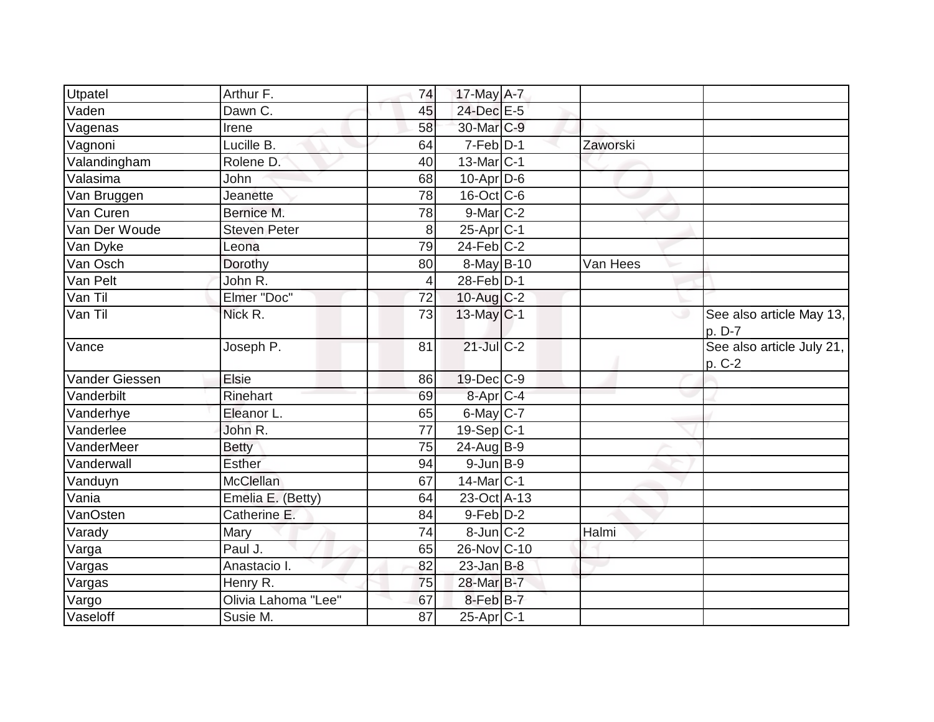| Utpatel        | Arthur F.           | 74             | 17-May A-7                |          |                                     |
|----------------|---------------------|----------------|---------------------------|----------|-------------------------------------|
| Vaden          | Dawn C.             | 45             | 24-Dec E-5                |          |                                     |
| Vagenas        | Irene               | 58             | 30-Mar C-9                |          |                                     |
| Vagnoni        | Lucille B.          | 64             | $7-Feb$ D-1               | Zaworski |                                     |
| Valandingham   | Rolene D.           | 40             | 13-Mar C-1                |          |                                     |
| Valasima       | John                | 68             | $10-Apr\overline{D-6}$    |          |                                     |
| Van Bruggen    | Jeanette            | 78             | $16$ -Oct $ C$ -6         |          |                                     |
| Van Curen      | Bernice M.          | 78             | 9-Mar C-2                 |          |                                     |
| Van Der Woude  | <b>Steven Peter</b> | 8              | $25 - \overline{Apr}$ C-1 |          |                                     |
| Van Dyke       | Leona               | 79             | $24$ -Feb $C-2$           |          |                                     |
| Van Osch       | Dorothy             | 80             | $8$ -May B-10             | Van Hees |                                     |
| Van Pelt       | John R.             | $\overline{4}$ | $28$ -Feb $D-1$           |          |                                     |
| Van Til        | Elmer "Doc"         | 72             | $10$ -Aug $C-2$           |          |                                     |
| Van Til        | Nick R.             | 73             | 13-May C-1                | ت        | See also article May 13,<br>p. D-7  |
| Vance          | Joseph P.           | 81             | $21$ -Jul C-2             |          | See also article July 21,<br>p. C-2 |
| Vander Giessen | Elsie               | 86             | 19-Dec C-9                |          |                                     |
| Vanderbilt     | Rinehart            | 69             | $8-Apr$ $C-4$             |          |                                     |
| Vanderhye      | Eleanor L.          | 65             | 6-May C-7                 |          |                                     |
| Vanderlee      | John R.             | 77             | $19-Sep C-1$              |          |                                     |
| VanderMeer     | <b>Betty</b>        | 75             | $24$ -Aug $B-9$           |          |                                     |
| Vanderwall     | <b>Esther</b>       | 94             | $9$ -Jun $B-9$            |          |                                     |
| Vanduyn        | <b>McClellan</b>    | 67             | 14-Mar C-1                |          |                                     |
| Vania          | Emelia E. (Betty)   | 64             | 23-Oct A-13               |          |                                     |
| VanOsten       | Catherine E.        | 84             | $9$ -Feb $D-2$            |          |                                     |
| Varady         | Mary                | 74             | $8$ -Jun $C-2$            | Halmi    |                                     |
| Varga          | Paul J.             | 65             | 26-Nov C-10               |          |                                     |
| Vargas         | Anastacio I.        | 82             | $23$ -Jan B-8             |          |                                     |
| Vargas         | Henry R.            | 75             | 28-Mar B-7                |          |                                     |
| Vargo          | Olivia Lahoma "Lee" | 67             | 8-Feb <sup>B-7</sup>      |          |                                     |
| Vaseloff       | Susie M.            | 87             | $25-Apr$ C-1              |          |                                     |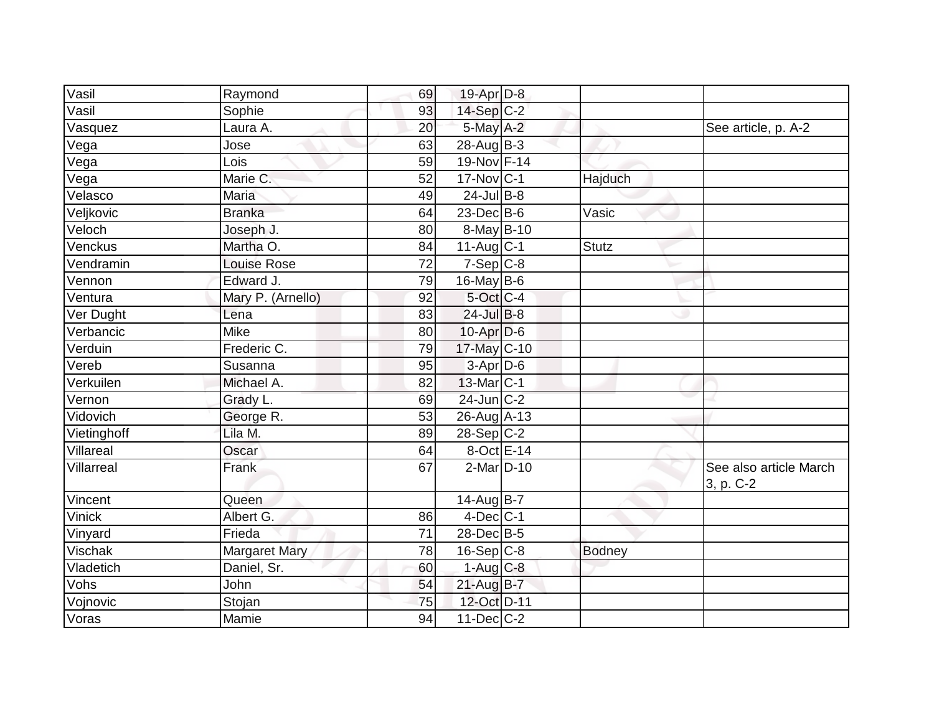| Vasil       | Raymond              | 69 | 19-Apr D-8              |               |                                     |
|-------------|----------------------|----|-------------------------|---------------|-------------------------------------|
| Vasil       | Sophie               | 93 | $14-Sep C-2$            |               |                                     |
| Vasquez     | Laura A.             | 20 | $5$ -May $A-2$          |               | See article, p. A-2                 |
| Vega        | Jose                 | 63 | $28$ -Aug $ B-3 $       |               |                                     |
| Vega        | Lois                 | 59 | 19-Nov F-14             |               |                                     |
| Vega        | Marie C.             | 52 | $17$ -Nov $ C-1$        | Hajduch       |                                     |
| Velasco     | <b>Maria</b>         | 49 | $24$ -Jul B-8           |               |                                     |
| Veljkovic   | <b>Branka</b>        | 64 | $23$ -Dec $B-6$         | Vasic         |                                     |
| Veloch      | Joseph J.            | 80 | $8$ -May $B$ -10        |               |                                     |
| Venckus     | Martha O.            | 84 | $11-Aug$ <sub>C-1</sub> | <b>Stutz</b>  |                                     |
| Vendramin   | <b>Louise Rose</b>   | 72 | $7-Sep$ C-8             |               |                                     |
| Vennon      | Edward J.            | 79 | $16$ -May B-6           |               |                                     |
| Ventura     | Mary P. (Arnello)    | 92 | $5$ -Oct C-4            |               |                                     |
| Ver Dught   | Lena                 | 83 | 24-Jul B-8              |               |                                     |
| Verbancic   | <b>Mike</b>          | 80 | $10$ -Apr $D-6$         |               |                                     |
| Verduin     | Frederic C.          | 79 | 17-May C-10             |               |                                     |
| Vereb       | Susanna              | 95 | 3-Apr D-6               |               |                                     |
| Verkuilen   | Michael A.           | 82 | 13-Mar C-1              |               |                                     |
| Vernon      | Grady L.             | 69 | $24$ -Jun $C-2$         |               |                                     |
| Vidovich    | George R.            | 53 | 26-Aug A-13             |               |                                     |
| Vietinghoff | Lila M.              | 89 | $28-Sep C-2$            |               |                                     |
| Villareal   | Oscar                | 64 | $8-Oct$ E-14            |               |                                     |
| Villarreal  | Frank                | 67 | $2$ -Mar $D-10$         |               | See also article March<br>3, p. C-2 |
| Vincent     | Queen                |    | 14-Aug B-7              |               |                                     |
| Vinick      | Albert G.            | 86 | $4$ -Dec $ C-1 $        |               |                                     |
| Vinyard     | Frieda               | 71 | 28-Dec B-5              |               |                                     |
| Vischak     | <b>Margaret Mary</b> | 78 | $16-Sep C-8$            | <b>Bodney</b> |                                     |
| Vladetich   | Daniel, Sr.          | 60 | $1-Aug$ $C-8$           |               |                                     |
| Vohs        | John                 | 54 | $21-AugB-7$             |               |                                     |
| Vojnovic    | Stojan               | 75 | 12-Oct D-11             |               |                                     |
| Voras       | Mamie                | 94 | $11$ -Dec $C-2$         |               |                                     |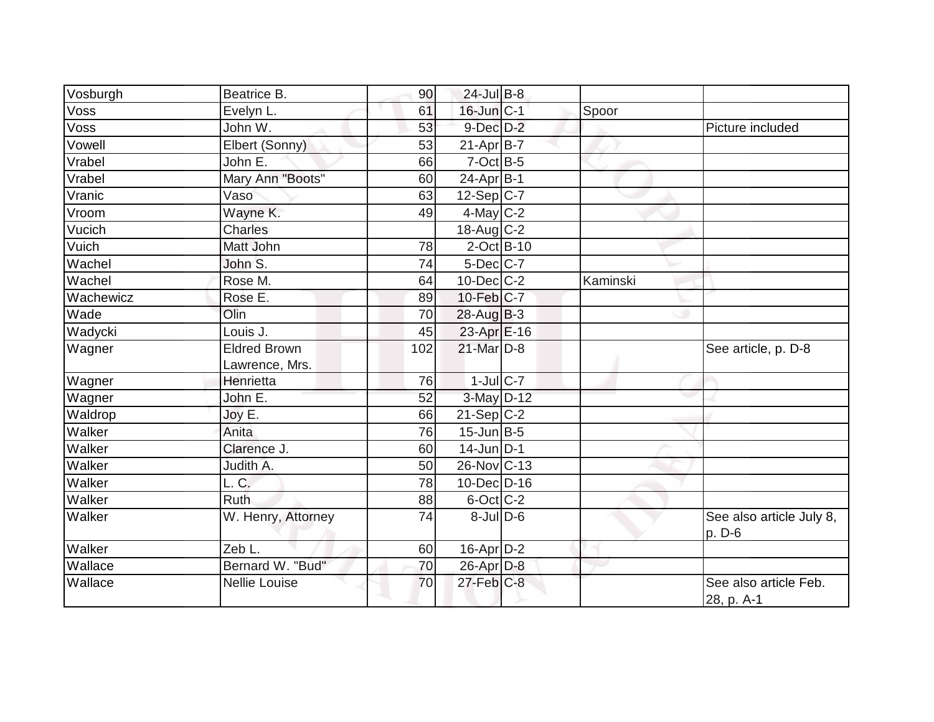| Vosburgh  | Beatrice B.                           | 90  | $24$ -Jul B-8     |          |                                     |
|-----------|---------------------------------------|-----|-------------------|----------|-------------------------------------|
| Voss      | Evelyn L.                             | 61  | 16-Jun C-1        | Spoor    |                                     |
| Voss      | John W.                               | 53  | $9$ -Dec $D-2$    |          | Picture included                    |
| Vowell    | Elbert (Sonny)                        | 53  | $21-Apr B-7$      |          |                                     |
| Vrabel    | John E.                               | 66  | 7-Oct B-5         |          |                                     |
| Vrabel    | Mary Ann "Boots"                      | 60  | 24-Apr B-1        |          |                                     |
| Vranic    | Vaso                                  | 63  | $12-Sep C-7$      |          |                                     |
| Vroom     | Wayne K.                              | 49  | $4$ -May C-2      |          |                                     |
| Vucich    | <b>Charles</b>                        |     | $18$ -Aug C-2     |          |                                     |
| Vuich     | Matt John                             | 78  | 2-Oct B-10        |          |                                     |
| Wachel    | John S.                               | 74  | $5$ -Dec $ C$ -7  |          |                                     |
| Wachel    | Rose M.                               | 64  | $10$ -Dec $C$ -2  | Kaminski |                                     |
| Wachewicz | Rose E.                               | 89  | 10-Feb C-7        |          |                                     |
| Wade      | Olin                                  | 70  | $28$ -Aug B-3     |          |                                     |
| Wadycki   | Louis J.                              | 45  | 23-Apr E-16       |          |                                     |
| Wagner    | <b>Eldred Brown</b><br>Lawrence, Mrs. | 102 | 21-Mar D-8        |          | See article, p. D-8                 |
| Wagner    | Henrietta                             | 76  | $1$ -Jul $C$ -7   |          |                                     |
| Wagner    | John E.                               | 52  | $3-May$ D-12      |          |                                     |
| Waldrop   | Joy E.                                | 66  | $21-Sep C-2$      |          |                                     |
| Walker    | Anita                                 | 76  | $15$ -Jun $ B-5 $ |          |                                     |
| Walker    | Clarence J.                           | 60  | $14$ -Jun D-1     |          |                                     |
| Walker    | Judith A.                             | 50  | 26-Nov C-13       |          |                                     |
| Walker    | L. C.                                 | 78  | 10-Dec D-16       |          |                                     |
| Walker    | Ruth                                  | 88  | $6$ -Oct $ C$ -2  |          |                                     |
| Walker    | W. Henry, Attorney                    | 74  | $8$ -Jul $D$ -6   |          | See also article July 8,<br>p. D-6  |
| Walker    | Zeb L.                                | 60  | 16-Apr D-2        |          |                                     |
| Wallace   | Bernard W. "Bud"                      | 70  | 26-Apr D-8        |          |                                     |
| Wallace   | <b>Nellie Louise</b>                  | 70  | $27$ -Feb $C-8$   |          | See also article Feb.<br>28, p. A-1 |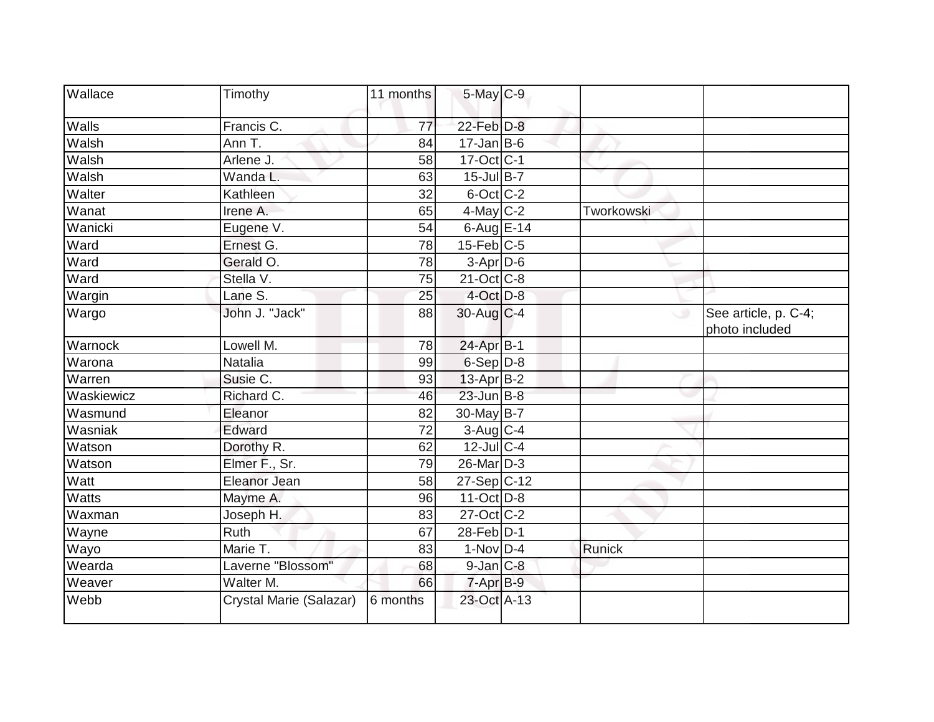| <b>Wallace</b> | Timothy                 | 11 months       | 5-May C-9         |            |                                        |
|----------------|-------------------------|-----------------|-------------------|------------|----------------------------------------|
| Walls          | Francis C.              | $\overline{77}$ | 22-Feb D-8        |            |                                        |
| Walsh          | Ann T.                  | 84              | $17$ -Jan B-6     |            |                                        |
| Walsh          | Arlene J.               | 58              | 17-Oct C-1        |            |                                        |
| Walsh          | Wanda L.                | 63              | 15-Jul B-7        |            |                                        |
| Walter         | Kathleen                | 32              | $6$ -Oct $ C$ -2  |            |                                        |
| Wanat          | Irene A.                | 65              | $4$ -May C-2      | Tworkowski |                                        |
| Wanicki        | Eugene V.               | 54              | 6-Aug $E-14$      |            |                                        |
| Ward           | Ernest G.               | 78              | $15$ -Feb $C$ -5  |            |                                        |
| Ward           | Gerald O.               | 78              | 3-Apr D-6         |            |                                        |
| Ward           | Stella V.               | 75              | 21-Oct C-8        |            |                                        |
| Wargin         | Lane S.                 | 25              | $4$ -Oct $D-8$    |            |                                        |
| Wargo          | John J. "Jack"          | 88              | $30$ -Aug C-4     | ◡          | See article, p. C-4;<br>photo included |
| Warnock        | Lowell M.               | 78              | 24-Apr B-1        |            |                                        |
| Warona         | <b>Natalia</b>          | 99              | 6-Sep D-8         |            |                                        |
| Warren         | Susie C.                | 93              | 13-Apr B-2        |            |                                        |
| Waskiewicz     | Richard C.              | 46              | $23$ -Jun B-8     |            |                                        |
| Wasmund        | Eleanor                 | 82              | 30-May B-7        |            |                                        |
| Wasniak        | Edward                  | 72              | $3$ -Aug C-4      |            |                                        |
| Watson         | Dorothy R.              | 62              | $12$ -Jul C-4     |            |                                        |
| Watson         | Elmer F., Sr.           | 79              | $26$ -Mar $ D-3 $ |            |                                        |
| Watt           | Eleanor Jean            | 58              | $27-Sep C-12$     |            |                                        |
| Watts          | Mayme A.                | 96              | $11-Oct$ D-8      |            |                                        |
| Waxman         | Joseph H.               | 83              | 27-Oct C-2        |            |                                        |
| Wayne          | Ruth                    | 67              | 28-Feb D-1        |            |                                        |
| Wayo           | Marie T.                | 83              | $1-Nov D-4$       | Runick     |                                        |
| Wearda         | Laverne "Blossom"       | 68              | $9$ -Jan $C$ -8   |            |                                        |
| Weaver         | Walter M.               | 66              | $7-AprB-9$        |            |                                        |
| Webb           | Crystal Marie (Salazar) | 6 months        | 23-Oct A-13       |            |                                        |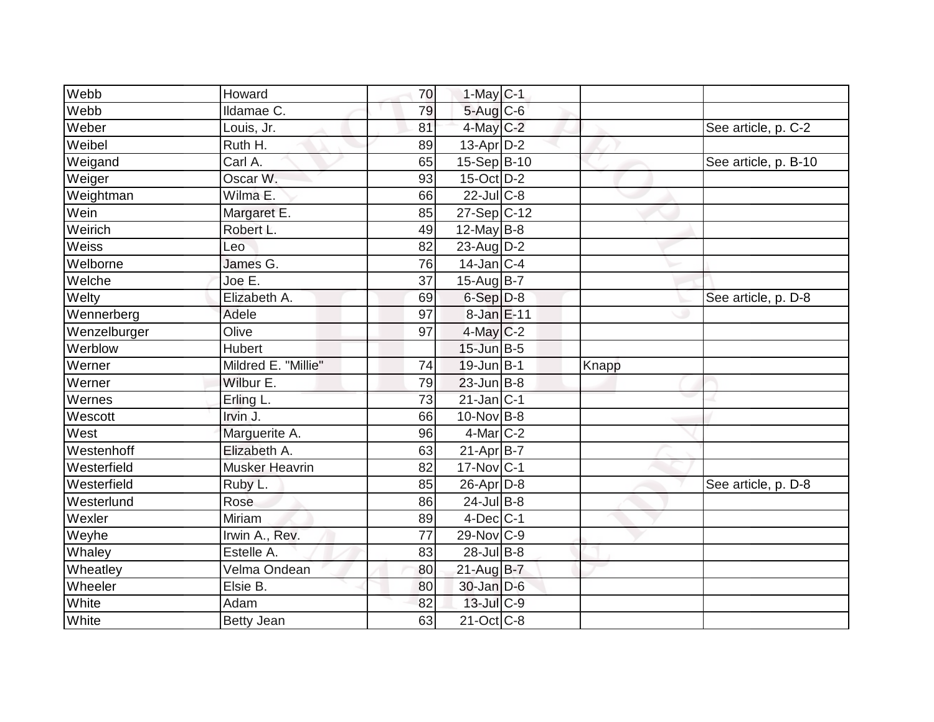| Webb           | Howard                | 70 | $1-May$ <sub>C-1</sub>      |       |                      |
|----------------|-----------------------|----|-----------------------------|-------|----------------------|
| Webb           | Ildamae C.            | 79 | 5-Aug C-6                   |       |                      |
| Weber          | Louis, Jr.            | 81 | 4-May C-2                   |       | See article, p. C-2  |
| Weibel         | Ruth H.               | 89 | $13$ -Apr $D-2$             |       |                      |
| Weigand        | $\overline{C}$ arl A. | 65 | 15-Sep B-10                 |       | See article, p. B-10 |
| Weiger         | Oscar W.              | 93 | $15$ -Oct $D-2$             |       |                      |
| Weightman      | Wilma E.              | 66 | $22$ -Jul C-8               |       |                      |
| Wein           | Margaret E.           | 85 | $27-Sep C-12$               |       |                      |
| Weirich        | Robert L.             | 49 | $12$ -May B-8               |       |                      |
| Weiss          | Leo                   | 82 | $23$ -Aug D-2               |       |                      |
| Welborne       | James G.              | 76 | $14$ -Jan C-4               |       |                      |
| Welche         | Joe E.                | 37 | 15-Aug B-7                  |       |                      |
| Welty          | Elizabeth A.          | 69 | $6-Sep$ D-8                 |       | See article, p. D-8  |
| Wennerberg     | Adele                 | 97 | 8-Jan E-11                  |       |                      |
| Wenzelburger   | Olive                 | 97 | 4-May C-2                   |       |                      |
| Werblow        | Hubert                |    | $15$ -Jun $B-5$             |       |                      |
|                |                       |    |                             |       |                      |
| Werner         | Mildred E. "Millie"   | 74 | $19$ -Jun $B-1$             | Knapp |                      |
| Werner         | Wilbur E.             | 79 | $23$ -Jun B-8               |       |                      |
| Wernes         | Erling L.             | 73 | $21$ -Jan $ C-1 $           |       |                      |
| Wescott        | Irvin $J.$            | 66 | $10$ -Nov B-8               |       |                      |
| West           | Marguerite A.         | 96 | $4$ -Mar $C-2$              |       |                      |
| Westenhoff     | Elizabeth A.          | 63 | $21-Apr B-7$                |       |                      |
| Westerfield    | <b>Musker Heavrin</b> | 82 | $17$ -Nov $ C-1 $           |       |                      |
| Westerfield    | Ruby L.               | 85 | $26$ -Apr $D-8$             |       | See article, p. D-8  |
| Westerlund     | Rose                  | 86 | $24$ -Jul B-8               |       |                      |
| Wexler         | <b>Miriam</b>         | 89 | $4$ -Dec $ C-1 $            |       |                      |
| Weyhe          | Irwin A., Rev.        | 77 | 29-Nov C-9                  |       |                      |
| Whaley         | Estelle A.            | 83 | $28$ -Jul B-8               |       |                      |
| Wheatley       | Velma Ondean          | 80 | $21$ -Aug $B - 7$           |       |                      |
| Wheeler        | Elsie B.              | 80 | $30$ -Jan $D-6$             |       |                      |
| White<br>White | Adam                  | 82 | $13$ -Jul C-9<br>21-Oct C-8 |       |                      |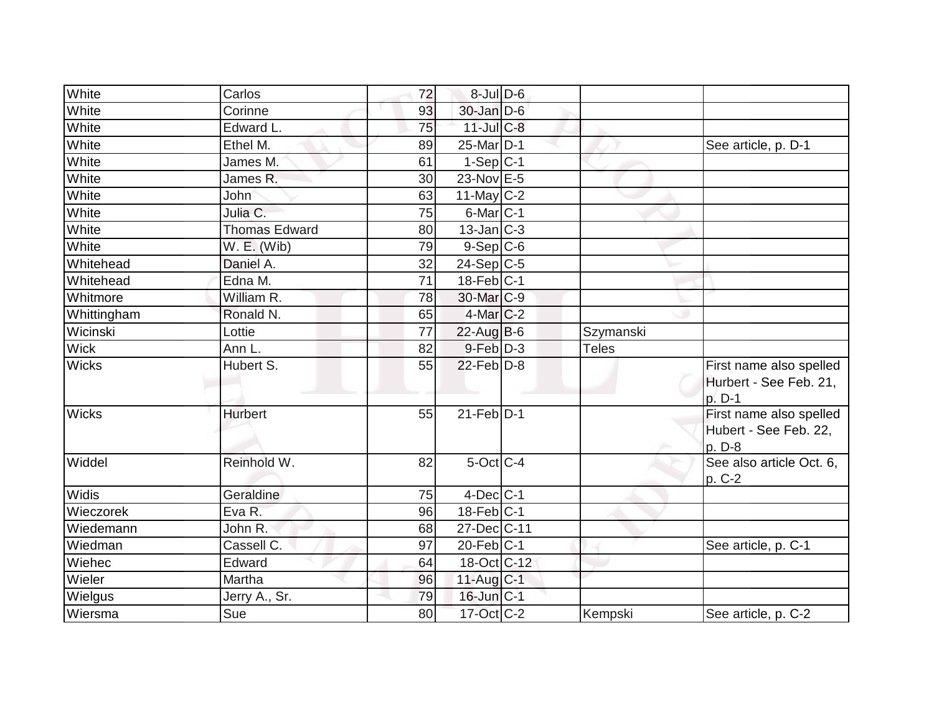| White        | Carlos               | 72 | $8$ -Jul $D$ -6         |              |                                                             |
|--------------|----------------------|----|-------------------------|--------------|-------------------------------------------------------------|
| White        | Corinne              | 93 | 30-Jan D-6              |              |                                                             |
| White        | Edward L.            | 75 | $11$ -Jul $C$ -8        |              |                                                             |
| White        | Ethel M.             | 89 | $25$ -Mar $ D-1 $       |              | See article, p. D-1                                         |
| White        | James M.             | 61 | $1-Sep$ C-1             |              |                                                             |
| White        | James R.             | 30 | 23-Nov E-5              |              |                                                             |
| White        | <b>John</b>          | 63 | $11$ -May C-2           |              |                                                             |
| White        | Julia C.             | 75 | $6$ -Mar $ C-1 $        |              |                                                             |
| White        | <b>Thomas Edward</b> | 80 | $13$ -Jan $ C-3 $       |              |                                                             |
| White        | $W.E.$ (Wib)         | 79 | $9-$ Sep $ C-6$         |              |                                                             |
| Whitehead    | Daniel A.            | 32 | $24-Sep C-5$            |              |                                                             |
| Whitehead    | Edna M.              | 71 | $18$ -Feb $ C-1 $       |              |                                                             |
| Whitmore     | William R.           | 78 | 30-Mar C-9              |              |                                                             |
| Whittingham  | Ronald N.            | 65 | $4$ -Mar $ C-2 $        |              |                                                             |
| Wicinski     | Lottie               | 77 | $22$ -Aug B-6           | Szymanski    |                                                             |
| Wick         | Ann L.               | 82 | $9$ -Feb $D-3$          | <b>Teles</b> |                                                             |
| <b>Wicks</b> | Hubert S.            | 55 | $22$ -Feb $D-8$         |              | First name also spelled<br>Hurbert - See Feb. 21,<br>p. D-1 |
| <b>Wicks</b> | <b>Hurbert</b>       | 55 | $21$ -Feb $ D-1 $       |              | First name also spelled<br>Hubert - See Feb. 22,<br>p. D-8  |
| Widdel       | Reinhold W.          | 82 | 5-Oct C-4               |              | See also article Oct. 6,<br>p. C-2                          |
| <b>Widis</b> | Geraldine            | 75 | $4$ -Dec $ C-1 $        |              |                                                             |
| Wieczorek    | Eva R.               | 96 | $18$ -Feb $ C-1 $       |              |                                                             |
| Wiedemann    | John R.              | 68 | 27-Dec C-11             |              |                                                             |
| Wiedman      | Cassell C.           | 97 | $20$ -Feb $ C-1 $       |              | See article, p. C-1                                         |
| Wiehec       | Edward               | 64 | 18-Oct C-12             |              |                                                             |
| Wieler       | Martha               | 96 | $11$ -Aug C-1           |              |                                                             |
| Wielgus      | Jerry A., Sr.        | 79 | $16$ -Jun $ C-1 $       |              |                                                             |
| Wiersma      | Sue                  | 80 | $17-Oct$ <sub>C-2</sub> | Kempski      | See article, p. C-2                                         |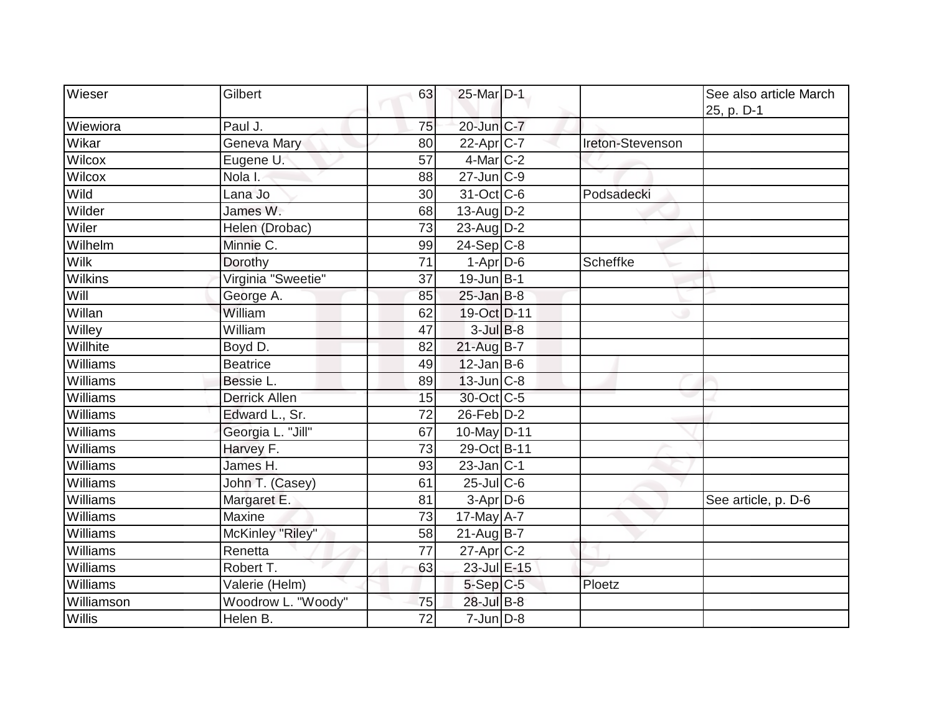| Wieser      | Gilbert              | 63 | 25-Mar D-1               |                  | See also article March |
|-------------|----------------------|----|--------------------------|------------------|------------------------|
|             |                      |    |                          |                  | 25, p. D-1             |
| Wiewiora    | Paul J.              | 75 | 20-Jun C-7               |                  |                        |
| Wikar       | Geneva Mary          | 80 | $22-Apr$ C-7             | Ireton-Stevenson |                        |
| Wilcox      | Eugene U.            | 57 | $4$ -Mar $C-2$           |                  |                        |
| Wilcox      | Nola I.              | 88 | $27$ -Jun $ C-9$         |                  |                        |
| Wild        | Lana Jo              | 30 | $31-Oct$ <sub>C</sub> -6 | Podsadecki       |                        |
| Wilder      | James W.             | 68 | 13-Aug $D-2$             |                  |                        |
| Wiler       | Helen (Drobac)       | 73 | 23-Aug D-2               |                  |                        |
| Wilhelm     | Minnie C.            | 99 | $24-Sep C-8$             |                  |                        |
| <b>Wilk</b> | Dorothy              | 71 | $1-Apr$ D-6              | Scheffke         |                        |
| Wilkins     | Virginia "Sweetie"   | 37 | $19$ -Jun $B$ -1         |                  |                        |
| Will        | George A.            | 85 | $25$ -Jan B-8            |                  |                        |
| Willan      | William              | 62 | 19-Oct D-11              |                  |                        |
| Willey      | William              | 47 | $3$ -Jul $B-8$           |                  |                        |
| Willhite    | Boyd D.              | 82 | $21$ -Aug B-7            |                  |                        |
| Williams    | <b>Beatrice</b>      | 49 | $12$ -Jan B-6            |                  |                        |
| Williams    | Bessie L.            | 89 | $13$ -Jun $ C-8 $        |                  |                        |
| Williams    | <b>Derrick Allen</b> | 15 | 30-Oct C-5               |                  |                        |
| Williams    | Edward L., Sr.       | 72 | $26$ -Feb $D-2$          |                  |                        |
| Williams    | Georgia L. "Jill"    | 67 | 10-May D-11              |                  |                        |
| Williams    | Harvey F.            | 73 | 29-Oct B-11              |                  |                        |
| Williams    | James H.             | 93 | $23$ -Jan $C-1$          |                  |                        |
| Williams    | John T. (Casey)      | 61 | $25$ -Jul C-6            |                  |                        |
| Williams    | Margaret E.          | 81 | $3-Apr$ $D-6$            |                  | See article, p. D-6    |
| Williams    | Maxine               | 73 | 17-May $A-7$             |                  |                        |
| Williams    | McKinley "Riley"     | 58 | $21$ -Aug $B$ -7         |                  |                        |
| Williams    | Renetta              | 77 | $27$ -Apr $ C-2 $        |                  |                        |
| Williams    | Robert T.            | 63 | $23$ -Jul $E-15$         |                  |                        |
| Williams    | Valerie (Helm)       |    | $5-Sep$ $C-5$            | Ploetz           |                        |
| Williamson  | Woodrow L. "Woody"   | 75 | 28-Jul B-8               |                  |                        |
| Willis      | Helen B.             | 72 | $7$ -Jun $D-8$           |                  |                        |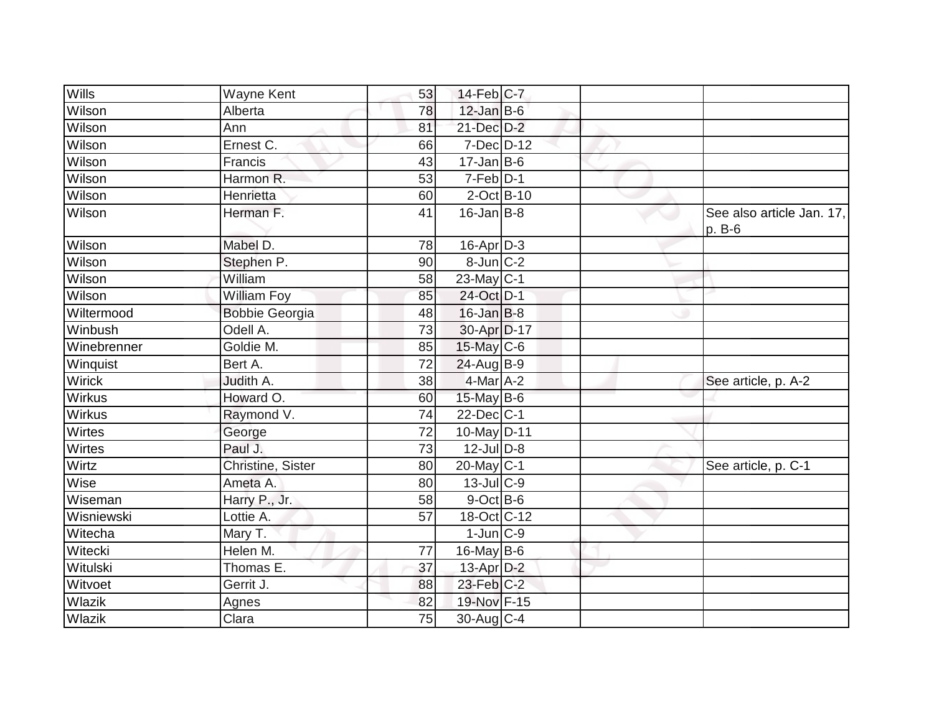| Wills       | Wayne Kent            | 53 | $14$ -Feb $ C-7 $         |  |                                     |
|-------------|-----------------------|----|---------------------------|--|-------------------------------------|
| Wilson      | Alberta               | 78 | $12$ -Jan B-6             |  |                                     |
| Wilson      | Ann                   | 81 | $21$ -Dec $D-2$           |  |                                     |
| Wilson      | Ernest C.             | 66 | $7$ -Dec $D-12$           |  |                                     |
| Wilson      | Francis               | 43 | $17$ -Jan B-6             |  |                                     |
| Wilson      | Harmon R.             | 53 | 7-Feb D-1                 |  |                                     |
| Wilson      | Henrietta             | 60 | $2$ -Oct B-10             |  |                                     |
| Wilson      | Herman F.             | 41 | $16$ -Jan B-8             |  | See also article Jan. 17,<br>p. B-6 |
| Wilson      | Mabel D.              | 78 | $16$ -Apr $ D-3 $         |  |                                     |
| Wilson      | Stephen P.            | 90 | $8$ -Jun $C-2$            |  |                                     |
| Wilson      | William               | 58 | 23-May C-1                |  |                                     |
| Wilson      | William Foy           | 85 | 24-Oct D-1                |  |                                     |
| Wiltermood  | <b>Bobbie Georgia</b> | 48 | $16$ -Jan B-8             |  |                                     |
| Winbush     | Odell A.              | 73 | 30-Apr D-17               |  |                                     |
| Winebrenner | Goldie M.             | 85 | $15$ -May C-6             |  |                                     |
| Winquist    | Bert A.               | 72 | $24$ -Aug $B-9$           |  |                                     |
| Wirick      | Judith A.             | 38 | $4$ -Mar $A$ -2           |  | See article, p. A-2                 |
| Wirkus      | Howard O.             | 60 | 15-May $B-6$              |  |                                     |
| Wirkus      | Raymond V.            | 74 | $22$ -Dec $ C-1 $         |  |                                     |
| Wirtes      | George                | 72 | 10-May D-11               |  |                                     |
| Wirtes      | Paul J.               | 73 | $12$ -Jul $D-8$           |  |                                     |
| Wirtz       | Christine, Sister     | 80 | $20$ -May C-1             |  | See article, p. C-1                 |
| Wise        | Ameta A.              | 80 | $13$ -Jul $ C-9 $         |  |                                     |
| Wiseman     | Harry P., Jr.         | 58 | $9$ -Oct B-6              |  |                                     |
| Wisniewski  | Lottie A.             | 57 | $18-Oct$ <sub>C</sub> -12 |  |                                     |
| Witecha     | Mary T.               |    | $1$ -Jun $C-9$            |  |                                     |
| Witecki     | Helen M.              | 77 | $16$ -May B-6             |  |                                     |
| Witulski    | Thomas E.             | 37 | $13$ -Apr $D-2$           |  |                                     |
| Witvoet     | Gerrit J.             | 88 | $23$ -Feb $ C-2 $         |  |                                     |
| Wlazik      | Agnes                 | 82 | 19-Nov F-15               |  |                                     |
| Wlazik      | Clara                 | 75 | 30-Aug C-4                |  |                                     |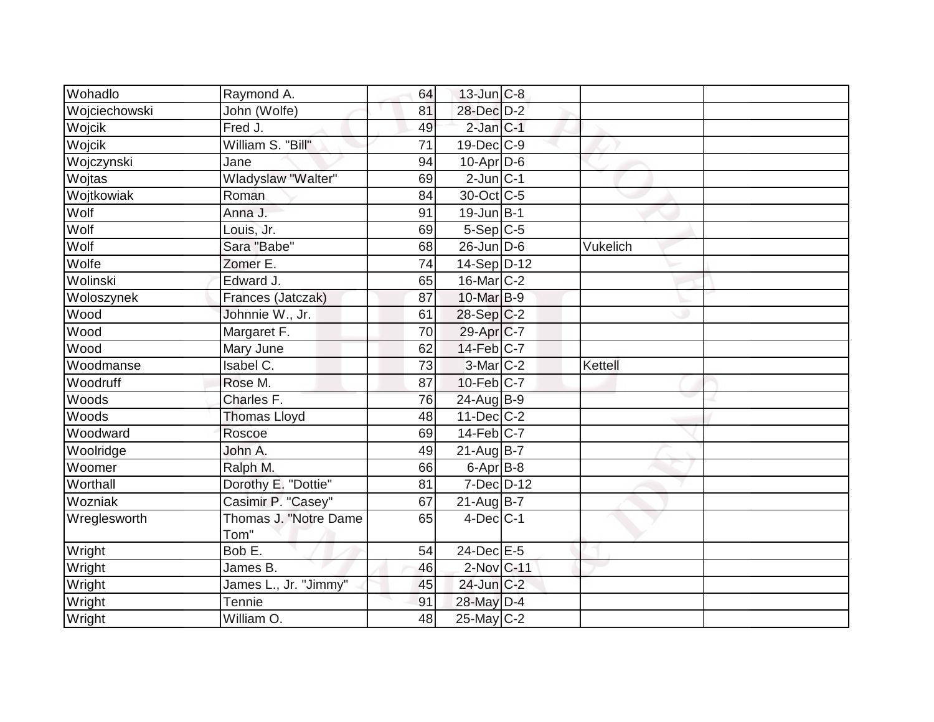| Wohadlo       | Raymond A.            | 64 | $13$ -Jun $ C-8$        |          |  |
|---------------|-----------------------|----|-------------------------|----------|--|
| Wojciechowski | John (Wolfe)          | 81 | 28-Dec D-2              |          |  |
| Wojcik        | Fred J.               | 49 | $2$ -Jan $C-1$          |          |  |
| Wojcik        | William S. "Bill"     | 71 | $19$ -Dec $ C$ -9       |          |  |
|               | Jane                  | 94 | $10$ -Apr $D-6$         |          |  |
| Wojczynski    |                       |    |                         |          |  |
| Wojtas        | Wladyslaw "Walter"    | 69 | $2$ -Jun $C-1$          |          |  |
| Wojtkowiak    | Roman                 | 84 | 30-Oct C-5              |          |  |
| Wolf          | Anna J.               | 91 | $19$ -Jun $B-1$         |          |  |
| Wolf          | Louis, Jr.            | 69 | $5-Sep C-5$             |          |  |
| Wolf          | Sara "Babe"           | 68 | $26$ -Jun $D-6$         | Vukelich |  |
| Wolfe         | Zomer E.              | 74 | $14-Sep D-12$           |          |  |
| Wolinski      | Edward J.             | 65 | $16$ -Mar $ C-2 $       |          |  |
| Woloszynek    | Frances (Jatczak)     | 87 | 10-Mar B-9              |          |  |
| Wood          | Johnnie W., Jr.       | 61 | $28-Sep C-2$            |          |  |
| Wood          | Margaret F.           | 70 | 29-Apr C-7              |          |  |
| Wood          | Mary June             | 62 | 14-Feb C-7              |          |  |
| Woodmanse     | Isabel C.             | 73 | $3-Mar$ $C-2$           | Kettell  |  |
| Woodruff      | Rose M.               | 87 | 10-Feb C-7              |          |  |
| Woods         | Charles F.            | 76 | 24-Aug B-9              |          |  |
| Woods         | <b>Thomas Lloyd</b>   | 48 | $11$ -Dec $ C-2 $       |          |  |
| Woodward      | Roscoe                | 69 | $14-Feb$ <sub>C-7</sub> |          |  |
| Woolridge     | John A.               | 49 | $21$ -Aug $B$ -7        |          |  |
| Woomer        | Ralph M.              | 66 | $6$ -Apr $B$ -8         |          |  |
| Worthall      | Dorothy E. "Dottie"   | 81 | $7$ -Dec $D$ -12        |          |  |
| Wozniak       | Casimir P. "Casey"    | 67 | $21$ -Aug $B$ -7        |          |  |
| Wreglesworth  | Thomas J. "Notre Dame | 65 | $4$ -Dec $ C-1 $        |          |  |
|               | Tom"                  |    |                         |          |  |
| Wright        | Bob E.                | 54 | 24-Dec E-5              |          |  |
| Wright        | James B.              | 46 | 2-Nov C-11              |          |  |
| Wright        | James L., Jr. "Jimmy" | 45 | 24-Jun C-2              |          |  |
| Wright        | <b>Tennie</b>         | 91 | 28-May D-4              |          |  |
| Wright        | William O.            | 48 | $25-May$ <sub>C-2</sub> |          |  |
|               |                       |    |                         |          |  |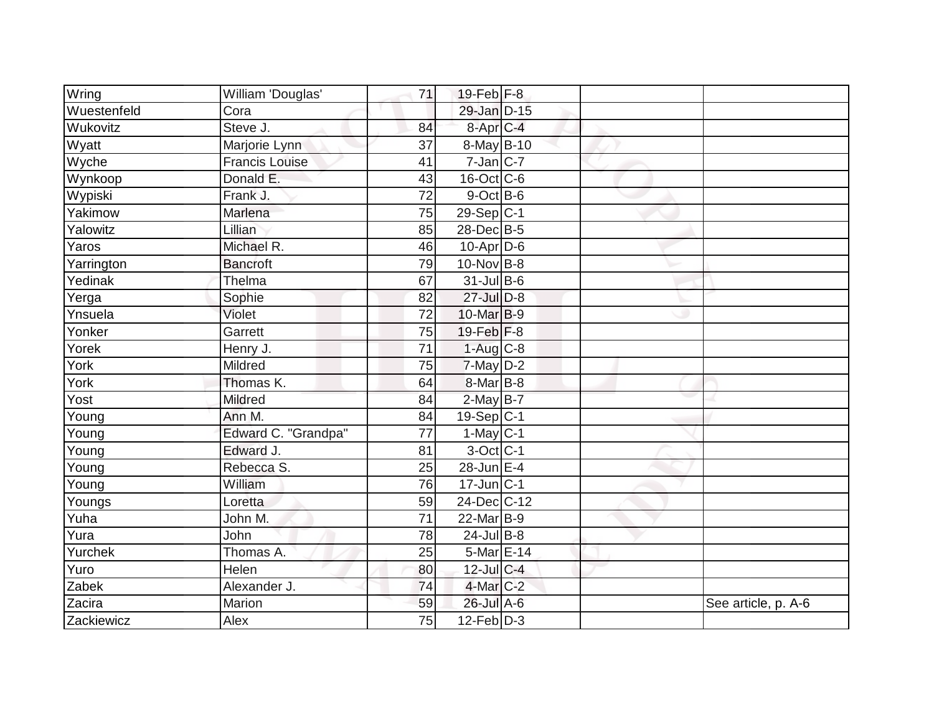| Wring       | William 'Douglas'     | 71              | $19$ -Feb F-8           |  |                     |
|-------------|-----------------------|-----------------|-------------------------|--|---------------------|
| Wuestenfeld | Cora                  |                 | 29-Jan D-15             |  |                     |
| Wukovitz    | Steve J.              | 84              | 8-Apr C-4               |  |                     |
| Wyatt       | Marjorie Lynn         | 37              | 8-May B-10              |  |                     |
| Wyche       | <b>Francis Louise</b> | 41              | $7$ -Jan $ C-7 $        |  |                     |
| Wynkoop     | Donald E.             | 43              | 16-Oct C-6              |  |                     |
| Wypiski     | Frank J.              | 72              | 9-Oct B-6               |  |                     |
| Yakimow     | Marlena               | 75              | $29-Sep C-1$            |  |                     |
| Yalowitz    | Lillian               | 85              | 28-Dec B-5              |  |                     |
| Yaros       | Michael R.            | 46              | $10$ -Apr $ D-6$        |  |                     |
| Yarrington  | <b>Bancroft</b>       | 79              | $10$ -Nov B-8           |  |                     |
| Yedinak     | Thelma                | 67              | 31-Jul B-6              |  |                     |
| Yerga       | Sophie                | 82              | 27-Jul D-8              |  |                     |
| Ynsuela     | Violet                | 72              | 10-Mar B-9              |  |                     |
| Yonker      | Garrett               | 75              | 19-Feb F-8              |  |                     |
| Yorek       | Henry J.              | 71              | $1-Aug$ C-8             |  |                     |
| York        | Mildred               | 75              | $7$ -May $D-2$          |  |                     |
| York        | Thomas K.             | 64              | 8-Mar B-8               |  |                     |
| Yost        | Mildred               | 84              | $2$ -May $B-7$          |  |                     |
| Young       | Ann M.                | 84              | $19-Sep$ <sub>C-1</sub> |  |                     |
| Young       | Edward C. "Grandpa"   | 77              | $1-May$ <sub>C-1</sub>  |  |                     |
| Young       | Edward J.             | 81              | $3$ -Oct C-1            |  |                     |
| Young       | Rebecca S.            | 25              | 28-Jun E-4              |  |                     |
| Young       | William               | 76              | $17$ -Jun $ C-1 $       |  |                     |
| Youngs      | Loretta               | 59              | 24-Dec C-12             |  |                     |
| Yuha        | John M.               | $\overline{71}$ | 22-Mar B-9              |  |                     |
| Yura        | <b>John</b>           | 78              | $24$ -Jul B-8           |  |                     |
| Yurchek     | Thomas A.             | 25              | 5-Mar E-14              |  |                     |
| Yuro        | Helen                 | 80              | 12-Jul C-4              |  |                     |
| Zabek       | Alexander J.          | 74              | 4-Mar C-2               |  |                     |
| Zacira      | Marion                | 59              | 26-Jul A-6              |  | See article, p. A-6 |
| Zackiewicz  | Alex                  | 75              | $12$ -Feb $D-3$         |  |                     |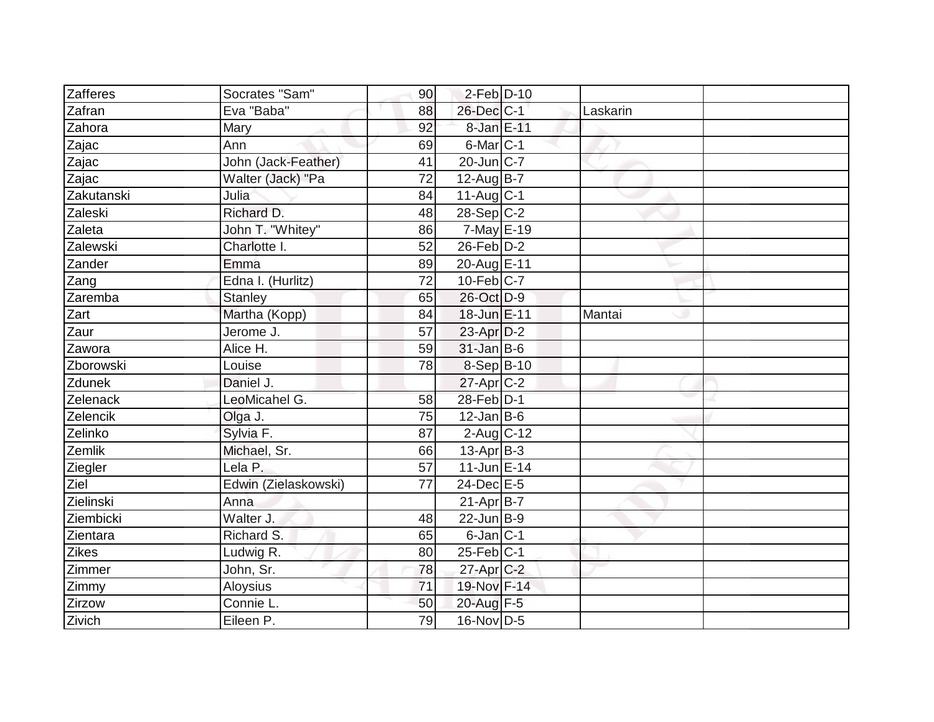| Zafferes           | Socrates "Sam"       | 90 | $2$ -Feb $\vert$ D-10  |          |  |
|--------------------|----------------------|----|------------------------|----------|--|
| Zafran             | Eva "Baba"           | 88 | 26-Dec C-1             | Laskarin |  |
| Zahora             | Mary                 | 92 | 8-Jan E-11             |          |  |
| Zajac              | Ann                  | 69 | $6$ -Mar $ C-1 $       |          |  |
| Zajac              | John (Jack-Feather)  | 41 | 20-Jun C-7             |          |  |
| Zajac              | Walter (Jack) "Pa    | 72 | $12$ -Aug $B-7$        |          |  |
| Zakutanski         | Julia                | 84 | $11-Auq$ $C-1$         |          |  |
| Zaleski            | Richard D.           | 48 | $28-Sep C-2$           |          |  |
| Zaleta             | John T. "Whitey"     | 86 | $7$ -May $E-19$        |          |  |
| Zalewski           | Charlotte I.         | 52 | $26$ -Feb $D-2$        |          |  |
| Zander             | Emma                 | 89 | 20-Aug E-11            |          |  |
| Zang               | Edna I. (Hurlitz)    | 72 | $10$ -Feb $ C-7$       |          |  |
| Zaremba            | <b>Stanley</b>       | 65 | 26-Oct D-9             |          |  |
| Zart               | Martha (Kopp)        | 84 | 18-Jun E-11            | Mantai   |  |
| Zaur               | Jerome J.            | 57 | $23$ -Apr $D-2$        |          |  |
| Zawora             | Alice H.             | 59 | $31$ -Jan B-6          |          |  |
| Zborowski          | Louise               | 78 | $8-Sep$ B-10           |          |  |
| Zdunek             | Daniel J.            |    | $27$ -Apr $ C-2 $      |          |  |
| Zelenack           | LeoMicahel G.        | 58 | 28-Feb D-1             |          |  |
|                    |                      |    | $12$ -Jan B-6          |          |  |
| Zelencik           | Olga J.              | 75 |                        |          |  |
| Zelinko            | Sylvia F.            | 87 | $2$ -Aug C-12          |          |  |
| Zemlik             | Michael, Sr.         | 66 | $13$ -Apr $B-3$        |          |  |
| Ziegler            | Lela P.              | 57 | 11-Jun E-14            |          |  |
| $\overline{Z}$ iel | Edwin (Zielaskowski) | 77 | $24$ -Dec $E-5$        |          |  |
| Zielinski          | Anna                 |    | $21-Apr\overline{B-7}$ |          |  |
| Ziembicki          | Walter J.            | 48 | 22-Jun B-9             |          |  |
| Zientara           | Richard S.           | 65 | $6$ -Jan $ C-1 $       |          |  |
| Zikes              | Ludwig R.            | 80 | $25$ -Feb $ C-1 $      |          |  |
| Zimmer             | John, Sr.            | 78 | $27$ -Apr $C-2$        |          |  |
| Zimmy              | Aloysius             | 71 | 19-Nov F-14            |          |  |
| Zirzow             | Connie L.            | 50 | 20-Aug F-5             |          |  |
| Zivich             | Eileen P.            | 79 | 16-Nov D-5             |          |  |